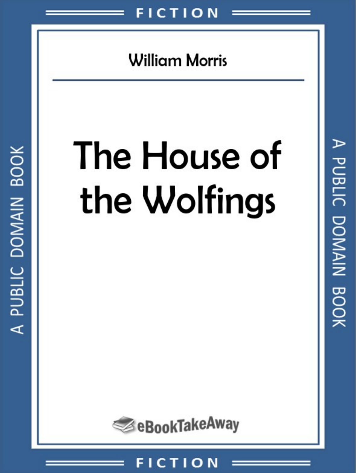

**William Morris** 

# The House of the Wolfings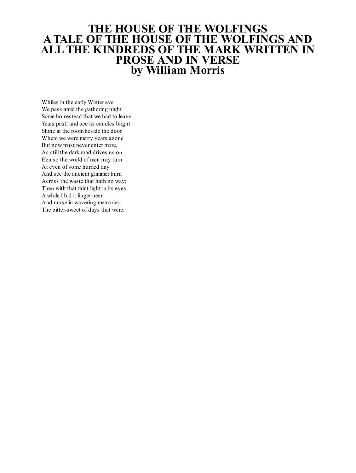# **THE HOUSE OF THE WOLFINGS A TALE OF THE HOUSE OF THE WOLFINGS AND ALL THE KINDREDS OF THE MARK WRITTEN IN PROSE AND IN VERSE by William Morris**

Whiles in the early Winter eve We pass amid the gathering night Some homestead that we had to leave Years past; and see its candles bright Shine in the roombeside the door Where we were merry years agone But now must never enter more, As still the dark road drives us on. E'en so the world of men may turn At even of some hurried day And see the ancient glimmer burn Across the waste that hath no way; Then with that faint light in its eyes A while I bid it linger near And nurse in wavering memories The bitter-sweet of days that were.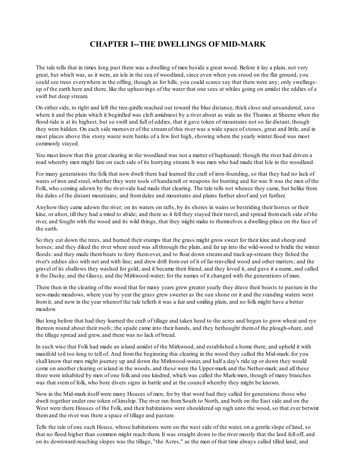### **CHAPTER I--THE DWELLINGS OF MID-MARK**

The tale tells that in times long past there was a dwelling of men beside a great wood. Before it lay a plain, not very great, but which was, as it were, an isle in the sea of woodland, since even when you stood on the flat ground, you could see trees everywhere in the offing, though as for hills, you could scarce say that there were any; only swellingsup of the earth here and there, like the upheavings of the water that one sees at whiles going on amidst the eddies of a swift but deep stream.

On either side, to right and left the tree-girdle reached out toward the blue distance, thick close and unsundered, save where it and the plain which it begirdled was cleft amidmost by a river about as wide as the Thames at Sheene when the flood-tide is at its highest, but so swift and full of eddies, that it gave token of mountains not so far distant, though they were hidden. On each side moreover of the streamof this river was a wide space of stones, great and little, and in most places above this stony waste were banks of a few feet high, showing where the yearly winter flood was most commonly stayed.

You must know that this great clearing in the woodland was not a matter of haphazard; though the river had driven a road whereby men might fare on each side of its hurrying stream. It was men who had made that Isle in the woodland.

For many generations the folk that now dwelt there had learned the craft of iron-founding, so that they had no lack of wares of iron and steel, whether they were tools of handicraft or weapons for hunting and for war. It was the men of the Folk, who coming adown by the river-side had made that clearing. The tale tells not whence they came, but belike from the dales of the distant mountains, and fromdales and mountains and plains further aloof and yet further.

Anyhow they came adown the river; on its waters on rafts, by its shores in wains or bestriding their horses or their kine, or afoot, till they had a mind to abide; and there as it fell they stayed their travel, and spread fromeach side of the river, and fought with the wood and its wild things, that they might make to themselves a dwelling-place on the face of the earth.

So they cut down the trees, and burned their stumps that the grass might grow sweet for their kine and sheep and horses; and they diked the river where need was all through the plain, and far up into the wild-wood to bridle the winter floods: and they made themboats to ferry themover, and to float down streamand track up-stream: they fished the river's eddies also with net and with line; and drew drift fromout of it of far-travelled wood and other matters; and the gravel of its shallows they washed for gold; and it became their friend, and they loved it, and gave it a name, and called it the Dusky, and the Glassy, and the Mirkwood-water; for the names of it changed with the generations of man.

There then in the clearing of the wood that for many years grew greater yearly they drave their beasts to pasture in the new-made meadows, where year by year the grass grew sweeter as the sun shone on it and the standing waters went fromit; and now in the year whereof the tale telleth it was a fair and smiling plain, and no folk might have a better meadow.

But long before that had they learned the craft of tillage and taken heed to the acres and begun to grow wheat and rye thereon round about their roofs; the spade came into their hands, and they bethought themof the plough-share, and the tillage spread and grew, and there was no lack of bread.

In such wise that Folk had made an island amidst of the Mirkwood, and established a home there, and upheld it with manifold toil too long to tell of. And fromthe beginning this clearing in the wood they called the Mid-mark: for you shall know that men might journey up and down the Mirkwood-water, and half a day's ride up or down they would come on another clearing or island in the woods, and these were the Upper-mark and the Nether-mark: and all these three were inhabited by men of one folk and one kindred, which was called the Mark-men, though of many branches was that stemof folk, who bore divers signs in battle and at the council whereby they might be known.

Now in the Mid-mark itself were many Houses of men; for by that word had they called for generations those who dwelt together under one token of kinship. The river ran fromSouth to North, and both on the East side and on the West were there Houses of the Folk, and their habitations were shouldered up nigh unto the wood, so that ever betwixt themand the river was there a space of tillage and pasture.

Tells the tale of one such House, whose habitations were on the west side of the water, on a gentle slope of land, so that no flood higher than common might reach them. It was straight down to the river mostly that the land fell off, and on its downward-reaching slopes was the tillage, "the Acres," as the men of that time always called tilled land; and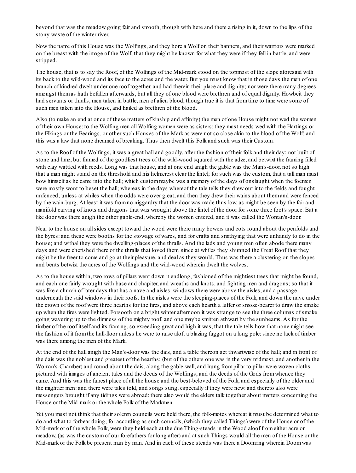beyond that was the meadow going fair and smooth, though with here and there a rising in it, down to the lips of the stony waste of the winter river.

Now the name of this House was the Wolfings, and they bore a Wolf on their banners, and their warriors were marked on the breast with the image of the Wolf, that they might be known for what they were if they fell in battle, and were stripped.

The house, that is to say the Roof, of the Wolfings of the Mid-mark stood on the topmost of the slope aforesaid with its back to the wild-wood and its face to the acres and the water. But you must know that in those days the men of one branch of kindred dwelt under one roof together, and had therein their place and dignity; nor were there many degrees amongst themas hath befallen afterwards, but all they of one blood were brethren and of equal dignity. Howbeit they had servants or thralls, men taken in battle, men of alien blood, though true it is that fromtime to time were some of such men taken into the House, and hailed as brethren of the blood.

Also (to make an end at once of these matters of kinship and affinity) the men of one House might not wed the women of their own House: to the Wolfing men all Wolfing women were as sisters: they must needs wed with the Hartings or the Elkings or the Bearings, or other such Houses of the Mark as were not so close akin to the blood of the Wolf; and this was a law that none dreamed of breaking. Thus then dwelt this Folk and such was their Custom.

As to the Roof of the Wolfings, it was a great hall and goodly, after the fashion of their folk and their day; not built of stone and lime, but framed of the goodliest trees of the wild-wood squared with the adze, and betwixt the framing filled with clay wattled with reeds. Long was that house, and at one end anigh the gable was the Man's-door, not so high that a man might stand on the threshold and his helmcrest clear the lintel; for such was the custom, that a tall man must bow himself as he came into the hall; which custommaybe was a memory of the days of onslaught when the foemen were mostly wont to beset the hall; whereas in the days whereof the tale tells they drew out into the fields and fought unfenced; unless at whiles when the odds were over great, and then they drew their wains about themand were fenced by the wain-burg. At least it was fromno niggardry that the door was made thus low, as might be seen by the fair and manifold carving of knots and dragons that was wrought above the lintel of the door for some three foot's space. But a like door was there anigh the other gable-end, whereby the women entered, and it was called the Woman's-door.

Near to the house on allsides except toward the wood were there many bowers and cots round about the penfolds and the byres: and these were booths for the stowage of wares, and for crafts and smithying that were unhandy to do in the house; and withal they were the dwelling-places of the thralls. And the lads and young men often abode there many days and were cherished there of the thralls that loved them, since at whiles they shunned the Great Roof that they might be the freer to come and go at their pleasure, and deal as they would. Thus was there a clustering on the slopes and bents betwixt the acres of the Wolfings and the wild-wood wherein dwelt the wolves.

As to the house within, two rows of pillars went down it endlong, fashioned of the mightiest trees that might be found, and each one fairly wrought with base and chapiter, and wreaths and knots, and fighting men and dragons; so that it was like a church of later days that has a nave and aisles: windows there were above the aisles, and a passage underneath the said windows in their roofs. In the aisles were the sleeping-places of the Folk, and down the nave under the crown of the roof were three hearths for the fires, and above each hearth a luffer or smoke-bearer to draw the smoke up when the fires were lighted. Forsooth on a bright winter afternoon it was strange to see the three columns of smoke going wavering up to the dimness of the mighty roof, and one maybe smitten athwart by the sunbeams. As for the timber of the roof itself and its framing, so exceeding great and high it was, that the tale tells how that none might see the fashion of it fromthe hall-floor unless he were to raise aloft a blazing faggot on a long pole:since no lack of timber was there among the men of the Mark.

At the end of the hall anigh the Man's-door was the dais, and a table thereon set thwartwise of the hall; and in front of the dais was the noblest and greatest of the hearths; (but of the others one was in the very midmost, and another in the Woman's-Chamber) and round about the dais, along the gable-wall, and hung frompillar to pillar were woven cloths pictured with images of ancient tales and the deeds of the Wolfings, and the deeds of the Gods fromwhence they came. And this was the fairest place of all the house and the best-beloved of the Folk, and especially of the older and the mightier men: and there were tales told, and songs sung, especially if they were new: and thereto also were messengers brought if any tidings were abroad: there also would the elders talk together about matters concerning the House or the Mid-mark or the whole Folk of the Markmen.

Yet you must not think that their solemn councils were held there, the folk-motes whereat it must be determined what to do and what to forbear doing; for according as such councils, (which they called Things) were of the House or of the Mid-mark or of the whole Folk, were they held each at the due Thing-steads in the Wood aloof fromeither acre or meadow, (as was the customof our forefathers for long after) and at such Things would all the men of the House or the Mid-mark or the Folk be present man by man. And in each of these steads was there a Doomring wherein Doomwas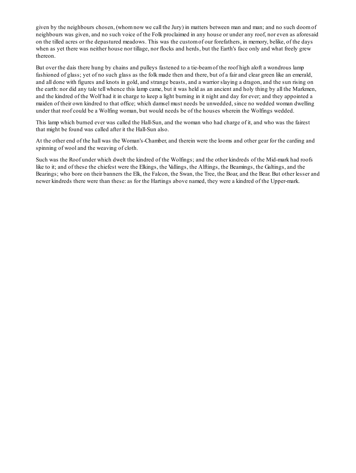given by the neighbours chosen, (whomnow we call the Jury) in matters between man and man; and no such doomof neighbours was given, and no such voice of the Folk proclaimed in any house or under any roof, nor even as aforesaid on the tilled acres or the depastured meadows. This was the customof our forefathers, in memory, belike, of the days when as yet there was neither house nor tillage, nor flocks and herds, but the Earth's face only and what freely grew thereon.

But over the dais there hung by chains and pulleys fastened to a tie-beamof the roof high aloft a wondrous lamp fashioned of glass; yet of no such glass as the folk made then and there, but of a fair and clear green like an emerald, and all done with figures and knots in gold, and strange beasts, and a warrior slaying a dragon, and the sun rising on the earth: nor did any tale tell whence this lamp came, but it was held as an ancient and holy thing by all the Markmen, and the kindred of the Wolf had it in charge to keep a light burning in it night and day for ever; and they appointed a maiden of their own kindred to that office; which damsel must needs be unwedded, since no wedded woman dwelling under that roof could be a Wolfing woman, but would needs be of the houses wherein the Wolfings wedded.

This lamp which burned ever was called the Hall-Sun, and the woman who had charge of it, and who was the fairest that might be found was called after it the Hall-Sun also.

At the other end of the hall was the Woman's-Chamber, and therein were the looms and other gear for the carding and spinning of wool and the weaving of cloth.

Such was the Roof under which dwelt the kindred of the Wolfings; and the other kindreds of the Mid-mark had roofs like to it; and of these the chiefest were the Elkings, the Vallings, the Alftings, the Beamings, the Galtings, and the Bearings; who bore on their banners the Elk, the Falcon, the Swan, the Tree, the Boar, and the Bear. But other lesser and newer kindreds there were than these: as for the Hartings above named, they were a kindred of the Upper-mark.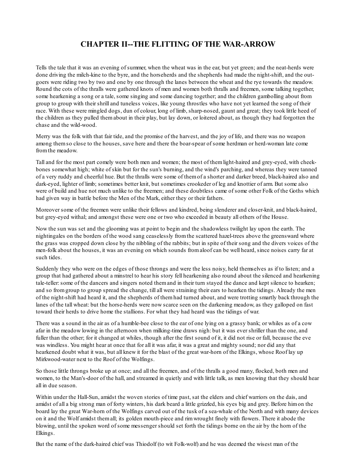# **CHAPTER II--THE FLITTING OF THE WAR-ARROW**

Tells the tale that it was an evening of summer, when the wheat was in the ear, but yet green; and the neat-herds were done driving the milch-kine to the byre, and the horseherds and the shepherds had made the night-shift, and the outgoers were riding two by two and one by one through the lanes between the wheat and the rye towards the meadow. Round the cots of the thralls were gathered knots of men and women both thralls and freemen, some talking together, some hearkening a song or a tale, some singing and some dancing together; and the children gambolling about from group to group with their shrill and tuneless voices, like young throstles who have not yet learned the song of their race. With these were mingled dogs, dun of colour, long of limb, sharp-nosed, gaunt and great; they took little heed of the children as they pulled themabout in their play, but lay down, or loitered about, as though they had forgotten the chase and the wild-wood.

Merry was the folk with that fair tide, and the promise of the harvest, and the joy of life, and there was no weapon among themso close to the houses, save here and there the boar-spear of some herdman or herd-woman late come fromthe meadow.

Tall and for the most part comely were both men and women; the most of themlight-haired and grey-eyed, with cheekbones somewhat high; white of skin but for the sun's burning, and the wind's parching, and whereas they were tanned of a very ruddy and cheerful hue. But the thralls were some of themof a shorter and darker breed, black-haired also and dark-eyed, lighter of limb; sometimes better knit, but sometimes crookeder of leg and knottier of arm. But some also were of build and hue not much unlike to the freemen; and these doubtless came of some other Folk of the Goths which had given way in battle before the Men of the Mark, either they or their fathers.

Moreover some of the freemen were unlike their fellows and kindred, being slenderer and closer-knit, and black-haired, but grey-eyed withal; and amongst these were one or two who exceeded in beauty all others of the House.

Now the sun was set and the glooming was at point to begin and the shadowless twilight lay upon the earth. The nightingales on the borders of the wood sang ceaselessly fromthe scattered hazel-trees above the greensward where the grass was cropped down close by the nibbling of the rabbits; but in spite of their song and the divers voices of the men-folk about the houses, it was an evening on which sounds fromaloof can be well heard, since noises carry far at such tides.

Suddenly they who were on the edges of those throngs and were the less noisy, held themselves as if to listen; and a group that had gathered about a minstrel to hear his story fell hearkening also round about the silenced and hearkening tale-teller: some of the dancers and singers noted them and in their turn stayed the dance and kept silence to hearken; and so fromgroup to group spread the change, till all were straining their ears to hearken the tidings. Already the men of the night-shift had heard it, and the shepherds of themhad turned about, and were trotting smartly back through the lanes of the tall wheat: but the horse-herds were now scarce seen on the darkening meadow, as they galloped on fast toward their herds to drive home the stallions. For what they had heard was the tidings of war.

There was a sound in the air as of a humble-bee close to the ear of one lying on a grassy bank; or whiles as of a cow afar in the meadow lowing in the afternoon when milking-time draws nigh: but it was ever shriller than the one, and fuller than the other; for it changed at whiles, though after the first sound of it, it did not rise or fall, because the eve was windless. You might hear at once that for all it was afar, it was a great and mighty sound; nor did any that hearkened doubt what it was, but all knew it for the blast of the great war-horn of the Elkings, whose Roof lay up Mirkwood-water next to the Roof of the Wolfings.

So those little throngs broke up at once; and all the freemen, and of the thralls a good many, flocked, both men and women, to the Man's-door of the hall, and streamed in quietly and with little talk, as men knowing that they should hear all in due season.

Within under the Hall-Sun, amidst the woven stories of time past, sat the elders and chief warriors on the dais, and amidst of all a big strong man of forty winters, his dark beard a little grizzled, his eyes big and grey. Before himon the board lay the great War-horn of the Wolfings carved out of the tusk of a sea-whale of the North and with many devices on it and the Wolf amidst themall; its golden mouth-piece and rimwrought finely with flowers. There it abode the blowing, until the spoken word of some messenger should set forth the tidings borne on the air by the horn of the Elkings.

But the name of the dark-haired chief was Thiodolf (to wit Folk-wolf) and he was deemed the wisest man of the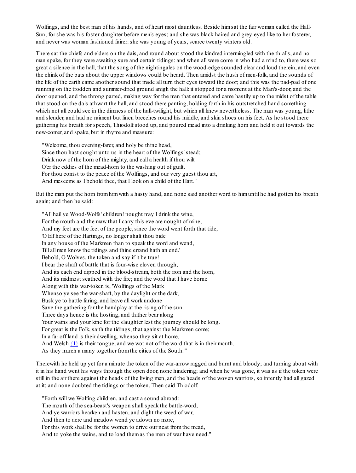Wolfings, and the best man of his hands, and of heart most dauntless. Beside himsat the fair woman called the Hall-Sun; for she was his foster-daughter before men's eyes; and she was black-haired and grey-eyed like to her fosterer, and never was woman fashioned fairer: she was young of years, scarce twenty winters old.

There sat the chiefs and elders on the dais, and round about stood the kindred intermingled with the thralls, and no man spake, for they were awaiting sure and certain tidings: and when all were come in who had a mind to, there was so great a silence in the hall, that the song of the nightingales on the wood-edge sounded clear and loud therein, and even the chink of the bats about the upper windows could be heard. Then amidst the hush of men-folk, and the sounds of the life of the earth came another sound that made all turn their eyes toward the door; and this was the pad-pad of one running on the trodden and summer-dried ground anigh the hall: it stopped for a moment at the Man's-door, and the door opened, and the throng parted, making way for the man that entered and came hastily up to the midst of the table that stood on the dais athwart the hall, and stood there panting, holding forth in his outstretched hand something which not all could see in the dimness of the hall-twilight, but which all knew nevertheless. The man was young, lithe and slender, and had no raiment but linen breeches round his middle, and skin shoes on his feet. As he stood there gathering his breath for speech, Thiodolf stood up, and poured mead into a drinking horn and held it out towards the new-comer, and spake, but in rhyme and measure:

"Welcome, thou evening-farer, and holy be thine head, Since thou hast sought unto us in the heart of the Wolfings' stead; Drink now of the horn of the mighty, and call a health if thou wilt O'er the eddies of the mead-horn to the washing out of guilt. For thou com'st to the peace of the Wolfings, and our very guest thou art, And meseems as I behold thee, that I look on a child of the Hart."

But the man put the horn fromhimwith a hasty hand, and none said another word to himuntil he had gotten his breath again; and then he said:

"All hail ye Wood-Wolfs' children! nought may I drink the wine, For the mouth and the maw that I carry this eve are nought of mine; And my feet are the feet of the people, since the word went forth that tide, 'O Elf here of the Hartings, no longer shalt thou bide In any house of the Markmen than to speak the word and wend, Till all men know the tidings and thine errand hath an end.' Behold, O Wolves, the token and say if it be true! I bear the shaft of battle that is four-wise cloven through, And its each end dipped in the blood-stream, both the iron and the horn, And its midmost scathed with the fire; and the word that I have borne Along with this war-token is, 'Wolfings of the Mark Whenso ye see the war-shaft, by the daylight or the dark, Busk ye to battle faring, and leave all work undone Save the gathering for the handplay at the rising of the sun. Three days hence is the hosting, and thither bear along Your wains and your kine for the slaughter lest the journey should be long. For great is the Folk, saith the tidings, that against the Markmen come; In a far off land is their dwelling, whenso they sit at home, And Welsh  $\{1\}$  is their tongue, and we wot not of the word that is in their mouth, As they march a many together fromthe cities of the South.'"

Therewith he held up yet for a minute the token of the war-arrow ragged and burnt and bloody; and turning about with it in his hand went his ways through the open door, none hindering; and when he was gone, it was as if the token were still in the air there against the heads of the living men, and the heads of the woven warriors, so intently had all gazed at it; and none doubted the tidings or the token. Then said Thiodolf:

"Forth will we Wolfing children, and cast a sound abroad:

The mouth of the sea-beast's weapon shall speak the battle-word;

And ye warriors hearken and hasten, and dight the weed of war,

And then to acre and meadow wend ye adown no more,

For this work shall be for the women to drive our neat fromthe mead,

And to yoke the wains, and to load themas the men of war have need."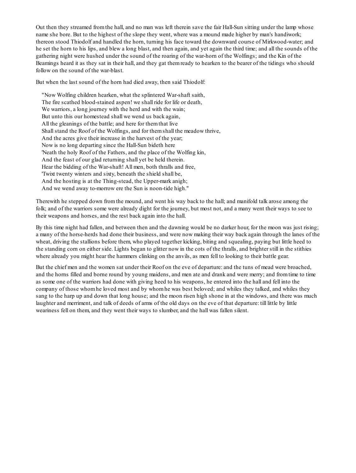Out then they streamed fromthe hall, and no man was left therein save the fair Hall-Sun sitting under the lamp whose name she bore. But to the highest of the slope they went, where was a mound made higher by man's handiwork; thereon stood Thiodolf and handled the horn, turning his face toward the downward course of Mirkwood-water; and he set the horn to his lips, and blew a long blast, and then again, and yet again the third time; and all the sounds of the gathering night were hushed under the sound of the roaring of the war-horn of the Wolfings; and the Kin of the Beamings heard it as they sat in their hall, and they gat themready to hearken to the bearer of the tidings who should follow on the sound of the war-blast.

But when the last sound of the horn had died away, then said Thiodolf:

"Now Wolfing children hearken, what the splintered War-shaft saith, The fire scathed blood-stained aspen! we shall ride for life or death, We warriors, a long journey with the herd and with the wain; But unto this our homestead shall we wend us back again, All the gleanings of the battle; and here for themthat live Shallstand the Roof of the Wolfings, and for themshall the meadow thrive, And the acres give their increase in the harvest of the year; Now is no long departing since the Hall-Sun bideth here 'Neath the holy Roof of the Fathers, and the place of the Wolfing kin, And the feast of our glad returning shall yet be held therein. Hear the bidding of the War-shaft! All men, both thralls and free, 'Twixt twenty winters and sixty, beneath the shield shall be, And the hosting is at the Thing-stead, the Upper-mark anigh; And we wend away to-morrow ere the Sun is noon-tide high."

Therewith he stepped down fromthe mound, and went his way back to the hall; and manifold talk arose among the folk; and of the warriors some were already dight for the journey, but most not, and a many went their ways to see to their weapons and horses, and the rest back again into the hall.

By this time night had fallen, and between then and the dawning would be no darker hour, for the moon was just rising; a many of the horse-herds had done their business, and were now making their way back again through the lanes of the wheat, driving the stallions before them, who played together kicking, biting and squealing, paying but little heed to the standing corn on either side. Lights began to glitter now in the cots of the thralls, and brighter still in the stithies where already you might hear the hammers clinking on the anvils, as men fell to looking to their battle gear.

But the chief men and the women sat under their Roof on the eve of departure: and the tuns of mead were broached, and the horns filled and borne round by young maidens, and men ate and drank and were merry; and fromtime to time as some one of the warriors had done with giving heed to his weapons, he entered into the hall and fell into the company of those whomhe loved most and by whomhe was best beloved; and whiles they talked, and whiles they sang to the harp up and down that long house; and the moon risen high shone in at the windows, and there was much laughter and merriment, and talk of deeds of arms of the old days on the eve of that departure: till little by little weariness fell on them, and they went their ways to slumber, and the hall was fallen silent.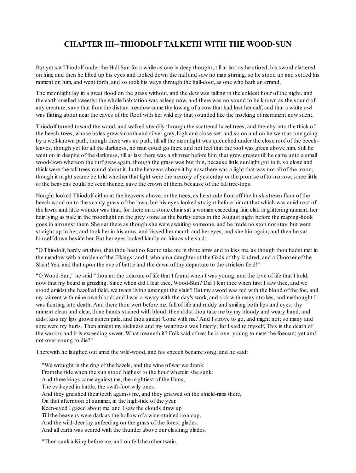# **CHAPTER III--THIODOLF TALKETH WITH THE WOOD-SUN**

But yet sat Thiodolf under the Hall-Sun for a while as one in deep thought; till at last as he stirred, his sword clattered on him; and then he lifted up his eyes and looked down the hall and saw no man stirring, so he stood up and settled his raiment on him, and went forth, and so took his ways through the hall-door, as one who hath an errand.

The moonlight lay in a great flood on the grass without, and the dew was falling in the coldest hour of the night, and the earth smelled sweetly: the whole habitation was asleep now, and there was no sound to be known as the sound of any creature, save that fromthe distant meadow came the lowing of a cow that had lost her calf, and that a white owl was flitting about near the eaves of the Roof with her wild cry that sounded like the mocking of merriment now silent.

Thiodolf turned toward the wood, and walked steadily through the scattered hazel-trees, and thereby into the thick of the beech-trees, whose boles grew smooth and silver-grey, high and close-set: and so on and on he went as one going by a well-known path, though there was no path, till all the moonlight was quenched under the close roof of the beechleaves, though yet for all the darkness, no man could go there and not feel that the roof was green above him. Still he went on in despite of the darkness, till at last there was a glimmer before him, that grew greater till he came unto a small wood-lawn whereon the turf grew again, though the grass was but thin, because little sunlight got to it, so close and thick were the tall trees round about it. In the heavens above it by now there was a light that was not all of the moon, though it might scarce be told whether that light were the memory of yesterday or the promise of to-morrow, since little of the heavens could be seen thence, save the crown of them, because of the tall tree-tops.

Nought looked Thiodolf either at the heavens above, or the trees, as he strode fromoff the husk-strewn floor of the beech wood on to the scanty grass of the lawn, but his eyes looked straight before himat that which was amidmost of the lawn: and little wonder was that; for there on a stone chair sat a woman exceeding fair, clad in glittering raiment, her hair lying as pale in the moonlight on the grey stone as the barley acres in the August night before the reaping-hook goes in amongst them. She sat there as though she were awaiting someone, and he made no stop nor stay, but went straight up to her, and took her in his arms, and kissed her mouth and her eyes, and she himagain; and then he sat himself down beside her. But her eyes looked kindly on himas she said:

"O Thiodolf, hardy art thou, that thou hast no fear to take me in thine arms and to kiss me, as though thou hadst met in the meadow with a maiden of the Elkings: and I, who ama daughter of the Gods of thy kindred, and a Chooser of the Slain! Yea, and that upon the eve of battle and the dawn of thy departure to the stricken field!"

"O Wood-Sun," he said "thou art the treasure of life that I found when I was young, and the love of life that I hold, now that my beard is grizzling. Since when did I fear thee, Wood-Sun? Did I fear thee when first I saw thee, and we stood amidst the hazelled field, we twain living amongst the slain? But my sword was red with the blood of the foe, and my raiment with mine own blood; and I was a-weary with the day's work, and sick with many strokes, and methought I was fainting into death. And there thou wert before me, full of life and ruddy and smiling both lips and eyes; thy raiment clean and clear, thine hands stained with blood: then didst thou take me by my bloody and weary hand, and didst kiss my lips grown ashen pale, and thou saidst 'Come with me.' And I strove to go, and might not; so many and sore were my hurts. Then amidst my sickness and my weariness was I merry; for I said to myself, This is the death of the warrior, and it is exceeding sweet. What meaneth it? Folk said of me; he is over young to meet the foeman; yet am I not over young to die?"

Therewith he laughed out amid the wild-wood, and his speech became song, and he said:

"We wrought in the ring of the hazels, and the wine of war we drank: Fromthe tide when the sun stood highest to the hour wherein she sank: And three kings came against me, the mightiest of the Huns, The evil-eyed in battle, the swift-foot wily ones; And they gnashed their teeth against me, and they gnawed on the shield-rims there, On that afternoon of summer, in the high-tide of the year. Keen-eyed I gazed about me, and I saw the clouds draw up Till the heavens were dark as the hollow of a wine-stained iron cup, And the wild-deer lay unfeeding on the grass of the forest glades, And all earth was scared with the thunder above our clashing blades.

"Then sank a King before me, and on fell the other twain,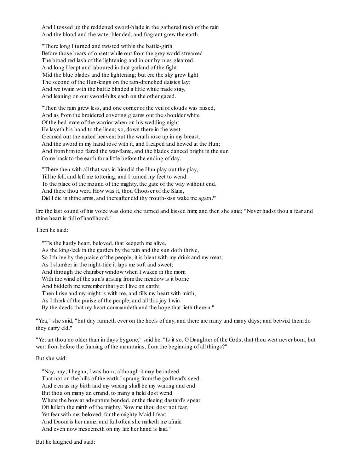And I tossed up the reddened sword-blade in the gathered rush of the rain And the blood and the water blended, and fragrant grew the earth.

"There long I turned and twisted within the battle-girth Before those bears of onset: while out fromthe grey world streamed The broad red lash of the lightening and in our byrnies gleamed. And long I leapt and laboured in that garland of the fight 'Mid the blue blades and the lightening; but ere the sky grew light The second of the Hun-kings on the rain-drenched daisies lay; And we twain with the battle blinded a little while made stay, And leaning on our sword-hilts each on the other gazed.

"Then the rain grew less, and one corner of the veil of clouds was raised, And as fromthe broidered covering gleams out the shoulder white Of the bed-mate of the warrior when on his wedding night He layeth his hand to the linen; so, down there in the west Gleamed out the naked heaven: but the wrath rose up in my breast, And the sword in my hand rose with it, and I leaped and hewed at the Hun; And fromhimtoo flared the war-flame, and the blades danced bright in the sun Come back to the earth for a little before the ending of day.

"There then with all that was in himdid the Hun play out the play, Till he fell, and left me tottering, and I turned my feet to wend To the place of the mound of the mighty, the gate of the way without end. And there thou wert. How was it, thou Chooser of the Slain, Did I die in thine arms, and thereafter did thy mouth-kiss wake me again?"

Ere the last sound of his voice was done she turned and kissed him; and then she said; "Never hadst thou a fear and thine heart is full of hardihood."

Then he said:

"'Tis the hardy heart, beloved, that keepeth me alive, As the king-leek in the garden by the rain and the sun doth thrive, So I thrive by the praise of the people; it is blent with my drink and my meat; As I slumber in the night-tide it laps me soft and sweet; And through the chamber window when I waken in the morn With the wind of the sun's arising fromthe meadow is it borne And biddeth me remember that yet I live on earth: Then I rise and my might is with me, and fills my heart with mirth, As I think of the praise of the people; and all this joy I win By the deeds that my heart commandeth and the hope that lieth therein."

"Yea," she said, "but day runneth ever on the heels of day, and there are many and many days; and betwixt themdo they carry eld."

"Yet art thou no older than in days bygone," said he. "Is it so, O Daughter of the Gods, that thou wert never born, but wert frombefore the framing of the mountains, fromthe beginning of all things?"

### But she said:

"Nay, nay; I began, I was born; although it may be indeed That not on the hills of the earth I sprang fromthe godhead's seed. And e'en as my birth and my waxing shall be my waning and end. But thou on many an errand, to many a field dost wend Where the bow at adventure bended, or the fleeing dastard's spear Oft lulleth the mirth of the mighty. Now me thou dost not fear, Yet fear with me, beloved, for the mighty Maid I fear; And Doomis her name, and full often she maketh me afraid And even now meseemeth on my life her hand is laid."

But he laughed and said: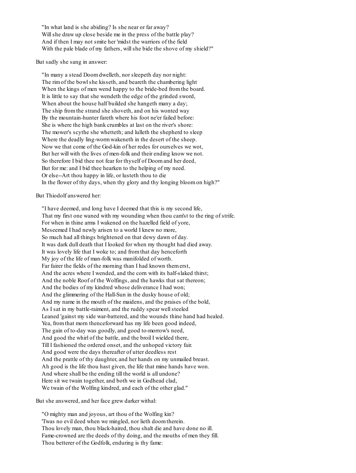"In what land is she abiding? Is she near or far away? Will she draw up close beside me in the press of the battle play? And if then I may not smite her 'midst the warriors of the field With the pale blade of my fathers, will she bide the shove of my shield?"

But sadly she sang in answer:

"In many a stead Doomdwelleth, nor sleepeth day nor night: The rimof the bowlshe kisseth, and beareth the chambering light When the kings of men wend happy to the bride-bed fromthe board. It is little to say that she wendeth the edge of the grinded sword, When about the house half builded she hangeth many a day; The ship fromthe strand she shoveth, and on his wonted way By the mountain-hunter fareth where his foot ne'er failed before: She is where the high bank crumbles at last on the river's shore: The mower's scythe she whetteth; and lulleth the shepherd to sleep Where the deadly ling-wormwakeneth in the desert of the sheep. Now we that come of the God-kin of her redes for ourselves we wot, But her will with the lives of men-folk and their ending know we not. So therefore I bid thee not fear for thyself of Doomand her deed, But for me: and I bid thee hearken to the helping of my need. Or else--Art thou happy in life, or lusteth thou to die In the flower of thy days, when thy glory and thy longing bloomon high?"

But Thiodolf answered her:

"I have deemed, and long have I deemed that this is my second life, That my first one waned with my wounding when thou cam'st to the ring of strife. For when in thine arms I wakened on the hazelled field of yore, Meseemed I had newly arisen to a world I knew no more, So much had all things brightened on that dewy dawn of day. It was dark dull death that I looked for when my thought had died away. It was lovely life that I woke to; and fromthat day henceforth My joy of the life of man-folk was manifolded of worth. Far fairer the fields of the morning than I had known themerst, And the acres where I wended, and the corn with its half-slaked thirst; And the noble Roof of the Wolfings, and the hawks that sat thereon; And the bodies of my kindred whose deliverance I had won; And the glimmering of the Hall-Sun in the dusky house of old; And my name in the mouth of the maidens, and the praises of the bold, As I sat in my battle-raiment, and the ruddy spear wellsteeled Leaned 'gainst my side war-battered, and the wounds thine hand had healed. Yea, fromthat morn thenceforward has my life been good indeed, The gain of to-day was goodly, and good to-morrow's need, And good the whirl of the battle, and the broil I wielded there, Till I fashioned the ordered onset, and the unhoped victory fair. And good were the days thereafter of utter deedless rest And the prattle of thy daughter, and her hands on my unmailed breast. Ah good is the life thou hast given, the life that mine hands have won. And where shall be the ending till the world is all undone? Here sit we twain together, and both we in Godhead clad, We twain of the Wolfing kindred, and each of the other glad."

But she answered, and her face grew darker withal:

"O mighty man and joyous, art thou of the Wolfing kin? 'Twas no evil deed when we mingled, nor lieth doomtherein. Thou lovely man, thou black-haired, thou shalt die and have done no ill. Fame-crowned are the deeds of thy doing, and the mouths of men they fill. Thou betterer of the Godfolk, enduring is thy fame: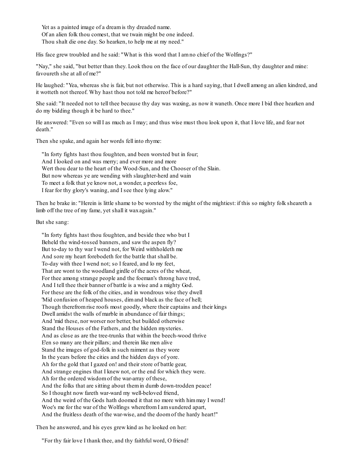Yet as a painted image of a dreamis thy dreaded name. Of an alien folk thou comest, that we twain might be one indeed. Thou shalt die one day. So hearken, to help me at my need."

His face grew troubled and he said: "What is this word that I amno chief of the Wolfings?"

"Nay," she said, "but better than they. Look thou on the face of our daughter the Hall-Sun, thy daughter and mine: favoureth she at all of me?"

He laughed: "Yea, whereas she is fair, but not otherwise. This is a hard saying, that I dwell among an alien kindred, and it wotteth not thereof. Why hast thou not told me hereof before?"

She said: "It needed not to tell thee because thy day was waxing, as now it waneth. Once more I bid thee hearken and do my bidding though it be hard to thee."

He answered: "Even so will I as much as I may; and thus wise must thou look upon it, that I love life, and fear not death."

Then she spake, and again her words fell into rhyme:

"In forty fights hast thou foughten, and been worsted but in four; And I looked on and was merry; and ever more and more Wert thou dear to the heart of the Wood-Sun, and the Chooser of the Slain. But now whereas ye are wending with slaughter-herd and wain To meet a folk that ye know not, a wonder, a peerless foe, I fear for thy glory's waning, and I see thee lying alow."

Then he brake in: "Herein is little shame to be worsted by the might of the mightiest: if this so mighty folk sheareth a limb off the tree of my fame, yet shall it waxagain."

But she sang:

"In forty fights hast thou foughten, and beside thee who but I Beheld the wind-tossed banners, and saw the aspen fly? But to-day to thy war I wend not, for Weird withholdeth me And sore my heart forebodeth for the battle that shall be. To-day with thee I wend not; so I feared, and lo my feet, That are wont to the woodland girdle of the acres of the wheat, For thee among strange people and the foeman's throng have trod, And I tell thee their banner of battle is a wise and a mighty God. For these are the folk of the cities, and in wondrous wise they dwell 'Mid confusion of heaped houses, dimand black as the face of hell; Though therefromrise roofs most goodly, where their captains and their kings Dwell amidst the walls of marble in abundance of fair things; And 'mid these, nor worser nor better, but builded otherwise Stand the Houses of the Fathers, and the hidden mysteries. And as close as are the tree-trunks that within the beech-wood thrive E'en so many are their pillars; and therein like men alive Stand the images of god-folk in such raiment as they wore In the years before the cities and the hidden days of yore. Ah for the gold that I gazed on! and their store of battle gear, And strange engines that I knew not, or the end for which they were. Ah for the ordered wisdomof the war-array of these, And the folks that are sitting about themin dumb down-trodden peace! So I thought now fareth war-ward my well-beloved friend, And the weird of the Gods hath doomed it that no more with himmay I wend! Woe's me for the war of the Wolfings wherefromI amsundered apart, And the fruitless death of the war-wise, and the doomof the hardy heart!"

Then he answered, and his eyes grew kind as he looked on her:

"For thy fair love I thank thee, and thy faithful word, O friend!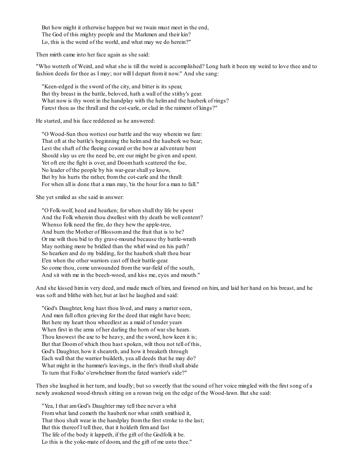But how might it otherwise happen but we twain must meet in the end, The God of this mighty people and the Markmen and their kin? Lo, this is the weird of the world, and what may we do herein?"

Then mirth came into her face again as she said:

"Who wotteth of Weird, and what she is till the weird is accomplished? Long hath it been my weird to love thee and to fashion deeds for thee as I may; nor will I depart fromit now." And she sang:

"Keen-edged is the sword of the city, and bitter is its spear, But thy breast in the battle, beloved, hath a wall of the stithy's gear. What now is thy wont in the handplay with the helm and the hauberk of rings? Farest thou as the thrall and the cot-carle, or clad in the raiment of kings?"

He started, and his face reddened as he answered:

"O Wood-Sun thou wottest our battle and the way wherein we fare: That oft at the battle's beginning the helmand the hauberk we bear; Lest the shaft of the fleeing coward or the bow at adventure bent Should slay us ere the need be, ere our might be given and spent. Yet oft ere the fight is over, and Doomhath scattered the foe, No leader of the people by his war-gear shall ye know, But by his hurts the rather, fromthe cot-carle and the thrall: For when all is done that a man may, 'tis the hour for a man to fall."

She yet smiled as she said in answer:

"O Folk-wolf, heed and hearken; for when shall thy life be spent And the Folk wherein thou dwellest with thy death be well content? Whenso folk need the fire, do they hew the apple-tree, And burn the Mother of Blossomand the fruit that is to be? Or me wilt thou bid to thy grave-mound because thy battle-wrath May nothing more be bridled than the whirl wind on his path? So hearken and do my bidding, for the hauberk shalt thou bear E'en when the other warriors cast off their battle-gear. So come thou, come unwounded fromthe war-field of the south, And sit with me in the beech-wood, and kiss me, eyes and mouth."

And she kissed himin very deed, and made much of him, and fawned on him, and laid her hand on his breast, and he was soft and blithe with her, but at last he laughed and said:

"God's Daughter, long hast thou lived, and many a matter seen, And men full often grieving for the deed that might have been; But here my heart thou wheedlest as a maid of tender years When first in the arms of her darling the horn of war she hears. Thou knowest the axe to be heavy, and the sword, how keen it is; But that Doomof which thou hast spoken, wilt thou not tell of this, God's Daughter, how it sheareth, and how it breaketh through Each wall that the warrior buildeth, yea all deeds that he may do? What might in the hammer's leavings, in the fire's thrall shall abide To turn that Folks' o'erwhelmer fromthe fated warrior's side?"

Then she laughed in her turn, and loudly; but so sweetly that the sound of her voice mingled with the first song of a newly awakened wood-thrush sitting on a rowan twig on the edge of the Wood-lawn. But she said:

"Yea, I that amGod's Daughter may tell thee never a whit Fromwhat land cometh the hauberk nor what smith smithied it, That thou shalt wear in the handplay fromthe first stroke to the last; But this thereof I tell thee, that it holdeth firmand fast The life of the body it lappeth, if the gift of the Godfolk it be. Lo this is the yoke-mate of doom, and the gift of me unto thee."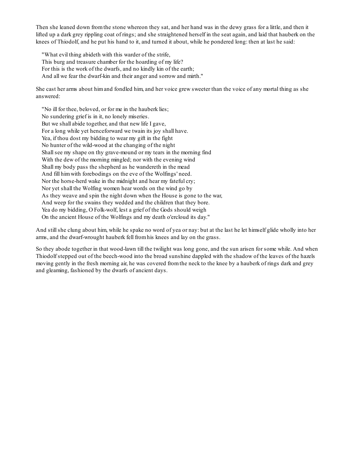Then she leaned down fromthe stone whereon they sat, and her hand was in the dewy grass for a little, and then it lifted up a dark grey rippling coat of rings; and she straightened herself in the seat again, and laid that hauberk on the knees of Thiodolf, and he put his hand to it, and turned it about, while he pondered long: then at last he said:

"What evil thing abideth with this warder of the strife, This burg and treasure chamber for the hoarding of my life? For this is the work of the dwarfs, and no kindly kin of the earth; And all we fear the dwarf-kin and their anger and sorrow and mirth."

She cast her arms about himand fondled him, and her voice grew sweeter than the voice of any mortal thing as she answered:

"No ill for thee, beloved, or for me in the hauberk lies; No sundering grief is in it, no lonely miseries. But we shall abide together, and that new life I gave, For a long while yet henceforward we twain its joy shall have. Yea, if thou dost my bidding to wear my gift in the fight No hunter of the wild-wood at the changing of the night Shallsee my shape on thy grave-mound or my tears in the morning find With the dew of the morning mingled; nor with the evening wind Shall my body pass the shepherd as he wandereth in the mead And fill himwith forebodings on the eve of the Wolfings' need. Nor the horse-herd wake in the midnight and hear my fateful cry; Nor yet shall the Wolfing women hear words on the wind go by As they weave and spin the night down when the House is gone to the war, And weep for the swains they wedded and the children that they bore. Yea do my bidding, O Folk-wolf, lest a grief of the Gods should weigh On the ancient House of the Wolfings and my death o'ercloud its day."

And stillshe clung about him, while he spake no word of yea or nay: but at the last he let himself glide wholly into her arms, and the dwarf-wrought hauberk fell fromhis knees and lay on the grass.

So they abode together in that wood-lawn till the twilight was long gone, and the sun arisen for some while. And when Thiodolf stepped out of the beech-wood into the broad sunshine dappled with the shadow of the leaves of the hazels moving gently in the fresh morning air, he was covered fromthe neck to the knee by a hauberk of rings dark and grey and gleaming, fashioned by the dwarfs of ancient days.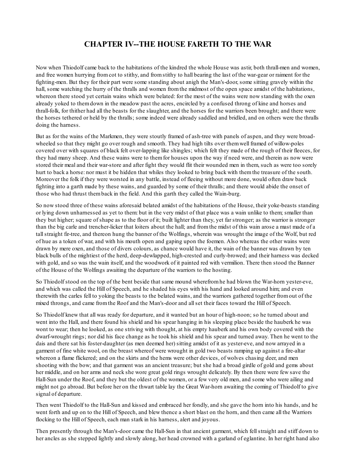### **CHAPTER IV--THE HOUSE FARETH TO THE WAR**

Now when Thiodolf came back to the habitations of the kindred the whole House was astir, both thrall-men and women, and free women hurrying fromcot to stithy, and fromstithy to hall bearing the last of the war-gear or raiment for the fighting-men. But they for their part were some standing about anigh the Man's-door, some sitting gravely within the hall, some watching the hurry of the thralls and women fromthe midmost of the open space amidst of the habitations, whereon there stood yet certain wains which were belated: for the most of the wains were now standing with the oxen already yoked to themdown in the meadow past the acres, encircled by a confused throng of kine and horses and thrall-folk, for thither had all the beasts for the slaughter, and the horses for the warriors been brought; and there were the horses tethered or held by the thralls; some indeed were already saddled and bridled, and on others were the thralls doing the harness.

But as for the wains of the Markmen, they were stoutly framed of ash-tree with panels of aspen, and they were broadwheeled so that they might go over rough and smooth. They had high tilts over themwell framed of willow-poles covered over with squares of black felt over-lapping like shingles; which felt they made of the rough of their fleeces, for they had many sheep. And these wains were to themfor houses upon the way if need were, and therein as now were stored their meal and their war-store and after fight they would flit their wounded men in them, such as were too sorely hurt to back a horse: nor must it be hidden that whiles they looked to bring back with themthe treasure of the south. Moreover the folk if they were worsted in any battle, instead of fleeing without more done, would often draw back fighting into a garth made by these wains, and guarded by some of their thralls; and there would abide the onset of those who had thrust themback in the field. And this garth they called the Wain-burg.

So now stood three of these wains aforesaid belated amidst of the habitations of the House, their yoke-beasts standing or lying down unharnessed as yet to them: but in the very midst of that place was a wain unlike to them; smaller than they but higher; square of shape as to the floor of it; built lighter than they, yet far stronger; as the warrior is stronger than the big carle and trencher-licker that loiters about the hall; and fromthe midst of this wain arose a mast made of a tallstraight fir-tree, and thereon hung the banner of the Wolfings, wherein was wrought the image of the Wolf, but red of hue as a token of war, and with his mouth open and gaping upon the foemen. Also whereas the other wains were drawn by mere oxen, and those of divers colours, as chance would have it, the wain of the banner was drawn by ten black bulls of the mightiest of the herd, deep-dewlapped, high-crested and curly-browed; and their harness was decked with gold, and so was the wain itself, and the woodwork of it painted red with vermilion. There then stood the Banner of the House of the Wolfings awaiting the departure of the warriors to the hosting.

So Thiodolf stood on the top of the bent beside that same mound wherefromhe had blown the War-horn yester-eve, and which was called the Hill of Speech, and he shaded his eyes with his hand and looked around him; and even therewith the carles fell to yoking the beasts to the belated wains, and the warriors gathered together fromout of the mixed throngs, and came fromthe Roof and the Man's-door and allset their faces toward the Hill of Speech.

So Thiodolf knew that all was ready for departure, and it wanted but an hour of high-noon; so he turned about and went into the Hall, and there found his shield and his spear hanging in his sleeping place beside the hauberk he was wont to wear; then he looked, as one striving with thought, at his empty hauberk and his own body covered with the dwarf-wrought rings; nor did his face change as he took his shield and his spear and turned away. Then he went to the dais and there sat his foster-daughter (as men deemed her) sitting amidst of it as yester-eve, and now arrayed in a garment of fine white wool, on the breast whereof were wrought in gold two beasts ramping up against a fire-altar whereon a flame flickered; and on the skirts and the hems were other devices, of wolves chasing deer, and men shooting with the bow; and that garment was an ancient treasure; but she had a broad girdle of gold and gems about her middle, and on her arms and neck she wore great gold rings wrought delicately. By then there were few save the Hall-Sun under the Roof, and they but the oldest of the women, or a few very old men, and some who were ailing and might not go abroad. But before her on the thwart table lay the Great War-horn awaiting the coming of Thiodolf to give signal of departure.

Then went Thiodolf to the Hall-Sun and kissed and embraced her fondly, and she gave the horn into his hands, and he went forth and up on to the Hill of Speech, and blew thence a short blast on the horn, and then came all the Warriors flocking to the Hill of Speech, each man stark in his harness, alert and joyous.

Then presently through the Man's-door came the Hall-Sun in that ancient garment, which fellstraight and stiff down to her ancles as she stepped lightly and slowly along, her head crowned with a garland of eglantine. In her right hand also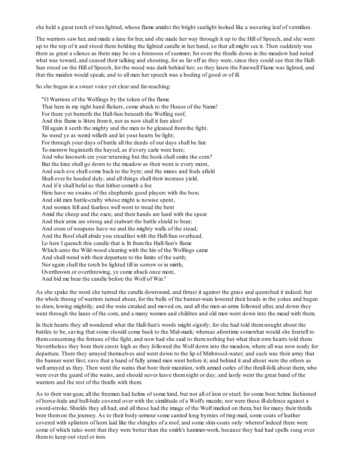she held a great torch of waxlighted, whose flame amidst the bright sunlight looked like a wavering leaf of vermilion.

The warriors saw her, and made a lane for her, and she made her way through it up to the Hill of Speech, and she went up to the top of it and stood there holding the lighted candle in her hand, so that all might see it. Then suddenly was there as great a silence as there may be on a forenoon of summer; for even the thralls down in the meadow had noted what was toward, and ceased their talking and shouting, for as far off as they were, since they could see that the Hall-Sun stood on the Hill of Speech, for the wood was dark behind her; so they knew the Farewell Flame was lighted, and that the maiden would speak; and to all men her speech was a boding of good or of ill.

So she began in a sweet voice yet clear and far-reaching:

"O Warriors of the Wolfings by the token of the flame That here in my right hand flickers, come aback to the House of the Name! For there yet burneth the Hall-Sun beneath the Wolfing roof, And this flame is litten fromit, nor as now shall it fare aloof Till again it seeth the mighty and the men to be gleaned fromthe fight. So wend ye as weird willeth and let your hearts be light; For through your days of battle all the deeds of our days shall be fair. To-morrow beginneth the haysel, as if every carle were here; And who knoweth ere your returning but the hook shall smite the corn? But the kine shall go down to the meadow as their wont is every morn, And each eve shall come back to the byre; and the mares and foals afield Shall ever be heeded duly; and all things shall their increase yield. And if it shall befal us that hither cometh a foe Here have we swains of the shepherds good players with the bow, And old men battle-crafty whose might is nowise spent, And women fell and fearless well wont to tread the bent Amid the sheep and the oxen; and their hands are hard with the spear And their arms are strong and stalwart the battle shield to bear; And store of weapons have we and the mighty walls of the stead; And the Roof shall abide you steadfast with the Hall-Sun overhead. Lo here I quench this candle that is lit fromthe Hall-Sun's flame Which unto the Wild-wood clearing with the kin of the Wolfings came And shall wend with their departure to the limits of the earth; Nor again shall the torch be lighted till in sorrow or in mirth, Overthrown or overthrowing, ye come aback once more, And bid me bear the candle before the Wolf of War."

As she spake the word she turned the candle downward, and thrust it against the grass and quenched it indeed; but the whole throng of warriors turned about, for the bulls of the banner-wain lowered their heads in the yokes and began to draw, lowing mightily; and the wain creaked and moved on, and all the men-at-arms followed after, and down they went through the lanes of the corn, and a many women and children and old men went down into the mead with them.

In their hearts they all wondered what the Hall-Sun's words might signify; for she had told themnought about the battles to be, saving that some should come back to the Mid-mark; whereas aforetime somewhat would she foretell to themconcerning the fortune of the fight, and now had she said to themnothing but what their own hearts told them. Nevertheless they bore their crests high as they followed the Wolf down into the meadow, where all was now ready for departure. There they arrayed themselves and went down to the lip of Mirkwood-water; and such was their array that the banner went first, save that a band of fully armed men went before it; and behind it and about were the others as well arrayed as they. Then went the wains that bore their munition, with armed carles of the thrall-folk about them, who were ever the guard of the wains, and should never leave themnight or day; and lastly went the great band of the warriors and the rest of the thralls with them.

As to their war-gear, all the freemen had helms of some kind, but not all of iron or steel; for some bore helms fashioned of horse-hide and bull-hide covered over with the similitude of a Wolf's muzzle; nor were these ill-defence against a sword-stroke. Shields they all had, and all these had the image of the Wolf marked on them, but for many their thralls bore themon the journey. As to their body-armour some carried long byrnies of ring-mail, some coats of leather covered with splinters of horn laid like the shingles of a roof, and some skin-coats only: whereof indeed there were some of which tales went that they were better than the smith's hammer-work, because they had had spells sung over themto keep out steel or iron.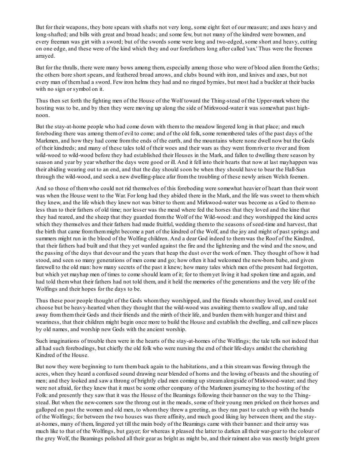But for their weapons, they bore spears with shafts not very long, some eight feet of our measure; and axes heavy and long-shafted; and bills with great and broad heads; and some few, but not many of the kindred were bowmen, and every freeman was girt with a sword; but of the swords some were long and two-edged, some short and heavy, cutting on one edge, and these were of the kind which they and our forefathers long after called 'sax.' Thus were the freemen arrayed.

But for the thralls, there were many bows among them, especially among those who were of blood alien fromthe Goths; the others bore short spears, and feathered broad arrows, and clubs bound with iron, and knives and axes, but not every man of themhad a sword. Few iron helms they had and no ringed byrnies, but most had a buckler at their backs with no sign or symbol on it.

Thus then set forth the fighting men of the House of the Wolf toward the Thing-stead of the Upper-mark where the hosting was to be, and by then they were moving up along the side of Mirkwood-water it was somewhat past highnoon.

But the stay-at-home people who had come down with themto the meadow lingered long in that place; and much foreboding there was among themof evil to come; and of the old folk, some remembered tales of the past days of the Markmen, and how they had come fromthe ends of the earth, and the mountains where none dwell now but the Gods of their kindreds; and many of these tales told of their woes and their wars as they went fromriver to river and from wild-wood to wild-wood before they had established their Houses in the Mark, and fallen to dwelling there season by season and year by year whether the days were good or ill. And it fell into their hearts that now at last mayhappen was their abiding wearing out to an end, and that the day should soon be when they should have to bear the Hall-Sun through the wild-wood, and seek a new dwelling-place afar fromthe troubling of these newly arisen Welsh foemen.

And so those of themwho could not rid themselves of this foreboding were somewhat heavier of heart than their wont was when the House went to the War. For long had they abided there in the Mark, and the life was sweet to themwhich they knew, and the life which they knew not was bitter to them: and Mirkwood-water was become as a God to themno less than to their fathers of old time; nor lesser was the mead where fed the horses that they loved and the kine that they had reared, and the sheep that they guarded fromthe Wolf of the Wild-wood: and they worshipped the kind acres which they themselves and their fathers had made fruitful, wedding themto the seasons of seed-time and harvest, that the birth that came fromthemmight become a part of the kindred of the Wolf, and the joy and might of past springs and summers might run in the blood of the Wolfing children. And a dear God indeed to themwas the Roof of the Kindred, that their fathers had built and that they yet warded against the fire and the lightening and the wind and the snow, and the passing of the days that devour and the years that heap the dust over the work of men. They thought of how it had stood, and seen so many generations of men come and go; how often it had welcomed the new-born babe, and given farewell to the old man: how many secrets of the past it knew; how many tales which men of the present had forgotten, but which yet mayhap men of times to come should learn of it; for to themyet living it had spoken time and again, and had told themwhat their fathers had not told them, and it held the memories of the generations and the very life of the Wolfings and their hopes for the days to be.

Thus these poor people thought of the Gods whomthey worshipped, and the friends whomthey loved, and could not choose but be heavy-hearted when they thought that the wild-wood was awaiting themto swallow all up, and take away fromthemtheir Gods and their friends and the mirth of their life, and burden themwith hunger and thirst and weariness, that their children might begin once more to build the House and establish the dwelling, and call new places by old names, and worship new Gods with the ancient worship.

Such imaginations of trouble then were in the hearts of the stay-at-homes of the Wolfings; the tale tells not indeed that all had such forebodings, but chiefly the old folk who were nursing the end of their life-days amidst the cherishing Kindred of the House.

But now they were beginning to turn themback again to the habitations, and a thin streamwas flowing through the acres, when they heard a confused sound drawing near blended of horns and the lowing of beasts and the shouting of men; and they looked and saw a throng of brightly clad men coming up streamalongside of Mirkwood-water; and they were not afraid, for they knew that it must be some other company of the Markmen journeying to the hosting of the Folk: and presently they saw that it was the House of the Beamings following their banner on the way to the Thingstead. But when the new-comers saw the throng out in the meads, some of their young men pricked on their horses and galloped on past the women and old men, to whomthey threw a greeting, as they ran past to catch up with the bands of the Wolfings; for between the two houses was there affinity, and much good liking lay between them; and the stayat-homes, many of them, lingered yet till the main body of the Beamings came with their banner: and their array was much like to that of the Wolfings, but gayer; for whereas it pleased the latter to darken all their war-gear to the colour of the grey Wolf, the Beamings polished all their gear as bright as might be, and their raiment also was mostly bright green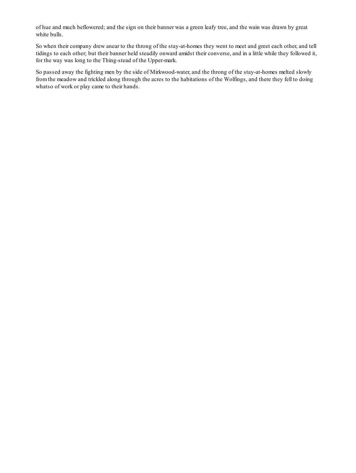of hue and much beflowered; and the sign on their banner was a green leafy tree, and the wain was drawn by great white bulls.

So when their company drew anear to the throng of the stay-at-homes they went to meet and greet each other, and tell tidings to each other; but their banner held steadily onward amidst their converse, and in a little while they followed it, for the way was long to the Thing-stead of the Upper-mark.

So passed away the fighting men by the side of Mirkwood-water, and the throng of the stay-at-homes melted slowly fromthe meadow and trickled along through the acres to the habitations of the Wolfings, and there they fell to doing whatso of work or play came to their hands.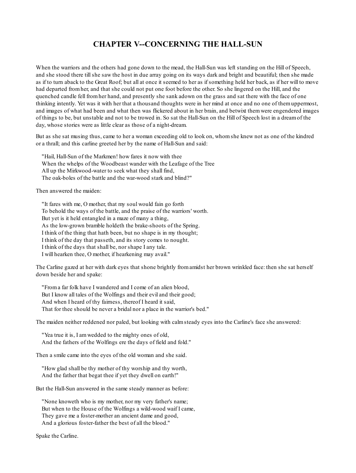### **CHAPTER V--CONCERNING THE HALL-SUN**

When the warriors and the others had gone down to the mead, the Hall-Sun was left standing on the Hill of Speech, and she stood there tillshe saw the host in due array going on its ways dark and bright and beautiful; then she made as if to turn aback to the Great Roof; but all at once it seemed to her as if something held her back, as if her will to move had departed fromher, and that she could not put one foot before the other. So she lingered on the Hill, and the quenched candle fell fromher hand, and presently she sank adown on the grass and sat there with the face of one thinking intently. Yet was it with her that a thousand thoughts were in her mind at once and no one of themuppermost, and images of what had been and what then was flickered about in her brain, and betwixt themwere engendered images of things to be, but unstable and not to be trowed in. So sat the Hall-Sun on the Hill of Speech lost in a dreamof the day, whose stories were as little clear as those of a night-dream.

But as she sat musing thus, came to her a woman exceeding old to look on, whomshe knew not as one of the kindred or a thrall; and this carline greeted her by the name of Hall-Sun and said:

"Hail, Hall-Sun of the Markmen! how fares it now with thee When the whelps of the Woodbeast wander with the Leafage of the Tree All up the Mirkwood-water to seek what they shall find, The oak-boles of the battle and the war-wood stark and blind?"

Then answered the maiden:

"It fares with me, O mother, that my soul would fain go forth To behold the ways of the battle, and the praise of the warriors' worth. But yet is it held entangled in a maze of many a thing, As the low-grown bramble holdeth the brake-shoots of the Spring. I think of the thing that hath been, but no shape is in my thought; I think of the day that passeth, and its story comes to nought. I think of the days that shall be, nor shape I any tale. I will hearken thee, O mother, if hearkening may avail."

The Carline gazed at her with dark eyes that shone brightly fromamidst her brown wrinkled face: then she sat herself down beside her and spake:

"Froma far folk have I wandered and I come of an alien blood, But I know all tales of the Wolfings and their evil and their good; And when I heard of thy fairness, thereof I heard it said, That for thee should be never a bridal nor a place in the warrior's bed."

The maiden neither reddened nor paled, but looking with calmsteady eyes into the Carline's face she answered:

"Yea true it is, I amwedded to the mighty ones of old, And the fathers of the Wolfings ere the days of field and fold."

Then a smile came into the eyes of the old woman and she said.

"How glad shall be thy mother of thy worship and thy worth, And the father that begat thee if yet they dwell on earth!"

But the Hall-Sun answered in the same steady manner as before:

"None knoweth who is my mother, nor my very father's name; But when to the House of the Wolfings a wild-wood waif I came, They gave me a foster-mother an ancient dame and good, And a glorious foster-father the best of all the blood."

Spake the Carline.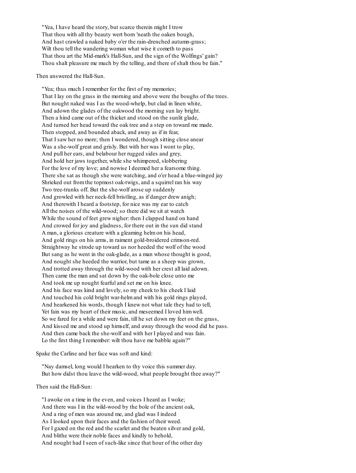"Yea, I have heard the story, but scarce therein might I trow That thou with all thy beauty wert born 'neath the oaken bough, And hast crawled a naked baby o'er the rain-drenched autumn-grass; Wilt thou tell the wandering woman what wise it cometh to pass That thou art the Mid-mark's Hall-Sun, and the sign of the Wolfings' gain? Thou shalt pleasure me much by the telling, and there of shalt thou be fain."

Then answered the Hall-Sun.

"Yea; thus much I remember for the first of my memories; That I lay on the grass in the morning and above were the boughs of the trees. But nought naked was I as the wood-whelp, but clad in linen white, And adown the glades of the oakwood the morning sun lay bright. Then a hind came out of the thicket and stood on the sunlit glade, And turned her head toward the oak tree and a step on toward me made. Then stopped, and bounded aback, and away as if in fear, That I saw her no more; then I wondered, though sitting close anear Was a she-wolf great and grisly. But with her was I wont to play, And pull her ears, and belabour her rugged sides and grey, And hold her jaws together, while she whimpered, slobbering For the love of my love; and nowise I deemed her a fearsome thing. There she sat as though she were watching, and o'er head a blue-winged jay Shrieked out fromthe topmost oak-twigs, and a squirrel ran his way Two tree-trunks off. But the she-wolf arose up suddenly And growled with her neck-fell bristling, as if danger drew anigh; And therewith I heard a footstep, for nice was my ear to catch All the noises of the wild-wood; so there did we sit at watch While the sound of feet grew nigher: then I clapped hand on hand And crowed for joy and gladness, for there out in the sun did stand A man, a glorious creature with a gleaming helmon his head, And gold rings on his arms, in raiment gold-broidered crimson-red. Straightway he strode up toward us nor heeded the wolf of the wood But sang as he went in the oak-glade, as a man whose thought is good, And nought she heeded the warrior, but tame as a sheep was grown, And trotted away through the wild-wood with her crest all laid adown. Then came the man and sat down by the oak-bole close unto me And took me up nought fearful and set me on his knee. And his face was kind and lovely, so my cheek to his cheek I laid And touched his cold bright war-helmand with his gold rings played, And hearkened his words, though I knew not what tale they had to tell, Yet fain was my heart of their music, and meseemed I loved himwell. So we fared for a while and were fain, till he set down my feet on the grass, And kissed me and stood up himself, and away through the wood did he pass. And then came back the she-wolf and with her I played and was fain. Lo the first thing I remember: wilt thou have me babble again?"

Spake the Carline and her face was soft and kind:

"Nay damsel, long would I hearken to thy voice this summer day. But how didst thou leave the wild-wood, what people brought thee away?"

Then said the Hall-Sun:

"I awoke on a time in the even, and voices I heard as I woke; And there was I in the wild-wood by the bole of the ancient oak, And a ring of men was around me, and glad was I indeed As I looked upon their faces and the fashion of their weed. For I gazed on the red and the scarlet and the beaten silver and gold, And blithe were their noble faces and kindly to behold, And nought had I seen of such-like since that hour of the other day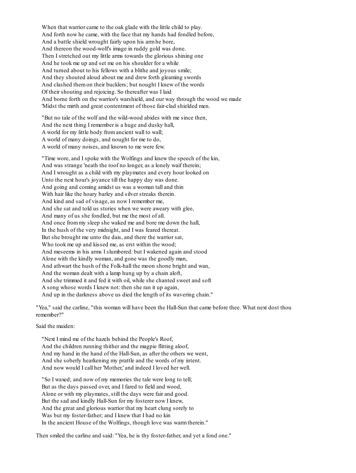When that warrior came to the oak glade with the little child to play. And forth now he came, with the face that my hands had fondled before, And a battle shield wrought fairly upon his armhe bore, And thereon the wood-wolf's image in ruddy gold was done. Then I stretched out my little arms towards the glorious shining one And he took me up and set me on his shoulder for a while And turned about to his fellows with a blithe and joyous smile; And they shouted aloud about me and drew forth gleaming swords And clashed themon their bucklers; but nought I knew of the words Of their shouting and rejoicing. So thereafter was I laid And borne forth on the warrior's warshield, and our way through the wood we made 'Midst the mirth and great contentment of those fair-clad shielded men.

"But no tale of the wolf and the wild-wood abides with me since then, And the next thing I remember is a huge and dusky hall, A world for my little body fromancient wall to wall; A world of many doings, and nought for me to do, A world of many noises, and known to me were few.

"Time wore, and I spoke with the Wolfings and knew the speech of the kin, And was strange 'neath the roof no longer, as a lonely waif therein; And I wrought as a child with my playmates and every hour looked on Unto the next hour's joyance till the happy day was done. And going and coming amidst us was a woman tall and thin With hair like the hoary barley and silver streaks therein. And kind and sad of visage, as now I remember me, And she sat and told us stories when we were aweary with glee, And many of us she fondled, but me the most of all. And once frommy sleep she waked me and bore me down the hall, In the hush of the very midnight, and I was feared thereat. But she brought me unto the dais, and there the warrior sat, Who took me up and kissed me, as erst within the wood; And meseems in his arms I slumbered: but I wakened again and stood Alone with the kindly woman, and gone was the goodly man, And athwart the hush of the Folk-hall the moon shone bright and wan, And the woman dealt with a lamp hung up by a chain aloft, And she trimmed it and fed it with oil, while she chanted sweet and soft A song whose words I knew not: then she ran it up again, And up in the darkness above us died the length of its wavering chain."

"Yea," said the carline, "this woman will have been the Hall-Sun that came before thee. What next dost thou remember?"

Said the maiden:

"Next I mind me of the hazels behind the People's Roof, And the children running thither and the magpie flitting aloof, And my hand in the hand of the Hall-Sun, as after the others we went, And she soberly hearkening my prattle and the words of my intent. And now would I call her 'Mother,' and indeed I loved her well.

"So I waxed; and now of my memories the tale were long to tell; But as the days passed over, and I fared to field and wood, Alone or with my playmates, still the days were fair and good. But the sad and kindly Hall-Sun for my fosterer now I knew, And the great and glorious warrior that my heart clung sorely to Was but my foster-father; and I knew that I had no kin In the ancient House of the Wolfings, though love was warmtherein."

Then smiled the carline and said: "Yea, he is thy foster-father, and yet a fond one."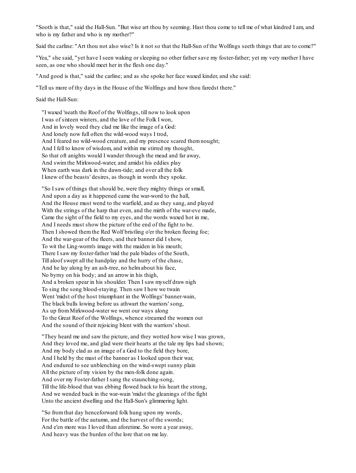"Sooth is that," said the Hall-Sun. "But wise art thou by seeming. Hast thou come to tell me of what kindred I am, and who is my father and who is my mother?"

Said the carline: "Art thou not also wise? Is it not so that the Hall-Sun of the Wolfings seeth things that are to come?"

"Yea," she said, "yet have I seen waking or sleeping no other father save my foster-father; yet my very mother I have seen, as one who should meet her in the flesh one day."

"And good is that," said the carline; and as she spoke her face waxed kinder, and she said:

"Tell us more of thy days in the House of the Wolfings and how thou faredst there."

Said the Hall-Sun:

"I waxed 'neath the Roof of the Wolfings, till now to look upon I was of sixteen winters, and the love of the Folk I won, And in lovely weed they clad me like the image of a God: And lonely now full often the wild-wood ways I trod, And I feared no wild-wood creature, and my presence scared themnought; And I fell to know of wisdom, and within me stirred my thought, So that oft anights would I wander through the mead and far away, And swimthe Mirkwood-water, and amidst his eddies play When earth was dark in the dawn-tide; and over all the folk I knew of the beasts' desires, as though in words they spoke.

"So I saw of things that should be, were they mighty things or small, And upon a day as it happened came the war-word to the hall, And the House must wend to the warfield, and as they sang, and played With the strings of the harp that even, and the mirth of the war-eve made, Came the sight of the field to my eyes, and the words waxed hot in me, And I needs must show the picture of the end of the fight to be. Then I showed themthe Red Wolf bristling o'er the broken fleeing foe; And the war-gear of the fleers, and their banner did I show, To wit the Ling-worm's image with the maiden in his mouth; There I saw my foster-father 'mid the pale blades of the South, Till aloof swept all the handplay and the hurry of the chase, And he lay along by an ash-tree, no helmabout his face, No byrny on his body; and an arrow in his thigh, And a broken spear in his shoulder. Then I saw myself draw nigh To sing the song blood-staying. Then saw I how we twain Went 'midst of the host triumphant in the Wolfings' banner-wain, The black bulls lowing before us athwart the warriors' song, As up fromMirkwood-water we went our ways along To the Great Roof of the Wolfings, whence streamed the women out And the sound of their rejoicing blent with the warriors' shout.

"They heard me and saw the picture, and they wotted how wise I was grown, And they loved me, and glad were their hearts at the tale my lips had shown; And my body clad as an image of a God to the field they bore, And I held by the mast of the banner as I looked upon their war, And endured to see unblenching on the wind-swept sunny plain All the picture of my vision by the men-folk done again. And over my Foster-father I sang the staunching-song, Till the life-blood that was ebbing flowed back to his heart the strong, And we wended back in the war-wain 'midst the gleanings of the fight Unto the ancient dwelling and the Hall-Sun's glimmering light.

"So fromthat day henceforward folk hung upon my words, For the battle of the autumn, and the harvest of the swords; And e'en more was I loved than aforetime. So wore a year away, And heavy was the burden of the lore that on me lay.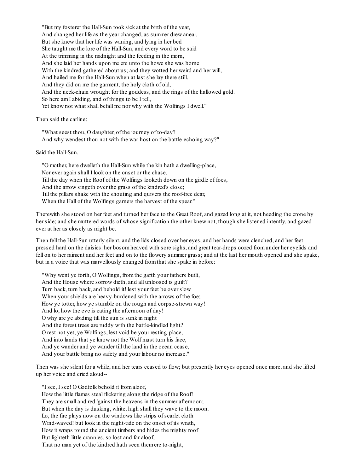"But my fosterer the Hall-Sun took sick at the birth of the year, And changed her life as the year changed, as summer drew anear. But she knew that her life was waning, and lying in her bed She taught me the lore of the Hall-Sun, and every word to be said At the trimming in the midnight and the feeding in the morn, And she laid her hands upon me ere unto the howe she was borne With the kindred gathered about us; and they wotted her weird and her will, And hailed me for the Hall-Sun when at last she lay there still. And they did on me the garment, the holy cloth of old, And the neck-chain wrought for the goddess, and the rings of the hallowed gold. So here amI abiding, and of things to be I tell, Yet know not what shall befall me nor why with the Wolfings I dwell."

Then said the carline:

"What seest thou, O daughter, of the journey of to-day? And why wendest thou not with the war-host on the battle-echoing way?"

Said the Hall-Sun.

"O mother, here dwelleth the Hall-Sun while the kin hath a dwelling-place, Nor ever again shall I look on the onset or the chase, Till the day when the Roof of the Wolfings looketh down on the girdle of foes, And the arrow singeth over the grass of the kindred's close; Till the pillars shake with the shouting and quivers the roof-tree dear, When the Hall of the Wolfings garners the harvest of the spear."

Therewith she stood on her feet and turned her face to the Great Roof, and gazed long at it, not heeding the crone by her side; and she muttered words of whose signification the other knew not, though she listened intently, and gazed ever at her as closely as might be.

Then fell the Hall-Sun utterly silent, and the lids closed over her eyes, and her hands were clenched, and her feet pressed hard on the daisies: her bosomheaved with sore sighs, and great tear-drops oozed fromunder her eyelids and fell on to her raiment and her feet and on to the flowery summer grass; and at the last her mouth opened and she spake, but in a voice that was marvellously changed fromthat she spake in before:

"Why went ye forth, O Wolfings, fromthe garth your fathers built, And the House where sorrow dieth, and all unloosed is guilt? Turn back, turn back, and behold it! lest your feet be over slow When your shields are heavy-burdened with the arrows of the foe; How ye totter, how ye stumble on the rough and corpse-strewn way! And lo, how the eve is eating the afternoon of day! O why are ye abiding till the sun is sunk in night And the forest trees are ruddy with the battle-kindled light? O rest not yet, ye Wolfings, lest void be your resting-place, And into lands that ye know not the Wolf must turn his face, And ye wander and ye wander till the land in the ocean cease, And your battle bring no safety and your labour no increase."

Then was she silent for a while, and her tears ceased to flow; but presently her eyes opened once more, and she lifted up her voice and cried aloud--

"I see, I see! O Godfolk behold it fromaloof, How the little flames steal flickering along the ridge of the Roof! They are small and red 'gainst the heavens in the summer afternoon; But when the day is dusking, white, high shall they wave to the moon. Lo, the fire plays now on the windows like strips of scarlet cloth Wind-waved! but look in the night-tide on the onset of its wrath, How it wraps round the ancient timbers and hides the mighty roof But lighteth little crannies, so lost and far aloof, That no man yet of the kindred hath seen themere to-night,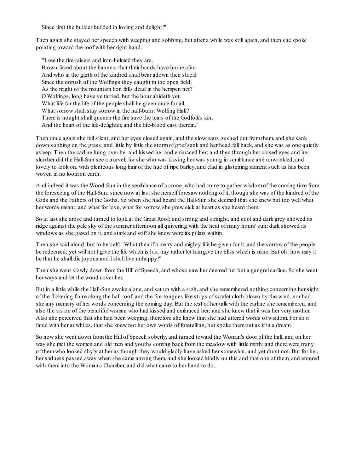Since first the builder builded in loving and delight!"

Then again she stayed her speech with weeping and sobbing, but after a while was still again, and then she spoke pointing toward the roof with her right hand.

"I see the fire-raisers and iron-helmed they are, Brown-faced about the banners that their hands have borne afar. And who in the garth of the kindred shall bear adown their shield Since the onrush of the Wolfings they caught in the open field, As the might of the mountain lion falls dead in the hempen net? O Wolfings, long have ye tarried, but the hour abideth yet. What life for the life of the people shall be given once for all, What sorrow shall stay sorrow in the half-burnt Wolfing Hall? There is nought shall quench the fire save the tears of the Godfolk's kin, And the heart of the life-delighter, and the life-blood cast therein."

Then once again she fellsilent, and her eyes closed again, and the slow tears gushed out fromthem, and she sank down sobbing on the grass, and little by little the stormof grief sank and her head fell back, and she was as one quietly asleep. Then the carline hung over her and kissed her and embraced her; and then through her closed eyes and her slumber did the Hall-Sun see a marvel; for she who was kissing her was young in semblance and unwrinkled, and lovely to look on, with plenteous long hair of the hue of ripe barley, and clad in glistening raiment such as has been woven in no loomon earth.

And indeed it was the Wood-Sun in the semblance of a crone, who had come to gather wisdomof the coming time from the foreseeing of the Hall-Sun; since now at last she herself foresaw nothing of it, though she was of the kindred of the Gods and the Fathers of the Goths. So when she had heard the Hall-Sun she deemed that she knew but too well what her words meant, and what for love, what for sorrow, she grew sick at heart as she heard them.

So at last she arose and turned to look at the Great Roof; and strong and straight, and cool and dark grey showed its ridge against the pale sky of the summer afternoon all quivering with the heat of many hours' sun: dark showed its windows as she gazed on it, and stark and stiff she knew were its pillars within.

Then she said aloud, but to herself: "What then if a merry and mighty life be given for it, and the sorrow of the people be redeemed; yet will not I give the life which is his; nay rather let himgive the bliss which is mine. But oh! how may it be that he shall die joyous and I shall live unhappy!"

Then she went slowly down fromthe Hill of Speech, and whoso saw her deemed her but a gangrel carline. So she went her ways and let the wood cover her.

But in a little while the Hall-Sun awoke alone, and sat up with a sigh, and she remembered nothing concerning her sight of the flickering flame along the hall-roof, and the fire-tongues like strips of scarlet cloth blown by the wind, nor had she any memory of her words concerning the coming day. But the rest of her talk with the carline she remembered, and also the vision of the beautiful woman who had kissed and embraced her; and she knew that it was her very mother. Also she perceived that she had been weeping, therefore she knew that she had uttered words of wisdom. For so it fared with her at whiles, that she knew not her own words of foretelling, but spoke themout as if in a dream.

So now she went down fromthe Hill of Speech soberly, and turned toward the Woman's door of the hall, and on her way she met the women and old men and youths coming back fromthe meadow with little mirth: and there were many of themwho looked shyly at her as though they would gladly have asked her somewhat, and yet durst not. But for her, her sadness passed away when she came among them, and she looked kindly on this and that one of them, and entered with theminto the Woman's Chamber, and did what came to her hand to do.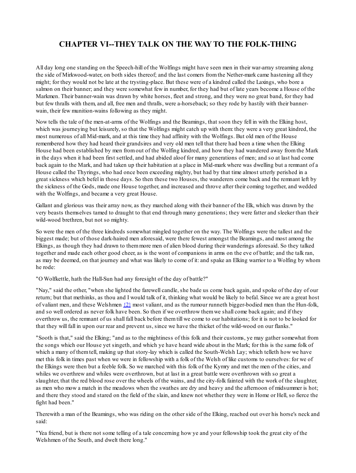# **CHAPTER VI--THEY TALK ON THE WAY TO THE FOLK-THING**

All day long one standing on the Speech-hill of the Wolfings might have seen men in their war-array streaming along the side of Mirkwood-water, on both sides thereof; and the last comers fromthe Nether-mark came hastening all they might; for they would not be late at the trysting-place. But these were of a kindred called the Laxings, who bore a salmon on their banner; and they were somewhat few in number, for they had but of late years become a House of the Markmen. Their banner-wain was drawn by white horses, fleet and strong, and they were no great band, for they had but few thralls with them, and all, free men and thralls, were a-horseback; so they rode by hastily with their bannerwain, their few munition-wains following as they might.

Now tells the tale of the men-at-arms of the Wolfings and the Beamings, that soon they fell in with the Elking host, which was journeying but leisurely, so that the Wolfings might catch up with them: they were a very great kindred, the most numerous of all Mid-mark, and at this time they had affinity with the Wolfings. But old men of the House remembered how they had heard their grandsires and very old men tell that there had been a time when the Elking House had been established by men fromout of the Wolfing kindred, and how they had wandered away fromthe Mark in the days when it had been first settled, and had abided aloof for many generations of men; and so at last had come back again to the Mark, and had taken up their habitation at a place in Mid-mark where was dwelling but a remnant of a House called the Thyrings, who had once been exceeding mighty, but had by that time almost utterly perished in a great sickness which befel in those days. So then these two Houses, the wanderers come back and the remnant left by the sickness of the Gods, made one House together, and increased and throve after their coming together, and wedded with the Wolfings, and became a very great House.

Gallant and glorious was their array now, as they marched along with their banner of the Elk, which was drawn by the very beasts themselves tamed to draught to that end through many generations; they were fatter and sleeker than their wild-wood brethren, but not so mighty.

So were the men of the three kindreds somewhat mingled together on the way. The Wolfings were the tallest and the biggest made; but of those dark-haired men aforesaid, were there fewest amongst the Beamings, and most among the Elkings, as though they had drawn to themmore men of alien blood during their wanderings aforesaid. So they talked together and made each other good cheer, as is the wont of companions in arms on the eve of battle; and the talk ran, as may be deemed, on that journey and what was likely to come of it: and spake an Elking warrior to a Wolfing by whom he rode:

### "O Wolfkettle, hath the Hall-Sun had any foresight of the day of battle?"

"Nay," said the other, "when she lighted the farewell candle, she bade us come back again, and spoke of the day of our return; but that methinks, as thou and I would talk of it, thinking what would be likely to befal. Since we are a great host of valiant men, and these Welshmen  $\{2\}$  most valiant, and as the rumour runneth bigger-bodied men than the Hun-folk, and so well ordered as never folk have been. So then if we overthrow themwe shall come back again; and if they overthrow us, the remnant of us shall fall back before themtill we come to our habitations; for it is not to be looked for that they will fall in upon our rear and prevent us, since we have the thicket of the wild-wood on our flanks."

"Sooth is that," said the Elking; "and as to the mightiness of this folk and their customs, ye may gather somewhat from the songs which our House yet singeth, and which ye have heard wide about in the Mark; for this is the same folk of which a many of themtell, making up that story-lay which is called the South-Welsh Lay; which telleth how we have met this folk in times past when we were in fellowship with a folk of the Welsh of like customs to ourselves: for we of the Elkings were then but a feeble folk. So we marched with this folk of the Kymry and met the men of the cities, and whiles we overthrew and whiles were overthrown, but at last in a great battle were overthrown with so great a slaughter, that the red blood rose over the wheels of the wains, and the city-folk fainted with the work of the slaughter, as men who mow a match in the meadows when the swathes are dry and heavy and the afternoon of midsummer is hot; and there they stood and stared on the field of the slain, and knew not whether they were in Home or Hell, so fierce the fight had been."

Therewith a man of the Beamings, who was riding on the other side of the Elking, reached out over his horse's neck and said:

"Yea friend, but is there not some telling of a tale concerning how ye and your fellowship took the great city of the Welshmen of the South, and dwelt there long."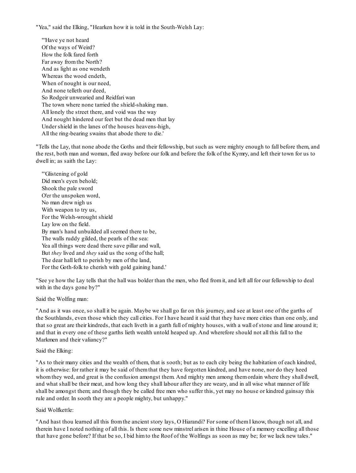"Yea," said the Elking, "Hearken how it is told in the South-Welsh Lay:

"'Have ye not heard Of the ways of Weird? How the folk fared forth Far away fromthe North? And as light as one wendeth Whereas the wood endeth, When of nought is our need, And none telleth our deed, So Rodgeir unwearied and Reidfari wan The town where none tarried the shield-shaking man. All lonely the street there, and void was the way And nought hindered our feet but the dead men that lay Under shield in the lanes of the houses heavens-high, All the ring-bearing swains that abode there to die.'

"Tells the Lay, that none abode the Goths and their fellowship, but such as were mighty enough to fall before them, and the rest, both man and woman, fled away before our folk and before the folk of the Kymry, and left their town for us to dwell in; as saith the Lay:

"'Glistening of gold Did men's eyen behold; Shook the pale sword O'er the unspoken word, No man drew nigh us With weapon to try us, For the Welsh-wrought shield Lay low on the field. By man's hand unbuilded allseemed there to be, The walls ruddy gilded, the pearls of the sea: Yea all things were dead there save pillar and wall, But *they* lived and *they* said us the song of the hall; The dear hall left to perish by men of the land, For the Goth-folk to cherish with gold gaining hand.'

"See ye how the Lay tells that the hall was bolder than the men, who fled fromit, and left all for our fellowship to deal with in the days gone by?"

Said the Wolfing man:

"And as it was once, so shall it be again. Maybe we shall go far on this journey, and see at least one of the garths of the Southlands, even those which they call cities. For I have heard it said that they have more cities than one only, and that so great are their kindreds, that each liveth in a garth full of mighty houses, with a wall of stone and lime around it; and that in every one of these garths lieth wealth untold heaped up. And wherefore should not all this fall to the Markmen and their valiancy?"

### Said the Elking:

"As to their many cities and the wealth of them, that is sooth; but as to each city being the habitation of each kindred, it is otherwise: for rather it may be said of themthat they have forgotten kindred, and have none, nor do they heed whomthey wed, and great is the confusion amongst them. And mighty men among themordain where they shall dwell, and what shall be their meat, and how long they shall labour after they are weary, and in all wise what manner of life shall be amongst them; and though they be called free men who suffer this, yet may no house or kindred gainsay this rule and order. In sooth they are a people mighty, but unhappy."

### Said Wolfkettle:

"And hast thou learned all this fromthe ancient story lays, O Hiarandi? For some of themI know, though not all, and therein have I noted nothing of all this. Is there some new minstrel arisen in thine House of a memory excelling all those that have gone before? If that be so, I bid himto the Roof of the Wolfings as soon as may be; for we lack new tales."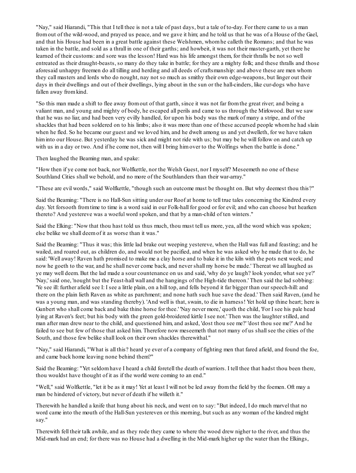"Nay," said Hiarandi, "This that I tell thee is not a tale of past days, but a tale of to-day. For there came to us a man fromout of the wild-wood, and prayed us peace, and we gave it him; and he told us that he was of a House of the Gael, and that his House had been in a great battle against these Welshmen, whomhe calleth the Romans; and that he was taken in the battle, and sold as a thrall in one of their garths; and howbeit, it was not their master-garth, yet there he learned of their customs: and sore was the lesson! Hard was his life amongst them, for their thralls be not so well entreated as their draught-beasts, so many do they take in battle; for they are a mighty folk; and these thralls and those aforesaid unhappy freemen do all tilling and herding and all deeds of craftsmanship: and above these are men whom they call masters and lords who do nought, nay not so much as smithy their own edge-weapons, but linger out their days in their dwellings and out of their dwellings, lying about in the sun or the hall-cinders, like cur-dogs who have fallen away fromkind.

"So this man made a shift to flee away fromout of that garth, since it was not far fromthe great river; and being a valiant man, and young and mighty of body, he escaped all perils and came to us through the Mirkwood. But we saw that he was no liar, and had been very evilly handled, for upon his body was the mark of many a stripe, and of the shackles that had been soldered on to his limbs; also it was more than one of these accursed people whomhe had slain when he fled. So he became our guest and we loved him, and he dwelt among us and yet dwelleth, for we have taken him into our House. But yesterday he was sick and might not ride with us; but may be he will follow on and catch up with us in a day or two. And if he come not, then will I bring himover to the Wolfings when the battle is done."

Then laughed the Beaming man, and spake:

"How then if ye come not back, nor Wolfkettle, nor the Welsh Guest, nor I myself? Meseemeth no one of these Southland Cities shall we behold, and no more of the Southlanders than their war-array."

"These are evil words," said Wolfkettle, "though such an outcome must be thought on. But why deemest thou this?"

Said the Beaming: "There is no Hall-Sun sitting under our Roof at home to tell true tales concerning the Kindred every day. Yet forsooth fromtime to time is a word said in our Folk-hall for good or for evil; and who can choose but hearken thereto? And yestereve was a woeful word spoken, and that by a man-child of ten winters."

Said the Elking: "Now that thou hast told us thus much, thou must tell us more, yea, all the word which was spoken; else belike we shall deemof it as worse than it was."

Said the Beaming: "Thus it was; this little lad brake out weeping yestereve, when the Hall was full and feasting; and he wailed, and roared out, as children do, and would not be pacified, and when he was asked why he made that to do, he said: 'Well away! Raven hath promised to make me a clay horse and to bake it in the kiln with the pots next week; and now he goeth to the war, and he shall never come back, and never shall my horse be made.' Thereat we all laughed as ye may well deem. But the lad made a sour countenance on us and said, 'why do ye laugh? look yonder, what see ye?' 'Nay,' said one, 'nought but the Feast-hall wall and the hangings of the High-tide thereon.' Then said the lad sobbing: 'Ye see ill: further afield see I: I see a little plain, on a hill top, and fells beyond it far bigger than our speech-hill: and there on the plain lieth Raven as white as parchment; and none hath such hue save the dead.' Then said Raven, (and he was a young man, and was standing thereby). 'And well is that, swain, to die in harness! Yet hold up thine heart; here is Gunbert who shall come back and bake thine horse for thee.' 'Nay never more,' quoth the child, 'For I see his pale head lying at Raven's feet; but his body with the green gold-broidered kirtle I see not.' Then was the laughter stilled, and man after man drew near to the child, and questioned him, and asked, 'dost thou see me?' 'dost thou see me?' And he failed to see but few of those that asked him. Therefore now meseemeth that not many of us shallsee the cities of the South, and those few belike shall look on their own shackles therewithal."

"Nay," said Hiarandi, "What is all this? heard ye ever of a company of fighting men that fared afield, and found the foe, and came back home leaving none behind them?"

Said the Beaming: "Yet seldomhave I heard a child foretell the death of warriors. I tell thee that hadst thou been there, thou wouldst have thought of it as if the world were coming to an end."

"Well," said Wolfkettle, "let it be as it may! Yet at least I will not be led away fromthe field by the foemen. Oft may a man be hindered of victory, but never of death if he willeth it."

Therewith he handled a knife that hung about his neck, and went on to say: "But indeed, I do much marvel that no word came into the mouth of the Hall-Sun yestereven or this morning, but such as any woman of the kindred might say."

Therewith fell their talk awhile, and as they rode they came to where the wood drew nigher to the river, and thus the Mid-mark had an end; for there was no House had a dwelling in the Mid-mark higher up the water than the Elkings,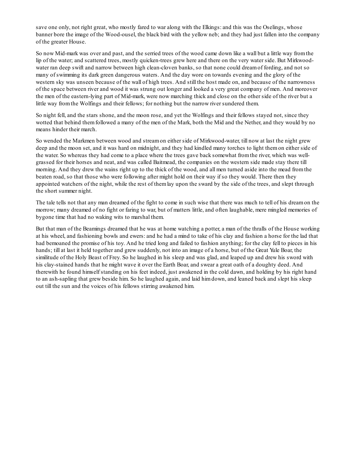save one only, not right great, who mostly fared to war along with the Elkings: and this was the Oselings, whose banner bore the image of the Wood-ousel, the black bird with the yellow neb; and they had just fallen into the company of the greater House.

So now Mid-mark was over and past, and the serried trees of the wood came down like a wall but a little way fromthe lip of the water; and scattered trees, mostly quicken-trees grew here and there on the very water side. But Mirkwoodwater ran deep swift and narrow between high clean-cloven banks, so that none could dreamof fording, and not so many of swimming its dark green dangerous waters. And the day wore on towards evening and the glory of the western sky was unseen because of the wall of high trees. And still the host made on, and because of the narrowness of the space between river and wood it was strung out longer and looked a very great company of men. And moreover the men of the eastern-lying part of Mid-mark, were now marching thick and close on the other side of the river but a little way fromthe Wolfings and their fellows; for nothing but the narrow river sundered them.

So night fell, and the stars shone, and the moon rose, and yet the Wolfings and their fellows stayed not, since they wotted that behind them followed a many of the men of the Mark, both the Mid and the Nether, and they would by no means hinder their march.

So wended the Markmen between wood and streamon either side of Mirkwood-water, till now at last the night grew deep and the moon set, and it was hard on midnight, and they had kindled many torches to light themon either side of the water. So whereas they had come to a place where the trees gave back somewhat fromthe river, which was wellgrassed for their horses and neat, and was called Baitmead, the companies on the western side made stay there till morning. And they drew the wains right up to the thick of the wood, and all men turned aside into the mead fromthe beaten road, so that those who were following after might hold on their way if so they would. There then they appointed watchers of the night, while the rest of themlay upon the sward by the side of the trees, and slept through the short summer night.

The tale tells not that any man dreamed of the fight to come in such wise that there was much to tell of his dreamon the morrow; many dreamed of no fight or faring to war, but of matters little, and often laughable, mere mingled memories of bygone time that had no waking wits to marshal them.

But that man of the Beamings dreamed that he was at home watching a potter, a man of the thralls of the House working at his wheel, and fashioning bowls and ewers: and he had a mind to take of his clay and fashion a horse for the lad that had bemoaned the promise of his toy. And he tried long and failed to fashion anything; for the clay fell to pieces in his hands; till at last it held together and grew suddenly, not into an image of a horse, but of the Great Yule Boar, the similitude of the Holy Beast of Frey. So he laughed in his sleep and was glad, and leaped up and drew his sword with his clay-stained hands that he might wave it over the Earth Boar, and swear a great oath of a doughty deed. And therewith he found himself standing on his feet indeed, just awakened in the cold dawn, and holding by his right hand to an ash-sapling that grew beside him. So he laughed again, and laid himdown, and leaned back and slept his sleep out till the sun and the voices of his fellows stirring awakened him.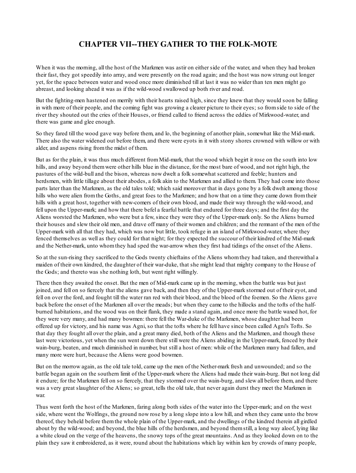# **CHAPTER VII--THEY GATHER TO THE FOLK-MOTE**

When it was the morning, all the host of the Markmen was astir on either side of the water, and when they had broken their fast, they got speedily into array, and were presently on the road again; and the host was now strung out longer yet, for the space between water and wood once more diminished till at last it was no wider than ten men might go abreast, and looking ahead it was as if the wild-wood swallowed up both river and road.

But the fighting-men hastened on merrily with their hearts raised high, since they knew that they would soon be falling in with more of their people, and the coming fight was growing a clearer picture to their eyes; so fromside to side of the river they shouted out the cries of their Houses, or friend called to friend across the eddies of Mirkwood-water, and there was game and glee enough.

So they fared till the wood gave way before them, and lo, the beginning of another plain, somewhat like the Mid-mark. There also the water widened out before them, and there were eyots in it with stony shores crowned with willow or with alder, and aspens rising fromthe midst of them.

But as for the plain, it was thus much different fromMid-mark, that the wood which begirt it rose on the south into low hills, and away beyond themwere other hills blue in the distance, for the most bare of wood, and not right high, the pastures of the wild-bull and the bison, whereas now dwelt a folk somewhat scattered and feeble; hunters and herdsmen, with little tillage about their abodes, a folk akin to the Markmen and allied to them. They had come into those parts later than the Markmen, as the old tales told; which said moreover that in days gone by a folk dwelt among those hills who were alien from the Goths, and great foes to the Markmen; and how that on a time they came down from their hills with a great host, together with new-comers of their own blood, and made their way through the wild-wood, and fell upon the Upper-mark; and how that there befel a fearful battle that endured for three days; and the first day the Aliens worsted the Markmen, who were but a few, since they were they of the Upper-mark only. So the Aliens burned their houses and slew their old men, and drave off many of their women and children; and the remnant of the men of the Upper-mark with all that they had, which was now but little, took refuge in an island of Mirkwood-water, where they fenced themselves as well as they could for that night; for they expected the succour of their kindred of the Mid-mark and the Nether-mark, unto whomthey had sped the war-arrow when they first had tidings of the onset of the Aliens.

So at the sun-rising they sacrificed to the Gods twenty chieftains of the Aliens whomthey had taken, and therewithal a maiden of their own kindred, the daughter of their war-duke, that she might lead that mighty company to the House of the Gods; and thereto was she nothing loth, but went right willingly.

There then they awaited the onset. But the men of Mid-mark came up in the morning, when the battle was but just joined, and fell on so fiercely that the aliens gave back, and then they of the Upper-mark stormed out of their eyot, and fell on over the ford, and fought till the water ran red with their blood, and the blood of the foemen. So the Aliens gave back before the onset of the Markmen all over the meads; but when they came to the hillocks and the tofts of the halfburned habitations, and the wood was on their flank, they made a stand again, and once more the battle waxed hot, for they were very many, and had many bowmen: there fell the War-duke of the Markmen, whose daughter had been offered up for victory, and his name was Agni, so that the tofts where he fell have since been called Agni's Tofts. So that day they fought all over the plain, and a great many died, both of the Aliens and the Markmen, and though these last were victorious, yet when the sun went down there still were the Aliens abiding in the Upper-mark, fenced by their wain-burg, beaten, and much diminished in number, but still a host of men: while of the Markmen many had fallen, and many more were hurt, because the Aliens were good bowmen.

But on the morrow again, as the old tale told, came up the men of the Nether-mark fresh and unwounded; and so the battle began again on the southern limit of the Upper-mark where the Aliens had made their wain-burg. But not long did it endure; for the Markmen fell on so fiercely, that they stormed over the wain-burg, and slew all before them, and there was a very great slaughter of the Aliens; so great, tells the old tale, that never again durst they meet the Markmen in war.

Thus went forth the host of the Markmen, faring along both sides of the water into the Upper-mark; and on the west side, where went the Wolfings, the ground now rose by a long slope into a low hill, and when they came unto the brow thereof, they beheld before themthe whole plain of the Upper-mark, and the dwellings of the kindred therein all girdled about by the wild-wood; and beyond, the blue hills of the herdsmen, and beyond themstill, a long way aloof, lying like a white cloud on the verge of the heavens, the snowy tops of the great mountains. And as they looked down on to the plain they saw it embroidered, as it were, round about the habitations which lay within ken by crowds of many people,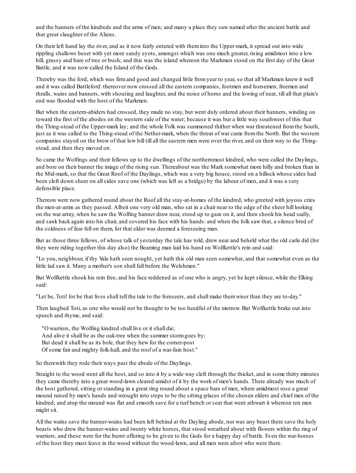and the banners of the kindreds and the arms of men; and many a place they saw named after the ancient battle and that great slaughter of the Aliens.

On their left hand lay the river, and as it now fairly entered with theminto the Upper-mark, it spread out into wide rippling shallows beset with yet more sandy eyots, amongst which was one much greater, rising amidmost into a low hill, grassy and bare of tree or bush; and this was the island whereon the Markmen stood on the first day of the Great Battle, and it was now called the Island of the Gods.

Thereby was the ford, which was firmand good and changed little fromyear to year, so that all Markmen knew it well and it was called Battleford: thereover now crossed all the eastern companies, footmen and horsemen, freemen and thralls, wains and banners, with shouting and laughter, and the noise of horns and the lowing of neat, till all that plain's end was flooded with the host of the Markmen.

But when the eastern-abiders had crossed, they made no stay, but went duly ordered about their banners, winding on toward the first of the abodes on the western side of the water; because it was but a little way southwest of this that the Thing-stead of the Upper-mark lay; and the whole Folk was summoned thither when war threatened fromthe South, just as it was called to the Thing-stead of the Nether-mark, when the threat of war came fromthe North. But the western companies stayed on the brow of that low hill till all the eastern men were over the river, and on their way to the Thingstead, and then they moved on.

So came the Wolfings and their fellows up to the dwellings of the northernmost kindred, who were called the Daylings, and bore on their banner the image of the rising sun. Thereabout was the Mark somewhat more hilly and broken than in the Mid-mark, so that the Great Roof of the Daylings, which was a very big house, stood on a hillock whose sides had been cleft down sheer on allsides save one (which was left as a bridge) by the labour of men, and it was a very defensible place.

Thereon were now gathered round about the Roof all the stay-at-homes of the kindred, who greeted with joyous cries the men-at-arms as they passed. Albeit one very old man, who sat in a chair near to the edge of the sheer hill looking on the war array, when he saw the Wolfing banner draw near, stood up to gaze on it, and then shook his head sadly, and sank back again into his chair, and covered his face with his hands: and when the folk saw that, a silence bred of the coldness of fear fell on them, for that elder was deemed a foreseeing man.

But as those three fellows, of whose talk of yesterday the tale has told, drew near and beheld what the old carle did (for they were riding together this day also) the Beaming man laid his hand on Wolfkettle's rein and said:

"Lo you, neighbour, if thy Vala hath seen nought, yet hath this old man seen somewhat, and that somewhat even as the little lad saw it. Many a mother's son shall fall before the Welshmen."

But Wolfkettle shook his rein free, and his face reddened as of one who is angry, yet he kept silence, while the Elking said:

"Let be, Toti! for he that lives shall tell the tale to the foreseers, and shall make themwiser than they are to-day."

Then laughed Toti, as one who would not be thought to be too heedful of the morrow. But Wolfkettle brake out into speech and rhyme, and said:

"O warriors, the Wolfing kindred shall live or it shall die; And alive it shall be as the oak-tree when the summer stormgoes by; But dead it shall be as its bole, that they hew for the corner-post Of some fair and mighty folk-hall, and the roof of a war-fain host."

So therewith they rode their ways past the abode of the Daylings.

Straight to the wood went all the host, and so into it by a wide way cleft through the thicket, and in some thirty minutes they came thereby into a great wood-lawn cleared amidst of it by the work of men's hands. There already was much of the host gathered, sitting or standing in a great ring round about a space bare of men, where amidmost rose a great mound raised by men's hands and wrought into steps to be the sitting-places of the chosen elders and chief men of the kindred; and atop the mound was flat and smooth save for a turf bench or seat that went athwart it whereon ten men might sit.

All the wains save the banner-wains had been left behind at the Dayling abode, nor was any beast there save the holy beasts who drew the banner-wains and twenty white horses, that stood wreathed about with flowers within the ring of warriors, and these were for the burnt offering to be given to the Gods for a happy day of battle. Even the war-horses of the host they must leave in the wood without the wood-lawn, and all men were afoot who were there.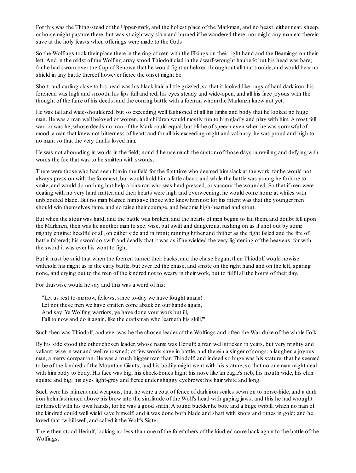For this was the Thing-stead of the Upper-mark, and the holiest place of the Markmen, and no beast, either neat, sheep, or horse might pasture there, but was straightway slain and burned if he wandered there; nor might any man eat therein save at the holy feasts when offerings were made to the Gods.

So the Wolfings took their place there in the ring of men with the Elkings on their right hand and the Beamings on their left. And in the midst of the Wolfing array stood Thiodolf clad in the dwarf-wrought hauberk: but his head was bare; for he had sworn over the Cup of Renown that he would fight unhelmed throughout all that trouble, and would bear no shield in any battle thereof however fierce the onset might be.

Short, and curling close to his head was his black hair, a little grizzled, so that it looked like rings of hard dark iron: his forehead was high and smooth, his lips full and red, his eyes steady and wide-open, and all his face joyous with the thought of the fame of his deeds, and the coming battle with a foeman whomthe Markmen knew not yet.

He was tall and wide-shouldered, but so exceeding well fashioned of all his limbs and body that he looked no huge man. He was a man well beloved of women, and children would mostly run to himgladly and play with him. A most fell warrior was he, whose deeds no man of the Mark could equal, but blithe of speech even when he was sorrowful of mood, a man that knew not bitterness of heart: and for all his exceeding might and valiancy, he was proud and high to no man; so that the very thralls loved him.

He was not abounding in words in the field; nor did he use much the customof those days in reviling and defying with words the foe that was to be smitten with swords.

There were those who had seen himin the field for the first time who deemed himslack at the work: for he would not always press on with the foremost, but would hold hima little aback, and while the battle was young he forbore to smite, and would do nothing but help a kinsman who was hard pressed, or succour the wounded. So that if men were dealing with no very hard matter, and their hearts were high and overweening, he would come home at whiles with unbloodied blade. But no man blamed himsave those who knew himnot: for his intent was that the younger men should win themselves fame, and so raise their courage, and become high-hearted and stout.

But when the stour was hard, and the battle was broken, and the hearts of men began to fail them, and doubt fell upon the Markmen, then was he another man to see: wise, but swift and dangerous, rushing on as if shot out by some mighty engine: heedful of all, on either side and in front; running hither and thither as the fight failed and the fire of battle faltered; his sword so swift and deadly that it was as if he wielded the very lightening of the heavens: for with the sword it was ever his wont to fight.

But it must be said that when the foemen turned their backs, and the chase began, then Thiodolf would nowise withhold his might as in the early battle, but ever led the chase, and smote on the right hand and on the left, sparing none, and crying out to the men of the kindred not to weary in their work, but to fulfil all the hours of their day.

For thuswise would he say and this was a word of his:

"Let us rest to-morrow, fellows, since to-day we have fought amain! Let not these men we have smitten come aback on our hands again, And say 'Ye Wolfing warriors, ye have done your work but ill, Fall to now and do it again, like the craftsman who learneth his skill.'"

Such then was Thiodolf, and ever was he the chosen leader of the Wolfings and often the War-duke of the whole Folk.

By his side stood the other chosen leader, whose name was Heriulf; a man wellstricken in years, but very mighty and valiant; wise in war and well renowned; of few words save in battle, and therein a singer of songs, a laugher, a joyous man, a merry companion. He was a much bigger man than Thiodolf; and indeed so huge was his stature, that he seemed to be of the kindred of the Mountain Giants; and his bodily might went with his stature, so that no one man might deal with himbody to body. His face was big; his cheek-bones high; his nose like an eagle's neb, his mouth wide, his chin square and big; his eyes light-grey and fierce under shaggy eyebrows: his hair white and long.

Such were his raiment and weapons, that he wore a coat of fence of dark iron scales sewn on to horse-hide, and a dark iron helmfashioned above his brow into the similitude of the Wolf's head with gaping jaws; and this he had wrought for himself with his own hands, for he was a good smith. A round buckler he bore and a huge twibill, which no man of the kindred could well wield save himself; and it was done both blade and shaft with knots and runes in gold; and he loved that twibill well, and called it the Wolf's Sister.

There then stood Heriulf, looking no less than one of the forefathers of the kindred come back again to the battle of the Wolfings.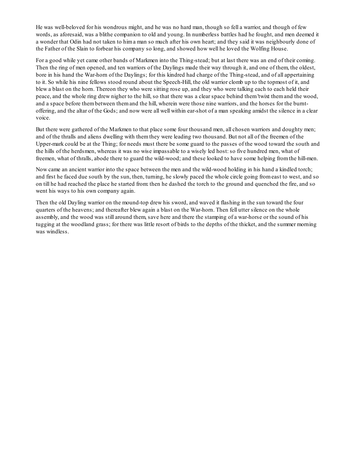He was well-beloved for his wondrous might, and he was no hard man, though so fell a warrior, and though of few words, as aforesaid, was a blithe companion to old and young. In numberless battles had he fought, and men deemed it a wonder that Odin had not taken to hima man so much after his own heart; and they said it was neighbourly done of the Father of the Slain to forbear his company so long, and showed how well he loved the Wolfing House.

For a good while yet came other bands of Markmen into the Thing-stead; but at last there was an end of their coming. Then the ring of men opened, and ten warriors of the Daylings made their way through it, and one of them, the oldest, bore in his hand the War-horn of the Daylings; for this kindred had charge of the Thing-stead, and of all appertaining to it. So while his nine fellows stood round about the Speech-Hill, the old warrior clomb up to the topmost of it, and blew a blast on the horn. Thereon they who were sitting rose up, and they who were talking each to each held their peace, and the whole ring drew nigher to the hill, so that there was a clear space behind them'twixt themand the wood, and a space before thembetween themand the hill, wherein were those nine warriors, and the horses for the burntoffering, and the altar of the Gods; and now were all well within ear-shot of a man speaking amidst the silence in a clear voice.

But there were gathered of the Markmen to that place some four thousand men, all chosen warriors and doughty men; and of the thralls and aliens dwelling with themthey were leading two thousand. But not all of the freemen of the Upper-mark could be at the Thing; for needs must there be some guard to the passes of the wood toward the south and the hills of the herdsmen, whereas it was no wise impassable to a wisely led host:so five hundred men, what of freemen, what of thralls, abode there to guard the wild-wood; and these looked to have some helping fromthe hill-men.

Now came an ancient warrior into the space between the men and the wild-wood holding in his hand a kindled torch; and first he faced due south by the sun, then, turning, he slowly paced the whole circle going from east to west, and so on till he had reached the place he started from: then he dashed the torch to the ground and quenched the fire, and so went his ways to his own company again.

Then the old Dayling warrior on the mound-top drew his sword, and waved it flashing in the sun toward the four quarters of the heavens; and thereafter blew again a blast on the War-horn. Then fell utter silence on the whole assembly, and the wood was still around them, save here and there the stamping of a war-horse or the sound of his tugging at the woodland grass; for there was little resort of birds to the depths of the thicket, and the summer morning was windless.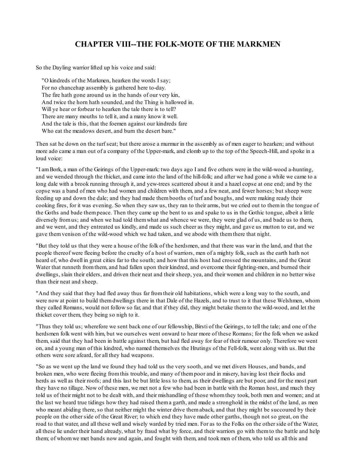### **CHAPTER VIII--THE FOLK-MOTE OF THE MARKMEN**

So the Dayling warrior lifted up his voice and said:

"O kindreds of the Markmen, hearken the words I say; For no chancehap assembly is gathered here to-day. The fire hath gone around us in the hands of our very kin, And twice the horn hath sounded, and the Thing is hallowed in. Will ye hear or forbear to hearken the tale there is to tell? There are many mouths to tell it, and a many know it well. And the tale is this, that the foemen against our kindreds fare Who eat the meadows desert, and burn the desert bare."

Then sat he down on the turf seat; but there arose a murmur in the assembly as of men eager to hearken; and without more ado came a man out of a company of the Upper-mark, and clomb up to the top of the Speech-Hill, and spoke in a loud voice:

"I amBork, a man of the Geirings of the Upper-mark: two days ago I and five others were in the wild-wood a-hunting, and we wended through the thicket, and came into the land of the hill-folk; and after we had gone a while we came to a long dale with a brook running through it, and yew-trees scattered about it and a hazel copse at one end; and by the copse was a band of men who had women and children with them, and a few neat, and fewer horses; but sheep were feeding up and down the dale; and they had made thembooths of turf and boughs, and were making ready their cooking fires, for it was evening. So when they saw us, they ran to their arms, but we cried out to themin the tongue of the Goths and bade thempeace. Then they came up the bent to us and spake to us in the Gothic tongue, albeit a little diversely fromus; and when we had told themwhat and whence we were, they were glad of us, and bade us to them, and we went, and they entreated us kindly, and made us such cheer as they might, and gave us mutton to eat, and we gave themvenison of the wild-wood which we had taken, and we abode with themthere that night.

"But they told us that they were a house of the folk of the herdsmen, and that there was war in the land, and that the people thereof were fleeing before the cruelty of a host of warriors, men of a mighty folk, such as the earth hath not heard of, who dwell in great cities far to the south; and how that this host had crossed the mountains, and the Great Water that runneth fromthem, and had fallen upon their kindred, and overcome their fighting-men, and burned their dwellings, slain their elders, and driven their neat and their sheep, yea, and their women and children in no better wise than their neat and sheep.

"And they said that they had fled away thus far fromtheir old habitations, which were a long way to the south, and were now at point to build themdwellings there in that Dale of the Hazels, and to trust to it that these Welshmen, whom they called Romans, would not follow so far, and that if they did, they might betake themto the wild-wood, and let the thicket cover them, they being so nigh to it.

"Thus they told us; wherefore we sent back one of our fellowship, Birsti of the Geirings, to tell the tale; and one of the herdsmen folk went with him, but we ourselves went onward to hear more of these Romans; for the folk when we asked them, said that they had been in battle against them, but had fled away for fear of their rumour only. Therefore we went on, and a young man of this kindred, who named themselves the Hrutings of the Fell-folk, went along with us. But the others were sore afeard, for all they had weapons.

"So as we went up the land we found they had told us the very sooth, and we met divers Houses, and bands, and broken men, who were fleeing fromthis trouble, and many of thempoor and in misery, having lost their flocks and herds as well as their roofs; and this last be but little loss to them, as their dwellings are but poor, and for the most part they have no tillage. Now of these men, we met not a few who had been in battle with the Roman host, and much they told us of their might not to be dealt with, and their mishandling of those whomthey took, both men and women; and at the last we heard true tidings how they had raised thema garth, and made a stronghold in the midst of the land, as men who meant abiding there, so that neither might the winter drive themaback, and that they might be succoured by their people on the other side of the Great River; to which end they have made other garths, though not so great, on the road to that water, and all these well and wisely warded by tried men. For as to the Folks on the other side of the Water, all these lie under their hand already, what by fraud what by force, and their warriors go with themto the battle and help them; of whomwe met bands now and again, and fought with them, and took men of them, who told us all this and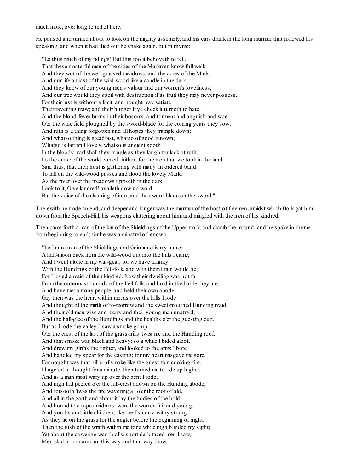much more, over long to tell of here."

He paused and turned about to look on the mighty assembly, and his ears drank in the long murmur that followed his speaking, and when it had died out he spake again, but in rhyme:

"Lo thus much of my tidings! But this too it behoveth to tell, That these masterful men of the cities of the Markmen know full well: And they wot of the well-grassed meadows, and the acres of the Mark, And our life amidst of the wild-wood like a candle in the dark; And they know of our young men's valour and our women's loveliness, And our tree would they spoil with destruction if its fruit they may never possess. For their lust is without a limit, and nought may satiate Their ravening maw; and their hunger if ye check it turneth to hate, And the blood-fever burns in their bosoms, and torment and anguish and woe O'er the wide field ploughed by the sword-blade for the coming years they sow; And ruth is a thing forgotten and all hopes they trample down; And whatso thing is steadfast, whatso of good renown, Whatso is fair and lovely, whatso is ancient sooth In the bloody marlshall they mingle as they laugh for lack of ruth. Lo the curse of the world cometh hither; for the men that we took in the land Said thus, that their host is gathering with many an ordered band To fall on the wild-wood passes and flood the lovely Mark, As the river over the meadows upriseth in the dark. Look to it, O ye kindred! availeth now no word But the voice of the clashing of iron, and the sword-blade on the sword."

Therewith he made an end, and deeper and longer was the murmur of the host of freemen, amidst which Bork gat him down fromthe Speech-Hill, his weapons clattering about him, and mingled with the men of his kindred.

Then came forth a man of the kin of the Shieldings of the Upper-mark, and clomb the mound; and he spake in rhyme frombeginning to end; for he was a minstrel of renown:

"Lo I ama man of the Shieldings and Geirmund is my name; A half-moon back fromthe wild-wood out into the hills I came, And I went alone in my war-gear; for we have affinity With the Hundings of the Fell-folk, and with them I fain would be; For I loved a maid of their kindred. Now their dwelling was not far Fromthe outermost bounds of the Fell-folk, and bold in the battle they are, And have met a many people, and held their own abode. Gay then was the heart within me, as over the hills I rode And thought of the mirth of to-morrow and the sweet-mouthed Hunding maid And their old men wise and merry and their young men unafraid, And the hall-glee of the Hundings and the healths o'er the guesting cup. But as I rode the valley, I saw a smoke go up O'er the crest of the last of the grass-hills 'twixt me and the Hunding roof, And that smoke was black and heavy: so a while I bided aloof, And drew my girths the tighter, and looked to the arms I bore And handled my spear for the casting; for my heart misgave me sore, For nought was that pillar of smoke like the guest-fain cooking-fire. I lingered in thought for a minute, then turned me to ride up higher, And as a man most wary up over the bent I rode, And nigh hid peered o'er the hill-crest adown on the Hunding abode; And forsooth 'twas the fire wavering all o'er the roof of old, And all in the garth and about it lay the bodies of the bold; And bound to a rope amidmost were the women fair and young, And youths and little children, like the fish on a withy strung As they lie on the grass for the angler before the beginning of night. Then the rush of the wrath within me for a while nigh blinded my sight; Yet about the cowering war-thralls, short dark-faced men I saw, Men clad in iron armour, this way and that way draw,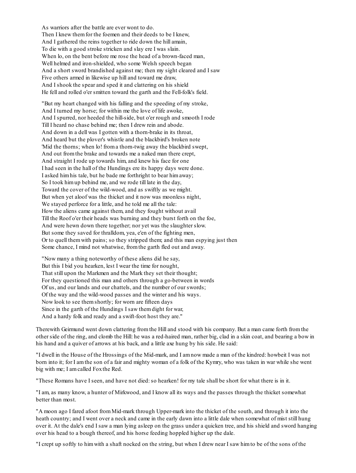As warriors after the battle are ever wont to do. Then I knew themfor the foemen and their deeds to be I knew, And I gathered the reins together to ride down the hill amain, To die with a good stroke stricken and slay ere I was slain. When lo, on the bent before me rose the head of a brown-faced man, Well helmed and iron-shielded, who some Welsh speech began And a short sword brandished against me; then my sight cleared and I saw Five others armed in likewise up hill and toward me draw, And I shook the spear and sped it and clattering on his shield He fell and rolled o'er smitten toward the garth and the Fell-folk's field.

"But my heart changed with his falling and the speeding of my stroke, And I turned my horse; for within me the love of life awoke, And I spurred, nor heeded the hill-side, but o'er rough and smooth I rode Till I heard no chase behind me; then I drew rein and abode. And down in a dell was I gotten with a thorn-brake in its throat, And heard but the plover's whistle and the blackbird's broken note 'Mid the thorns; when lo! froma thorn-twig away the blackbird swept, And out fromthe brake and towards me a naked man there crept, And straight I rode up towards him, and knew his face for one I had seen in the hall of the Hundings ere its happy days were done. I asked himhis tale, but he bade me forthright to bear himaway; So I took himup behind me, and we rode till late in the day, Toward the cover of the wild-wood, and as swiftly as we might. But when yet aloof was the thicket and it now was moonless night, We stayed perforce for a little, and he told me all the tale: How the aliens came against them, and they fought without avail Till the Roof o'er their heads was burning and they burst forth on the foe, And were hewn down there together; nor yet was the slaughter slow. But some they saved for thralldom, yea, e'en of the fighting men, Or to quell themwith pains; so they stripped them; and this man espying just then Some chance, I mind not whatwise, fromthe garth fled out and away.

"Now many a thing noteworthy of these aliens did he say, But this I bid you hearken, lest I wear the time for nought, That still upon the Markmen and the Mark they set their thought; For they questioned this man and others through a go-between in words Of us, and our lands and our chattels, and the number of our swords; Of the way and the wild-wood passes and the winter and his ways. Now look to see themshortly; for worn are fifteen days Since in the garth of the Hundings I saw themdight for war, And a hardy folk and ready and a swift-foot host they are."

Therewith Geirmund went down clattering fromthe Hill and stood with his company. But a man came forth fromthe other side of the ring, and clomb the Hill: he was a red-haired man, rather big, clad in a skin coat, and bearing a bow in his hand and a quiver of arrows at his back, and a little axe hung by his side. He said:

"I dwell in the House of the Hrossings of the Mid-mark, and I amnow made a man of the kindred: howbeit I was not born into it; for I amthe son of a fair and mighty woman of a folk of the Kymry, who was taken in war while she went big with me; I amcalled Foxthe Red.

"These Romans have I seen, and have not died: so hearken! for my tale shall be short for what there is in it.

"I am, as many know, a hunter of Mirkwood, and I know all its ways and the passes through the thicket somewhat better than most.

"A moon ago I fared afoot fromMid-mark through Upper-mark into the thicket of the south, and through it into the heath country; and I went over a neck and came in the early dawn into a little dale when somewhat of mist still hung over it. At the dale's end I saw a man lying asleep on the grass under a quicken tree, and his shield and sword hanging over his head to a bough thereof, and his horse feeding hoppled higher up the dale.

"I crept up softly to himwith a shaft nocked on the string, but when I drew near I saw himto be of the sons of the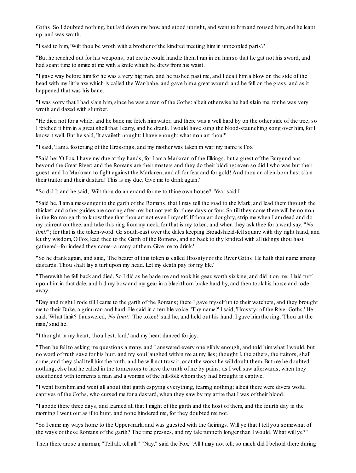Goths. So I doubted nothing, but laid down my bow, and stood upright, and went to himand roused him, and he leapt up, and was wroth.

"I said to him, 'Wilt thou be wroth with a brother of the kindred meeting himin unpeopled parts?'

"But he reached out for his weapons; but ere he could handle themI ran in on himso that he gat not his sword, and had scant time to smite at me with a knife which he drew fromhis waist.

"I gave way before himfor he was a very big man, and he rushed past me, and I dealt hima blow on the side of the head with my little axe which is called the War-babe, and gave hima great wound: and he fell on the grass, and as it happened that was his bane.

"I was sorry that I had slain him, since he was a man of the Goths: albeit otherwise he had slain me, for he was very wroth and dazed with slumber.

"He died not for a while; and he bade me fetch himwater; and there was a well hard by on the other side of the tree; so I fetched it himin a great shell that I carry, and he drank. I would have sung the blood-staunching song over him, for I know it well. But he said, 'It availeth nought: I have enough: what man art thou?'

"I said, 'I ama fosterling of the Hrossings, and my mother was taken in war: my name is Fox.'

"Said he; 'O Fox, I have my due at thy hands, for I ama Markman of the Elkings, but a guest of the Burgundians beyond the Great River; and the Romans are their masters and they do their bidding: even so did I who was but their guest: and I a Markman to fight against the Markmen, and all for fear and for gold! And thou an alien-born hast slain their traitor and their dastard! This is my due. Give me to drink again.'

"So did I; and he said; 'Wilt thou do an errand for me to thine own house?' 'Yea,' said I.

"Said he, 'I ama messenger to the garth of the Romans, that I may tell the road to the Mark, and lead themthrough the thicket; and other guides are coming after me: but not yet for three days or four. So till they come there will be no man in the Roman garth to know thee that thou art not even I myself. If thou art doughty, strip me when I amdead and do my raiment on thee, and take this ring frommy neck, for that is my token, and when they ask thee for a word say, "*No limit*"; for that is the token-word. Go south-east over the dales keeping Broadshield-fell square with thy right hand, and let thy wisdom, O Fox, lead thee to the Garth of the Romans, and so back to thy kindred with all tidings thou hast gathered--for indeed they come--a many of them. Give me to drink.'

"So he drank again, and said, 'The bearer of this token is called Hrosstyr of the River Goths. He hath that name among dastards. Thou shalt lay a turf upon my head. Let my death pay for my life.'

"Therewith he fell back and died. So I did as he bade me and took his gear, worth sixkine, and did it on me; I laid turf upon himin that dale, and hid my bow and my gear in a blackthorn brake hard by, and then took his horse and rode away.

"Day and night I rode till I came to the garth of the Romans; there I gave myself up to their watchers, and they brought me to their Duke, a grimman and hard. He said in a terrible voice, 'Thy name?' I said, 'Hrosstyr of the River Goths.' He said, 'What limit?' I answered, '*No limit*.' 'The token!' said he, and held out his hand. I gave himthe ring. 'Thou art the man,' said he.

"I thought in my heart, 'thou liest, lord,' and my heart danced for joy.

"Then he fell to asking me questions a many, and I answered every one glibly enough, and told himwhat I would, but no word of truth save for his hurt, and my soul laughed within me at my lies; thought I, the others, the traitors, shall come, and they shall tell himthe truth, and he will not trow it, or at the worst he will doubt them. But me he doubted nothing, else had he called in the tormentors to have the truth of me by pains; as I wellsaw afterwards, when they questioned with torments a man and a woman of the hill-folk whomthey had brought in captive.

"I went fromhimand went all about that garth espying everything, fearing nothing; albeit there were divers woful captives of the Goths, who cursed me for a dastard, when they saw by my attire that I was of their blood.

"I abode there three days, and learned all that I might of the garth and the host of them, and the fourth day in the morning I went out as if to hunt, and none hindered me, for they doubted me not.

"So I came my ways home to the Upper-mark, and was guested with the Geirings. Will ye that I tell you somewhat of the ways of these Romans of the garth? The time presses, and my tale runneth longer than I would. What will ye?"

Then there arose a murmur, "Tell all, tell all." "Nay," said the Fox, "All I may not tell; so much did I behold there during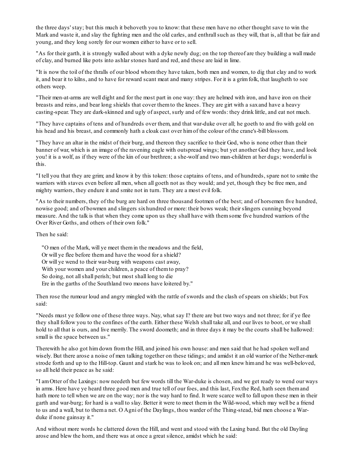the three days' stay; but this much it behoveth you to know: that these men have no other thought save to win the Mark and waste it, and slay the fighting men and the old carles, and enthrall such as they will, that is, all that be fair and young, and they long sorely for our women either to have or to sell.

"As for their garth, it is strongly walled about with a dyke newly dug; on the top thereof are they building a wall made of clay, and burned like pots into ashlar stones hard and red, and these are laid in lime.

"It is now the toil of the thralls of our blood whomthey have taken, both men and women, to dig that clay and to work it, and bear it to kilns, and to have for reward scant meat and many stripes. For it is a grimfolk, that laugheth to see others weep.

"Their men-at-arms are well dight and for the most part in one way: they are helmed with iron, and have iron on their breasts and reins, and bear long shields that cover themto the knees. They are girt with a saxand have a heavy casting-spear. They are dark-skinned and ugly of aspect, surly and of few words: they drink little, and eat not much.

"They have captains of tens and of hundreds over them, and that war-duke over all; he goeth to and fro with gold on his head and his breast, and commonly hath a cloak cast over himof the colour of the crane's-bill blossom.

"They have an altar in the midst of their burg, and thereon they sacrifice to their God, who is none other than their banner of war, which is an image of the ravening eagle with outspread wings; but yet another God they have, and look you! it is a wolf, as if they were of the kin of our brethren; a she-wolf and two man-children at her dugs; wonderful is this.

"I tell you that they are grim; and know it by this token: those captains of tens, and of hundreds, spare not to smite the warriors with staves even before all men, when all goeth not as they would; and yet, though they be free men, and mighty warriors, they endure it and smite not in turn. They are a most evil folk.

"As to their numbers, they of the burg are hard on three thousand footmen of the best; and of horsemen five hundred, nowise good; and of bowmen and slingers sixhundred or more: their bows weak; their slingers cunning beyond measure. And the talk is that when they come upon us they shall have with themsome five hundred warriors of the Over River Goths, and others of their own folk."

Then he said:

"O men of the Mark, will ye meet themin the meadows and the field, Or will ye flee before themand have the wood for a shield? Or will ye wend to their war-burg with weapons cast away, With your women and your children, a peace of them to pray? So doing, not all shall perish; but most shall long to die Ere in the garths of the Southland two moons have loitered by."

Then rose the rumour loud and angry mingled with the rattle of swords and the clash of spears on shields; but Fox said:

"Needs must ye follow one of these three ways. Nay, what say I? there are but two ways and not three; for if ye flee they shall follow you to the confines of the earth. Either these Welsh shall take all, and our lives to boot, or we shall hold to all that is ours, and live merrily. The sword doometh; and in three days it may be the courts shall be hallowed: small is the space between us."

Therewith he also got himdown fromthe Hill, and joined his own house: and men said that he had spoken well and wisely. But there arose a noise of men talking together on these tidings; and amidst it an old warrior of the Nether-mark strode forth and up to the Hill-top. Gaunt and stark he was to look on; and all men knew himand he was well-beloved, so all held their peace as he said:

"I amOtter of the Laxings: now needeth but few words till the War-duke is chosen, and we get ready to wend our ways in arms. Here have ye heard three good men and true tell of our foes, and this last, Foxthe Red, hath seen themand hath more to tell when we are on the way; nor is the way hard to find. It were scarce well to fall upon these men in their garth and war-burg; for hard is a wall to slay. Better it were to meet themin the Wild-wood, which may well be a friend to us and a wall, but to thema net. O Agni of the Daylings, thou warder of the Thing-stead, bid men choose a Warduke if none gainsay it."

And without more words he clattered down the Hill, and went and stood with the Laxing band. But the old Dayling arose and blew the horn, and there was at once a great silence, amidst which he said: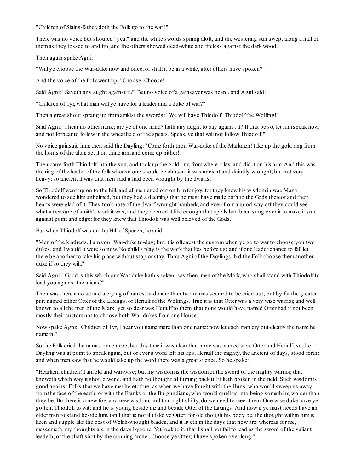"Children of Slains-father, doth the Folk go to the war?"

There was no voice but shouted "yea," and the white swords sprang aloft, and the westering sun swept along a half of themas they tossed to and fro, and the others showed dead-white and fireless against the dark wood.

Then again spake Agni:

"Will ye choose the War-duke now and once, or shall it be in a while, after others have spoken?"

And the voice of the Folk went up, "Choose! Choose!"

Said Agni: "Sayeth any aught against it?" But no voice of a gainsayer was heard, and Agnisaid:

"Children of Tyr, what man will ye have for a leader and a duke of war?"

Then a great shout sprang up fromamidst the swords: "We will have Thiodolf; Thiodolf the Wolfing!"

Said Agni: "I hear no other name; are ye of one mind? hath any aught to say against it? If that be so, let himspeak now, and not forbear to follow in the wheatfield of the spears. Speak, ye that will not follow Thiodolf!"

No voice gainsaid him: then said the Dayling: "Come forth thou War-duke of the Markmen! take up the gold ring from the horns of the altar, set it on thine armand come up hither!"

Then came forth Thiodolf into the sun, and took up the gold ring fromwhere it lay, and did it on his arm. And this was the ring of the leader of the folk whenso one should be chosen: it was ancient and daintily wrought, but not very heavy:so ancient it was that men said it had been wrought by the dwarfs.

So Thiodolf went up on to the hill, and all men cried out on himfor joy, for they knew his wisdomin war. Many wondered to see himunhelmed, but they had a deeming that he must have made oath to the Gods thereof and their hearts were glad of it. They took note of the dwarf-wrought hauberk, and even froma good way off they could see what a treasure of smith's work it was, and they deemed it like enough that spells had been sung over it to make it sure against point and edge: for they knew that Thiodolf was well beloved of the Gods.

But when Thiodolf was on the Hill of Speech, he said:

"Men of the kindreds, I amyour War-duke to-day; but it is oftenest the customwhen ye go to war to choose you two dukes, and I would it were so now. No child's play is the work that lies before us; and if one leader chance to fall let there be another to take his place without stop or stay. Thou Agni of the Daylings, bid the Folk choose themanother duke if so they will."

Said Agni: "Good is this which our War-duke hath spoken; say then, men of the Mark, who shallstand with Thiodolf to lead you against the aliens?"

Then was there a noise and a crying of names, and more than two names seemed to be cried out; but by far the greater part named either Otter of the Laxings, or Heriulf of the Wolfings. True it is that Otter was a very wise warrior, and well known to all the men of the Mark; yet so dear was Heriulf to them, that none would have named Otter had it not been mostly their customnot to choose both War-dukes fromone House.

Now spake Agni: "Children of Tyr, I hear you name more than one name: now let each man cry out clearly the name he nameth."

So the Folk cried the names once more, but this time it was clear that none was named save Otter and Heriulf; so the Dayling was at point to speak again, but or ever a word left his lips, Heriulf the mighty, the ancient of days, stood forth: and when men saw that he would take up the word there was a great silence. So he spake:

"Hearken, children! I amold and war-wise; but my wisdomis the wisdomof the sword of the mighty warrior, that knoweth which way it should wend, and hath no thought of turning back till it lieth broken in the field. Such wisdomis good against Folks that we have met heretofore; as when we have fought with the Huns, who would sweep us away fromthe face of the earth, or with the Franks or the Burgundians, who would quell us into being something worser than they be. But here is a new foe, and new wisdom, and that right shifty, do we need to meet them. One wise duke have ye gotten, Thiodolf to wit; and he is young beside me and beside Otter of the Laxings. And now if ye must needs have an older man to stand beside him, (and that is not ill) take ye Otter; for old though his body be, the thought within himis keen and supple like the best of Welsh-wrought blades, and it liveth in the days that now are: whereas for me, meseemeth, my thoughts are in the days bygone. Yet look to it, that I shall not fail to lead as the sword of the valiant leadeth, or the shaft shot by the cunning archer. Choose ye Otter; I have spoken over long."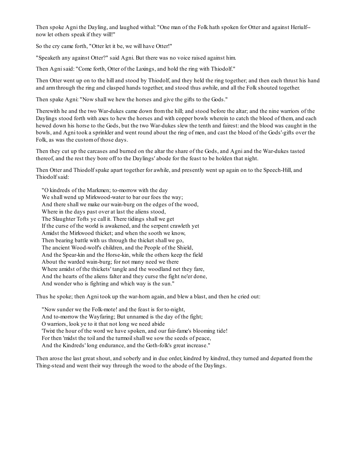Then spoke Agni the Dayling, and laughed withal: "One man of the Folk hath spoken for Otter and against Heriulf- now let others speak if they will!"

So the cry came forth, "Otter let it be, we will have Otter!"

"Speaketh any against Otter?" said Agni. But there was no voice raised against him.

Then Agnisaid: "Come forth, Otter of the Laxings, and hold the ring with Thiodolf."

Then Otter went up on to the hill and stood by Thiodolf, and they held the ring together; and then each thrust his hand and armthrough the ring and clasped hands together, and stood thus awhile, and all the Folk shouted together.

Then spake Agni: "Now shall we hew the horses and give the gifts to the Gods."

Therewith he and the two War-dukes came down fromthe hill; and stood before the altar; and the nine warriors of the Daylings stood forth with axes to hew the horses and with copper bowls wherein to catch the blood of them, and each hewed down his horse to the Gods, but the two War-dukes slew the tenth and fairest: and the blood was caught in the bowls, and Agni took a sprinkler and went round about the ring of men, and cast the blood of the Gods'-gifts over the Folk, as was the customof those days.

Then they cut up the carcases and burned on the altar the share of the Gods, and Agni and the War-dukes tasted thereof, and the rest they bore off to the Daylings' abode for the feast to be holden that night.

Then Otter and Thiodolf spake apart together for awhile, and presently went up again on to the Speech-Hill, and Thiodolf said:

"O kindreds of the Markmen; to-morrow with the day We shall wend up Mirkwood-water to bar our foes the way; And there shall we make our wain-burg on the edges of the wood, Where in the days past over at last the aliens stood, The Slaughter Tofts ye call it. There tidings shall we get If the curse of the world is awakened, and the serpent crawleth yet Amidst the Mirkwood thicket; and when the sooth we know, Then bearing battle with us through the thicket shall we go, The ancient Wood-wolf's children, and the People of the Shield, And the Spear-kin and the Horse-kin, while the others keep the field About the warded wain-burg; for not many need we there Where amidst of the thickets' tangle and the woodland net they fare, And the hearts of the aliens falter and they curse the fight ne'er done, And wonder who is fighting and which way is the sun."

Thus he spoke; then Agni took up the war-horn again, and blew a blast, and then he cried out:

"Now sunder we the Folk-mote! and the feast is for to-night, And to-morrow the Wayfaring; But unnamed is the day of the fight; O warriors, look ye to it that not long we need abide 'Twixt the hour of the word we have spoken, and our fair-fame's blooming tide! For then 'midst the toil and the turmoilshall we sow the seeds of peace, And the Kindreds' long endurance, and the Goth-folk's great increase."

Then arose the last great shout, and soberly and in due order, kindred by kindred, they turned and departed fromthe Thing-stead and went their way through the wood to the abode of the Daylings.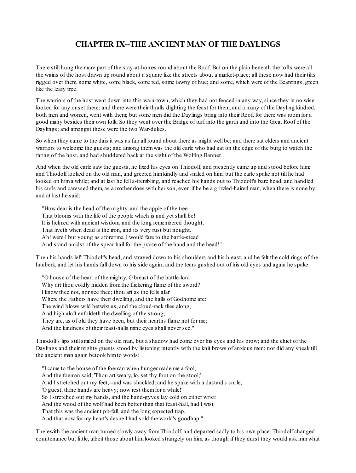# **CHAPTER IX--THE ANCIENT MAN OF THE DAYLINGS**

There still hung the more part of the stay-at-homes round about the Roof. But on the plain beneath the tofts were all the wains of the host drawn up round about a square like the streets about a market-place; all these now had their tilts rigged over them, some white, some black, some red, some tawny of hue; and some, which were of the Beamings, green like the leafy tree.

The warriors of the host went down into this wain-town, which they had not fenced in any way, since they in no wise looked for any onset there; and there were their thralls dighting the feast for them, and a many of the Dayling kindred, both men and women, went with them; but some men did the Daylings bring into their Roof, for there was roomfor a good many besides their own folk. So they went over the Bridge of turf into the garth and into the Great Roof of the Daylings; and amongst these were the two War-dukes.

So when they came to the dais it was as fair all round about there as might well be; and there sat elders and ancient warriors to welcome the guests; and among themwas the old carle who had sat on the edge of the burg to watch the faring of the host, and had shuddered back at the sight of the Wolfing Banner.

And when the old carle saw the guests, he fixed his eyes on Thiodolf, and presently came up and stood before him; and Thiodolf looked on the old man, and greeted himkindly and smiled on him; but the carle spake not till he had looked on hima while; and at last he fell a-trembling, and reached his hands out to Thiodolf's bare head, and handled his curls and caressed them, as a mother does with her son, even if he be a grizzled-haired man, when there is none by: and at last he said:

"How dear is the head of the mighty, and the apple of the tree That blooms with the life of the people which is and yet shall be! It is helmed with ancient wisdom, and the long remembered thought, That liveth when dead is the iron, and its very rust but nought. Ah! were I but young as aforetime, I would fare to the battle-stead And stand amidst of the spear-hail for the praise of the hand and the head!"

Then his hands left Thiodolf's head, and strayed down to his shoulders and his breast, and he felt the cold rings of the hauberk, and let his hands fall down to his side again; and the tears gushed out of his old eyes and again he spake:

"O house of the heart of the mighty, O breast of the battle-lord Why art thou coldly hidden fromthe flickering flame of the sword? I know thee not, nor see thee; thou art as the fells afar Where the Fathers have their dwelling, and the halls of Godhome are: The wind blows wild betwixt us, and the cloud-rack flies along, And high aloft enfoldeth the dwelling of the strong; They are, as of old they have been, but their hearths flame not for me; And the kindness of their feast-halls mine eyes shall never see."

Thiodolf's lips stillsmiled on the old man, but a shadow had come over his eyes and his brow; and the chief of the Daylings and their mighty guests stood by listening intently with the knit brows of anxious men; nor did any speak till the ancient man again betook himto words:

"I came to the house of the foeman when hunger made me a fool; And the foeman said, 'Thou art weary, lo, set thy foot on the stool;' And I stretched out my feet,--and was shackled: and he spake with a dastard's smile, 'O guest, thine hands are heavy; now rest them for a while!' So I stretched out my hands, and the hand-gyves lay cold on either wrist: And the wood of the wolf had been better than that feast-hall, had I wist That this was the ancient pit-fall, and the long expected trap, And that now for my heart's desire I had sold the world's goodhap."

Therewith the ancient man turned slowly away fromThiodolf, and departed sadly to his own place. Thiodolf changed countenance but little, albeit those about himlooked strangely on him, as though if they durst they would ask himwhat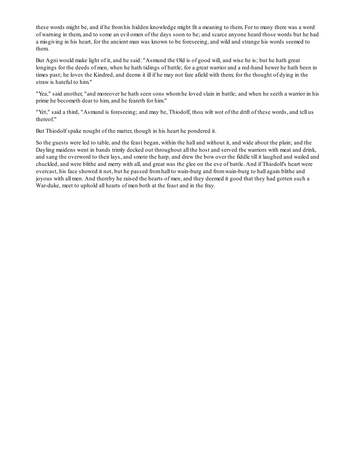these words might be, and if he fromhis hidden knowledge might fit a meaning to them. For to many there was a word of warning in them, and to some an evil omen of the days soon to be; and scarce anyone heard those words but he had a misgiving in his heart, for the ancient man was known to be foreseeing, and wild and strange his words seemed to them.

But Agni would make light of it, and he said: "Asmund the Old is of good will, and wise he is; but he hath great longings for the deeds of men, when he hath tidings of battle; for a great warrior and a red-hand hewer he hath been in times past; he loves the Kindred, and deems it ill if he may not fare afield with them; for the thought of dying in the straw is hateful to him."

"Yea," said another, "and moreover he hath seen sons whomhe loved slain in battle; and when he seeth a warrior in his prime he becometh dear to him, and he feareth for him."

"Yet," said a third, "Asmund is foreseeing; and may be, Thiodolf, thou wilt wot of the drift of these words, and tell us thereof."

But Thiodolf spake nought of the matter, though in his heart he pondered it.

So the guests were led to table, and the feast began, within the hall and without it, and wide about the plain; and the Dayling maidens went in bands trimly decked out throughout all the host and served the warriors with meat and drink, and sang the overword to their lays, and smote the harp, and drew the bow over the fiddle till it laughed and wailed and chuckled, and were blithe and merry with all, and great was the glee on the eve of battle. And if Thiodolf's heart were overcast, his face showed it not, but he passed fromhall to wain-burg and fromwain-burg to hall again blithe and joyous with all men. And thereby he raised the hearts of men, and they deemed it good that they had gotten such a War-duke, meet to uphold all hearts of men both at the feast and in the fray.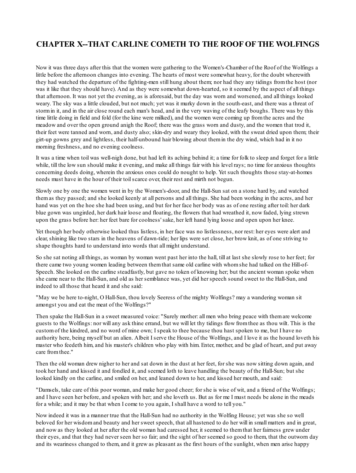# **CHAPTER X--THAT CARLINE COMETH TO THE ROOF OF THE WOLFINGS**

Now it was three days after this that the women were gathering to the Women's-Chamber of the Roof of the Wolfings a little before the afternoon changes into evening. The hearts of most were somewhat heavy, for the doubt wherewith they had watched the departure of the fighting-men still hung about them; nor had they any tidings fromthe host (nor was it like that they should have). And as they were somewhat down-hearted, so it seemed by the aspect of all things that afternoon. It was not yet the evening, as is aforesaid, but the day was worn and worsened, and all things looked weary. The sky was a little clouded, but not much; yet was it murky down in the south-east, and there was a threat of stormin it, and in the air close round each man's head, and in the very waving of the leafy boughs. There was by this time little doing in field and fold (for the kine were milked), and the women were coming up fromthe acres and the meadow and over the open ground anigh the Roof; there was the grass worn and dusty, and the women that trod it, their feet were tanned and worn, and dusty also; skin-dry and weary they looked, with the sweat dried upon them; their girt-up gowns grey and lightless, their half-unbound hair blowing about themin the dry wind, which had in it no morning freshness, and no evening coolness.

It was a time when toil was well-nigh done, but had left its aching behind it; a time for folk to sleep and forget for a little while, till the low sun should make it evening, and make all things fair with his level rays; no time for anxious thoughts concerning deeds doing, wherein the anxious ones could do nought to help. Yet such thoughts those stay-at-homes needs must have in the hour of their toilscarce over, their rest and mirth not begun.

Slowly one by one the women went in by the Women's-door, and the Hall-Sun sat on a stone hard by, and watched themas they passed; and she looked keenly at all persons and all things. She had been working in the acres, and her hand was yet on the hoe she had been using, and but for her face her body was as of one resting after toil: her dark blue gown was ungirded, her dark hair loose and floating, the flowers that had wreathed it, now faded, lying strewn upon the grass before her: her feet bare for coolness' sake, her left hand lying loose and open upon her knee.

Yet though her body otherwise looked thus listless, in her face was no listlessness, nor rest: her eyes were alert and clear, shining like two stars in the heavens of dawn-tide; her lips were set close, her brow knit, as of one striving to shape thoughts hard to understand into words that all might understand.

So she sat noting all things, as woman by woman went past her into the hall, till at last she slowly rose to her feet; for there came two young women leading between themthat same old carline with whomshe had talked on the Hill-of-Speech. She looked on the carline steadfastly, but gave no token of knowing her; but the ancient woman spoke when she came near to the Hall-Sun, and old as her semblance was, yet did her speech sound sweet to the Hall-Sun, and indeed to all those that heard it and she said:

"May we be here to-night, O Hall-Sun, thou lovely Seeress of the mighty Wolfings? may a wandering woman sit amongst you and eat the meat of the Wolfings?"

Then spake the Hall-Sun in a sweet measured voice: "Surely mother: all men who bring peace with themare welcome guests to the Wolfings: nor will any ask thine errand, but we will let thy tidings flow fromthee as thou wilt. This is the customof the kindred, and no word of mine own; I speak to thee because thou hast spoken to me, but I have no authority here, being myself but an alien. Albeit I serve the House of the Wolfings, and I love it as the hound loveth his master who feedeth him, and his master's children who play with him. Enter, mother, and be glad of heart, and put away care fromthee."

Then the old woman drew nigher to her and sat down in the dust at her feet, for she was now sitting down again, and took her hand and kissed it and fondled it, and seemed loth to leave handling the beauty of the Hall-Sun; but she looked kindly on the carline, and smiled on her, and leaned down to her, and kissed her mouth, and said:

"Damsels, take care of this poor woman, and make her good cheer; for she is wise of wit, and a friend of the Wolfings; and I have seen her before, and spoken with her; and she loveth us. But as for me I must needs be alone in the meads for a while; and it may be that when I come to you again, I shall have a word to tell you."

Now indeed it was in a manner true that the Hall-Sun had no authority in the Wolfing House; yet was she so well beloved for her wisdomand beauty and her sweet speech, that all hastened to do her will in small matters and in great, and now as they looked at her after the old woman had caressed her, it seemed to themthat her fairness grew under their eyes, and that they had never seen her so fair; and the sight of her seemed so good to them, that the outworn day and its weariness changed to them, and it grew as pleasant as the first hours of the sunlight, when men arise happy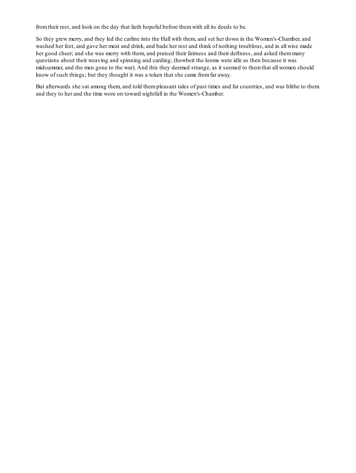fromtheir rest, and look on the day that lieth hopeful before themwith all its deeds to be.

So they grew merry, and they led the carline into the Hall with them, and set her down in the Women's-Chamber, and washed her feet, and gave her meat and drink, and bade her rest and think of nothing troublous, and in all wise made her good cheer; and she was merry with them, and praised their fairness and their deftness, and asked themmany questions about their weaving and spinning and carding; (howbeit the looms were idle as then because it was midsummer, and the men gone to the war). And this they deemed strange, as it seemed to themthat all women should know of such things; but they thought it was a token that she came fromfar away.

But afterwards she sat among them, and told thempleasant tales of past times and far countries, and was blithe to them and they to her and the time wore on toward nightfall in the Women's-Chamber.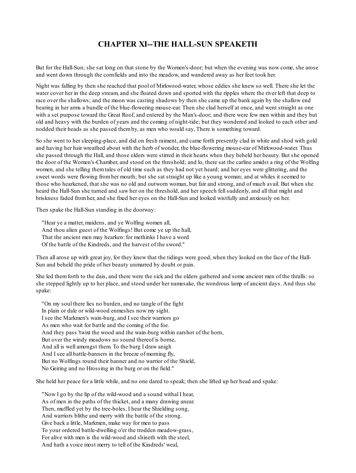### **CHAPTER XI--THE HALL-SUN SPEAKETH**

But for the Hall-Sun; she sat long on that stone by the Women's-door; but when the evening was now come, she arose and went down through the cornfields and into the meadow, and wandered away as her feet took her.

Night was falling by then she reached that pool of Mirkwood-water, whose eddies she knew so well. There she let the water cover her in the deep stream, and she floated down and sported with the ripples where the river left that deep to race over the shallows; and the moon was casting shadows by then she came up the bank again by the shallow end bearing in her arms a bundle of the blue-flowering mouse-ear. Then she clad herself at once, and went straight as one with a set purpose toward the Great Roof, and entered by the Man's-door; and there were few men within and they but old and heavy with the burden of years and the coming of night-tide; but they wondered and looked to each other and nodded their heads as she passed themby, as men who would say, There is something toward.

So she went to her sleeping-place, and did on fresh raiment, and came forth presently clad in white and shod with gold and having her hair wreathed about with the herb of wonder, the blue-flowering mouse-ear of Mirkwood-water. Thus she passed through the Hall, and those elders were stirred in their hearts when they beheld her beauty. But she opened the door of the Women's-Chamber, and stood on the threshold; and lo, there sat the carline amidst a ring of the Wolfing women, and she telling themtales of old time such as they had not yet heard; and her eyes were glittering, and the sweet words were flowing fromher mouth; but she sat straight up like a young woman; and at whiles it seemed to those who hearkened, that she was no old and outworn woman, but fair and strong, and of much avail. But when she heard the Hall-Sun she turned and saw her on the threshold, and her speech fellsuddenly, and all that might and briskness faded fromher, and she fixed her eyes on the Hall-Sun and looked wistfully and anxiously on her.

Then spake the Hall-Sun standing in the doorway:

"Hear ye a matter, maidens, and ye Wolfing women all, And thou alien guest of the Wolfings! But come ye up the hall, That the ancient men may hearken: for methinks I have a word Of the battle of the Kindreds, and the harvest of the sword."

Then all arose up with great joy, for they knew that the tidings were good, when they looked on the face of the Hall-Sun and beheld the pride of her beauty unmarred by doubt or pain.

She led themforth to the dais, and there were the sick and the elders gathered and some ancient men of the thralls:so she stepped lightly up to her place, and stood under her namesake, the wondrous lamp of ancient days. And thus she spake:

"On my soul there lies no burden, and no tangle of the fight In plain or dale or wild-wood enmeshes now my sight. I see the Markmen's wain-burg, and I see their warriors go As men who wait for battle and the coming of the foe. And they pass 'twixt the wood and the wain-burg within earshot of the horn, But over the windy meadows no sound thereof is borne, And all is well amongst them. To the burg I draw anigh And I see all battle-banners in the breeze of morning fly, But no Wolfings round their banner and no warrior of the Shield, No Geiring and no Hrossing in the burg or on the field."

She held her peace for a little while, and no one dared to speak; then she lifted up her head and spake:

"Now I go by the lip of the wild-wood and a sound withal I hear, As of men in the paths of the thicket, and a many drawing anear. Then, muffled yet by the tree-boles, I hear the Shielding song, And warriors blithe and merry with the battle of the strong. Give back a little, Markmen, make way for men to pass To your ordered battle-dwelling o'er the trodden meadow-grass, For alive with men is the wild-wood and shineth with the steel, And hath a voice most merry to tell of the Kindreds' weal,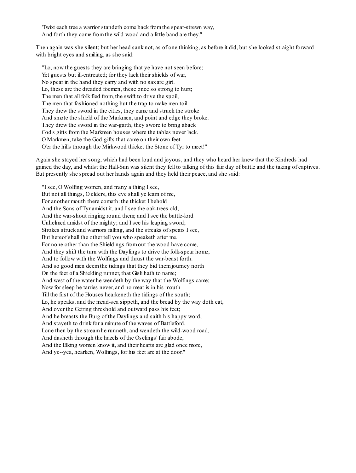'Twixt each tree a warrior standeth come back fromthe spear-strewn way, And forth they come fromthe wild-wood and a little band are they."

Then again was she silent; but her head sank not, as of one thinking, as before it did, but she looked straight forward with bright eyes and smiling, as she said:

"Lo, now the guests they are bringing that ye have not seen before; Yet guests but ill-entreated; for they lack their shields of war, No spear in the hand they carry and with no saxare girt. Lo, these are the dreaded foemen, these once so strong to hurt; The men that all folk fled from, the swift to drive the spoil, The men that fashioned nothing but the trap to make men toil. They drew the sword in the cities, they came and struck the stroke And smote the shield of the Markmen, and point and edge they broke. They drew the sword in the war-garth, they swore to bring aback God's gifts fromthe Markmen houses where the tables never lack. O Markmen, take the God-gifts that came on their own feet O'er the hills through the Mirkwood thicket the Stone of Tyr to meet!"

Again she stayed her song, which had been loud and joyous, and they who heard her knew that the Kindreds had gained the day, and whilst the Hall-Sun was silent they fell to talking of this fair day of battle and the taking of captives. But presently she spread out her hands again and they held their peace, and she said:

"I see, O Wolfing women, and many a thing I see, But not all things, O elders, this eve shall ye learn of me, For another mouth there cometh: the thicket I behold And the Sons of Tyr amidst it, and I see the oak-trees old, And the war-shout ringing round them; and I see the battle-lord Unhelmed amidst of the mighty; and I see his leaping sword; Strokes struck and warriors falling, and the streaks of spears I see, But hereof shall the other tell you who speaketh after me. For none other than the Shieldings fromout the wood have come, And they shift the turn with the Daylings to drive the folk-spear home, And to follow with the Wolfings and thrust the war-beast forth. And so good men deemthe tidings that they bid themjourney north On the feet of a Shielding runner, that Gisli hath to name; And west of the water he wendeth by the way that the Wolfings came; Now for sleep he tarries never, and no meat is in his mouth Till the first of the Houses hearkeneth the tidings of the south; Lo, he speaks, and the mead-sea sippeth, and the bread by the way doth eat, And over the Geiring threshold and outward pass his feet; And he breasts the Burg of the Daylings and saith his happy word, And stayeth to drink for a minute of the waves of Battleford. Lone then by the streamhe runneth, and wendeth the wild-wood road, And dasheth through the hazels of the Oselings' fair abode, And the Elking women know it, and their hearts are glad once more, And ye--yea, hearken, Wolfings, for his feet are at the door."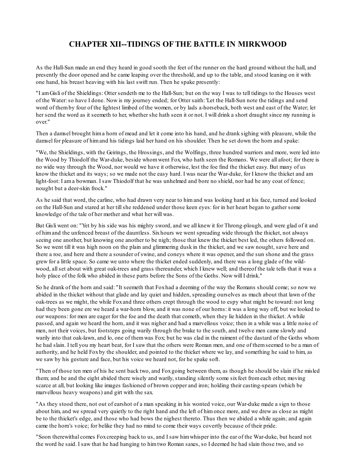## **CHAPTER XII--TIDINGS OF THE BATTLE IN MIRKWOOD**

As the Hall-Sun made an end they heard in good sooth the feet of the runner on the hard ground without the hall, and presently the door opened and he came leaping over the threshold, and up to the table, and stood leaning on it with one hand, his breast heaving with his last swift run. Then he spake presently:

"I amGisli of the Shieldings: Otter sendeth me to the Hall-Sun; but on the way I was to tell tidings to the Houses west of the Water:so have I done. Now is my journey ended; for Otter saith: 'Let the Hall-Sun note the tidings and send word of themby four of the lightest limbed of the women, or by lads a-horseback, both west and east of the Water; let her send the word as it seemeth to her, whether she hath seen it or not. I will drink a short draught since my running is over."

Then a damsel brought hima horn of mead and let it come into his hand, and he drank sighing with pleasure, while the damsel for pleasure of himand his tidings laid her hand on his shoulder. Then he set down the horn and spake:

"We, the Shieldings, with the Geirings, the Hrossings, and the Wolfings, three hundred warriors and more, were led into the Wood by Thiodolf the War-duke, beside whomwent Fox, who hath seen the Romans. We were all afoot; for there is no wide way through the Wood, nor would we have it otherwise, lest the foe find the thicket easy. But many of us know the thicket and its ways; so we made not the easy hard. I was near the War-duke, for I know the thicket and am light-foot: I ama bowman. I saw Thiodolf that he was unhelmed and bore no shield, nor had he any coat of fence; nought but a deer-skin frock."

As he said that word, the carline, who had drawn very near to himand was looking hard at his face, turned and looked on the Hall-Sun and stared at her tillshe reddened under those keen eyes: for in her heart began to gather some knowledge of the tale of her mother and what her will was.

But Gisli went on: "Yet by his side was his mighty sword, and we all knew it for Throng-plough, and were glad of it and of himand the unfenced breast of the dauntless. Sixhours we went spreading wide through the thicket, not always seeing one another, but knowing one another to be nigh; those that knew the thicket best led, the others followed on. So we went till it was high noon on the plain and glimmering dusk in the thicket, and we saw nought, save here and there a roe, and here and there a sounder of swine, and coneys where it was opener, and the sun shone and the grass grew for a little space. So came we unto where the thicket ended suddenly, and there was a long glade of the wildwood, allset about with great oak-trees and grass thereunder, which I knew well; and thereof the tale tells that it was a holy place of the folk who abided in these parts before the Sons of the Goths. Now will I drink."

So he drank of the horn and said: "It seemeth that Foxhad a deeming of the way the Romans should come; so now we abided in the thicket without that glade and lay quiet and hidden, spreading ourselves as much about that lawn of the oak-trees as we might, the while Foxand three others crept through the wood to espy what might be toward: not long had they been gone ere we heard a war-horn blow, and it was none of our horns: it was a long way off, but we looked to our weapons: for men are eager for the foe and the death that cometh, when they lie hidden in the thicket. A while passed, and again we heard the horn, and it was nigher and had a marvellous voice; then in a while was a little noise of men, not their voices, but footsteps going warily through the brake to the south, and twelve men came slowly and warily into that oak-lawn, and lo, one of themwas Fox; but he was clad in the raiment of the dastard of the Goths whom he had slain. I tell you my heart beat, for I saw that the others were Roman men, and one of themseemed to be a man of authority, and he held Foxby the shoulder, and pointed to the thicket where we lay, and something he said to him, as we saw by his gesture and face, but his voice we heard not, for he spake soft.

"Then of those ten men of his he sent back two, and Foxgoing between them, as though he should be slain if he misled them; and he and the eight abided there wisely and warily, standing silently some sixfeet fromeach other, moving scarce at all, but looking like images fashioned of brown copper and iron; holding their casting-spears (which be marvellous heavy weapons) and girt with the sax.

"As they stood there, not out of earshot of a man speaking in his wonted voice, our War-duke made a sign to those about him, and we spread very quietly to the right hand and the left of himonce more, and we drew as close as might be to the thicket's edge, and those who had bows the nighest thereto. Thus then we abided a while again; and again came the horn's voice; for belike they had no mind to come their ways covertly because of their pride.

"Soon therewithal comes Foxcreeping back to us, and I saw himwhisper into the ear of the War-duke, but heard not the word he said. I saw that he had hanging to himtwo Roman saxes, so I deemed he had slain those two, and so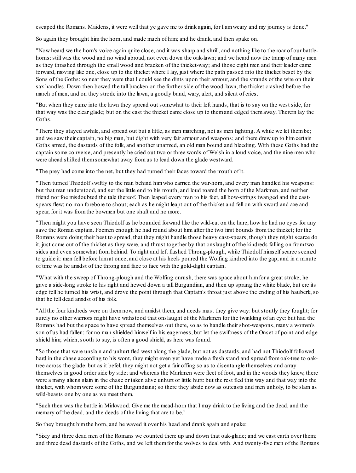escaped the Romans. Maidens, it were well that ye gave me to drink again, for I amweary and my journey is done."

So again they brought himthe horn, and made much of him; and he drank, and then spake on.

"Now heard we the horn's voice again quite close, and it was sharp and shrill, and nothing like to the roar of our battlehorns: still was the wood and no wind abroad, not even down the oak-lawn; and we heard now the tramp of many men as they thrashed through the small wood and bracken of the thicket-way; and those eight men and their leader came forward, moving like one, close up to the thicket where I lay, just where the path passed into the thicket beset by the Sons of the Goths: so near they were that I could see the dints upon their armour, and the strands of the wire on their sax-handles. Down then bowed the tall bracken on the further side of the wood-lawn, the thicket crashed before the march of men, and on they strode into the lawn, a goodly band, wary, alert, and silent of cries.

"But when they came into the lawn they spread out somewhat to their left hands, that is to say on the west side, for that way was the clear glade; but on the east the thicket came close up to themand edged themaway. Therein lay the Goths.

"There they stayed awhile, and spread out but a little, as men marching, not as men fighting. A while we let thembe; and we saw their captain, no big man, but dight with very fair armour and weapons; and there drew up to himcertain Goths armed, the dastards of the folk, and another unarmed, an old man bound and bleeding. With these Goths had the captain some converse, and presently he cried out two or three words of Welsh in a loud voice, and the nine men who were ahead shifted themsomewhat away fromus to lead down the glade westward.

"The prey had come into the net, but they had turned their faces toward the mouth of it.

"Then turned Thiodolf swiftly to the man behind himwho carried the war-horn, and every man handled his weapons: but that man understood, and set the little end to his mouth, and loud roared the horn of the Markmen, and neither friend nor foe misdoubted the tale thereof. Then leaped every man to his feet, all bow-strings twanged and the castspears flew; no man forebore to shout; each as he might leapt out of the thicket and fell on with sword and axe and spear, for it was fromthe bowmen but one shaft and no more.

"Then might you have seen Thiodolf as he bounded forward like the wild-cat on the hare, how he had no eyes for any save the Roman captain. Foemen enough he had round about himafter the two first bounds fromthe thicket; for the Romans were doing their best to spread, that they might handle those heavy cast-spears, though they might scarce do it, just come out of the thicket as they were, and thrust together by that onslaught of the kindreds falling on fromtwo sides and even somewhat frombehind. To right and left flashed Throng-plough, while Thiodolf himself scarce seemed to guide it: men fell before himat once, and close at his heels poured the Wolfing kindred into the gap, and in a minute of time was he amidst of the throng and face to face with the gold-dight captain.

"What with the sweep of Throng-plough and the Wolfing onrush, there was space about himfor a great stroke; he gave a side-long stroke to his right and hewed down a tall Burgundian, and then up sprang the white blade, but ere its edge fell he turned his wrist, and drove the point through that Captain's throat just above the ending of his hauberk, so that he fell dead amidst of his folk.

"All the four kindreds were on themnow, and amidst them, and needs must they give way: but stoutly they fought; for surely no other warriors might have withstood that onslaught of the Markmen for the twinkling of an eye: but had the Romans had but the space to have spread themselves out there, so as to handle their shot-weapons, many a woman's son of us had fallen; for no man shielded himself in his eagerness, but let the swiftness of the Onset of point-and-edge shield him; which, sooth to say, is often a good shield, as here was found.

"So those that were unslain and unhurt fled west along the glade, but not as dastards, and had not Thiodolf followed hard in the chase according to his wont, they might even yet have made a fresh stand and spread fromoak-tree to oaktree across the glade: but as it befel, they might not get a fair offing so as to disentangle themselves and array themselves in good order side by side; and whereas the Markmen were fleet of foot, and in the woods they knew, there were a many aliens slain in the chase or taken alive unhurt or little hurt: but the rest fled this way and that way into the thicket, with whomwere some of the Burgundians; so there they abide now as outcasts and men unholy, to be slain as wild-beasts one by one as we meet them.

"Such then was the battle in Mirkwood. Give me the mead-horn that I may drink to the living and the dead, and the memory of the dead, and the deeds of the living that are to be."

So they brought himthe horn, and he waved it over his head and drank again and spake:

"Sixty and three dead men of the Romans we counted there up and down that oak-glade; and we cast earth over them; and three dead dastards of the Goths, and we left themfor the wolves to deal with. And twenty-five men of the Romans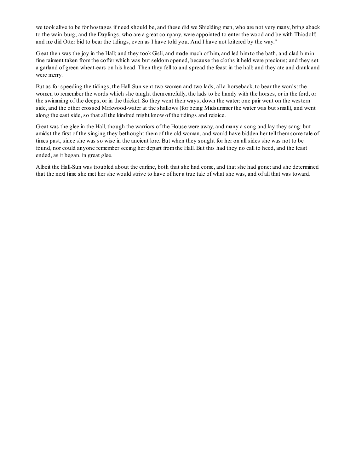we took alive to be for hostages if need should be, and these did we Shielding men, who are not very many, bring aback to the wain-burg; and the Daylings, who are a great company, were appointed to enter the wood and be with Thiodolf; and me did Otter bid to bear the tidings, even as I have told you. And I have not loitered by the way."

Great then was the joy in the Hall; and they took Gisli, and made much of him, and led him to the bath, and clad him in fine raiment taken fromthe coffer which was but seldomopened, because the cloths it held were precious; and they set a garland of green wheat-ears on his head. Then they fell to and spread the feast in the hall; and they ate and drank and were merry.

But as for speeding the tidings, the Hall-Sun sent two women and two lads, all a-horseback, to bear the words: the women to remember the words which she taught themcarefully, the lads to be handy with the horses, or in the ford, or the swimming of the deeps, or in the thicket. So they went their ways, down the water: one pair went on the western side, and the other crossed Mirkwood-water at the shallows (for being Midsummer the water was but small), and went along the east side, so that all the kindred might know of the tidings and rejoice.

Great was the glee in the Hall, though the warriors of the House were away, and many a song and lay they sang: but amidst the first of the singing they bethought themof the old woman, and would have bidden her tell themsome tale of times past, since she was so wise in the ancient lore. But when they sought for her on allsides she was not to be found, nor could anyone remember seeing her depart fromthe Hall. But this had they no call to heed, and the feast ended, as it began, in great glee.

Albeit the Hall-Sun was troubled about the carline, both that she had come, and that she had gone: and she determined that the next time she met her she would strive to have of her a true tale of what she was, and of all that was toward.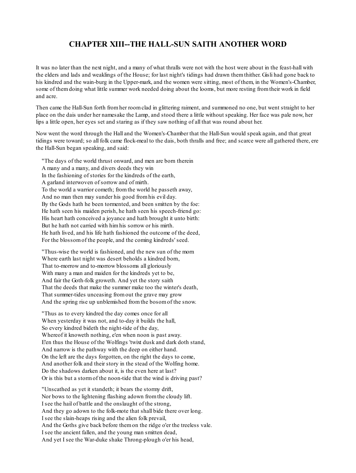### **CHAPTER XIII--THE HALL-SUN SAITH ANOTHER WORD**

It was no later than the next night, and a many of what thralls were not with the host were about in the feast-hall with the elders and lads and weaklings of the House; for last night's tidings had drawn themthither. Gisli had gone back to his kindred and the wain-burg in the Upper-mark, and the women were sitting, most of them, in the Women's-Chamber, some of themdoing what little summer work needed doing about the looms, but more resting fromtheir work in field and acre.

Then came the Hall-Sun forth fromher roomclad in glittering raiment, and summoned no one, but went straight to her place on the dais under her namesake the Lamp, and stood there a little without speaking. Her face was pale now, her lips a little open, her eyes set and staring as if they saw nothing of all that was round about her.

Now went the word through the Hall and the Women's-Chamber that the Hall-Sun would speak again, and that great tidings were toward; so all folk came flock-meal to the dais, both thralls and free; and scarce were all gathered there, ere the Hall-Sun began speaking, and said:

"The days of the world thrust onward, and men are born therein A many and a many, and divers deeds they win In the fashioning of stories for the kindreds of the earth, A garland interwoven of sorrow and of mirth. To the world a warrior cometh; fromthe world he passeth away, And no man then may sunder his good fromhis evil day. By the Gods hath he been tormented, and been smitten by the foe: He hath seen his maiden perish, he hath seen his speech-friend go: His heart hath conceived a joyance and hath brought it unto birth: But he hath not carried with himhis sorrow or his mirth. He hath lived, and his life hath fashioned the outcome of the deed, For the blossomof the people, and the coming kindreds' seed.

"Thus-wise the world is fashioned, and the new sun of the morn Where earth last night was desert beholds a kindred born, That to-morrow and to-morrow blossoms all gloriously With many a man and maiden for the kindreds yet to be, And fair the Goth-folk groweth. And yet the story saith That the deeds that make the summer make too the winter's death, That summer-tides unceasing fromout the grave may grow And the spring rise up unblemished fromthe bosomof the snow.

"Thus as to every kindred the day comes once for all When yesterday it was not, and to-day it builds the hall, So every kindred bideth the night-tide of the day, Whereof it knoweth nothing, e'en when noon is past away. E'en thus the House of the Wolfings 'twixt dusk and dark doth stand, And narrow is the pathway with the deep on either hand. On the left are the days forgotten, on the right the days to come, And another folk and their story in the stead of the Wolfing home. Do the shadows darken about it, is the even here at last? Or is this but a stormof the noon-tide that the wind is driving past?

"Unscathed as yet it standeth; it bears the stormy drift, Nor bows to the lightening flashing adown fromthe cloudy lift. I see the hail of battle and the onslaught of the strong, And they go adown to the folk-mote that shall bide there over long. I see the slain-heaps rising and the alien folk prevail, And the Goths give back before themon the ridge o'er the treeless vale. I see the ancient fallen, and the young man smitten dead, And yet I see the War-duke shake Throng-plough o'er his head,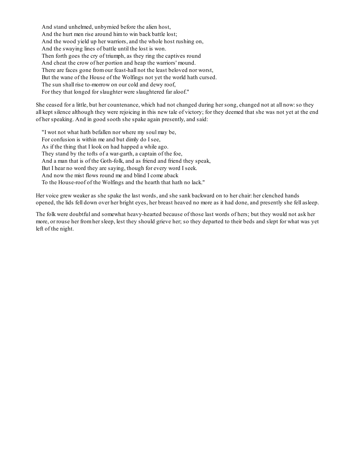And stand unhelmed, unbyrnied before the alien host, And the hurt men rise around himto win back battle lost; And the wood yield up her warriors, and the whole host rushing on, And the swaying lines of battle until the lost is won. Then forth goes the cry of triumph, as they ring the captives round And cheat the crow of her portion and heap the warriors' mound. There are faces gone fromour feast-hall not the least beloved nor worst, But the wane of the House of the Wolfings not yet the world hath cursed. The sun shall rise to-morrow on our cold and dewy roof, For they that longed for slaughter were slaughtered far aloof."

She ceased for a little, but her countenance, which had not changed during her song, changed not at all now:so they all kept silence although they were rejoicing in this new tale of victory; for they deemed that she was not yet at the end of her speaking. And in good sooth she spake again presently, and said:

"I wot not what hath befallen nor where my soul may be, For confusion is within me and but dimly do I see, As if the thing that I look on had happed a while ago. They stand by the tofts of a war-garth, a captain of the foe, And a man that is of the Goth-folk, and as friend and friend they speak, But I hear no word they are saying, though for every word I seek. And now the mist flows round me and blind I come aback To the House-roof of the Wolfings and the hearth that hath no lack."

Her voice grew weaker as she spake the last words, and she sank backward on to her chair: her clenched hands opened, the lids fell down over her bright eyes, her breast heaved no more as it had done, and presently she fell asleep.

The folk were doubtful and somewhat heavy-hearted because of those last words of hers; but they would not ask her more, or rouse her fromher sleep, lest they should grieve her; so they departed to their beds and slept for what was yet left of the night.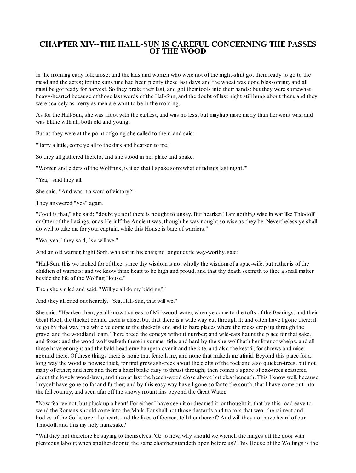### **CHAPTER XIV--THE HALL-SUN IS CAREFUL CONCERNING THE PASSES OFTHE WOOD**

In the morning early folk arose; and the lads and women who were not of the night-shift got themready to go to the mead and the acres; for the sunshine had been plenty these last days and the wheat was done blossoming, and all must be got ready for harvest. So they broke their fast, and got their tools into their hands: but they were somewhat heavy-hearted because of those last words of the Hall-Sun, and the doubt of last night still hung about them, and they were scarcely as merry as men are wont to be in the morning.

As for the Hall-Sun, she was afoot with the earliest, and was no less, but mayhap more merry than her wont was, and was blithe with all, both old and young.

But as they were at the point of going she called to them, and said:

"Tarry a little, come ye all to the dais and hearken to me."

So they all gathered thereto, and she stood in her place and spake.

"Women and elders of the Wolfings, is it so that I spake somewhat of tidings last night?"

"Yea," said they all.

She said, "And was it a word of victory?"

They answered "yea" again.

"Good is that," she said; "doubt ye not! there is nought to unsay. But hearken! I amnothing wise in war like Thiodolf or Otter of the Laxings, or as Heriulf the Ancient was, though he was nought so wise as they be. Nevertheless ye shall do well to take me for your captain, while this House is bare of warriors."

"Yea, yea," they said, "so will we."

And an old warrior, hight Sorli, who sat in his chair, no longer quite way-worthy, said:

"Hall-Sun, this we looked for of thee; since thy wisdomis not wholly the wisdomof a spae-wife, but rather is of the children of warriors: and we know thine heart to be high and proud, and that thy death seemeth to thee a small matter beside the life of the Wolfing House."

Then she smiled and said, "Will ye all do my bidding?"

And they all cried out heartily, "Yea, Hall-Sun, that will we."

She said: "Hearken then; ye all know that east of Mirkwood-water, when ye come to the tofts of the Bearings, and their Great Roof, the thicket behind themis close, but that there is a wide way cut through it; and often have I gone there: if ye go by that way, in a while ye come to the thicket's end and to bare places where the rocks crop up through the gravel and the woodland loam. There breed the coneys without number; and wild-cats haunt the place for that sake, and foxes; and the wood-wolf walketh there in summer-tide, and hard by the she-wolf hath her litter of whelps, and all these have enough; and the bald-head erne hangeth over it and the kite, and also the kestril, for shrews and mice abound there. Of these things there is none that feareth me, and none that maketh me afraid. Beyond this place for a long way the wood is nowise thick, for first grow ash-trees about the clefts of the rock and also quicken-trees, but not many of either; and here and there a hazel brake easy to thrust through; then comes a space of oak-trees scattered about the lovely wood-lawn, and then at last the beech-wood close above but clear beneath. This I know well, because I myself have gone so far and further; and by this easy way have I gone so far to the south, that I have come out into the fell country, and seen afar off the snowy mountains beyond the Great Water.

"Now fear ye not, but pluck up a heart! For either I have seen it or dreamed it, or thought it, that by this road easy to wend the Romans should come into the Mark. For shall not those dastards and traitors that wear the raiment and bodies of the Goths over the hearts and the lives of foemen, tell themhereof? And will they not have heard of our Thiodolf, and this my holy namesake?

"Will they not therefore be saying to themselves, 'Go to now, why should we wrench the hinges off the door with plenteous labour, when another door to the same chamber standeth open before us? This House of the Wolfings is the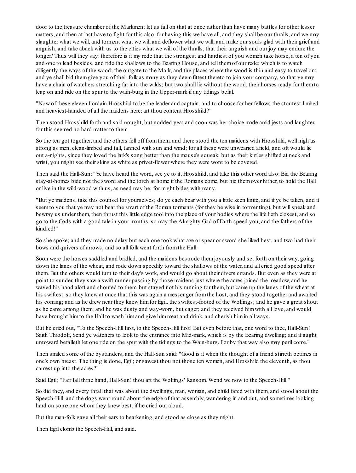door to the treasure chamber of the Markmen; let us fall on that at once rather than have many battles for other lesser matters, and then at last have to fight for this also: for having this we have all, and they shall be our thralls, and we may slaughter what we will, and torment what we will and deflower what we will, and make our souls glad with their grief and anguish, and take aback with us to the cities what we will of the thralls, that their anguish and our joy may endure the longer.' Thus will they say: therefore is it my rede that the strongest and hardiest of you women take horse, a ten of you and one to lead besides, and ride the shallows to the Bearing House, and tell themof our rede; which is to watch diligently the ways of the wood; the outgate to the Mark, and the places where the wood is thin and easy to travel on: and ye shall bid themgive you of their folk as many as they deemfittest thereto to join your company, so that ye may have a chain of watchers stretching far into the wilds; but two shall lie without the wood, their horses ready for themto leap on and ride on the spur to the wain-burg in the Upper-mark if any tidings befal.

"Now of these eleven I ordain Hrosshild to be the leader and captain, and to choose for her fellows the stoutest-limbed and heaviest-handed of all the maidens here: art thou content Hrosshild?"

Then stood Hrosshild forth and said nought, but nodded yea; and soon was her choice made amid jests and laughter, for this seemed no hard matter to them.

So the ten got together, and the others fell off fromthem, and there stood the ten maidens with Hrosshild, well nigh as strong as men, clean-limbed and tall, tanned with sun and wind; for all these were unwearied afield, and oft would lie out a-nights, since they loved the lark's song better than the mouse's squeak; but as their kirtles shifted at neck and wrist, you might see their skins as white as privet-flower where they were wont to be covered.

Then said the Hall-Sun: "Ye have heard the word, see ye to it, Hrosshild, and take this other word also: Bid the Bearing stay-at-homes bide not the sword and the torch at home if the Romans come, but hie themover hither, to hold the Hall or live in the wild-wood with us, as need may be; for might bides with many.

"But ye maidens, take this counsel for yourselves; do ye each bear with you a little keen knife, and if ye be taken, and it seemto you that ye may not bear the smart of the Roman torments (for they be wise in tormenting), but willspeak and bewray us under them, then thrust this little edge tool into the place of your bodies where the life lieth closest, and so go to the Gods with a good tale in your mouths:so may the Almighty God of Earth speed you, and the fathers of the kindred!"

So she spoke; and they made no delay but each one took what axe or spear or sword she liked best, and two had their bows and quivers of arrows; and so all folk went forth fromthe Hall.

Soon were the horses saddled and bridled, and the maidens bestrode themjoyously and set forth on their way, going down the lanes of the wheat, and rode down speedily toward the shallows of the water, and all cried good speed after them. But the others would turn to their day's work, and would go about their divers errands. But even as they were at point to sunder, they saw a swift runner passing by those maidens just where the acres joined the meadow, and he waved his hand aloft and shouted to them, but stayed not his running for them, but came up the lanes of the wheat at his swiftest: so they knew at once that this was again a messenger from the host, and they stood together and awaited his coming; and as he drew near they knew himfor Egil, the swiftest-footed of the Wolfings; and he gave a great shout as he came among them; and he was dusty and way-worn, but eager; and they received himwith all love, and would have brought himto the Hall to wash himand give himmeat and drink, and cherish himin all ways.

But he cried out, "To the Speech-Hill first, to the Speech-Hill first! But even before that, one word to thee, Hall-Sun! Saith Thiodolf, Send ye watchers to look to the entrance into Mid-mark, which is by the Bearing dwelling; and if aught untoward befalleth let one ride on the spur with the tidings to the Wain-burg. For by that way also may peril come."

Then smiled some of the bystanders, and the Hall-Sun said: "Good is it when the thought of a friend stirreth betimes in one's own breast. The thing is done, Egil; or sawest thou not those ten women, and Hrosshild the eleventh, as thou camest up into the acres?"

Said Egil; "Fair fall thine hand, Hall-Sun! thou art the Wolfings' Ransom. Wend we now to the Speech-Hill."

So did they, and every thrall that was about the dwellings, man, woman, and child fared with them, and stood about the Speech-Hill: and the dogs went round about the edge of that assembly, wandering in and out, and sometimes looking hard on some one whomthey knew best, if he cried out aloud.

But the men-folk gave all their ears to hearkening, and stood as close as they might.

Then Egil clomb the Speech-Hill, and said.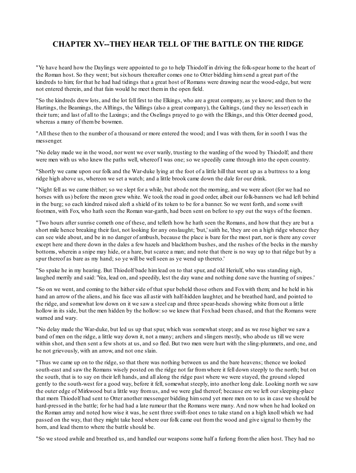# **CHAPTER XV--THEY HEAR TELL OFTHE BATTLE ON THE RIDGE**

"Ye have heard how the Daylings were appointed to go to help Thiodolf in driving the folk-spear home to the heart of the Roman host. So they went; but sixhours thereafter comes one to Otter bidding himsend a great part of the kindreds to him; for that he had had tidings that a great host of Romans were drawing near the wood-edge, but were not entered therein, and that fain would he meet themin the open field.

"So the kindreds drew lots, and the lot fell first to the Elkings, who are a great company, as ye know; and then to the Hartings, the Beamings, the Alftings, the Vallings (also a great company), the Galtings, (and they no lesser) each in their turn; and last of all to the Laxings; and the Oselings prayed to go with the Elkings, and this Otter deemed good, whereas a many of thembe bowmen.

"All these then to the number of a thousand or more entered the wood; and I was with them, for in sooth I was the messenger.

"No delay made we in the wood, nor went we over warily, trusting to the warding of the wood by Thiodolf; and there were men with us who knew the paths well, whereof I was one; so we speedily came through into the open country.

"Shortly we came upon our folk and the War-duke lying at the foot of a little hill that went up as a buttress to a long ridge high above us, whereon we set a watch; and a little brook came down the dale for our drink.

"Night fell as we came thither; so we slept for a while, but abode not the morning, and we were afoot (for we had no horses with us) before the moon grew white. We took the road in good order, albeit our folk-banners we had left behind in the burg; so each kindred raised aloft a shield of its token to be for a banner. So we went forth, and some swift footmen, with Fox, who hath seen the Roman war-garth, had been sent on before to spy out the ways of the foemen.

"Two hours after sunrise cometh one of these, and telleth how he hath seen the Romans, and how that they are but a short mile hence breaking their fast, not looking for any onslaught; 'but,' saith he, 'they are on a high ridge whence they can see wide about, and be in no danger of ambush, because the place is bare for the most part, nor is there any cover except here and there down in the dales a few hazels and blackthorn bushes, and the rushes of the becks in the marshy bottoms, wherein a snipe may hide, or a hare, but scarce a man; and note that there is no way up to that ridge but by a spur thereof as bare as my hand; so ye will be wellseen as ye wend up thereto.'

"So spake he in my hearing. But Thiodolf bade himlead on to that spur, and old Heriulf, who was standing nigh, laughed merrily and said: 'Yea, lead on, and speedily, lest the day wane and nothing done save the hunting of snipes.'

"So on we went, and coming to the hither side of that spur beheld those others and Foxwith them; and he held in his hand an arrow of the aliens, and his face was all astir with half-hidden laughter, and he breathed hard, and pointed to the ridge, and somewhat low down on it we saw a steel cap and three spear-heads showing white fromout a little hollow in its side, but the men hidden by the hollow: so we knew that Foxhad been chased, and that the Romans were warned and wary.

"No delay made the War-duke, but led us up that spur, which was somewhat steep; and as we rose higher we saw a band of men on the ridge, a little way down it, not a many; archers and slingers mostly, who abode us till we were within shot, and then sent a few shots at us, and so fled. But two men were hurt with the sling-plummets, and one, and he not grievously, with an arrow, and not one slain.

"Thus we came up on to the ridge, so that there was nothing between us and the bare heavens; thence we looked south-east and saw the Romans wisely posted on the ridge not far fromwhere it fell down steeply to the north; but on the south, that is to say on their left hands, and all along the ridge past where we were stayed, the ground sloped gently to the south-west for a good way, before it fell, somewhat steeply, into another long dale. Looking north we saw the outer edge of Mirkwood but a little way fromus, and we were glad thereof; because ere we left our sleeping-place that morn Thiodolf had sent to Otter another messenger bidding himsend yet more men on to us in case we should be hard-pressed in the battle; for he had had a late rumour that the Romans were many. And now when he had looked on the Roman array and noted how wise it was, he sent three swift-foot ones to take stand on a high knoll which we had passed on the way, that they might take heed where our folk came out fromthe wood and give signal to themby the horn, and lead themto where the battle should be.

"So we stood awhile and breathed us, and handled our weapons some half a furlong fromthe alien host. They had no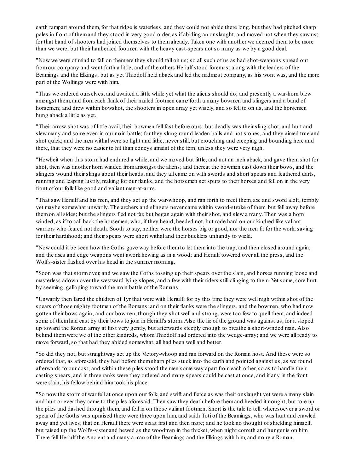earth rampart around them, for that ridge is waterless, and they could not abide there long, but they had pitched sharp pales in front of themand they stood in very good order, as if abiding an onslaught, and moved not when they saw us; for that band of shooters had joined themselves to themalready. Taken one with another we deemed themto be more than we were; but their hauberked footmen with the heavy cast-spears not so many as we by a good deal.

"Now we were of mind to fall on themere they should fall on us; so allsuch of us as had shot-weapons spread out fromour company and went forth a little; and of the others Heriulf stood foremost along with the leaders of the Beamings and the Elkings; but as yet Thiodolf held aback and led the midmost company, as his wont was, and the more part of the Wolfings were with him.

"Thus we ordered ourselves, and awaited a little while yet what the aliens should do; and presently a war-horn blew amongst them, and fromeach flank of their mailed footmen came forth a many bowmen and slingers and a band of horsemen; and drew within bowshot, the shooters in open array yet wisely, and so fell to on us, and the horsemen hung aback a little as yet.

"Their arrow-shot was of little avail, their bowmen fell fast before ours; but deadly was their sling-shot, and hurt and slew many and some even in our main battle; for they slung round leaden balls and not stones, and they aimed true and shot quick; and the men withal were so light and lithe, never still, but crouching and creeping and bounding here and there, that they were no easier to hit than coneys amidst of the fern, unless they were very nigh.

"Howbeit when this stormhad endured a while, and we moved but little, and not an inch aback, and gave themshot for shot, then was another horn winded fromamongst the aliens; and thereat the bowmen cast down their bows, and the slingers wound their slings about their heads, and they all came on with swords and short spears and feathered darts, running and leaping lustily, making for our flanks, and the horsemen set spurs to their horses and fell on in the very front of our folk like good and valiant men-at-arms.

"That saw Heriulf and his men, and they set up the war-whoop, and ran forth to meet them, axe and sword aloft, terribly yet maybe somewhat unwarily. The archers and slingers never came within sword-stroke of them, but fell away before themon allsides; but the slingers fled not far, but began again with their shot, and slew a many. Then was a horn winded, as if to call back the horsemen, who, if they heard, heeded not, but rode hard on our kindred like valiant warriors who feared not death. Sooth to say, neither were the horses big or good, nor the men fit for the work, saving for their hardihood; and their spears were short withal and their bucklers unhandy to wield.

"Now could it be seen how the Goths gave way before themto let theminto the trap, and then closed around again, and the axes and edge weapons went awork hewing as in a wood; and Heriulf towered over all the press, and the Wolf's-sister flashed over his head in the summer morning.

"Soon was that stormover, and we saw the Goths tossing up their spears over the slain, and horses running loose and masterless adown over the westward-lying slopes, and a few with their riders still clinging to them. Yet some, sore hurt by seeming, galloping toward the main battle of the Romans.

"Unwarily then fared the children of Tyr that were with Heriulf; for by this time they were well nigh within shot of the spears of those mighty footmen of the Romans: and on their flanks were the slingers, and the bowmen, who had now gotten their bows again; and our bowmen, though they shot well and strong, were too few to quell them; and indeed some of them had cast by their bows to join in Heriulf's storm. Also the lie of the ground was against us, for it sloped up toward the Roman array at first very gently, but afterwards steeply enough to breathe a short-winded man. Also behind themwere we of the other kindreds, whomThiodolf had ordered into the wedge-array; and we were all ready to move forward, so that had they abided somewhat, all had been well and better.

"So did they not, but straightway set up the Victory-whoop and ran forward on the Roman host. And these were so ordered that, as aforesaid, they had before themsharp piles stuck into the earth and pointed against us, as we found afterwards to our cost; and within these piles stood the men some way apart fromeach other, so as to handle their casting spears, and in three ranks were they ordered and many spears could be cast at once, and if any in the front were slain, his fellow behind himtook his place.

"So now the stormof war fell at once upon our folk, and swift and fierce as was their onslaught yet were a many slain and hurt or ever they came to the piles aforesaid. Then saw they death before themand heeded it nought, but tore up the piles and dashed through them, and fell in on those valiant footmen. Short is the tale to tell: wheresoever a sword or spear of the Goths was upraised there were three upon him, and saith Toti of the Beamings, who was hurt and crawled away and yet lives, that on Heriulf there were sixat first and then more; and he took no thought of shielding himself, but raised up the Wolf's-sister and hewed as the woodman in the thicket, when night cometh and hunger is on him. There fell Heriulf the Ancient and many a man of the Beamings and the Elkings with him, and many a Roman.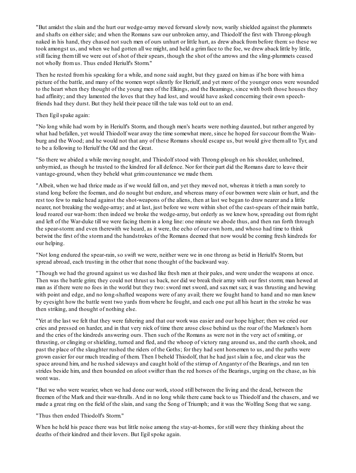"But amidst the slain and the hurt our wedge-array moved forward slowly now, warily shielded against the plummets and shafts on either side; and when the Romans saw our unbroken array, and Thiodolf the first with Throng-plough naked in his hand, they chased not such men of ours unhurt or little hurt, as drew aback frombefore them:so these we took amongst us, and when we had gotten all we might, and held a grim face to the foe, we drew aback little by little, still facing themtill we were out of shot of their spears, though the shot of the arrows and the sling-plummets ceased not wholly fromus. Thus ended Heriulf's Storm."

Then he rested fromhis speaking for a while, and none said aught, but they gazed on himas if he bore with hima picture of the battle, and many of the women wept silently for Heriulf, and yet more of the younger ones were wounded to the heart when they thought of the young men of the Elkings, and the Beamings, since with both those houses they had affinity; and they lamented the loves that they had lost, and would have asked concerning their own speechfriends had they durst. But they held their peace till the tale was told out to an end.

#### Then Egilspake again:

"No long while had worn by in Heriulf's Storm, and though men's hearts were nothing daunted, but rather angered by what had befallen, yet would Thiodolf wear away the time somewhat more, since he hoped for succour fromthe Wainburg and the Wood; and he would not that any of these Romans should escape us, but would give themall to Tyr, and to be a following to Heriulf the Old and the Great.

"So there we abided a while moving nought, and Thiodolf stood with Throng-plough on his shoulder, unhelmed, unbyrnied, as though he trusted to the kindred for all defence. Nor for their part did the Romans dare to leave their vantage-ground, when they beheld what grimcountenance we made them.

"Albeit, when we had thrice made as if we would fall on, and yet they moved not, whereas it trieth a man sorely to stand long before the foeman, and do nought but endure, and whereas many of our bowmen were slain or hurt, and the rest too few to make head against the shot-weapons of the aliens, then at last we began to draw nearer and a little nearer, not breaking the wedge-array; and at last, just before we were within shot of the cast-spears of their main battle, loud roared our war-horn: then indeed we broke the wedge-array, but orderly as we knew how, spreading out fromright and left of the War-duke till we were facing themin a long line: one minute we abode thus, and then ran forth through the spear-storm: and even therewith we heard, as it were, the echo of our own horn, and whoso had time to think betwixt the first of the stormand the handstrokes of the Romans deemed that now would be coming fresh kindreds for our helping.

"Not long endured the spear-rain, so swift we were, neither were we in one throng as betid in Heriulf's Storm, but spread abroad, each trusting in the other that none thought of the backward way.

"Though we had the ground against us we dashed like fresh men at their pales, and were under the weapons at once. Then was the battle grim; they could not thrust us back, nor did we break their array with our first storm; man hewed at man as if there were no foes in the world but they two:sword met sword, and saxmet sax; it was thrusting and hewing with point and edge, and no long-shafted weapons were of any avail; there we fought hand to hand and no man knew by eyesight how the battle went two yards fromwhere he fought, and each one put all his heart in the stroke he was then striking, and thought of nothing else.

"Yet at the last we felt that they were faltering and that our work was easier and our hope higher; then we cried our cries and pressed on harder, and in that very nick of time there arose close behind us the roar of the Markmen's horn and the cries of the kindreds answering ours. Then such of the Romans as were not in the very act of smiting, or thrusting, or clinging or shielding, turned and fled, and the whoop of victory rang around us, and the earth shook, and past the place of the slaughter rushed the riders of the Goths; for they had sent horsemen to us, and the paths were grown easier for our much treading of them. Then I beheld Thiodolf, that he had just slain a foe, and clear was the space around him, and he rushed sideways and caught hold of the stirrup of Angantyr of the Bearings, and ran ten strides beside him, and then bounded on afoot swifter than the red horses of the Bearings, urging on the chase, as his wont was.

"But we who were wearier, when we had done our work, stood still between the living and the dead, between the freemen of the Mark and their war-thralls. And in no long while there came back to us Thiodolf and the chasers, and we made a great ring on the field of the slain, and sang the Song of Triumph; and it was the Wolfing Song that we sang.

#### "Thus then ended Thiodolf's Storm."

When he held his peace there was but little noise among the stay-at-homes, for still were they thinking about the deaths of their kindred and their lovers. But Egil spoke again.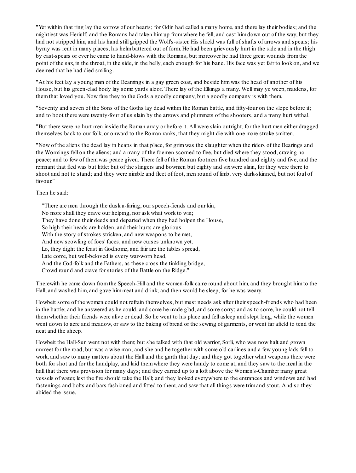"Yet within that ring lay the sorrow of our hearts; for Odin had called a many home, and there lay their bodies; and the mightiest was Heriulf; and the Romans had taken himup fromwhere he fell, and cast himdown out of the way, but they had not stripped him, and his hand still gripped the Wolf's-sister. His shield was full of shafts of arrows and spears; his byrny was rent in many places, his helmbattered out of form. He had been grievously hurt in the side and in the thigh by cast-spears or ever he came to hand-blows with the Romans, but moreover he had three great wounds fromthe point of the sax, in the throat, in the side, in the belly, each enough for his bane. His face was yet fair to look on, and we deemed that he had died smiling.

"At his feet lay a young man of the Beamings in a gay green coat, and beside himwas the head of another of his House, but his green-clad body lay some yards aloof. There lay of the Elkings a many. Well may ye weep, maidens, for themthat loved you. Now fare they to the Gods a goodly company, but a goodly company is with them.

"Seventy and seven of the Sons of the Goths lay dead within the Roman battle, and fifty-four on the slope before it; and to boot there were twenty-four of us slain by the arrows and plummets of the shooters, and a many hurt withal.

"But there were no hurt men inside the Roman array or before it. All were slain outright, for the hurt men either dragged themselves back to our folk, or onward to the Roman ranks, that they might die with one more stroke smitten.

"Now of the aliens the dead lay in heaps in that place, for grimwas the slaughter when the riders of the Bearings and the Wormings fell on the aliens; and a many of the foemen scorned to flee, but died where they stood, craving no peace; and to few of themwas peace given. There fell of the Roman footmen five hundred and eighty and five, and the remnant that fled was but little: but of the slingers and bowmen but eighty and sixwere slain, for they were there to shoot and not to stand; and they were nimble and fleet of foot, men round of limb, very dark-skinned, but not foul of favour."

Then he said:

"There are men through the dusk a-faring, our speech-fiends and our kin, No more shall they crave our helping, nor ask what work to win; They have done their deeds and departed when they had holpen the House, So high their heads are holden, and their hurts are glorious With the story of strokes stricken, and new weapons to be met, And new scowling of foes' faces, and new curses unknown yet. Lo, they dight the feast in Godhome, and fair are the tables spread, Late come, but well-beloved is every war-worn head, And the God-folk and the Fathers, as these cross the tinkling bridge, Crowd round and crave for stories of the Battle on the Ridge."

Therewith he came down fromthe Speech-Hill and the women-folk came round about him, and they brought himto the Hall, and washed him, and gave himmeat and drink; and then would he sleep, for he was weary.

Howbeit some of the women could not refrain themselves, but must needs ask after their speech-friends who had been in the battle; and he answered as he could, and some he made glad, and some sorry; and as to some, he could not tell themwhether their friends were alive or dead. So he went to his place and fell asleep and slept long, while the women went down to acre and meadow, or saw to the baking of bread or the sewing of garments, or went far afield to tend the neat and the sheep.

Howbeit the Hall-Sun went not with them; but she talked with that old warrior, Sorli, who was now halt and grown unmeet for the road, but was a wise man; and she and he together with some old carlines and a few young lads fell to work, and saw to many matters about the Hall and the garth that day; and they got together what weapons there were both for shot and for the handplay, and laid themwhere they were handy to come at, and they saw to the meal in the hall that there was provision for many days; and they carried up to a loft above the Women's-Chamber many great vessels of water, lest the fire should take the Hall; and they looked everywhere to the entrances and windows and had fastenings and bolts and bars fashioned and fitted to them; and saw that all things were trimand stout. And so they abided the issue.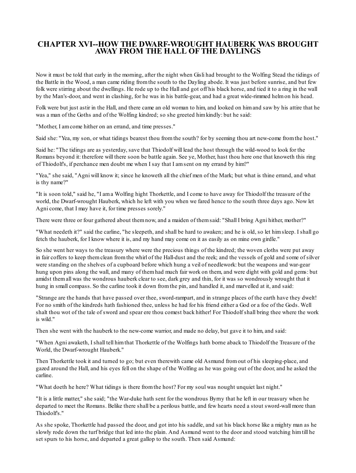### **CHAPTER XVI--HOW THE DWARF-WROUGHT HAUBERK WAS BROUGHT AWAY FROM THE HALL OFTHE DAYLINGS**

Now it must be told that early in the morning, after the night when Gisli had brought to the Wolfing Stead the tidings of the Battle in the Wood, a man came riding fromthe south to the Dayling abode. It was just before sunrise, and but few folk were stirring about the dwellings. He rode up to the Hall and got off his black horse, and tied it to a ring in the wall by the Man's-door, and went in clashing, for he was in his battle-gear, and had a great wide-rimmed helmon his head.

Folk were but just astir in the Hall, and there came an old woman to him, and looked on himand saw by his attire that he was a man of the Goths and of the Wolfing kindred; so she greeted himkindly: but he said:

"Mother, I amcome hither on an errand, and time presses."

Said she: "Yea, my son, or what tidings bearest thou fromthe south? for by seeming thou art new-come fromthe host."

Said he: "The tidings are as yesterday, save that Thiodolf will lead the host through the wild-wood to look for the Romans beyond it: therefore will there soon be battle again. See ye, Mother, hast thou here one that knoweth this ring of Thiodolf's, if perchance men doubt me when I say that I amsent on my errand by him?"

"Yea," she said, "Agni will know it; since he knoweth all the chief men of the Mark; but what is thine errand, and what is thy name?"

"It is soon told," said he, "I ama Wolfing hight Thorkettle, and I come to have away for Thiodolf the treasure of the world, the Dwarf-wrought Hauberk, which he left with you when we fared hence to the south three days ago. Now let Agni come, that I may have it, for time presses sorely."

There were three or four gathered about themnow, and a maiden of themsaid: "Shall I bring Agni hither, mother?"

"What needeth it?" said the carline, "he sleepeth, and shall be hard to awaken; and he is old, so let himsleep. I shall go fetch the hauberk, for I know where it is, and my hand may come on it as easily as on mine own girdle."

So she went her ways to the treasury where were the precious things of the kindred; the woven cloths were put away in fair coffers to keep themclean fromthe whirl of the Hall-dust and the reek; and the vessels of gold and some of silver were standing on the shelves of a cupboard before which hung a veil of needlework: but the weapons and war-gear hung upon pins along the wall, and many of themhad much fair work on them, and were dight with gold and gems: but amidst themall was the wondrous hauberk clear to see, dark grey and thin, for it was so wondrously wrought that it hung in small compass. So the carline took it down from the pin, and handled it, and marvelled at it, and said:

"Strange are the hands that have passed over thee, sword-rampart, and in strange places of the earth have they dwelt! For no smith of the kindreds hath fashioned thee, unless he had for his friend either a God or a foe of the Gods. Well shalt thou wot of the tale of sword and spear ere thou comest back hither! For Thiodolf shall bring thee where the work is wild."

Then she went with the hauberk to the new-come warrior, and made no delay, but gave it to him, and said:

"When Agni awaketh, I shall tell himthat Thorkettle of the Wolfings hath borne aback to Thiodolf the Treasure of the World, the Dwarf-wrought Hauberk."

Then Thorkettle took it and turned to go; but even therewith came old Asmund fromout of his sleeping-place, and gazed around the Hall, and his eyes fell on the shape of the Wolfing as he was going out of the door, and he asked the carline.

"What doeth he here? What tidings is there fromthe host? For my soul was nought unquiet last night."

"It is a little matter," she said; "the War-duke hath sent for the wondrous Byrny that he left in our treasury when he departed to meet the Romans. Belike there shall be a perilous battle, and few hearts need a stout sword-wall more than Thiodolf's."

As she spoke, Thorkettle had passed the door, and got into his saddle, and sat his black horse like a mighty man as he slowly rode down the turf bridge that led into the plain. And Asmund went to the door and stood watching himtill he set spurs to his horse, and departed a great gallop to the south. Then said Asmund: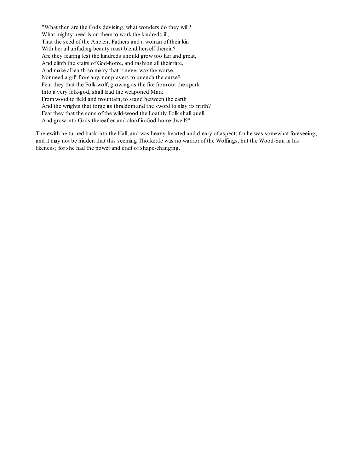"What then are the Gods devising, what wonders do they will? What mighty need is on them to work the kindreds ill, That the seed of the Ancient Fathers and a woman of their kin With her all unfading beauty must blend herself therein? Are they fearing lest the kindreds should grow too fair and great, And climb the stairs of God-home, and fashion all their fate, And make all earth so merry that it never waxthe worse, Nor need a gift fromany, nor prayers to quench the curse? Fear they that the Folk-wolf, growing as the fire fromout the spark Into a very folk-god, shall lead the weaponed Mark Fromwood to field and mountain, to stand between the earth And the wrights that forge its thraldomand the sword to slay its mirth? Fear they that the sons of the wild-wood the Loathly Folk shall quell, And grow into Gods thereafter, and aloof in God-home dwell?"

Therewith he turned back into the Hall, and was heavy-hearted and dreary of aspect; for he was somewhat foreseeing; and it may not be hidden that this seeming Thorkettle was no warrior of the Wolfings, but the Wood-Sun in his likeness; for she had the power and craft of shape-changing.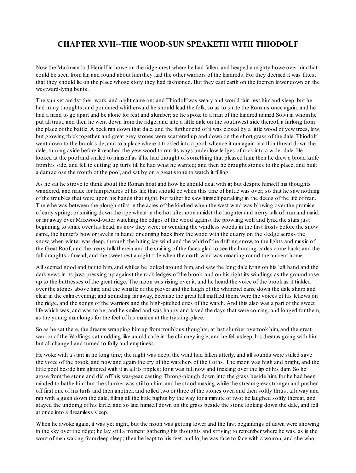## **CHAPTER XVII--THE WOOD-SUN SPEAKETH WITH THIODOLF**

Now the Markmen laid Heriulf in howe on the ridge-crest where he had fallen, and heaped a mighty howe over himthat could be seen fromfar, and round about himthey laid the other warriors of the kindreds. For they deemed it was fittest that they should lie on the place whose story they had fashioned. But they cast earth on the foemen lower down on the westward-lying bents.

The sun set amidst their work, and night came on; and Thiodolf was weary and would fain rest himand sleep: but he had many thoughts, and pondered whitherward he should lead the folk, so as to smite the Romans once again, and he had a mind to go apart and be alone for rest and slumber; so he spoke to a man of the kindred named Solvi in whomhe put all trust, and then he went down fromthe ridge, and into a little dale on the southwest side thereof, a furlong from the place of the battle. A beck ran down that dale, and the further end of it was closed by a little wood of yew trees, low, but growing thick together, and great grey stones were scattered up and down on the short grass of the dale. Thiodolf went down to the brook-side, and to a place where it trickled into a pool, whence it ran again in a thin thread down the dale, turning aside before it reached the yew-wood to run its ways under low ledges of rock into a wider dale. He looked at the pool and smiled to himself as if he had thought of something that pleased him; then he drew a broad knife fromhis side, and fell to cutting up turfs till he had what he wanted; and then he brought stones to the place, and built a damacross the mouth of the pool, and sat by on a great stone to watch it filling.

As he sat he strove to think about the Roman host and how he should deal with it; but despite himself his thoughts wandered, and made for himpictures of his life that should be when this time of battle was over; so that he saw nothing of the troubles that were upon his hands that night, but rather he saw himself partaking in the deeds of the life of man. There he was between the plough-stilts in the acres of the kindred when the west wind was blowing over the promise of early spring; or smiting down the ripe wheat in the hot afternoon amidst the laughter and merry talk of man and maid; or far away over Mirkwood-water watching the edges of the wood against the prowling wolf and lynx, the stars just beginning to shine over his head, as now they were; or wending the windless woods in the first frosts before the snow came, the hunter's bow or javelin in hand: or coming back fromthe wood with the quarry on the sledge across the snow, when winter was deep, through the biting icy wind and the whirl of the drifting snow, to the lights and music of the Great Roof, and the merry talk therein and the smiling of the faces glad to see the hunting-carles come back; and the full draughts of mead, and the sweet rest a night-tide when the north wind was moaning round the ancient home.

Allseemed good and fair to him, and whiles he looked around him, and saw the long dale lying on his left hand and the dark yews in its jaws pressing up against the rock-ledges of the brook, and on his right its windings as the ground rose up to the buttresses of the great ridge. The moon was rising over it, and he heard the voice of the brook as it tinkled over the stones above him; and the whistle of the plover and the laugh of the whimbrel came down the dale sharp and clear in the calmevening; and sounding far away, because the great hill muffled them, were the voices of his fellows on the ridge, and the songs of the warriors and the high-pitched cries of the watch. And this also was a part of the sweet life which was, and was to be; and he smiled and was happy and loved the days that were coming, and longed for them, as the young man longs for the feet of his maiden at the trysting-place.

So as he sat there, the dreams wrapping himup fromtroublous thoughts, at last slumber overtook him, and the great warrior of the Wolfings sat nodding like an old carle in the chimney ingle, and he fell asleep, his dreams going with him, but all changed and turned to folly and emptiness.

He woke with a start in no long time; the night was deep, the wind had fallen utterly, and allsounds were stilled save the voice of the brook, and now and again the cry of the watchers of the Goths. The moon was high and bright, and the little pool beside himglittered with it in all its ripples; for it was full now and trickling over the lip of his dam. So he arose fromthe stone and did off his war-gear, casting Throng-plough down into the grass beside him, for he had been minded to bathe him, but the slumber was still on him, and he stood musing while the streamgrew stronger and pushed off first one of his turfs and then another, and rolled two or three of the stones over, and then softly thrust all away and ran with a gush down the dale, filling all the little bights by the way for a minute or two; he laughed softly thereat, and stayed the undoing of his kirtle, and so laid himself down on the grass beside the stone looking down the dale, and fell at once into a dreamless sleep.

When he awoke again, it was yet night, but the moon was getting lower and the first beginnings of dawn were showing in the sky over the ridge; he lay still a moment gathering his thoughts and striving to remember where he was, as is the wont of men waking fromdeep sleep; then he leapt to his feet, and lo, he was face to face with a woman, and she who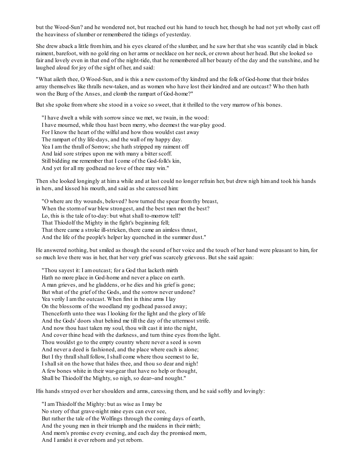but the Wood-Sun? and he wondered not, but reached out his hand to touch her, though he had not yet wholly cast off the heaviness of slumber or remembered the tidings of yesterday.

She drew aback a little fromhim, and his eyes cleared of the slumber, and he saw her that she was scantily clad in black raiment, barefoot, with no gold ring on her arms or necklace on her neck, or crown about her head. But she looked so fair and lovely even in that end of the night-tide, that he remembered all her beauty of the day and the sunshine, and he laughed aloud for joy of the sight of her, and said:

"What aileth thee, O Wood-Sun, and is this a new customof thy kindred and the folk of God-home that their brides array themselves like thralls new-taken, and as women who have lost their kindred and are outcast? Who then hath won the Burg of the Anses, and clomb the rampart of God-home?"

But she spoke fromwhere she stood in a voice so sweet, that it thrilled to the very marrow of his bones.

"I have dwelt a while with sorrow since we met, we twain, in the wood: I have mourned, while thou hast been merry, who deemest the war-play good. For I know the heart of the wilful and how thou wouldst cast away The rampart of thy life-days, and the wall of my happy day. Yea I amthe thrall of Sorrow; she hath stripped my raiment off And laid sore stripes upon me with many a bitter scoff. Still bidding me remember that I come of the God-folk's kin, And yet for all my godhead no love of thee may win."

Then she looked longingly at hima while and at last could no longer refrain her, but drew nigh himand took his hands in hers, and kissed his mouth, and said as she caressed him:

"O where are thy wounds, beloved? how turned the spear fromthy breast, When the stormof war blew strongest, and the best men met the best? Lo, this is the tale of to-day: but what shall to-morrow tell? That Thiodolf the Mighty in the fight's beginning fell; That there came a stroke ill-stricken, there came an aimless thrust, And the life of the people's helper lay quenched in the summer dust."

He answered nothing, but smiled as though the sound of her voice and the touch of her hand were pleasant to him, for so much love there was in her, that her very grief was scarcely grievous. But she said again:

"Thou sayest it: I amoutcast; for a God that lacketh mirth Hath no more place in God-home and never a place on earth. A man grieves, and he gladdens, or he dies and his grief is gone; But what of the grief of the Gods, and the sorrow never undone? Yea verily I amthe outcast. When first in thine arms I lay On the blossoms of the woodland my godhead passed away; Thenceforth unto thee was I looking for the light and the glory of life And the Gods' doors shut behind me till the day of the uttermost strife. And now thou hast taken my soul, thou wilt cast it into the night, And cover thine head with the darkness, and turn thine eyes fromthe light. Thou wouldst go to the empty country where never a seed is sown And never a deed is fashioned, and the place where each is alone; But I thy thrall shall follow, I shall come where thou seemest to lie, I shallsit on the howe that hides thee, and thou so dear and nigh! A few bones white in their war-gear that have no help or thought, Shall be Thiodolf the Mighty, so nigh, so dear--and nought."

His hands strayed over her shoulders and arms, caressing them, and he said softly and lovingly:

"I amThiodolf the Mighty: but as wise as I may be No story of that grave-night mine eyes can ever see, But rather the tale of the Wolfings through the coming days of earth, And the young men in their triumph and the maidens in their mirth; And morn's promise every evening, and each day the promised morn, And I amidst it ever reborn and yet reborn.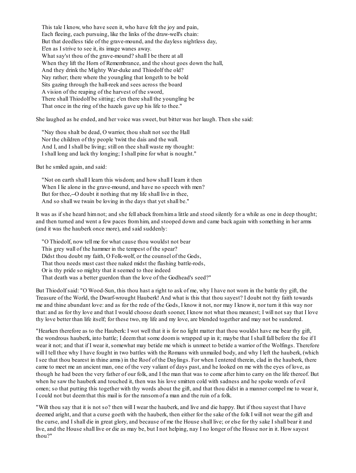This tale I know, who have seen it, who have felt the joy and pain, Each fleeing, each pursuing, like the links of the draw-well's chain: But that deedless tide of the grave-mound, and the dayless nightless day, E'en as I strive to see it, its image wanes away. What say'st thou of the grave-mound? shall I be there at all When they lift the Horn of Remembrance, and the shout goes down the hall, And they drink the Mighty War-duke and Thiodolf the old? Nay rather; there where the youngling that longeth to be bold Sits gazing through the hall-reek and sees across the board A vision of the reaping of the harvest of the sword, There shall Thiodolf be sitting; e'en there shall the youngling be That once in the ring of the hazels gave up his life to thee."

She laughed as he ended, and her voice was sweet, but bitter was her laugh. Then she said:

"Nay thou shalt be dead, O warrior, thou shalt not see the Hall Nor the children of thy people 'twixt the dais and the wall. And I, and I shall be living; still on thee shall waste my thought: I shall long and lack thy longing; I shall pine for what is nought."

But he smiled again, and said:

"Not on earth shall I learn this wisdom; and how shall I learn it then When I lie alone in the grave-mound, and have no speech with men? But for thee,--O doubt it nothing that my life shall live in thee, And so shall we twain be loving in the days that yet shall be."

It was as if she heard himnot; and she fell aback fromhima little and stood silently for a while as one in deep thought; and then turned and went a few paces fromhim, and stooped down and came back again with something in her arms (and it was the hauberk once more), and said suddenly:

"O Thiodolf, now tell me for what cause thou wouldst not bear This grey wall of the hammer in the tempest of the spear? Didst thou doubt my faith, O Folk-wolf, or the counsel of the Gods, That thou needs must cast thee naked midst the flashing battle-rods, Or is thy pride so mighty that it seemed to thee indeed That death was a better guerdon than the love of the Godhead's seed?"

But Thiodolf said: "O Wood-Sun, this thou hast a right to ask of me, why I have not worn in the battle thy gift, the Treasure of the World, the Dwarf-wrought Hauberk! And what is this that thou sayest? I doubt not thy faith towards me and thine abundant love: and as for the rede of the Gods, I know it not, nor may I know it, nor turn it this way nor that: and as for thy love and that I would choose death sooner, I know not what thou meanest; I will not say that I love thy love better than life itself; for these two, my life and my love, are blended together and may not be sundered.

"Hearken therefore as to the Hauberk: I wot well that it is for no light matter that thou wouldst have me bear thy gift, the wondrous hauberk, into battle; I deemthat some doomis wrapped up in it; maybe that I shall fall before the foe if I wear it not; and that if I wear it, somewhat may betide me which is unmeet to betide a warrior of the Wolfings. Therefore will I tell thee why I have fought in two battles with the Romans with unmailed body, and why I left the hauberk, (which I see that thou bearest in thine arms) in the Roof of the Daylings. For when I entered therein, clad in the hauberk, there came to meet me an ancient man, one of the very valiant of days past, and he looked on me with the eyes of love, as though he had been the very father of our folk, and I the man that was to come after himto carry on the life thereof. But when he saw the hauberk and touched it, then was his love smitten cold with sadness and he spoke words of evil omen; so that putting this together with thy words about the gift, and that thou didst in a manner compel me to wear it, I could not but deemthat this mail is for the ransomof a man and the ruin of a folk.

"Wilt thou say that it is not so? then will I wear the hauberk, and live and die happy. But if thou sayest that I have deemed aright, and that a curse goeth with the hauberk, then either for the sake of the folk I will not wear the gift and the curse, and I shall die in great glory, and because of me the House shall live; or else for thy sake I shall bear it and live, and the House shall live or die as may be, but I not helping, nay I no longer of the House nor in it. How sayest thou?"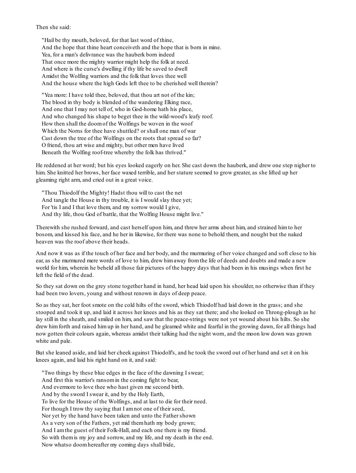Then she said:

"Hail be thy mouth, beloved, for that last word of thine, And the hope that thine heart conceiveth and the hope that is born in mine. Yea, for a man's delivrance was the hauberk born indeed That once more the mighty warrior might help the folk at need. And where is the curse's dwelling if thy life be saved to dwell Amidst the Wolfing warriors and the folk that loves thee well And the house where the high Gods left thee to be cherished well therein?

"Yea more: I have told thee, beloved, that thou art not of the kin; The blood in thy body is blended of the wandering Elking race, And one that I may not tell of, who in God-home hath his place, And who changed his shape to beget thee in the wild-wood's leafy roof. How then shall the doomof the Wolfings be woven in the woof Which the Norns for thee have shuttled? or shall one man of war Cast down the tree of the Wolfings on the roots that spread so far? O friend, thou art wise and mighty, but other men have lived Beneath the Wolfing roof-tree whereby the folk has thrived."

He reddened at her word; but his eyes looked eagerly on her. She cast down the hauberk, and drew one step nigher to him. She knitted her brows, her face waxed terrible, and her stature seemed to grow greater, as she lifted up her gleaming right arm, and cried out in a great voice.

"Thou Thiodolf the Mighty! Hadst thou will to cast the net And tangle the House in thy trouble, it is I would slay thee yet; For 'tis I and I that love them, and my sorrow would I give, And thy life, thou God of battle, that the Wolfing House might live."

Therewith she rushed forward, and cast herself upon him, and threw her arms about him, and strained himto her bosom, and kissed his face, and he her in likewise, for there was none to behold them, and nought but the naked heaven was the roof above their heads.

And now it was as if the touch of her face and her body, and the murmuring of her voice changed and soft close to his ear, as she murmured mere words of love to him, drew himaway fromthe life of deeds and doubts and made a new world for him, wherein he beheld all those fair pictures of the happy days that had been in his musings when first he left the field of the dead.

So they sat down on the grey stone together hand in hand, her head laid upon his shoulder, no otherwise than if they had been two lovers, young and without renown in days of deep peace.

So as they sat, her foot smote on the cold hilts of the sword, which Thiodolf had laid down in the grass; and she stooped and took it up, and laid it across her knees and his as they sat there; and she looked on Throng-plough as he lay still in the sheath, and smiled on him, and saw that the peace-strings were not yet wound about his hilts. So she drew himforth and raised himup in her hand, and he gleamed white and fearful in the growing dawn, for all things had now gotten their colours again, whereas amidst their talking had the night worn, and the moon low down was grown white and pale.

But she leaned aside, and laid her cheek against Thiodolf's, and he took the sword out of her hand and set it on his knees again, and laid his right hand on it, and said:

"Two things by these blue edges in the face of the dawning I swear; And first this warrior's ransomin the coming fight to bear, And evermore to love thee who hast given me second birth. And by the sword I swear it, and by the Holy Earth, To live for the House of the Wolfings, and at last to die for their need. For though I trow thy saying that I amnot one of their seed, Nor yet by the hand have been taken and unto the Father shown As a very son of the Fathers, yet mid themhath my body grown; And I amthe guest of their Folk-Hall, and each one there is my friend. So with themis my joy and sorrow, and my life, and my death in the end. Now whatso doomhereafter my coming days shall bide,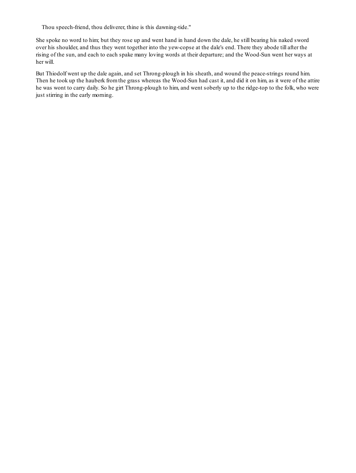Thou speech-friend, thou deliverer, thine is this dawning-tide."

She spoke no word to him; but they rose up and went hand in hand down the dale, he still bearing his naked sword over his shoulder, and thus they went together into the yew-copse at the dale's end. There they abode till after the rising of the sun, and each to each spake many loving words at their departure; and the Wood-Sun went her ways at her will.

But Thiodolf went up the dale again, and set Throng-plough in his sheath, and wound the peace-strings round him. Then he took up the hauberk fromthe grass whereas the Wood-Sun had cast it, and did it on him, as it were of the attire he was wont to carry daily. So he girt Throng-plough to him, and went soberly up to the ridge-top to the folk, who were just stirring in the early morning.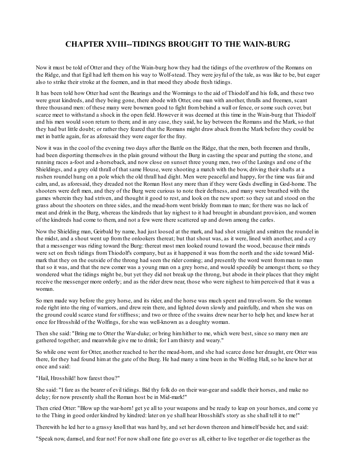### **CHAPTER XVIII--TIDINGS BROUGHT TO THE WAIN-BURG**

Now it must be told of Otter and they of the Wain-burg how they had the tidings of the overthrow of the Romans on the Ridge, and that Egil had left themon his way to Wolf-stead. They were joyful of the tale, as was like to be, but eager also to strike their stroke at the foemen, and in that mood they abode fresh tidings.

It has been told how Otter had sent the Bearings and the Wormings to the aid of Thiodolf and his folk, and these two were great kindreds, and they being gone, there abode with Otter, one man with another, thralls and freemen, scant three thousand men: of these many were bowmen good to fight frombehind a wall or fence, or some such cover, but scarce meet to withstand a shock in the open field. However it was deemed at this time in the Wain-burg that Thiodolf and his men would soon return to them; and in any case, they said, he lay between the Romans and the Mark, so that they had but little doubt; or rather they feared that the Romans might draw aback fromthe Mark before they could be met in battle again, for as aforesaid they were eager for the fray.

Now it was in the cool of the evening two days after the Battle on the Ridge, that the men, both freemen and thralls, had been disporting themselves in the plain ground without the Burg in casting the spear and putting the stone, and running races a-foot and a-horseback, and now close on sunset three young men, two of the Laxings and one of the Shieldings, and a grey old thrall of that same House, were shooting a match with the bow, driving their shafts at a rushen roundel hung on a pole which the old thrall had dight. Men were peaceful and happy, for the time was fair and calm, and, as aforesaid, they dreaded not the Roman Host any more than if they were Gods dwelling in God-home. The shooters were deft men, and they of the Burg were curious to note their deftness, and many were breathed with the games wherein they had striven, and thought it good to rest, and look on the new sport:so they sat and stood on the grass about the shooters on three sides, and the mead-horn went briskly fromman to man; for there was no lack of meat and drink in the Burg, whereas the kindreds that lay nighest to it had brought in abundant provision, and women of the kindreds had come to them, and not a few were there scattered up and down among the carles.

Now the Shielding man, Geirbald by name, had just loosed at the mark, and had shot straight and smitten the roundel in the midst, and a shout went up fromthe onlookers thereat; but that shout was, as it were, lined with another, and a cry that a messenger was riding toward the Burg: thereat most men looked round toward the wood, because their minds were set on fresh tidings fromThiodolf's company, but as it happened it was fromthe north and the side toward Midmark that they on the outside of the throng had seen the rider coming; and presently the word went fromman to man that so it was, and that the new comer was a young man on a grey horse, and would speedily be amongst them; so they wondered what the tidings might be, but yet they did not break up the throng, but abode in their places that they might receive the messenger more orderly; and as the rider drew near, those who were nighest to himperceived that it was a woman.

So men made way before the grey horse, and its rider, and the horse was much spent and travel-worn. So the woman rode right into the ring of warriors, and drew rein there, and lighted down slowly and painfully, and when she was on the ground could scarce stand for stiffness; and two or three of the swains drew near her to help her, and knew her at once for Hrosshild of the Wolfings, for she was well-known as a doughty woman.

Then she said: "Bring me to Otter the War-duke; or bring himhither to me, which were best, since so many men are gathered together; and meanwhile give me to drink; for I amthirsty and weary."

So while one went for Otter, another reached to her the mead-horn, and she had scarce done her draught, ere Otter was there, for they had found himat the gate of the Burg. He had many a time been in the Wolfing Hall, so he knew her at once and said:

"Hail, Hrosshild! how farest thou?"

She said: "I fare as the bearer of evil tidings. Bid thy folk do on their war-gear and saddle their horses, and make no delay; for now presently shall the Roman host be in Mid-mark!"

Then cried Otter: "Blow up the war-horn! get ye all to your weapons and be ready to leap on your horses, and come ye to the Thing in good order kindred by kindred: later on ye shall hear Hrosshild's story as she shall tell it to me!"

Therewith he led her to a grassy knoll that was hard by, and set her down thereon and himself beside her, and said:

"Speak now, damsel, and fear not! For now shall one fate go over us all, either to live together or die together as the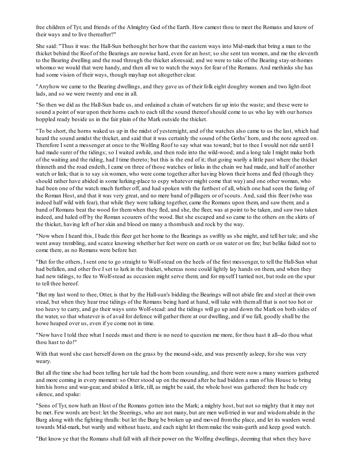free children of Tyr, and friends of the Almighty God of the Earth. How camest thou to meet the Romans and know of their ways and to live thereafter?"

She said: "Thus it was: the Hall-Sun bethought her how that the eastern ways into Mid-mark that bring a man to the thicket behind the Roof of the Bearings are nowise hard, even for an host; so she sent ten women, and me the eleventh to the Bearing dwelling and the road through the thicket aforesaid; and we were to take of the Bearing stay-at-homes whomso we would that were handy, and then all we to watch the ways for fear of the Romans. And methinks she has had some vision of their ways, though mayhap not altogether clear.

"Anyhow we came to the Bearing dwellings, and they gave us of their folk eight doughty women and two light-foot lads, and so we were twenty and one in all.

"So then we did as the Hall-Sun bade us, and ordained a chain of watchers far up into the waste; and these were to sound a point of war upon their horns each to each till the sound thereof should come to us who lay with our horses hoppled ready beside us in the fair plain of the Mark outside the thicket.

"To be short, the horns waked us up in the midst of yesternight, and of the watches also came to us the last, which had heard the sound amidst the thicket, and said that it was certainly the sound of the Goths' horn, and the note agreed on. Therefore I sent a messenger at once to the Wolfing Roof to say what was toward; but to thee I would not ride until I had made surer of the tidings; so I waited awhile, and then rode into the wild-wood; and a long tale I might make both of the waiting and the riding, had I time thereto; but this is the end of it; that going warily a little past where the thicket thinneth and the road endeth, I came on three of those watches or links in the chain we had made, and half of another watch or link; that is to say sixwomen, who were come together after having blown their horns and fled (though they should rather have abided in some lurking-place to espy whatever might come that way) and one other woman, who had been one of the watch much further off, and had spoken with the furthest of all, which one had seen the faring of the Roman Host, and that it was very great, and no mere band of pillagers or of scouts. And, said this fleer (who was indeed half wild with fear), that while they were talking together, came the Romans upon them, and saw them; and a band of Romans beat the wood for themwhen they fled, and she, the fleer, was at point to be taken, and saw two taken indeed, and haled off by the Roman scourers of the wood. But she escaped and so came to the others on the skirts of the thicket, having left of her skin and blood on many a thornbush and rock by the way.

"Now when I heard this, I bade this fleer get her home to the Bearings as swiftly as she might, and tell her tale; and she went away trembling, and scarce knowing whether her feet were on earth or on water or on fire; but belike failed not to come there, as no Romans were before her.

"But for the others, I sent one to go straight to Wolf-stead on the heels of the first messenger, to tell the Hall-Sun what had befallen, and other five I set to lurk in the thicket, whereas none could lightly lay hands on them, and when they had new tidings, to flee to Wolf-stead as occasion might serve them; and for myself I tarried not, but rode on the spur to tell thee hereof.

"But my last word to thee, Otter, is that by the Hall-sun's bidding the Bearings will not abide fire and steel at their own stead, but when they hear true tidings of the Romans being hard at hand, will take with themall that is not too hot or too heavy to carry, and go their ways unto Wolf-stead: and the tidings will go up and down the Mark on both sides of the water, so that whatever is of avail for defence will gather there at our dwelling, and if we fall, goodly shall be the howe heaped over us, even if ye come not in time.

"Now have I told thee what I needs must and there is no need to question me more, for thou hast it all--do thou what thou hast to do!"

With that word she cast herself down on the grass by the mound-side, and was presently asleep, for she was very weary.

But all the time she had been telling her tale had the horn been sounding, and there were now a many warriors gathered and more coming in every moment:so Otter stood up on the mound after he had bidden a man of his House to bring himhis horse and war-gear, and abided a little, till, as might be said, the whole host was gathered: then he bade cry silence, and spake:

"Sons of Tyr, now hath an Host of the Romans gotten into the Mark; a mighty host, but not so mighty that it may not be met. Few words are best: let the Steerings, who are not many, but are men well-tried in war and wisdomabide in the Burg along with the fighting thralls: but let the Burg be broken up and moved fromthe place, and let its warders wend towards Mid-mark, but warily and without haste, and each night let themmake the wain-garth and keep good watch.

"But know ye that the Romans shall fall with all their power on the Wolfing dwellings, deeming that when they have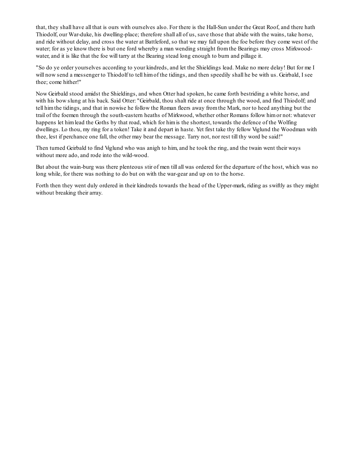that, they shall have all that is ours with ourselves also. For there is the Hall-Sun under the Great Roof, and there hath Thiodolf, our War-duke, his dwelling-place; therefore shall all of us, save those that abide with the wains, take horse, and ride without delay, and cross the water at Battleford, so that we may fall upon the foe before they come west of the water; for as ye know there is but one ford whereby a man wending straight fromthe Bearings may cross Mirkwoodwater, and it is like that the foe will tarry at the Bearing stead long enough to burn and pillage it.

"So do ye order yourselves according to your kindreds, and let the Shieldings lead. Make no more delay! But for me I will now send a messenger to Thiodolf to tell him of the tidings, and then speedily shall he be with us. Geirbald, I see thee; come hither!"

Now Geirbald stood amidst the Shieldings, and when Otter had spoken, he came forth bestriding a white horse, and with his bow slung at his back. Said Otter: "Geirbald, thou shalt ride at once through the wood, and find Thiodolf; and tell himthe tidings, and that in nowise he follow the Roman fleers away fromthe Mark, nor to heed anything but the trail of the foemen through the south-eastern heaths of Mirkwood, whether other Romans follow himor not: whatever happens let himlead the Goths by that road, which for himis the shortest, towards the defence of the Wolfing dwellings. Lo thou, my ring for a token! Take it and depart in haste. Yet first take thy fellow Viglund the Woodman with thee, lest if perchance one fall, the other may bear the message. Tarry not, nor rest till thy word be said!"

Then turned Geirbald to find Viglund who was anigh to him, and he took the ring, and the twain went their ways without more ado, and rode into the wild-wood.

But about the wain-burg was there plenteous stir of men till all was ordered for the departure of the host, which was no long while, for there was nothing to do but on with the war-gear and up on to the horse.

Forth then they went duly ordered in their kindreds towards the head of the Upper-mark, riding as swiftly as they might without breaking their array.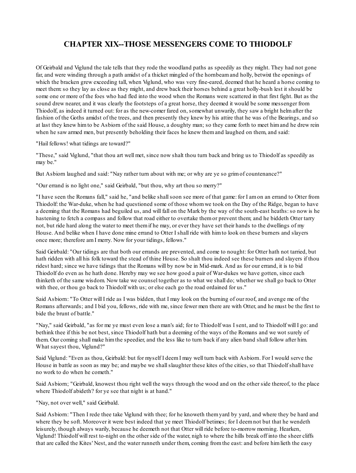# **CHAPTER XIX--THOSE MESSENGERS COME TO THIODOLF**

Of Geirbald and Viglund the tale tells that they rode the woodland paths as speedily as they might. They had not gone far, and were winding through a path amidst of a thicket mingled of the hornbeamand holly, betwixt the openings of which the bracken grew exceeding tall, when Viglund, who was very fine-eared, deemed that he heard a horse coming to meet them:so they lay as close as they might, and drew back their horses behind a great holly-bush lest it should be some one or more of the foes who had fled into the wood when the Romans were scattered in that first fight. But as the sound drew nearer, and it was clearly the footsteps of a great horse, they deemed it would be some messenger from Thiodolf, as indeed it turned out: for as the new-comer fared on, somewhat unwarily, they saw a bright helmafter the fashion of the Goths amidst of the trees, and then presently they knew by his attire that he was of the Bearings, and so at last they knew himto be Asbiorn of the said House, a doughty man; so they came forth to meet himand he drew rein when he saw armed men, but presently beholding their faces he knew them and laughed on them, and said:

"Hail fellows! what tidings are toward?"

"These," said Viglund, "that thou art well met, since now shalt thou turn back and bring us to Thiodolf as speedily as may be."

But Asbiorn laughed and said: "Nay rather turn about with me; or why are ye so grimof countenance?"

"Our errand is no light one," said Geirbald, "but thou, why art thou so merry?"

"I have seen the Romans fall," said he, "and belike shallsoon see more of that game: for I amon an errand to Otter from Thiodolf: the War-duke, when he had questioned some of those whomwe took on the Day of the Ridge, began to have a deeming that the Romans had beguiled us, and will fall on the Mark by the way of the south-east heaths:so now is he hastening to fetch a compass and follow that road either to overtake them or prevent them; and he biddeth Otter tarry not, but ride hard along the water to meet themif he may, or ever they have set their hands to the dwellings of my House. And belike when I have done mine errand to Otter I shall ride with himto look on these burners and slayers once more; therefore amI merry. Now for your tidings, fellows."

Said Geirbald: "Our tidings are that both our errands are prevented, and come to nought: for Otter hath not tarried, but hath ridden with all his folk toward the stead of thine House. So shalt thou indeed see these burners and slayers if thou ridest hard; since we have tidings that the Romans will by now be in Mid-mark. And as for our errand, it is to bid Thiodolf do even as he hath done. Hereby may we see how good a pair of War-dukes we have gotten, since each thinketh of the same wisdom. Now take we counsel together as to what we shall do; whether we shall go back to Otter with thee, or thou go back to Thiodolf with us; or else each go the road ordained for us."

Said Asbiorn: "To Otter will I ride as I was bidden, that I may look on the burning of our roof, and avenge me of the Romans afterwards; and I bid you, fellows, ride with me, since fewer men there are with Otter, and he must be the first to bide the brunt of battle."

"Nay," said Geirbald, "as for me ye must even lose a man's aid; for to Thiodolf was I sent, and to Thiodolf will I go: and bethink thee if this be not best, since Thiodolf hath but a deeming of the ways of the Romans and we wot surely of them. Our coming shall make himthe speedier, and the less like to turn back if any alien band shall follow after him. What sayest thou, Viglund?"

Said Viglund: "Even as thou, Geirbald: but for myself I deemI may well turn back with Asbiorn. For I would serve the House in battle as soon as may be; and maybe we shallslaughter these kites of the cities, so that Thiodolf shall have no work to do when he cometh."

Said Asbiorn; "Geirbald, knowest thou right well the ways through the wood and on the other side thereof, to the place where Thiodolf abideth? for ye see that night is at hand."

#### "Nay, not over well," said Geirbald.

Said Asbiorn: "Then I rede thee take Viglund with thee; for he knoweth themyard by yard, and where they be hard and where they be soft. Moreover it were best indeed that ye meet Thiodolf betimes; for I deemnot but that he wendeth leisurely, though always warily, because he deemeth not that Otter will ride before to-morrow morning. Hearken, Viglund! Thiodolf will rest to-night on the other side of the water, nigh to where the hills break off into the sheer cliffs that are called the Kites' Nest, and the water runneth under them, coming fromthe east: and before himlieth the easy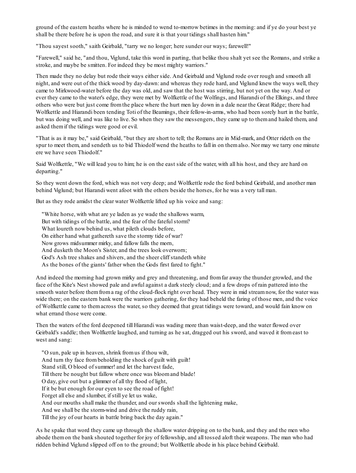ground of the eastern heaths where he is minded to wend to-morrow betimes in the morning: and if ye do your best ye shall be there before he is upon the road, and sure it is that your tidings shall hasten him."

"Thou sayest sooth," saith Geirbald, "tarry we no longer; here sunder our ways; farewell!"

"Farewell," said he, "and thou, Viglund, take this word in parting, that belike thou shalt yet see the Romans, and strike a stroke, and maybe be smitten. For indeed they be most mighty warriors."

Then made they no delay but rode their ways either side. And Geirbald and Viglund rode over rough and smooth all night, and were out of the thick wood by day-dawn: and whereas they rode hard, and Viglund knew the ways well, they came to Mirkwood-water before the day was old, and saw that the host was stirring, but not yet on the way. And or ever they came to the water's edge, they were met by Wolfkettle of the Wolfings, and Hiarandi of the Elkings, and three others who were but just come fromthe place where the hurt men lay down in a dale near the Great Ridge; there had Wolfkettle and Hiarandi been tending Toti of the Beamings, their fellow-in-arms, who had been sorely hurt in the battle, but was doing well, and was like to live. So when they saw the messengers, they came up to themand hailed them, and asked themif the tidings were good or evil.

"That is as it may be," said Geirbald, "but they are short to tell; the Romans are in Mid-mark, and Otter rideth on the spur to meet them, and sendeth us to bid Thiodolf wend the heaths to fall in on themalso. Nor may we tarry one minute ere we have seen Thiodolf."

Said Wolfkettle, "We will lead you to him; he is on the east side of the water, with all his host, and they are hard on departing."

So they went down the ford, which was not very deep; and Wolfkettle rode the ford behind Geirbald, and another man behind Viglund; but Hiarandi went afoot with the others beside the horses, for he was a very tall man.

But as they rode amidst the clear water Wolfkettle lifted up his voice and sang:

"White horse, with what are ye laden as ye wade the shallows warm, But with tidings of the battle, and the fear of the fateful storm? What loureth now behind us, what pileth clouds before, On either hand what gathereth save the stormy tide of war? Now grows midsummer mirky, and fallow falls the morn, And dusketh the Moon's Sister, and the trees look overworn; God's Ash tree shakes and shivers, and the sheer cliff standeth white As the bones of the giants' father when the Gods first fared to fight."

And indeed the morning had grown mirky and grey and threatening, and fromfar away the thunder growled, and the face of the Kite's Nest showed pale and awful against a dark steely cloud; and a few drops of rain pattered into the smooth water before themfroma rag of the cloud-flock right over head. They were in mid streamnow, for the water was wide there; on the eastern bank were the warriors gathering, for they had beheld the faring of those men, and the voice of Wolfkettle came to themacross the water, so they deemed that great tidings were toward, and would fain know on what errand those were come.

Then the waters of the ford deepened till Hiarandi was wading more than waist-deep, and the water flowed over Geirbald's saddle; then Wolfkettle laughed, and turning as he sat, dragged out his sword, and waved it fromeast to west and sang:

"O sun, pale up in heaven, shrink fromus if thou wilt, And turn thy face frombeholding the shock of guilt with guilt! Stand still, O blood of summer! and let the harvest fade, Till there be nought but fallow where once was bloomand blade! O day, give out but a glimmer of all thy flood of light, If it be but enough for our eyen to see the road of fight! Forget all else and slumber, if still ye let us wake, And our mouths shall make the thunder, and our swords shall the lightening make, And we shall be the storm-wind and drive the ruddy rain, Till the joy of our hearts in battle bring back the day again."

As he spake that word they came up through the shallow water dripping on to the bank, and they and the men who abode themon the bank shouted together for joy of fellowship, and all tossed aloft their weapons. The man who had ridden behind Viglund slipped off on to the ground; but Wolfkettle abode in his place behind Geirbald.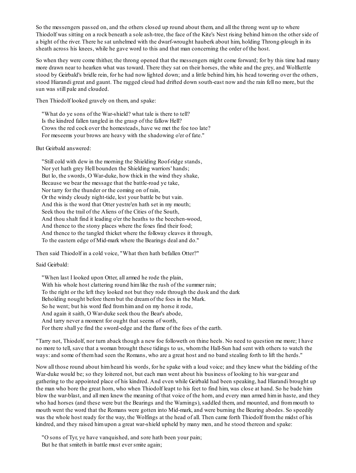So the messengers passed on, and the others closed up round about them, and all the throng went up to where Thiodolf was sitting on a rock beneath a sole ash-tree, the face of the Kite's Nest rising behind himon the other side of a bight of the river. There he sat unhelmed with the dwarf-wrought hauberk about him, holding Throng-plough in its sheath across his knees, while he gave word to this and that man concerning the order of the host.

So when they were come thither, the throng opened that the messengers might come forward; for by this time had many more drawn near to hearken what was toward. There they sat on their horses, the white and the grey, and Wolfkettle stood by Geirbald's bridle rein, for he had now lighted down; and a little behind him, his head towering over the others, stood Hiarandi great and gaunt. The ragged cloud had drifted down south-east now and the rain fell no more, but the sun was still pale and clouded.

Then Thiodolf looked gravely on them, and spake:

"What do ye sons of the War-shield? what tale is there to tell? Is the kindred fallen tangled in the grasp of the fallow Hell? Crows the red cock over the homesteads, have we met the foe too late? For meseems your brows are heavy with the shadowing o'er of fate."

But Geirbald answered:

"Still cold with dew in the morning the Shielding Roof-ridge stands, Nor yet hath grey Hell bounden the Shielding warriors' hands; But lo, the swords, O War-duke, how thick in the wind they shake, Because we bear the message that the battle-road ye take, Nor tarry for the thunder or the coming on of rain, Or the windy cloudy night-tide, lest your battle be but vain. And this is the word that Otter yestre'en hath set in my mouth; Seek thou the trail of the Aliens of the Cities of the South, And thou shalt find it leading o'er the heaths to the beechen-wood, And thence to the stony places where the foxes find their food; And thence to the tangled thicket where the folkway cleaves it through, To the eastern edge of Mid-mark where the Bearings deal and do."

Then said Thiodolf in a cold voice, "What then hath befallen Otter?"

Said Geirbald:

"When last I looked upon Otter, all armed he rode the plain, With his whole host clattering round him like the rush of the summer rain; To the right or the left they looked not but they rode through the dusk and the dark Beholding nought before thembut the dreamof the foes in the Mark. So he went; but his word fled fromhimand on my horse it rode, And again it saith, O War-duke seek thou the Bear's abode, And tarry never a moment for ought that seems of worth, For there shall ye find the sword-edge and the flame of the foes of the earth.

"Tarry not, Thiodolf, nor turn aback though a new foe followeth on thine heels. No need to question me more; I have no more to tell, save that a woman brought these tidings to us, whomthe Hall-Sun had sent with others to watch the ways: and some of themhad seen the Romans, who are a great host and no band stealing forth to lift the herds."

Now all those round about himheard his words, for he spake with a loud voice; and they knew what the bidding of the War-duke would be; so they loitered not, but each man went about his business of looking to his war-gear and gathering to the appointed place of his kindred. And even while Geirbald had been speaking, had Hiarandi brought up the man who bore the great horn, who when Thiodolf leapt to his feet to find him, was close at hand. So he bade him blow the war-blast, and all men knew the meaning of that voice of the horn, and every man armed himin haste, and they who had horses (and these were but the Bearings and the Warnings), saddled them, and mounted, and frommouth to mouth went the word that the Romans were gotten into Mid-mark, and were burning the Bearing abodes. So speedily was the whole host ready for the way, the Wolfings at the head of all. Then came forth Thiodolf fromthe midst of his kindred, and they raised himupon a great war-shield upheld by many men, and he stood thereon and spake:

"O sons of Tyr, ye have vanquished, and sore hath been your pain; But he that smiteth in battle must ever smite again;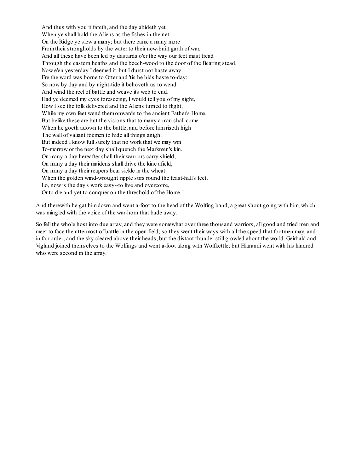And thus with you it fareth, and the day abideth yet When ye shall hold the Aliens as the fishes in the net. On the Ridge ye slew a many; but there came a many more Fromtheir strongholds by the water to their new-built garth of war, And all these have been led by dastards o'er the way our feet must tread Through the eastern heaths and the beech-wood to the door of the Bearing stead, Now e'en yesterday I deemed it, but I durst not haste away Ere the word was borne to Otter and 'tis he bids haste to-day; So now by day and by night-tide it behoveth us to wend And wind the reel of battle and weave its web to end. Had ye deemed my eyes foreseeing, I would tell you of my sight, How I see the folk delivered and the Aliens turned to flight, While my own feet wend themonwards to the ancient Father's Home. But belike these are but the visions that to many a man shall come When he goeth adown to the battle, and before himriseth high The wall of valiant foemen to hide all things anigh. But indeed I know full surely that no work that we may win To-morrow or the next day shall quench the Markmen's kin. On many a day hereafter shall their warriors carry shield; On many a day their maidens shall drive the kine afield, On many a day their reapers bear sickle in the wheat When the golden wind-wrought ripple stirs round the feast-hall's feet. Lo, now is the day's work easy--to live and overcome, Or to die and yet to conquer on the threshold of the Home."

And therewith he gat himdown and went a-foot to the head of the Wolfing band, a great shout going with him, which was mingled with the voice of the war-horn that bade away.

So fell the whole host into due array, and they were somewhat over three thousand warriors, all good and tried men and meet to face the uttermost of battle in the open field; so they went their ways with all the speed that footmen may, and in fair order; and the sky cleared above their heads, but the distant thunder still growled about the world. Geirbald and Viglund joined themselves to the Wolfings and went a-foot along with Wolfkettle; but Hiarandi went with his kindred who were second in the array.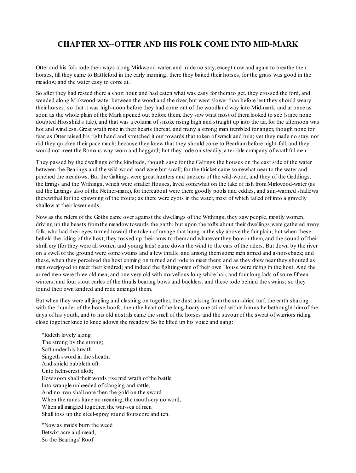## **CHAPTER XX--OTTER AND HIS FOLK COME INTO MID-MARK**

Otter and his folk rode their ways along Mirkwood-water, and made no stay, except now and again to breathe their horses, till they came to Battleford in the early morning; there they baited their horses, for the grass was good in the meadow, and the water easy to come at.

So after they had rested there a short hour, and had eaten what was easy for themto get, they crossed the ford, and wended along Mirkwood-water between the wood and the river, but went slower than before lest they should weary their horses; so that it was high-noon before they had come out of the woodland way into Mid-mark; and at once as soon as the whole plain of the Mark opened out before them, they saw what most of themlooked to see (since none doubted Hrosshild's tale), and that was a column of smoke rising high and straight up into the air, for the afternoon was hot and windless. Great wrath rose in their hearts thereat, and many a strong man trembled for anger, though none for fear, as Otter raised his right hand and stretched it out towards that token of wrack and ruin; yet they made no stay, nor did they quicken their pace much; because they knew that they should come to Bearhambefore night-fall, and they would not meet the Romans way-worn and haggard; but they rode on steadily, a terrible company of wrathful men.

They passed by the dwellings of the kindreds, though save for the Galtings the houses on the east side of the water between the Bearings and the wild-wood road were but small; for the thicket came somewhat near to the water and pinched the meadows. But the Galtings were great hunters and trackers of the wild-wood, and they of the Geddings, the Erings and the Withings, which were smaller Houses, lived somewhat on the take of fish fromMirkwood-water (as did the Laxings also of the Nether-mark), for thereabout were there goodly pools and eddies, and sun-warmed shallows therewithal for the spawning of the trouts; as there were eyots in the water, most of which tailed off into a gravelly shallow at their lower ends.

Now as the riders of the Goths came over against the dwellings of the Withings, they saw people, mostly women, driving up the beasts fromthe meadow towards the garth; but upon the tofts about their dwellings were gathered many folk, who had their eyes turned toward the token of ravage that hung in the sky above the fair plain; but when these beheld the riding of the host, they tossed up their arms to themand whatever they bore in them, and the sound of their shrill cry (for they were all women and young lads) came down the wind to the ears of the riders. But down by the river on a swell of the ground were some swains and a few thralls, and among themsome men armed and a-horseback; and these, when they perceived the host coming on turned and rode to meet them; and as they drew near they shouted as men overjoyed to meet their kindred; and indeed the fighting-men of their own House were riding in the host. And the armed men were three old men, and one very old with marvellous long white hair, and four long lads of some fifteen winters, and four stout carles of the thralls bearing bows and bucklers, and these rode behind the swains; so they found their own kindred and rode amongst them.

But when they were all jingling and clashing on together, the dust arising fromthe sun-dried turf, the earth shaking with the thunder of the horse-hoofs, then the heart of the long-hoary one stirred within himas he bethought himof the days of his youth, and to his old nostrils came the smell of the horses and the savour of the sweat of warriors riding close together knee to knee adown the meadow. So he lifted up his voice and sang:

"Rideth lovely along The strong by the strong; Soft under his breath Singeth sword in the sheath, And shield babbleth oft Unto helm-crest aloft; How soon shall their words rise mid wrath of the battle Into wrangle unheeded of clanging and rattle, And no man shall note then the gold on the sword When the runes have no meaning, the mouth-cry no word, When all mingled together, the war-sea of men Shall toss up the steel-spray round fourscore and ten.

"Now as maids burn the weed Betwixt acre and mead, So the Bearings' Roof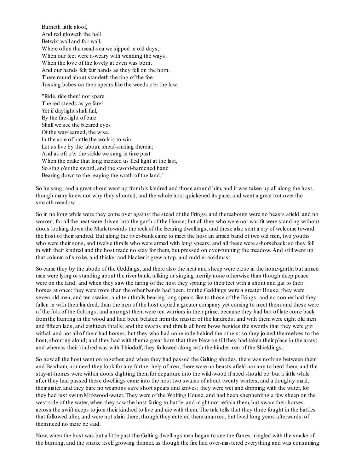Burneth little aloof, And red gloweth the hall Betwixt wall and fair wall, Where often the mead-sea we sipped in old days, When our feet were a-weary with wending the ways; When the love of the lovely at even was born, And our hands felt fair hands as they fell on the horn. There round about standeth the ring of the foe Tossing babes on their spears like the weeds o'er the low.

"Ride, ride then! nor spare The red steeds as ye fare! Yet if daylight shall fail, By the fire-light of bale Shall we see the bleared eyes Of the war-learned, the wise. In the acre of battle the work is to win, Let us live by the labour, sheaf-smiting therein; And as oft o'er the sickle we sang in time past When the crake that long mocked us fled light at the last, So sing o'er the sword, and the sword-hardened hand Bearing down to the reaping the wrath of the land."

So he sang; and a great shout went up fromhis kindred and those around him, and it was taken up all along the host, though many knew not why they shouted, and the whole host quickened its pace, and went a great trot over the smooth meadow.

So in no long while were they come over against the stead of the Erings, and thereabouts were no beasts afield, and no women, for all the neat were driven into the garth of the House; but all they who were not war-fit were standing without doors looking down the Mark towards the reek of the Bearing dwellings, and these also sent a cry of welcome toward the host of their kindred. But along the river-bank came to meet the host an armed band of two old men, two youths who were their sons, and twelve thralls who were armed with long spears; and all these were a-horseback: so they fell in with their kindred and the host made no stay for them, but pressed on over-running the meadow. And still went up that column of smoke, and thicker and blacker it grew a-top, and ruddier amidmost.

So came they by the abode of the Geddings, and there also the neat and sheep were close in the home-garth: but armed men were lying or standing about the river bank, talking or singing merrily none otherwise than though deep peace were on the land; and when they saw the faring of the host they sprang to their feet with a shout and gat to their horses at once: they were more than the other bands had been, for the Geddings were a greater House; they were seven old men, and ten swains, and ten thralls bearing long spears like to those of the Erings; and no sooner had they fallen in with their kindred, than the men of the host espied a greater company yet coming to meet them: and these were of the folk of the Galtings; and amongst themwere ten warriors in their prime, because they had but of late come back fromthe hunting in the wood and had been belated fromthe muster of the kindreds; and with themwere eight old men and fifteen lads, and eighteen thralls; and the swains and thralls all bore bows besides the swords that they were girt withal, and not all of them had horses, but they who had none rode behind the others: so they joined themselves to the host, shouting aloud; and they had with thema great horn that they blew on till they had taken their place in the array; and whereas their kindred was with Thiodolf, they followed along with the hinder men of the Shieldings.

So now all the host went on together, and when they had passed the Galting abodes, there was nothing between them and Bearham, nor need they look for any further help of men; there were no beasts afield nor any to herd them, and the stay-at-homes were within doors dighting themfor departure into the wild-wood if need should be: but a little while after they had passed these dwellings came into the host two swains of about twenty winters, and a doughty maid, their sister, and they bare no weapons save short spears and knives; they were wet and dripping with the water, for they had just swumMirkwood-water. They were of the Wolfing House, and had been shepherding a few sheep on the west side of the water, when they saw the host faring to battle, and might not refrain them, but swamtheir horses across the swift deeps to join their kindred to live and die with them. The tale tells that they three fought in the battles that followed after, and were not slain there, though they entered themunarmed, but lived long years afterwards: of themneed no more be said.

Now, when the host was but a little past the Galting dwellings men began to see the flames mingled with the smoke of the burning, and the smoke itself growing thinner, as though the fire had over-mastered everything and was consuming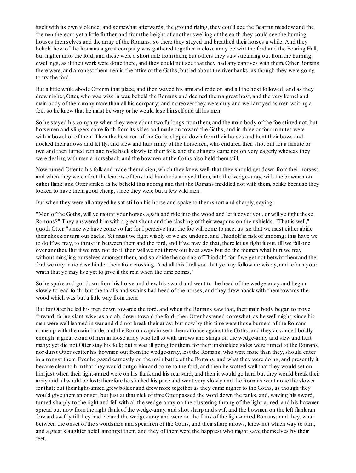itself with its own violence; and somewhat afterwards, the ground rising, they could see the Bearing meadow and the foemen thereon: yet a little further, and fromthe height of another swelling of the earth they could see the burning houses themselves and the array of the Romans; so there they stayed and breathed their horses a while. And they beheld how of the Romans a great company was gathered together in close array betwixt the ford and the Bearing Hall, but nigher unto the ford, and these were a short mile fromthem; but others they saw streaming out fromthe burning dwellings, as if their work were done there, and they could not see that they had any captives with them. Other Romans there were, and amongst themmen in the attire of the Goths, busied about the river banks, as though they were going to try the ford.

But a little while abode Otter in that place, and then waved his armand rode on and all the host followed; and as they drew nigher, Otter, who was wise in war, beheld the Romans and deemed thema great host, and the very kernel and main body of themmany more than all his company; and moreover they were duly and well arrayed as men waiting a foe; so he knew that he must be wary or he would lose himself and all his men.

So he stayed his company when they were about two furlongs fromthem, and the main body of the foe stirred not, but horsemen and slingers came forth fromits sides and made on toward the Goths, and in three or four minutes were within bowshot of them. Then the bowmen of the Goths slipped down fromtheir horses and bent their bows and nocked their arrows and let fly, and slew and hurt many of the horsemen, who endured their shot but for a minute or two and then turned rein and rode back slowly to their folk, and the slingers came not on very eagerly whereas they were dealing with men a-horseback, and the bowmen of the Goths also held themstill.

Now turned Otter to his folk and made thema sign, which they knew well, that they should get down fromtheir horses; and when they were afoot the leaders of tens and hundreds arrayed them, into the wedge-array, with the bowmen on either flank: and Otter smiled as he beheld this adoing and that the Romans meddled not with them, belike because they looked to have themgood cheap, since they were but a few wild men.

But when they were all arrayed he sat still on his horse and spake to themshort and sharply, saying:

"Men of the Goths, will ye mount your horses again and ride into the wood and let it cover you, or will ye fight these Romans?" They answered himwith a great shout and the clashing of their weapons on their shields. "That is well," quoth Otter, "since we have come so far; for I perceive that the foe will come to meet us, so that we must either abide their shock or turn our backs. Yet must we fight wisely or we are undone, and Thiodolf in risk of undoing; this have we to do if we may, to thrust in between themand the ford, and if we may do that, there let us fight it out, till we fall one over another. But if we may not do it, then will we not throw our lives away but do the foemen what hurt we may without mingling ourselves amongst them, and so abide the coming of Thiodolf; for if we get not betwixt themand the ford we may in no case hinder themfromcrossing. And all this I tell you that ye may follow me wisely, and refrain your wrath that ye may live yet to give it the rein when the time comes."

So he spake and got down fromhis horse and drew his sword and went to the head of the wedge-array and began slowly to lead forth; but the thralls and swains had heed of the horses, and they drew aback with themtowards the wood which was but a little way fromthem.

But for Otter he led his men down towards the ford, and when the Romans saw that, their main body began to move forward, faring slant-wise, as a crab, down toward the ford; then Otter hastened somewhat, as he well might, since his men were well learned in war and did not break their array; but now by this time were those burners of the Romans come up with the main battle, and the Roman captain sent themat once against the Goths, and they advanced boldly enough, a great cloud of men in loose array who fell to with arrows and slings on the wedge-array and slew and hurt many: yet did not Otter stay his folk; but it was ill going for them, for their unshielded sides were turned to the Romans, nor durst Otter scatter his bowmen out fromthe wedge-array, lest the Romans, who were more than they, should enter in amongst them. Ever he gazed earnestly on the main battle of the Romans, and what they were doing, and presently it became clear to himthat they would outgo himand come to the ford, and then he wotted well that they would set on himjust when their light-armed were on his flank and his rearward, and then it would go hard but they would break their array and all would be lost: therefore he slacked his pace and went very slowly and the Romans went none the slower for that; but their light-armed grew bolder and drew more together as they came nigher to the Goths, as though they would give theman onset; but just at that nick of time Otter passed the word down the ranks, and, waving his sword, turned sharply to the right and fell with all the wedge-array on the clustering throng of the light-armed, and his bowmen spread out now fromthe right flank of the wedge-array, and shot sharp and swift and the bowmen on the left flank ran forward swiftly till they had cleared the wedge-array and were on the flank of the light-armed Romans; and they, what between the onset of the swordsmen and spearmen of the Goths, and their sharp arrows, knew not which way to turn, and a great slaughter befell amongst them, and they of themwere the happiest who might save themselves by their feet.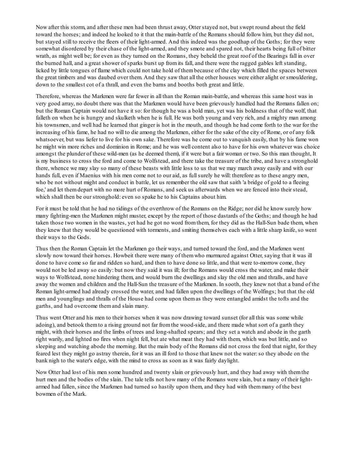Now after this storm, and after these men had been thrust away, Otter stayed not, but swept round about the field toward the horses; and indeed he looked to it that the main-battle of the Romans should follow him, but they did not, but stayed still to receive the fleers of their light-armed. And this indeed was the goodhap of the Goths; for they were somewhat disordered by their chase of the light-armed, and they smote and spared not, their hearts being full of bitter wrath, as might well be; for even as they turned on the Romans, they beheld the great roof of the Bearings fall in over the burned hall, and a great shower of sparks burst up fromits fall, and there were the ragged gables left standing, licked by little tongues of flame which could not take hold of thembecause of the clay which filled the spaces between the great timbers and was daubed over them. And they saw that all the other houses were either alight or smouldering, down to the smallest cot of a thrall, and even the barns and booths both great and little.

Therefore, whereas the Markmen were far fewer in all than the Roman main-battle, and whereas this same host was in very good array, no doubt there was that the Markmen would have been grievously handled had the Romans fallen on; but the Roman Captain would not have it so: for though he was a bold man, yet was his boldness that of the wolf, that falleth on when he is hungry and skulketh when he is full. He was both young and very rich, and a mighty man among his townsmen, and well had he learned that ginger is hot in the mouth, and though he had come forth to the war for the increasing of his fame, he had no will to die among the Markmen, either for the sake of the city of Rome, or of any folk whatsoever, but was liefer to live for his own sake. Therefore was he come out to vanquish easily, that by his fame won he might win more riches and dominion in Rome; and he was well content also to have for his own whatever was choice amongst the plunder of these wild-men (as he deemed them), if it were but a fair woman or two. So this man thought, It is my business to cross the ford and come to Wolfstead, and there take the treasure of the tribe, and have a stronghold there, whence we may slay so many of these beasts with little loss to us that we may march away easily and with our hands full, even if Maenius with his men come not to our aid, as full surely he will: therefore as to these angry men, who be not without might and conduct in battle, let us remember the old saw that saith 'a bridge of gold to a fleeing foe,' and let themdepart with no more hurt of Romans, and seek us afterwards when we are fenced into their stead, which shall then be our stronghold: even so spake he to his Captains about him.

For it must be told that he had no tidings of the overthrow of the Romans on the Ridge; nor did he know surely how many fighting-men the Markmen might muster, except by the report of those dastards of the Goths; and though he had taken those two women in the wastes, yet had he got no word fromthem, for they did as the Hall-Sun bade them, when they knew that they would be questioned with torments, and smiting themselves each with a little sharp knife, so went their ways to the Gods.

Thus then the Roman Captain let the Markmen go their ways, and turned toward the ford, and the Markmen went slowly now toward their horses. Howbeit there were many of themwho murmured against Otter, saying that it was ill done to have come so far and ridden so hard, and then to have done so little, and that were to-morrow come, they would not be led away so easily: but now they said it was ill; for the Romans would cross the water, and make their ways to Wolfstead, none hindering them, and would burn the dwellings and slay the old men and thralls, and have away the women and children and the Hall-Sun the treasure of the Markmen. In sooth, they knew not that a band of the Roman light-armed had already crossed the water, and had fallen upon the dwellings of the Wolfings; but that the old men and younglings and thralls of the House had come upon themas they were entangled amidst the tofts and the garths, and had overcome themand slain many.

Thus went Otter and his men to their horses when it was now drawing toward sunset (for all this was some while adoing), and betook themto a rising ground not far fromthe wood-side, and there made what sort of a garth they might, with their horses and the limbs of trees and long-shafted spears; and they set a watch and abode in the garth right warily, and lighted no fires when night fell, but ate what meat they had with them, which was but little, and so sleeping and watching abode the morning. But the main body of the Romans did not cross the ford that night, for they feared lest they might go astray therein, for it was an ill ford to those that knew not the water:so they abode on the bank nigh to the water's edge, with the mind to cross as soon as it was fairly daylight.

Now Otter had lost of his men some hundred and twenty slain or grievously hurt, and they had away with themthe hurt men and the bodies of the slain. The tale tells not how many of the Romans were slain, but a many of their lightarmed had fallen, since the Markmen had turned so hastily upon them, and they had with themmany of the best bowmen of the Mark.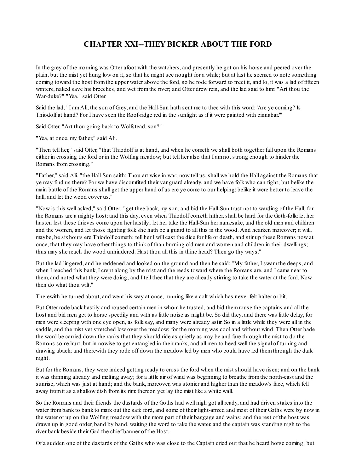# **CHAPTER XXI--THEY BICKER ABOUT THE FORD**

In the grey of the morning was Otter afoot with the watchers, and presently he got on his horse and peered over the plain, but the mist yet hung low on it, so that he might see nought for a while; but at last he seemed to note something coming toward the host fromthe upper water above the ford, so he rode forward to meet it, and lo, it was a lad of fifteen winters, naked save his breeches, and wet from the river; and Otter drew rein, and the lad said to him: "Art thou the War-duke?" "Yea," said Otter.

Said the lad, "I amAli, the son of Grey, and the Hall-Sun hath sent me to thee with this word: 'Are ye coming? Is Thiodolf at hand? For I have seen the Roof-ridge red in the sunlight as if it were painted with cinnabar.'"

Said Otter, "Art thou going back to Wolfstead, son?"

"Yea, at once, my father," said Ali.

"Then tell her," said Otter, "that Thiodolf is at hand, and when he cometh we shall both together fall upon the Romans either in crossing the ford or in the Wolfing meadow; but tell her also that I amnot strong enough to hinder the Romans fromcrossing."

"Father," said Ali, "the Hall-Sun saith: Thou art wise in war; now tell us, shall we hold the Hall against the Romans that ye may find us there? For we have discomfited their vanguard already, and we have folk who can fight; but belike the main battle of the Romans shall get the upper hand of us ere ye come to our helping: belike it were better to leave the hall, and let the wood cover us."

"Now is this well asked," said Otter; "get thee back, my son, and bid the Hall-Sun trust not to warding of the Hall, for the Romans are a mighty host: and this day, even when Thiodolf cometh hither, shall be hard for the Goth-folk: let her hasten lest these thieves come upon her hastily; let her take the Hall-Sun her namesake, and the old men and children and the women, and let those fighting folk she hath be a guard to all this in the wood. And hearken moreover; it will, maybe, be sixhours ere Thiodolf cometh; tell her I will cast the dice for life or death, and stir up these Romans now at once, that they may have other things to think of than burning old men and women and children in their dwellings; thus may she reach the wood unhindered. Hast thou all this in thine head? Then go thy ways."

But the lad lingered, and he reddened and looked on the ground and then he said: "My father, I swamthe deeps, and when I reached this bank, I crept along by the mist and the reeds toward where the Romans are, and I came near to them, and noted what they were doing; and I tell thee that they are already stirring to take the water at the ford. Now then do what thou wilt."

Therewith he turned about, and went his way at once, running like a colt which has never felt halter or bit.

But Otter rode back hastily and roused certain men in whomhe trusted, and bid themrouse the captains and all the host and bid men get to horse speedily and with as little noise as might be. So did they, and there was little delay, for men were sleeping with one eye open, as folk say, and many were already astir. So in a little while they were all in the saddle, and the mist yet stretched low over the meadow; for the morning was cool and without wind. Then Otter bade the word be carried down the ranks that they should ride as quietly as may be and fare through the mist to do the Romans some hurt, but in nowise to get entangled in their ranks, and all men to heed well the signal of turning and drawing aback; and therewith they rode off down the meadow led by men who could have led themthrough the dark night.

But for the Romans, they were indeed getting ready to cross the ford when the mist should have risen; and on the bank it was thinning already and melting away; for a little air of wind was beginning to breathe fromthe north-east and the sunrise, which was just at hand; and the bank, moreover, was stonier and higher than the meadow's face, which fell away fromit as a shallow dish fromits rim: thereon yet lay the mist like a white wall.

So the Romans and their friends the dastards of the Goths had well nigh got all ready, and had driven stakes into the water frombank to bank to mark out the safe ford, and some of their light-armed and most of their Goths were by now in the water or up on the Wolfing meadow with the more part of their baggage and wains; and the rest of the host was drawn up in good order, band by band, waiting the word to take the water, and the captain was standing nigh to the river bank beside their God the chief banner of the Host.

Of a sudden one of the dastards of the Goths who was close to the Captain cried out that he heard horse coming; but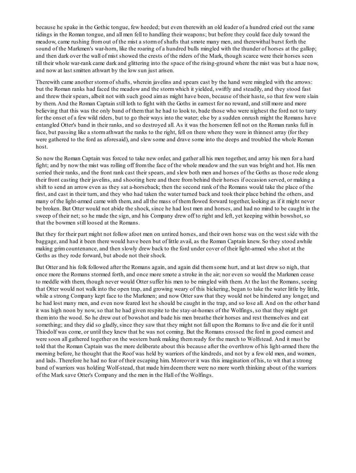because he spake in the Gothic tongue, few heeded; but even therewith an old leader of a hundred cried out the same tidings in the Roman tongue, and all men fell to handling their weapons; but before they could face duly toward the meadow, came rushing fromout of the mist a stormof shafts that smote many men, and therewithal burst forth the sound of the Markmen's war-horn, like the roaring of a hundred bulls mingled with the thunder of horses at the gallop; and then dark over the wall of mist showed the crests of the riders of the Mark, though scarce were their horses seen till their whole war-rank came dark and glittering into the space of the rising-ground where the mist was but a haze now, and now at last smitten athwart by the low sun just arisen.

Therewith came another stormof shafts, wherein javelins and spears cast by the hand were mingled with the arrows: but the Roman ranks had faced the meadow and the stormwhich it yielded, swiftly and steadily, and they stood fast and threw their spears, albeit not with such good aimas might have been, because of their haste, so that few were slain by them. And the Roman Captain still loth to fight with the Goths in earnest for no reward, and still more and more believing that this was the only band of themthat he had to look to, bade those who were nighest the ford not to tarry for the onset of a few wild riders, but to go their ways into the water; else by a sudden onrush might the Romans have entangled Otter's band in their ranks, and so destroyed all. As it was the horsemen fell not on the Roman ranks full in face, but passing like a stormathwart the ranks to the right, fell on there where they were in thinnest array (for they were gathered to the ford as aforesaid), and slew some and drave some into the deeps and troubled the whole Roman host.

So now the Roman Captain was forced to take new order, and gather all his men together, and array his men for a hard fight; and by now the mist was rolling off fromthe face of the whole meadow and the sun was bright and hot. His men serried their ranks, and the front rank cast their spears, and slew both men and horses of the Goths as those rode along their front casting their javelins, and shooting here and there frombehind their horses if occasion served, or making a shift to send an arrow even as they sat a-horseback; then the second rank of the Romans would take the place of the first, and cast in their turn, and they who had taken the water turned back and took their place behind the others, and many of the light-armed came with them, and all the mass of themflowed forward together, looking as if it might never be broken. But Otter would not abide the shock, since he had lost men and horses, and had no mind to be caught in the sweep of their net; so he made the sign, and his Company drew off to right and left, yet keeping within bowshot, so that the bowmen still loosed at the Romans.

But they for their part might not follow afoot men on untired horses, and their own horse was on the west side with the baggage, and had it been there would have been but of little avail, as the Roman Captain knew. So they stood awhile making grimcountenance, and then slowly drew back to the ford under cover of their light-armed who shot at the Goths as they rode forward, but abode not their shock.

But Otter and his folk followed after the Romans again, and again did themsome hurt, and at last drew so nigh, that once more the Romans stormed forth, and once more smote a stroke in the air; nor even so would the Markmen cease to meddle with them, though never would Otter suffer his men to be mingled with them. At the last the Romans, seeing that Otter would not walk into the open trap, and growing weary of this bickering, began to take the water little by little, while a strong Company kept face to the Markmen; and now Otter saw that they would not be hindered any longer, and he had lost many men, and even now feared lest he should be caught in the trap, and so lose all. And on the other hand it was high noon by now, so that he had given respite to the stay-at-homes of the Wolfings, so that they might get theminto the wood. So he drew out of bowshot and bade his men breathe their horses and rest themselves and eat something; and they did so gladly, since they saw that they might not fall upon the Romans to live and die for it until Thiodolf was come, or until they knew that he was not coming. But the Romans crossed the ford in good earnest and were soon all gathered together on the western bank making themready for the march to Wolfstead. And it must be told that the Roman Captain was the more deliberate about this because after the overthrow of his light-armed there the morning before, he thought that the Roof was held by warriors of the kindreds, and not by a few old men, and women, and lads. Therefore he had no fear of their escaping him. Moreover it was this imagination of his, to wit that a strong band of warriors was holding Wolf-stead, that made himdeemthere were no more worth thinking about of the warriors of the Mark save Otter's Company and the men in the Hall of the Wolfings.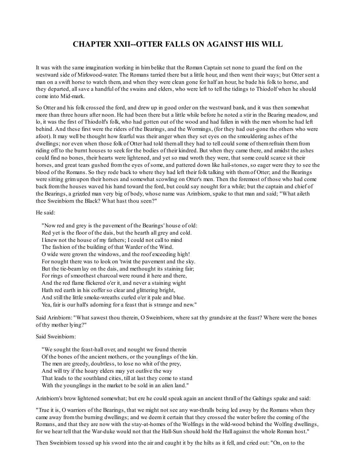## **CHAPTER XXII--OTTER FALLS ON AGAINST HIS WILL**

It was with the same imagination working in himbelike that the Roman Captain set none to guard the ford on the westward side of Mirkwood-water. The Romans tarried there but a little hour, and then went their ways; but Otter sent a man on a swift horse to watch them, and when they were clean gone for half an hour, he bade his folk to horse, and they departed, allsave a handful of the swains and elders, who were left to tell the tidings to Thiodolf when he should come into Mid-mark.

So Otter and his folk crossed the ford, and drew up in good order on the westward bank, and it was then somewhat more than three hours after noon. He had been there but a little while before he noted a stir in the Bearing meadow, and lo, it was the first of Thiodolf's folk, who had gotten out of the wood and had fallen in with the men whomhe had left behind. And these first were the riders of the Bearings, and the Wormings, (for they had out-gone the others who were afoot). It may well be thought how fearful was their anger when they set eyes on the smouldering ashes of the dwellings; nor even when those folk of Otter had told themall they had to tell could some of themrefrain themfrom riding off to the burnt houses to seek for the bodies of their kindred. But when they came there, and amidst the ashes could find no bones, their hearts were lightened, and yet so mad wroth they were, that some could scarce sit their horses, and great tears gushed fromthe eyes of some, and pattered down like hail-stones, so eager were they to see the blood of the Romans. So they rode back to where they had left their folk talking with themof Otter; and the Bearings were sitting grimupon their horses and somewhat scowling on Otter's men. Then the foremost of those who had come back fromthe houses waved his hand toward the ford, but could say nought for a while; but the captain and chief of the Bearings, a grizzled man very big of body, whose name was Arinbiorn, spake to that man and said; "What aileth thee Sweinbiorn the Black? What hast thou seen?"

#### He said:

"Now red and grey is the pavement of the Bearings' house of old: Red yet is the floor of the dais, but the hearth all grey and cold. I knew not the house of my fathers; I could not call to mind The fashion of the building of that Warder of the Wind. O wide were grown the windows, and the roof exceeding high! For nought there was to look on 'twixt the pavement and the sky. But the tie-beamlay on the dais, and methought its staining fair; For rings of smoothest charcoal were round it here and there, And the red flame flickered o'er it, and never a staining wight Hath red earth in his coffer so clear and glittering bright, And still the little smoke-wreaths curled o'er it pale and blue. Yea, fair is our hall's adorning for a feast that is strange and new."

Said Arinbiorn: "What sawest thou therein, O Sweinbiorn, where sat thy grandsire at the feast? Where were the bones of thy mother lying?"

#### Said Sweinbiorn:

"We sought the feast-hall over, and nought we found therein Of the bones of the ancient mothers, or the younglings of the kin. The men are greedy, doubtless, to lose no whit of the prey, And will try if the hoary elders may yet outlive the way That leads to the southland cities, till at last they come to stand With the younglings in the market to be sold in an alien land."

Arinbiorn's brow lightened somewhat; but ere he could speak again an ancient thrall of the Galtings spake and said:

"True it is, O warriors of the Bearings, that we might not see any war-thralls being led away by the Romans when they came away fromthe burning dwellings; and we deemit certain that they crossed the water before the coming of the Romans, and that they are now with the stay-at-homes of the Wolfings in the wild-wood behind the Wolfing dwellings, for we hear tell that the War-duke would not that the Hall-Sun should hold the Hall against the whole Roman host."

Then Sweinbiorn tossed up his sword into the air and caught it by the hilts as it fell, and cried out: "On, on to the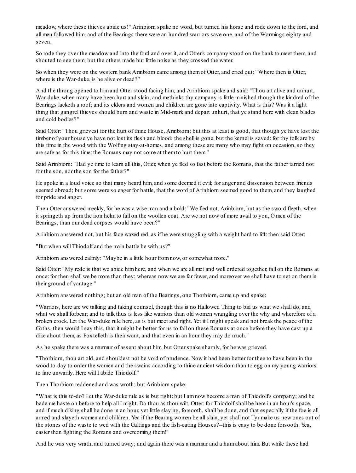meadow, where these thieves abide us!" Arinbiorn spake no word, but turned his horse and rode down to the ford, and all men followed him; and of the Bearings there were an hundred warriors save one, and of the Wormings eighty and seven.

So rode they over the meadow and into the ford and over it, and Otter's company stood on the bank to meet them, and shouted to see them; but the others made but little noise as they crossed the water.

So when they were on the western bank Arinbiorn came among themof Otter, and cried out: "Where then is Otter, where is the War-duke, is he alive or dead?"

And the throng opened to himand Otter stood facing him; and Arinbiorn spake and said: "Thou art alive and unhurt, War-duke, when many have been hurt and slain; and methinks thy company is little minished though the kindred of the Bearings lacketh a roof; and its elders and women and children are gone into captivity. What is this? Was it a light thing that gangrel thieves should burn and waste in Mid-mark and depart unhurt, that ye stand here with clean blades and cold bodies?"

Said Otter: "Thou grievest for the hurt of thine House, Arinbiorn; but this at least is good, that though ye have lost the timber of your house ye have not lost its flesh and blood; the shell is gone, but the kernel is saved: for thy folk are by this time in the wood with the Wolfing stay-at-homes, and among these are many who may fight on occasion, so they are safe as for this time: the Romans may not come at them to hurt them."

Said Arinbiorn: "Had ye time to learn all this, Otter, when ye fled so fast before the Romans, that the father tarried not for the son, nor the son for the father?"

He spoke in a loud voice so that many heard him, and some deemed it evil; for anger and dissension between friends seemed abroad; but some were so eager for battle, that the word of Arinbiorn seemed good to them, and they laughed for pride and anger.

Then Otter answered meekly, for he was a wise man and a bold: "We fled not, Arinbiorn, but as the sword fleeth, when it springeth up fromthe iron helmto fall on the woollen coat. Are we not now of more avail to you, O men of the Bearings, than our dead corpses would have been?"

Arinbiorn answered not, but his face waxed red, as if he were struggling with a weight hard to lift: then said Otter:

"But when will Thiodolf and the main battle be with us?"

Arinbiorn answered calmly: "Maybe in a little hour fromnow, or somewhat more."

Said Otter: "My rede is that we abide himhere, and when we are all met and well ordered together, fall on the Romans at once: for then shall we be more than they; whereas now we are far fewer, and moreover we shall have to set on themin their ground of vantage."

Arinbiorn answered nothing; but an old man of the Bearings, one Thorbiorn, came up and spake:

"Warriors, here are we talking and taking counsel, though this is no Hallowed Thing to bid us what we shall do, and what we shall forbear; and to talk thus is less like warriors than old women wrangling over the why and wherefore of a broken crock. Let the War-duke rule here, as is but meet and right. Yet if I might speak and not break the peace of the Goths, then would I say this, that it might be better for us to fall on these Romans at once before they have cast up a dike about them, as Foxtelleth is their wont, and that even in an hour they may do much."

As he spake there was a murmur of assent about him, but Otter spake sharply, for he was grieved.

"Thorbiorn, thou art old, and shouldest not be void of prudence. Now it had been better for thee to have been in the wood to-day to order the women and the swains according to thine ancient wisdomthan to egg on my young warriors to fare unwarily. Here will I abide Thiodolf."

Then Thorbiorn reddened and was wroth; but Arinbiorn spake:

"What is this to-do? Let the War-duke rule as is but right: but I amnow become a man of Thiodolf's company; and he bade me haste on before to help all I might. Do thou as thou wilt, Otter: for Thiodolf shall be here in an hour's space, and if much diking shall be done in an hour, yet little slaying, forsooth, shall be done, and that especially if the foe is all armed and slayeth women and children. Yea if the Bearing women be allslain, yet shall not Tyr make us new ones out of the stones of the waste to wed with the Galtings and the fish-eating Houses?--this is easy to be done forsooth. Yea, easier than fighting the Romans and overcoming them!"

And he was very wrath, and turned away; and again there was a murmur and a humabout him. But while these had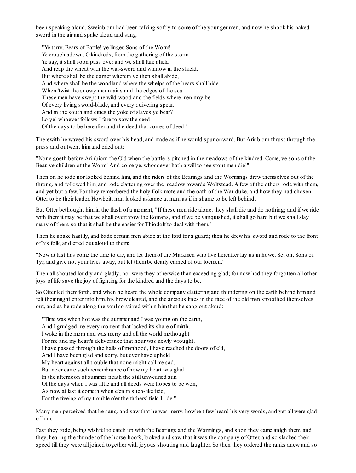been speaking aloud, Sweinbiorn had been talking softly to some of the younger men, and now he shook his naked sword in the air and spake aloud and sang:

"Ye tarry, Bears of Battle! ye linger, Sons of the Worm! Ye crouch adown, O kindreds, fromthe gathering of the storm! Ye say, it shall soon pass over and we shall fare afield And reap the wheat with the war-sword and winnow in the shield. But where shall be the corner wherein ye then shall abide, And where shall be the woodland where the whelps of the bears shall hide When 'twixt the snowy mountains and the edges of the sea These men have swept the wild-wood and the fields where men may be Of every living sword-blade, and every quivering spear, And in the southland cities the yoke of slaves ye bear? Lo ye! whoever follows I fare to sow the seed Of the days to be hereafter and the deed that comes of deed."

Therewith he waved his sword over his head, and made as if he would spur onward. But Arinbiorn thrust through the press and outwent himand cried out:

"None goeth before Arinbiorn the Old when the battle is pitched in the meadows of the kindred. Come, ye sons of the Bear, ye children of the Worm! And come ye, whosoever hath a will to see stout men die!"

Then on he rode nor looked behind him, and the riders of the Bearings and the Wormings drew themselves out of the throng, and followed him, and rode clattering over the meadow towards Wolfstead. A few of the others rode with them, and yet but a few. For they remembered the holy Folk-mote and the oath of the War-duke, and how they had chosen Otter to be their leader. Howbeit, man looked askance at man, as if in shame to be left behind.

But Otter bethought himin the flash of a moment, "If these men ride alone, they shall die and do nothing; and if we ride with them it may be that we shall overthrow the Romans, and if we be vanguished, it shall go hard but we shall slay many of them, so that it shall be the easier for Thiodolf to deal with them."

Then he spake hastily, and bade certain men abide at the ford for a guard; then he drew his sword and rode to the front of his folk, and cried out aloud to them:

"Now at last has come the time to die, and let themof the Markmen who live hereafter lay us in howe. Set on, Sons of Tyr, and give not your lives away, but let thembe dearly earned of our foemen."

Then all shouted loudly and gladly; nor were they otherwise than exceeding glad; for now had they forgotten all other joys of life save the joy of fighting for the kindred and the days to be.

So Otter led themforth, and when he heard the whole company clattering and thundering on the earth behind himand felt their might enter into him, his brow cleared, and the anxious lines in the face of the old man smoothed themselves out, and as he rode along the soulso stirred within himthat he sang out aloud:

"Time was when hot was the summer and I was young on the earth, And I grudged me every moment that lacked its share of mirth. I woke in the morn and was merry and all the world methought For me and my heart's deliverance that hour was newly wrought. I have passed through the halls of manhood, I have reached the doors of eld, And I have been glad and sorry, but ever have upheld My heart against all trouble that none might call me sad, But ne'er came such remembrance of how my heart was glad In the afternoon of summer 'neath the still unwearied sun Of the days when I was little and all deeds were hopes to be won, As now at last it cometh when e'en in such-like tide, For the freeing of my trouble o'er the fathers' field I ride."

Many men perceived that he sang, and saw that he was merry, howbeit few heard his very words, and yet all were glad of him.

Fast they rode, being wishful to catch up with the Bearings and the Wormings, and soon they came anigh them, and they, hearing the thunder of the horse-hoofs, looked and saw that it was the company of Otter, and so slacked their speed till they were all joined together with joyous shouting and laughter. So then they ordered the ranks anew and so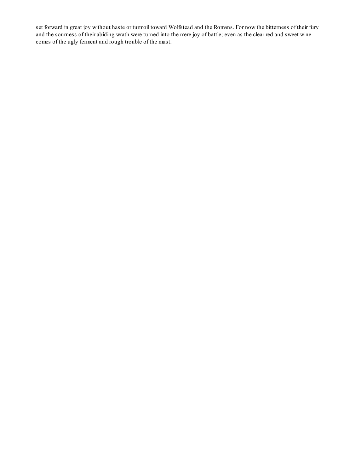set forward in great joy without haste or turmoil toward Wolfstead and the Romans. For now the bitterness of their fury and the sourness of their abiding wrath were turned into the mere joy of battle; even as the clear red and sweet wine comes of the ugly ferment and rough trouble of the must.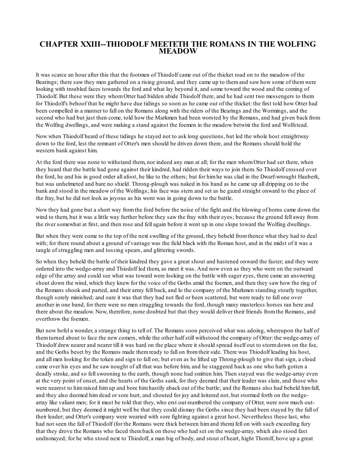### **CHAPTER XXIII--THIODOLF MEETETH THE ROMANS IN THE WOLFING MEADOW**

It was scarce an hour after this that the footmen of Thiodolf came out of the thicket road on to the meadow of the Bearings; there saw they men gathered on a rising ground, and they came up to themand saw how some of themwere looking with troubled faces towards the ford and what lay beyond it, and some toward the wood and the coming of Thiodolf. But these were they whomOtter had bidden abide Thiodolf there, and he had sent two messengers to them for Thiodolf's behoof that he might have due tidings so soon as he came out of the thicket: the first told how Otter had been compelled in a manner to fall on the Romans along with the riders of the Bearings and the Wormings, and the second who had but just then come, told how the Markmen had been worsted by the Romans, and had given back from the Wolfing dwellings, and were making a stand against the foemen in the meadow betwixt the ford and Wolfstead.

Now when Thiodolf heard of these tidings he stayed not to ask long questions, but led the whole host straightway down to the ford, lest the remnant of Otter's men should be driven down there, and the Romans should hold the western bank against him.

At the ford there was none to withstand them, nor indeed any man at all; for the men whomOtter had set there, when they heard that the battle had gone against their kindred, had ridden their ways to join them. So Thiodolf crossed over the ford, he and his in good order all afoot, he like to the others; but for himhe was clad in the Dwarf-wrought Hauberk, but was unhelmeted and bare no shield. Throng-plough was naked in his hand as he came up all dripping on to the bank and stood in the meadow of the Wolfings; his face was stern and set as he gazed straight onward to the place of the fray, but he did not look as joyous as his wont was in going down to the battle.

Now they had gone but a short way fromthe ford before the noise of the fight and the blowing of horns came down the wind to them, but it was a little way further before they saw the fray with their eyes; because the ground fell away from the river somewhat at first, and then rose and fell again before it went up in one slope toward the Wolfing dwellings.

But when they were come to the top of the next swelling of the ground, they beheld fromthence what they had to deal with; for there round about a ground of vantage was the field black with the Roman host, and in the midst of it was a tangle of struggling men and tossing spears, and glittering swords.

So when they beheld the battle of their kindred they gave a great shout and hastened onward the faster; and they were ordered into the wedge-array and Thiodolf led them, as meet it was. And now even as they who were on the outward edge of the array and could see what was toward were looking on the battle with eager eyes, there came an answering shout down the wind, which they knew for the voice of the Goths amid the foemen, and then they saw how the ring of the Romans shook and parted, and their array fell back, and lo the company of the Markmen standing stoutly together, though sorely minished; and sure it was that they had not fled or been scattered, but were ready to fall one over another in one band, for there were no men straggling towards the ford, though many masterless horses ran here and there about the meadow. Now, therefore, none doubted but that they would deliver their friends fromthe Romans, and overthrow the foemen.

But now befel a wonder, a strange thing to tell of. The Romans soon perceived what was adoing, whereupon the half of themturned about to face the new comers, while the other half still withstood the company of Otter: the wedge-array of Thiodolf drew nearer and nearer till it was hard on the place where it should spread itself out to stormdown on the foe, and the Goths beset by the Romans made themready to fall on fromtheir side. There was Thiodolf leading his host, and all men looking for the token and sign to fall on; but even as he lifted up Throng-plough to give that sign, a cloud came over his eyes and he saw nought of all that was before him, and he staggered back as one who hath gotten a deadly stroke, and so fellswooning to the earth, though none had smitten him. Then stayed was the wedge-array even at the very point of onset, and the hearts of the Goths sank, for they deemed that their leader was slain, and those who were nearest to himraised himup and bore himhastily aback out of the battle; and the Romans also had beheld himfall, and they also deemed himdead or sore hurt, and shouted for joy and loitered not, but stormed forth on the wedgearray like valiant men; for it must be told that they, who erst out-numbered the company of Otter, were now much outnumbered, but they deemed it might well be that they could dismay the Goths since they had been stayed by the fall of their leader; and Otter's company were wearied with sore fighting against a great host. Nevertheless these last, who had not seen the fall of Thiodolf (for the Romans were thick between himand them) fell on with such exceeding fury that they drove the Romans who faced themback on those who had set on the wedge-array, which also stood fast undismayed; for he who stood next to Thiodolf, a man big of body, and stout of heart, hight Thorolf, hove up a great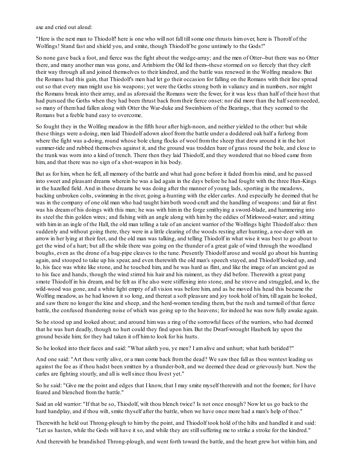axe and cried out aloud:

"Here is the next man to Thiodolf! here is one who will not fall tillsome one thrusts himover, here is Thorolf of the Wolfings! Stand fast and shield you, and smite, though Thiodolf be gone untimely to the Gods!"

So none gave back a foot, and fierce was the fight about the wedge-array; and the men of Otter--but there was no Otter there, and many another man was gone, and Arinbiorn the Old led them--these stormed on so fiercely that they cleft their way through all and joined themselves to their kindred, and the battle was renewed in the Wolfing meadow. But the Romans had this gain, that Thiodolf's men had let go their occasion for falling on the Romans with their line spread out so that every man might use his weapons; yet were the Goths strong both in valiancy and in numbers, nor might the Romans break into their array, and as aforesaid the Romans were the fewer, for it was less than half of their host that had pursued the Goths when they had been thrust back from their fierce onset: nor did more than the half seem needed, so many of themhad fallen along with Otter the War-duke and Sweinbiorn of the Bearings, that they seemed to the Romans but a feeble band easy to overcome.

So fought they in the Wolfing meadow in the fifth hour after high-noon, and neither yielded to the other: but while these things were a-doing, men laid Thiodolf adown aloof fromthe battle under a doddered oak half a furlong from where the fight was a-doing, round whose bole clung flocks of wool from the sheep that drew around it in the hot summer-tide and rubbed themselves against it, and the ground was trodden bare of grass round the bole, and close to the trunk was worn into a kind of trench. There then they laid Thiodolf, and they wondered that no blood came from him, and that there was no sign of a shot-weapon in his body.

But as for him, when he fell, all memory of the battle and what had gone before it faded fromhis mind, and he passed into sweet and pleasant dreams wherein he was a lad again in the days before he had fought with the three Hun-Kings in the hazelled field. And in these dreams he was doing after the manner of young lads, sporting in the meadows, backing unbroken colts, swimming in the river, going a-hunting with the elder carles. And especially he deemed that he was in the company of one old man who had taught himboth wood-craft and the handling of weapons: and fair at first was his dreamof his doings with this man; he was with himin the forge smithying a sword-blade, and hammering into its steel the thin golden wires; and fishing with an angle along with himby the eddies of Mirkwood-water; and sitting with him in an ingle of the Hall, the old man telling a tale of an ancient warrior of the Wolfings hight Thiodolf also: then suddenly and without going there, they were in a little clearing of the woods resting after hunting, a roe-deer with an arrow in her lying at their feet, and the old man was talking, and telling Thiodolf in what wise it was best to go about to get the wind of a hart; but all the while there was going on the thunder of a great gale of wind through the woodland boughs, even as the drone of a bag-pipe cleaves to the tune. Presently Thiodolf arose and would go about his hunting again, and stooped to take up his spear, and even therewith the old man's speech stayed, and Thiodolf looked up, and lo, his face was white like stone, and he touched him, and he was hard as flint, and like the image of an ancient god as to his face and hands, though the wind stirred his hair and his raiment, as they did before. Therewith a great pang smote Thiodolf in his dream, and he felt as if he also were stiffening into stone, and he strove and struggled, and lo, the wild-wood was gone, and a white light empty of all vision was before him, and as he moved his head this became the Wolfing meadow, as he had known it so long, and thereat a soft pleasure and joy took hold of him, till again he looked, and saw there no longer the kine and sheep, and the herd-women tending them, but the rush and turmoil of that fierce battle, the confused thundering noise of which was going up to the heavens; for indeed he was now fully awake again.

So he stood up and looked about; and around himwas a ring of the sorrowful faces of the warriors, who had deemed that he was hurt deadly, though no hurt could they find upon him. But the Dwarf-wrought Hauberk lay upon the ground beside him; for they had taken it off himto look for his hurts.

So he looked into their faces and said: "What aileth you, ye men? I amalive and unhurt; what hath betided?"

And one said: "Art thou verily alive, or a man come back fromthe dead? We saw thee fall as thou wentest leading us against the foe as if thou hadst been smitten by a thunder-bolt, and we deemed thee dead or grievously hurt. Now the carles are fighting stoutly, and all is wellsince thou livest yet."

So he said: "Give me the point and edges that I know, that I may smite myself therewith and not the foemen; for I have feared and blenched fromthe battle."

Said an old warrior: "If that be so, Thiodolf, wilt thou blench twice? Is not once enough? Now let us go back to the hard handplay, and if thou wilt, smite thyself after the battle, when we have once more had a man's help of thee."

Therewith he held out Throng-plough to himby the point, and Thiodolf took hold of the hilts and handled it and said: "Let us hasten, while the Gods will have it so, and while they are stillsuffering me to strike a stroke for the kindred."

And therewith he brandished Throng-plough, and went forth toward the battle, and the heart grew hot within him, and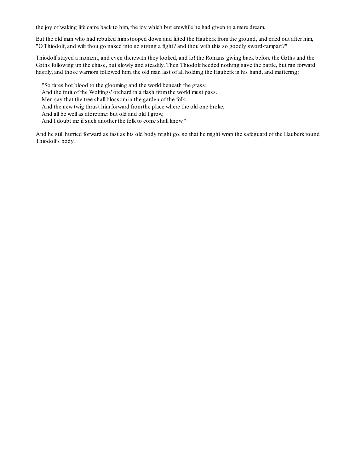the joy of waking life came back to him, the joy which but erewhile he had given to a mere dream.

But the old man who had rebuked himstooped down and lifted the Hauberk fromthe ground, and cried out after him, "O Thiodolf, and wilt thou go naked into so strong a fight? and thou with this so goodly sword-rampart?"

Thiodolf stayed a moment, and even therewith they looked, and lo! the Romans giving back before the Goths and the Goths following up the chase, but slowly and steadily. Then Thiodolf heeded nothing save the battle, but ran forward hastily, and those warriors followed him, the old man last of all holding the Hauberk in his hand, and muttering:

"So fares hot blood to the glooming and the world beneath the grass;

And the fruit of the Wolfings' orchard in a flash fromthe world must pass.

Men say that the tree shall blossomin the garden of the folk,

And the new twig thrust himforward fromthe place where the old one broke,

And all be well as aforetime: but old and old I grow,

And I doubt me if such another the folk to come shall know."

And he still hurried forward as fast as his old body might go, so that he might wrap the safeguard of the Hauberk round Thiodolf's body.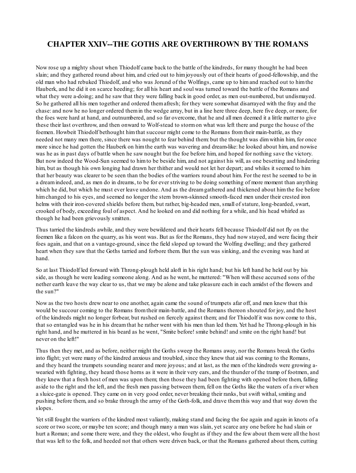# **CHAPTER XXIV--THE GOTHS ARE OVERTHROWN BY THE ROMANS**

Now rose up a mighty shout when Thiodolf came back to the battle of the kindreds, for many thought he had been slain; and they gathered round about him, and cried out to himjoyously out of their hearts of good-fellowship, and the old man who had rebuked Thiodolf, and who was Jorund of the Wolfings, came up to himand reached out to himthe Hauberk, and he did it on scarce heeding; for all his heart and soul was turned toward the battle of the Romans and what they were a-doing; and he saw that they were falling back in good order, as men out-numbered, but undismayed. So he gathered all his men together and ordered themafresh; for they were somewhat disarrayed with the fray and the chase: and now he no longer ordered themin the wedge array, but in a line here three deep, here five deep, or more, for the foes were hard at hand, and outnumbered, and so far overcome, that he and all men deemed it a little matter to give these their last overthrow, and then onward to Wolf-stead to stormon what was left there and purge the house of the foemen. Howbeit Thiodolf bethought himthat succour might come to the Romans fromtheir main-battle, as they needed not many men there, since there was nought to fear behind them: but the thought was dimwithin him, for once more since he had gotten the Hauberk on himthe earth was wavering and dream-like: he looked about him, and nowise was he as in past days of battle when he saw nought but the foe before him, and hoped for nothing save the victory. But now indeed the Wood-Sun seemed to himto be beside him, and not against his will, as one besetting and hindering him, but as though his own longing had drawn her thither and would not let her depart; and whiles it seemed to him that her beauty was clearer to be seen than the bodies of the warriors round about him. For the rest he seemed to be in a dreamindeed, and, as men do in dreams, to be for ever striving to be doing something of more moment than anything which he did, but which he must ever leave undone. And as the dreamgathered and thickened about himthe foe before himchanged to his eyes, and seemed no longer the stern brown-skinned smooth-faced men under their crested iron helms with their iron-covered shields before them, but rather, big-headed men, small of stature, long-bearded, swart, crooked of body, exceeding foul of aspect. And he looked on and did nothing for a while, and his head whirled as though he had been grievously smitten.

Thus tarried the kindreds awhile, and they were bewildered and their hearts fell because Thiodolf did not fly on the foemen like a falcon on the quarry, as his wont was. But as for the Romans, they had now stayed, and were facing their foes again, and that on a vantage-ground, since the field sloped up toward the Wolfing dwelling; and they gathered heart when they saw that the Goths tarried and forbore them. But the sun was sinking, and the evening was hard at hand.

So at last Thiodolf led forward with Throng-plough held aloft in his right hand; but his left hand he held out by his side, as though he were leading someone along. And as he went, he muttered: "When will these accursed sons of the nether earth leave the way clear to us, that we may be alone and take pleasure each in each amidst of the flowers and the sun?"

Now as the two hosts drew near to one another, again came the sound of trumpets afar off, and men knew that this would be succour coming to the Romans fromtheir main-battle, and the Romans thereon shouted for joy, and the host of the kindreds might no longer forbear, but rushed on fiercely against them; and for Thiodolf it was now come to this, that so entangled was he in his dreamthat he rather went with his men than led them. Yet had he Throng-plough in his right hand, and he muttered in his beard as he went, "Smite before! smite behind! and smite on the right hand! but never on the left!"

Thus then they met, and as before, neither might the Goths sweep the Romans away, nor the Romans break the Goths into flight; yet were many of the kindred anxious and troubled, since they knew that aid was coming to the Romans, and they heard the trumpets sounding nearer and more joyous; and at last, as the men of the kindreds were growing awearied with fighting, they heard those horns as it were in their very ears, and the thunder of the tramp of footmen, and they knew that a fresh host of men was upon them; then those they had been fighting with opened before them, falling aside to the right and the left, and the fresh men passing between them, fell on the Goths like the waters of a river when a sluice-gate is opened. They came on in very good order, never breaking their ranks, but swift withal, smiting and pushing before them, and so brake through the array of the Goth-folk, and drave themthis way and that way down the slopes.

Yet still fought the warriors of the kindred most valiantly, making stand and facing the foe again and again in knots of a score or two score, or maybe ten score; and though many a man was slain, yet scarce any one before he had slain or hurt a Roman; and some there were, and they the oldest, who fought as if they and the few about themwere all the host that was left to the folk, and heeded not that others were driven back, or that the Romans gathered about them, cutting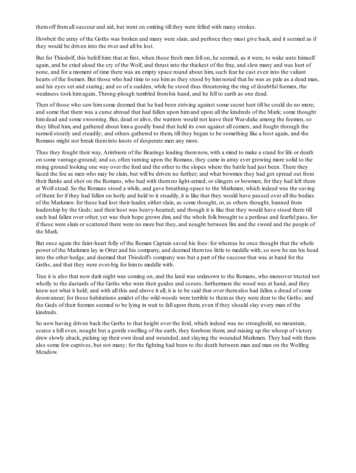themoff fromallsuccour and aid, but went on smiting till they were felled with many strokes.

Howbeit the array of the Goths was broken and many were slain, and perforce they must give back, and it seemed as if they would be driven into the river and all be lost.

But for Thiodolf, this befell him: that at first, when those fresh men fell on, he seemed, as it were, to wake unto himself again, and he cried aloud the cry of the Wolf, and thrust into the thickest of the fray, and slew many and was hurt of none, and for a moment of time there was an empty space round about him, such fear he cast even into the valiant hearts of the foemen. But those who had time to see himas they stood by himnoted that he was as pale as a dead man, and his eyes set and staring; and so of a sudden, while he stood thus threatening the ring of doubtful foemen, the weakness took himagain, Throng-plough tumbled fromhis hand, and he fell to earth as one dead.

Then of those who saw himsome deemed that he had been striving against some secret hurt till he could do no more; and some that there was a curse abroad that had fallen upon himand upon all the kindreds of the Mark; some thought himdead and some swooning. But, dead or alive, the warriors would not leave their War-duke among the foemen, so they lifted him, and gathered about hima goodly band that held its own against all comers, and fought through the turmoil stoutly and steadily; and others gathered to them, till they began to be something like a host again, and the Romans might not break theminto knots of desperate men any more.

Thus they fought their way, Arinbiorn of the Bearings leading themnow, with a mind to make a stand for life or death on some vantage-ground; and so, often turning upon the Romans, they came in array ever growing more solid to the rising ground looking one way over the ford and the other to the slopes where the battle had just been. There they faced the foe as men who may be slain, but will be driven no further; and what bowmen they had got spread out from their flanks and shot on the Romans, who had with themno light-armed, or slingers or bowmen, for they had left them at Wolf-stead. So the Romans stood a while, and gave breathing-space to the Markmen, which indeed was the saving of them: for if they had fallen on hotly and held to it steadily, it is like that they would have passed over all the bodies of the Markmen: for these had lost their leader, either slain, as some thought, or, as others thought, banned from leadership by the Gods; and their host was heavy-hearted; and though it is like that they would have stood there till each had fallen over other, yet was their hope grown dim, and the whole folk brought to a perilous and fearful pass, for if these were slain or scattered there were no more but they, and nought between fire and the sword and the people of the Mark.

But once again the faint-heart folly of the Roman Captain saved his foes: for whereas he once thought that the whole power of the Markmen lay in Otter and his company, and deemed themtoo little to meddle with, so now he ran his head into the other hedge, and deemed that Thiodolf's company was but a part of the succour that was at hand for the Goths, and that they were over-big for himto meddle with.

True it is also that now dark night was coming on, and the land was unknown to the Romans, who moreover trusted not wholly to the dastards of the Goths who were their guides and scouts: furthermore the wood was at hand, and they knew not what it held; and with all this and above it all, it is to be said that over themalso had fallen a dread of some doomanear; for those habitations amidst of the wild-woods were terrible to themas they were dear to the Goths; and the Gods of their foemen seemed to be lying in wait to fall upon them, even if they should slay every man of the kindreds.

So now having driven back the Goths to that height over the ford, which indeed was no stronghold, no mountain, scarce a hill even, nought but a gentle swelling of the earth, they forebore them; and raising up the whoop of victory drew slowly aback, picking up their own dead and wounded, and slaying the wounded Markmen. They had with them also some few captives, but not many; for the fighting had been to the death between man and man on the Wolfing Meadow.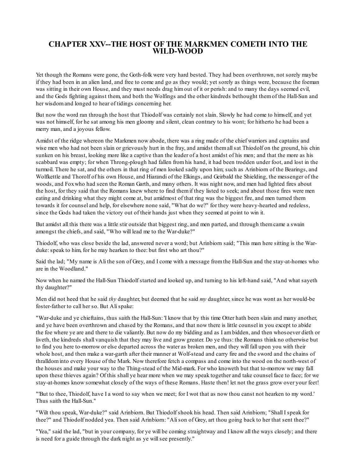### **CHAPTER XXV--THE HOST OF THE MARKMEN COMETH INTO THE WILD-WOOD**

Yet though the Romans were gone, the Goth-folk were very hard bested. They had been overthrown, not sorely maybe if they had been in an alien land, and free to come and go as they would; yet sorely as things were, because the foeman was sitting in their own House, and they must needs drag himout of it or perish: and to many the days seemed evil, and the Gods fighting against them, and both the Wolfings and the other kindreds bethought themof the Hall-Sun and her wisdomand longed to hear of tidings concerning her.

But now the word ran through the host that Thiodolf was certainly not slain. Slowly he had come to himself, and yet was not himself, for he sat among his men gloomy and silent, clean contrary to his wont; for hitherto he had been a merry man, and a joyous fellow.

Amidst of the ridge whereon the Markmen now abode, there was a ring made of the chief warriors and captains and wise men who had not been slain or grievously hurt in the fray, and amidst themallsat Thiodolf on the ground, his chin sunken on his breast, looking more like a captive than the leader of a host amidst of his men; and that the more as his scabbard was empty; for when Throng-plough had fallen fromhis hand, it had been trodden under foot, and lost in the turmoil. There he sat, and the others in that ring of men looked sadly upon him; such as Arinbiorn of the Bearings, and Wolfkettle and Thorolf of his own House, and Hiarandi of the Elkings, and Geirbald the Shielding, the messenger of the woods, and Foxwho had seen the Roman Garth, and many others. It was night now, and men had lighted fires about the host, for they said that the Romans knew where to find themif they listed to seek; and about those fires were men eating and drinking what they might come at, but amidmost of that ring was the biggest fire, and men turned them towards it for counsel and help, for elsewhere none said, "What do we?" for they were heavy-hearted and redeless, since the Gods had taken the victory out of their hands just when they seemed at point to win it.

But amidst all this there was a little stir outside that biggest ring, and men parted, and through themcame a swain amongst the chiefs, and said, "Who will lead me to the War-duke?"

Thiodolf, who was close beside the lad, answered never a word; but Arinbiorn said; "This man here sitting is the Warduke: speak to him, for he may hearken to thee: but first who art thou?"

Said the lad; "My name is Ali the son of Grey, and I come with a message fromthe Hall-Sun and the stay-at-homes who are in the Woodland."

Now when he named the Hall-Sun Thiodolf started and looked up, and turning to his left-hand said, "And what sayeth thy daughter?"

Men did not heed that he said *thy* daughter, but deemed that he said *my* daughter, since he was wont as her would-be foster-father to call her so. But Alispake:

"War-duke and ye chieftains, thus saith the Hall-Sun: 'I know that by this time Otter hath been slain and many another, and ye have been overthrown and chased by the Romans, and that now there is little counsel in you except to abide the foe where ye are and there to die valiantly. But now do my bidding and as I ambidden, and then whosoever dieth or liveth, the kindreds shall vanquish that they may live and grow greater. Do ye thus: the Romans think no otherwise but to find you here to-morrow or else departed across the water as broken men, and they will fall upon you with their whole host, and then make a war-garth after their manner at Wolf-stead and carry fire and the sword and the chains of thralldominto every House of the Mark. Now therefore fetch a compass and come into the wood on the north-west of the houses and make your way to the Thing-stead of the Mid-mark. For who knoweth but that to-morrow we may fall upon these thieves again? Of this shall ye hear more when we may speak together and take counsel face to face; for we stay-at-homes know somewhat closely of the ways of these Romans. Haste then! let not the grass grow over your feet!

"'But to thee, Thiodolf, have I a word to say when we meet; for I wot that as now thou canst not hearken to my word.' Thus saith the Hall-Sun."

"Wilt thou speak, War-duke?" said Arinbiorn. But Thiodolf shook his head. Then said Arinbiorn; "Shall I speak for thee?" and Thiodolf nodded yea. Then said Arinbiorn: "Alison of Grey, art thou going back to her that sent thee?"

"Yea," said the lad, "but in your company, for ye will be coming straightway and I know all the ways closely; and there is need for a guide through the dark night as ye willsee presently."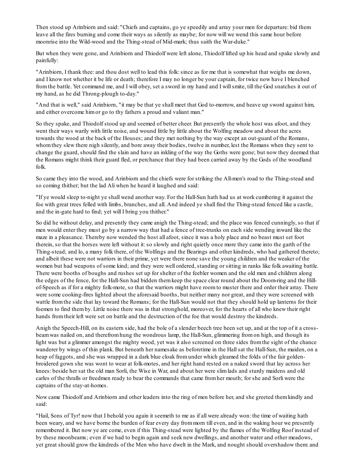Then stood up Arinbiorn and said: "Chiefs and captains, go ye speedily and array your men for departure: bid them leave all the fires burning and come their ways as silently as maybe; for now will we wend this same hour before moonrise into the Wild-wood and the Thing-stead of Mid-mark; thus saith the War-duke."

But when they were gone, and Arinbiorn and Thiodolf were left alone, Thiodolf lifted up his head and spake slowly and painfully:

"Arinbiorn, I thank thee: and thou dost well to lead this folk: since as for me that is somewhat that weighs me down, and I know not whether it be life or death; therefore I may no longer be your captain, for twice now have I blenched fromthe battle. Yet command me, and I will obey, set a sword in my hand and I willsmite, till the God snatches it out of my hand, as he did Throng-plough to-day."

"And that is well," said Arinbiorn, "it may be that ye shall meet that God to-morrow, and heave up sword against him, and either overcome himor go to thy fathers a proud and valiant man."

So they spake, and Thiodolf stood up and seemed of better cheer. But presently the whole host was afoot, and they went their ways warily with little noise, and wound little by little about the Wolfing meadow and about the acres towards the wood at the back of the Houses; and they met nothing by the way except an out-guard of the Romans, whomthey slew there nigh silently, and bore away their bodies, twelve in number, lest the Romans when they sent to change the guard, should find the slain and have an inkling of the way the Goths were gone; but now they deemed that the Romans might think their guard fled, or perchance that they had been carried away by the Gods of the woodland folk.

So came they into the wood, and Arinbiorn and the chiefs were for striking the All-men's road to the Thing-stead and so coming thither; but the lad Ali when he heard it laughed and said:

"If ye would sleep to-night ye shall wend another way. For the Hall-Sun hath had us at work cumbering it against the foe with great trees felled with limbs, branches, and all. And indeed ye shall find the Thing-stead fenced like a castle, and the in-gate hard to find; yet will I bring you thither."

So did he without delay, and presently they came anigh the Thing-stead; and the place was fenced cunningly, so that if men would enter they must go by a narrow way that had a fence of tree-trunks on each side wending inward like the maze in a pleasance. Thereby now wended the host all afoot, since it was a holy place and no beast must set foot therein, so that the horses were left without it:so slowly and right quietly once more they came into the garth of the Thing-stead; and lo, a many folk there, of the Wolfings and the Bearings and other kindreds, who had gathered thereto; and albeit these were not warriors in their prime, yet were there none save the young children and the weaker of the women but had weapons of some kind; and they were well ordered, standing or sitting in ranks like folk awaiting battle. There were booths of boughs and rushes set up for shelter of the feebler women and the old men and children along the edges of the fence, for the Hall-Sun had bidden themkeep the space clear round about the Doom-ring and the Hillof-Speech as if for a mighty folk-mote, so that the warriors might have roomto muster there and order their array. There were some cooking-fires lighted about the aforesaid booths, but neither many nor great, and they were screened with wattle from the side that lay toward the Romans; for the Hall-Sun would not that they should hold up lanterns for their foemen to find themby. Little noise there was in that stronghold, moreover, for the hearts of all who knew their right hands fromtheir left were set on battle and the destruction of the foe that would destroy the kindreds.

Anigh the Speech-Hill, on its eastern side, had the bole of a slender beech tree been set up, and at the top of it a crossbeamwas nailed on, and therefromhung the wondrous lamp, the Hall-Sun, glimmering fromon high, and though its light was but a glimmer amongst the mighty wood, yet was it also screened on three sides fromthe sight of the chance wanderer by wings of thin plank. But beneath her namesake as beforetime in the Hall sat the Hall-Sun, the maiden, on a heap of faggots, and she was wrapped in a dark blue cloak fromunder which gleamed the folds of the fair goldenbroidered gown she was wont to wear at folk-motes, and her right hand rested on a naked sword that lay across her knees: beside her sat the old man Sorli, the Wise in War, and about her were slimlads and sturdy maidens and old carles of the thralls or freedmen ready to bear the commands that came fromher mouth; for she and Sorli were the captains of the stay-at-homes.

Now came Thiodolf and Arinbiorn and other leaders into the ring of men before her, and she greeted themkindly and said:

"Hail, Sons of Tyr! now that I behold you again it seemeth to me as if all were already won: the time of waiting hath been weary, and we have borne the burden of fear every day frommorn till even, and in the waking hour we presently remembered it. But now ye are come, even if this Thing-stead were lighted by the flames of the Wolfing Roof instead of by these moonbeams; even if we had to begin again and seek new dwellings, and another water and other meadows, yet great should grow the kindreds of the Men who have dwelt in the Mark, and nought should overshadow them: and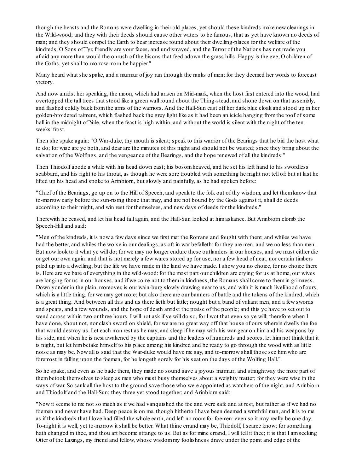though the beasts and the Romans were dwelling in their old places, yet should these kindreds make new clearings in the Wild-wood; and they with their deeds should cause other waters to be famous, that as yet have known no deeds of man; and they should compel the Earth to bear increase round about their dwelling-places for the welfare of the kindreds. O Sons of Tyr, friendly are your faces, and undismayed, and the Terror of the Nations has not made you afraid any more than would the onrush of the bisons that feed adown the grass hills. Happy is the eve, O children of the Goths, yet shall to-morrow morn be happier."

Many heard what she spake, and a murmur of joy ran through the ranks of men: for they deemed her words to forecast victory.

And now amidst her speaking, the moon, which had arisen on Mid-mark, when the host first entered into the wood, had overtopped the tall trees that stood like a green wall round about the Thing-stead, and shone down on that assembly, and flashed coldly back fromthe arms of the warriors. And the Hall-Sun cast off her dark blue cloak and stood up in her golden-broidered raiment, which flashed back the grey light like as it had been an icicle hanging fromthe roof of some hall in the midnight of Yule, when the feast is high within, and without the world is silent with the night of the tenweeks' frost.

Then she spake again: "O War-duke, thy mouth is silent; speak to this warrior of the Bearings that he bid the host what to do; for wise are ye both, and dear are the minutes of this night and should not be wasted; since they bring about the salvation of the Wolfings, and the vengeance of the Bearings, and the hope renewed of all the kindreds."

Then Thiodolf abode a while with his head down cast; his bosomheaved, and he set his left hand to his swordless scabbard, and his right to his throat, as though he were sore troubled with something he might not tell of: but at last he lifted up his head and spoke to Arinbiorn, but slowly and painfully, as he had spoken before:

"Chief of the Bearings, go up on to the Hill of Speech, and speak to the folk out of thy wisdom, and let themknow that to-morrow early before the sun-rising those that may, and are not bound by the Gods against it, shall do deeds according to their might, and win rest for themselves, and new days of deeds for the kindreds."

Therewith he ceased, and let his head fall again, and the Hall-Sun looked at himaskance. But Arinbiorn clomb the Speech-Hill and said:

"Men of the kindreds, it is now a few days since we first met the Romans and fought with them; and whiles we have had the better, and whiles the worse in our dealings, as oft in war befalleth: for they are men, and we no less than men. But now look to it what ye will do; for we may no longer endure these outlanders in our houses, and we must either die or get our own again: and that is not merely a few wares stored up for use, nor a few head of neat, nor certain timbers piled up into a dwelling, but the life we have made in the land we have made. I show you no choice, for no choice there is. Here are we bare of everything in the wild-wood: for the most part our children are crying for us at home, our wives are longing for us in our houses, and if we come not to themin kindness, the Romans shall come to themin grimness. Down yonder in the plain, moreover, is our wain-burg slowly drawing near to us, and with it is much livelihood of ours, which is a little thing, for we may get more; but also there are our banners of battle and the tokens of the kindred, which is a great thing. And between all this and us there lieth but little; nought but a band of valiant men, and a few swords and spears, and a few wounds, and the hope of death amidst the praise of the people; and this ye have to set out to wend across within two or three hours. I will not ask if ye will do so, for I wot that even so ye will; therefore when I have done, shout not, nor clash sword on shield, for we are no great way off that house of ours wherein dwells the foe that would destroy us. Let each man rest as he may, and sleep if he may with his war-gear on himand his weapons by his side, and when he is next awakened by the captains and the leaders of hundreds and scores, let him not think that it is night, but let himbetake himself to his place among his kindred and be ready to go through the wood with as little noise as may be. Now all is said that the War-duke would have me say, and to-morrow shall those see himwho are foremost in falling upon the foemen, for he longeth sorely for his seat on the days of the Wolfing Hall."

So he spake, and even as he bade them, they made no sound save a joyous murmur; and straightway the more part of thembetook themselves to sleep as men who must busy themselves about a weighty matter; for they were wise in the ways of war. So sank all the host to the ground save those who were appointed as watchers of the night, and Arinbiorn and Thiodolf and the Hall-Sun; they three yet stood together; and Arinbiorn said:

"Now it seems to me not so much as if we had vanquished the foe and were safe and at rest, but rather as if we had no foemen and never have had. Deep peace is on me, though hitherto I have been deemed a wrathful man, and it is to me as if the kindreds that I love had filled the whole earth, and left no roomfor foemen: even so it may really be one day. To-night it is well, yet to-morrow it shall be better. What thine errand may be, Thiodolf, I scarce know; for something hath changed in thee, and thou art become strange to us. But as for mine errand, I will tell it thee; it is that I am seeking Otter of the Laxings, my friend and fellow, whose wisdommy foolishness drave under the point and edge of the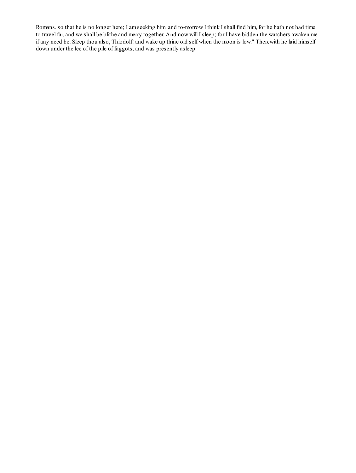Romans, so that he is no longer here; I amseeking him, and to-morrow I think I shall find him, for he hath not had time to travel far, and we shall be blithe and merry together. And now will I sleep; for I have bidden the watchers awaken me if any need be. Sleep thou also, Thiodolf! and wake up thine old self when the moon is low." Therewith he laid himself down under the lee of the pile of faggots, and was presently asleep.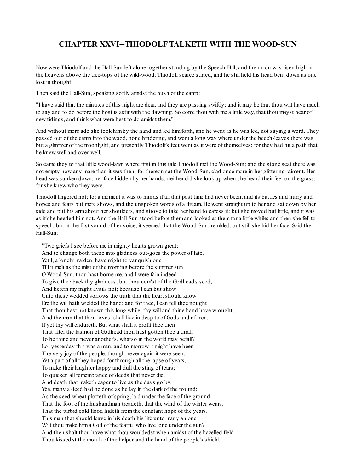# **CHAPTER XXVI--THIODOLF TALKETH WITH THE WOOD-SUN**

Now were Thiodolf and the Hall-Sun left alone together standing by the Speech-Hill; and the moon was risen high in the heavens above the tree-tops of the wild-wood. Thiodolf scarce stirred, and he still held his head bent down as one lost in thought.

Then said the Hall-Sun, speaking softly amidst the hush of the camp:

"I have said that the minutes of this night are dear, and they are passing swiftly; and it may be that thou wilt have much to say and to do before the host is astir with the dawning. So come thou with me a little way, that thou mayst hear of new tidings, and think what were best to do amidst them."

And without more ado she took himby the hand and led himforth, and he went as he was led, not saying a word. They passed out of the camp into the wood, none hindering, and went a long way where under the beech-leaves there was but a glimmer of the moonlight, and presently Thiodolf's feet went as it were of themselves; for they had hit a path that he knew well and over-well

So came they to that little wood-lawn where first in this tale Thiodolf met the Wood-Sun; and the stone seat there was not empty now any more than it was then; for thereon sat the Wood-Sun, clad once more in her glittering raiment. Her head was sunken down, her face hidden by her hands; neither did she look up when she heard their feet on the grass, for she knew who they were.

Thiodolf lingered not; for a moment it was to himas if all that past time had never been, and its battles and hurry and hopes and fears but mere shows, and the unspoken words of a dream. He went straight up to her and sat down by her side and put his armabout her shoulders, and strove to take her hand to caress it; but she moved but little, and it was as if she heeded himnot. And the Hall-Sun stood before themand looked at themfor a little while; and then she fell to speech; but at the first sound of her voice, it seemed that the Wood-Sun trembled, but stillshe hid her face. Said the Hall-Sun:

"Two griefs I see before me in mighty hearts grown great; And to change both these into gladness out-goes the power of fate. Yet I, a lonely maiden, have might to vanquish one Till it melt as the mist of the morning before the summer sun. O Wood-Sun, thou hast borne me, and I were fain indeed To give thee back thy gladness; but thou com'st of the Godhead's seed, And herein my might avails not; because I can but show Unto these wedded sorrows the truth that the heart should know Ere the will hath wielded the hand; and for thee, I can tell thee nought That thou hast not known this long while; thy will and thine hand have wrought, And the man that thou lovest shall live in despite of Gods and of men, If yet thy will endureth. But what shall it profit thee then That after the fashion of Godhead thou hast gotten thee a thrall To be thine and never another's, whatso in the world may befall? Lo! yesterday this was a man, and to-morrow it might have been The very joy of the people, though never again it were seen; Yet a part of all they hoped for through all the lapse of years, To make their laughter happy and dull the sting of tears; To quicken all remembrance of deeds that never die, And death that maketh eager to live as the days go by. Yea, many a deed had he done as he lay in the dark of the mound; As the seed-wheat plotteth of spring, laid under the face of the ground That the foot of the husbandman treadeth, that the wind of the winter wears, That the turbid cold flood hideth fromthe constant hope of the years. This man that should leave in his death his life unto many an one Wilt thou make him a God of the fearful who live lone under the sun? And then shalt thou have what thou wouldedst when amidst of the hazelled field Thou kissed'st the mouth of the helper, and the hand of the people's shield,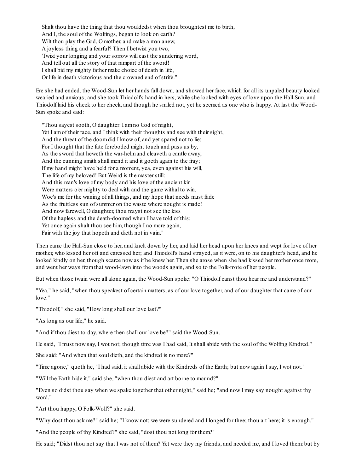Shalt thou have the thing that thou wouldedst when thou broughtest me to birth, And I, the soul of the Wolfings, began to look on earth? Wilt thou play the God, O mother, and make a man anew, A joyless thing and a fearful? Then I betwixt you two, 'Twixt your longing and your sorrow will cast the sundering word, And tell out all the story of that rampart of the sword! I shall bid my mighty father make choice of death in life, Or life in death victorious and the crowned end of strife."

Ere she had ended, the Wood-Sun let her hands fall down, and showed her face, which for all its unpaled beauty looked wearied and anxious; and she took Thiodolf's hand in hers, while she looked with eyes of love upon the Hall-Sun, and Thiodolf laid his cheek to her cheek, and though he smiled not, yet he seemed as one who is happy. At last the Wood-Sun spoke and said:

"Thou sayest sooth, O daughter: I amno God of might, Yet I amof their race, and I think with their thoughts and see with their sight, And the threat of the doomdid I know of, and yet spared not to lie: For I thought that the fate foreboded might touch and pass us by, As the sword that heweth the war-helmand cleaveth a cantle away, And the cunning smith shall mend it and it goeth again to the fray; If my hand might have held for a moment, yea, even against his will, The life of my beloved! But Weird is the master still: And this man's love of my body and his love of the ancient kin Were matters o'er mighty to deal with and the game withal to win. Woe's me for the waning of all things, and my hope that needs must fade As the fruitless sun of summer on the waste where nought is made! And now farewell, O daughter, thou mayst not see the kiss Of the hapless and the death-doomed when I have told of this; Yet once again shalt thou see him, though I no more again, Fair with the joy that hopeth and dieth not in vain."

Then came the Hall-Sun close to her, and knelt down by her, and laid her head upon her knees and wept for love of her mother, who kissed her oft and caressed her; and Thiodolf's hand strayed, as it were, on to his daughter's head, and he looked kindly on her, though scarce now as if he knew her. Then she arose when she had kissed her mother once more, and went her ways fromthat wood-lawn into the woods again, and so to the Folk-mote of her people.

But when those twain were all alone again, the Wood-Sun spoke: "O Thiodolf canst thou hear me and understand?"

"Yea," he said, "when thou speakest of certain matters, as of our love together, and of our daughter that came of our love."

"Thiodolf," she said, "How long shall our love last?"

"As long as our life," he said.

"And if thou diest to-day, where then shall our love be?" said the Wood-Sun.

He said, "I must now say, I wot not; though time was I had said, It shall abide with the soul of the Wolfing Kindred."

She said: "And when that soul dieth, and the kindred is no more?"

"Time agone," quoth he, "I had said, it shall abide with the Kindreds of the Earth; but now again I say, I wot not."

"Will the Earth hide it," said she, "when thou diest and art borne to mound?"

"Even so didst thou say when we spake together that other night," said he; "and now I may say nought against thy word."

"Art thou happy, O Folk-Wolf?" she said.

"Why dost thou ask me?" said he; "I know not; we were sundered and I longed for thee; thou art here; it is enough."

"And the people of thy Kindred?" she said, "dost thou not long for them?"

He said; "Didst thou not say that I was not of them? Yet were they my friends, and needed me, and I loved them: but by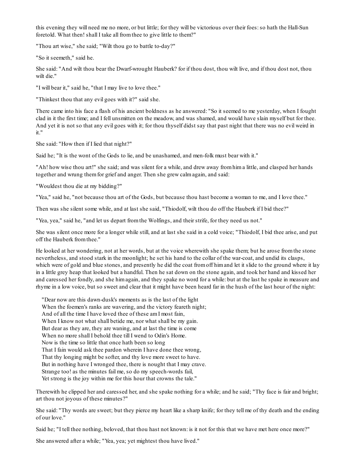this evening they will need me no more, or but little; for they will be victorious over their foes:so hath the Hall-Sun foretold. What then! shall I take all fromthee to give little to them?"

"Thou art wise," she said; "Wilt thou go to battle to-day?"

"So it seemeth," said he.

She said: "And wilt thou bear the Dwarf-wrought Hauberk? for if thou dost, thou wilt live, and if thou dost not, thou wilt die."

"I will bear it," said he, "that I may live to love thee."

"Thinkest thou that any evil goes with it?" said she.

There came into his face a flash of his ancient boldness as he answered: "So it seemed to me yesterday, when I fought clad in it the first time; and I fell unsmitten on the meadow, and was shamed, and would have slain myself but for thee. And yet it is not so that any evil goes with it; for thou thyself didst say that past night that there was no evil weird in it."

She said: "How then if I lied that night?"

Said he; "It is the wont of the Gods to lie, and be unashamed, and men-folk must bear with it."

"Ah! how wise thou art!" she said; and was silent for a while, and drew away fromhima little, and clasped her hands together and wrung themfor grief and anger. Then she grew calmagain, and said:

"Wouldest thou die at my bidding?"

"Yea," said he, "not because thou art of the Gods, but because thou hast become a woman to me, and I love thee."

Then was she silent some while, and at last she said, "Thiodolf, wilt thou do off the Hauberk if I bid thee?"

"Yea, yea," said he, "and let us depart fromthe Wolfings, and their strife, for they need us not."

She was silent once more for a longer while still, and at last she said in a cold voice; "Thiodolf, I bid thee arise, and put off the Hauberk fromthee."

He looked at her wondering, not at her words, but at the voice wherewith she spake them; but he arose fromthe stone nevertheless, and stood stark in the moonlight; he set his hand to the collar of the war-coat, and undid its clasps, which were of gold and blue stones, and presently he did the coat from off him and let it slide to the ground where it lay in a little grey heap that looked but a handful. Then he sat down on the stone again, and took her hand and kissed her and caressed her fondly, and she himagain, and they spake no word for a while: but at the last he spake in measure and rhyme in a low voice, but so sweet and clear that it might have been heard far in the hush of the last hour of the night:

"Dear now are this dawn-dusk's moments as is the last of the light When the foemen's ranks are wavering, and the victory feareth night; And of all the time I have loved thee of these amI most fain, When I know not what shall betide me, nor what shall be my gain. But dear as they are, they are waning, and at last the time is come When no more shall I behold thee till I wend to Odin's Home. Now is the time so little that once hath been so long That I fain would ask thee pardon wherein I have done thee wrong, That thy longing might be softer, and thy love more sweet to have. But in nothing have I wronged thee, there is nought that I may crave. Strange too! as the minutes fail me, so do my speech-words fail, Yet strong is the joy within me for this hour that crowns the tale."

Therewith he clipped her and caressed her, and she spake nothing for a while; and he said; "Thy face is fair and bright; art thou not joyous of these minutes?"

She said: "Thy words are sweet; but they pierce my heart like a sharp knife; for they tell me of thy death and the ending of our love."

Said he; "I tell thee nothing, beloved, that thou hast not known: is it not for this that we have met here once more?"

She answered after a while; "Yea, yea; yet mightest thou have lived."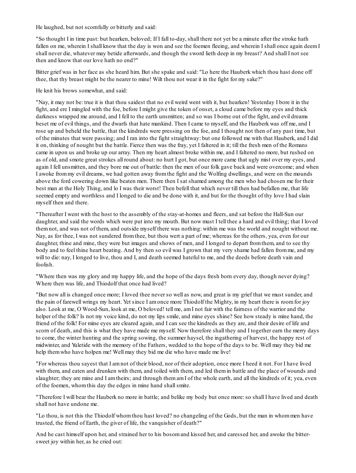He laughed, but not scornfully or bitterly and said:

"So thought I in time past: but hearken, beloved; If I fall to-day, shall there not yet be a minute after the stroke hath fallen on me, wherein I shall know that the day is won and see the foemen fleeing, and wherein I shall once again deem I shall never die, whatever may betide afterwards, and though the sword lieth deep in my breast? And shall I not see then and know that our love hath no end?"

Bitter grief was in her face as she heard him. But she spake and said: "Lo here the Hauberk which thou hast done off thee, that thy breast might be the nearer to mine! Wilt thou not wear it in the fight for my sake?"

He knit his brows somewhat, and said:

"Nay, it may not be: true it is that thou saidest that no evil weird went with it, but hearken! Yesterday I bore it in the fight, and ere I mingled with the foe, before I might give the token of onset, a cloud came before my eyes and thick darkness wrapped me around, and I fell to the earth unsmitten; and so was I borne out of the fight, and evil dreams beset me of evil things, and the dwarfs that hate mankind. Then I came to myself, and the Hauberk was off me, and I rose up and beheld the battle, that the kindreds were pressing on the foe, and I thought not then of any past time, but of the minutes that were passing; and I ran into the fight straightway: but one followed me with that Hauberk, and I did it on, thinking of nought but the battle. Fierce then was the fray, yet I faltered in it; till the fresh men of the Romans came in upon us and broke up our array. Then my heart almost broke within me, and I faltered no more, but rushed on as of old, and smote great strokes all round about: no hurt I got, but once more came that ugly mist over my eyes, and again I fell unsmitten, and they bore me out of battle: then the men of our folk gave back and were overcome; and when I awoke frommy evil dreams, we had gotten away fromthe fight and the Wolfing dwellings, and were on the mounds above the ford cowering down like beaten men. There then I sat shamed among the men who had chosen me for their best man at the Holy Thing, and lo I was their worst! Then befell that which never till then had befallen me, that life seemed empty and worthless and I longed to die and be done with it, and but for the thought of thy love I had slain myself then and there.

"Thereafter I went with the host to the assembly of the stay-at-homes and fleers, and sat before the Hall-Sun our daughter, and said the words which were put into my mouth. But now must I tell thee a hard and evil thing; that I loved themnot, and was not of them, and outside myself there was nothing: within me was the world and nought without me. Nay, as for thee, I was not sundered fromthee, but thou wert a part of me; whereas for the others, yea, even for our daughter, thine and mine, they were but images and shows of men, and I longed to depart fromthem, and to see thy body and to feel thine heart beating. And by then so evil was I grown that my very shame had fallen fromme, and my will to die: nay, I longed to live, thou and I, and death seemed hateful to me, and the deeds before death vain and foolish.

"Where then was my glory and my happy life, and the hope of the days fresh born every day, though never dying? Where then was life, and Thiodolf that once had lived?

"But now all is changed once more; I loved thee never so well as now, and great is my grief that we must sunder, and the pain of farewell wrings my heart. Yet since I amonce more Thiodolf the Mighty, in my heart there is roomfor joy also. Look at me, O Wood-Sun, look at me, O beloved! tell me, amI not fair with the fairness of the warrior and the helper of the folk? Is not my voice kind, do not my lips smile, and mine eyes shine? See how steady is mine hand, the friend of the folk! For mine eyes are cleared again, and I can see the kindreds as they are, and their desire of life and scorn of death, and this is what they have made me myself. Now therefore shall they and I together earn the merry days to come, the winter hunting and the spring sowing, the summer haysel, the ingathering of harvest, the happy rest of midwinter, and Yuletide with the memory of the Fathers, wedded to the hope of the days to be. Well may they bid me help themwho have holpen me! Well may they bid me die who have made me live!

"For whereas thou sayest that I amnot of their blood, nor of their adoption, once more I heed it not. For I have lived with them, and eaten and drunken with them, and toiled with them, and led themin battle and the place of wounds and slaughter; they are mine and I am theirs; and through them am I of the whole earth, and all the kindreds of it; yea, even of the foemen, whomthis day the edges in mine hand shallsmite.

"Therefore I will bear the Hauberk no more in battle; and belike my body but once more:so shall I have lived and death shall not have undone me.

"Lo thou, is not this the Thiodolf whomthou hast loved? no changeling of the Gods, but the man in whommen have trusted, the friend of Earth, the giver of life, the vanquisher of death?"

And he cast himself upon her, and strained her to his bosomand kissed her, and caressed her, and awoke the bittersweet joy within her, as he cried out: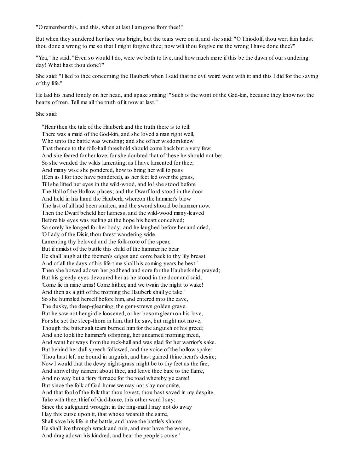"O remember this, and this, when at last I amgone fromthee!"

But when they sundered her face was bright, but the tears were on it, and she said: "O Thiodolf, thou wert fain hadst thou done a wrong to me so that I might forgive thee; now wilt thou forgive me the wrong I have done thee?"

"Yea," he said, "Even so would I do, were we both to live, and how much more if this be the dawn of our sundering day! What hast thou done?"

She said: "I lied to thee concerning the Hauberk when I said that no evil weird went with it: and this I did for the saving of thy life."

He laid his hand fondly on her head, and spake smiling: "Such is the wont of the God-kin, because they know not the hearts of men. Tell me all the truth of it now at last."

#### She said:

"Hear then the tale of the Hauberk and the truth there is to tell: There was a maid of the God-kin, and she loved a man right well, Who unto the battle was wending; and she of her wisdom knew That thence to the folk-hall threshold should come back but a very few; And she feared for her love, for she doubted that of these he should not be; So she wended the wilds lamenting, as I have lamented for thee; And many wise she pondered, how to bring her will to pass (E'en as I for thee have pondered), as her feet led over the grass, Tillshe lifted her eyes in the wild-wood, and lo! she stood before The Hall of the Hollow-places; and the Dwarf-lord stood in the door And held in his hand the Hauberk, whereon the hammer's blow The last of all had been smitten, and the sword should be hammer now. Then the Dwarf beheld her fairness, and the wild-wood many-leaved Before his eyes was reeling at the hope his heart conceived; So sorely he longed for her body; and he laughed before her and cried, 'O Lady of the Disir, thou farest wandering wide Lamenting thy beloved and the folk-mote of the spear, But if amidst of the battle this child of the hammer he bear He shall laugh at the foemen's edges and come back to thy lily breast And of all the days of his life-time shall his coming years be best.' Then she bowed adown her godhead and sore for the Hauberk she prayed; But his greedy eyes devoured her as he stood in the door and said; 'Come lie in mine arms! Come hither, and we twain the night to wake! And then as a gift of the morning the Hauberk shall ye take.' So she humbled herself before him, and entered into the cave, The dusky, the deep-gleaming, the gem-strewn golden grave. But he saw not her girdle loosened, or her bosomgleamon his love, For she set the sleep-thorn in him, that he saw, but might not move, Though the bitter salt tears burned him for the anguish of his greed; And she took the hammer's offspring, her unearned morning meed, And went her ways fromthe rock-hall and was glad for her warrior's sake. But behind her dullspeech followed, and the voice of the hollow spake: 'Thou hast left me bound in anguish, and hast gained thine heart's desire; Now I would that the dewy night-grass might be to thy feet as the fire, And shrivel thy raiment about thee, and leave thee bare to the flame, And no way but a fiery furnace for the road whereby ye came! But since the folk of God-home we may not slay nor smite, And that fool of the folk that thou lovest, thou hast saved in my despite, Take with thee, thief of God-home, this other word I say: Since the safeguard wrought in the ring-mail I may not do away I lay this curse upon it, that whoso weareth the same, Shallsave his life in the battle, and have the battle's shame; He shall live through wrack and ruin, and ever have the worse, And drag adown his kindred, and bear the people's curse.'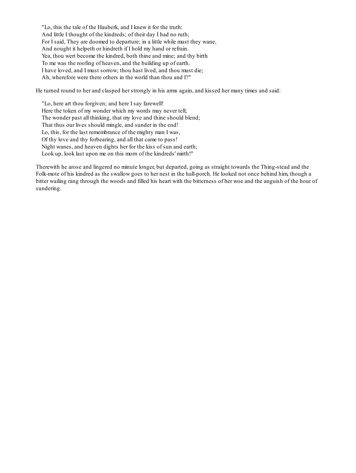"Lo, this the tale of the Hauberk, and I knew it for the truth: And little I thought of the kindreds; of their day I had no ruth; For I said, They are doomed to departure; in a little while must they wane, And nought it helpeth or hindreth if I hold my hand or refrain. Yea, thou wert become the kindred, both thine and mine; and thy birth To me was the roofing of heaven, and the building up of earth. I have loved, and I must sorrow; thou hast lived, and thou must die; Ah, wherefore were there others in the world than thou and I?"

He turned round to her and clasped her strongly in his arms again, and kissed her many times and said:

"Lo, here art thou forgiven; and here I say farewell! Here the token of my wonder which my words may never tell; The wonder past all thinking, that my love and thine should blend; That thus our lives should mingle, and sunder in the end! Lo, this, for the last remembrance of the mighty man I was, Of thy love and thy forbearing, and all that came to pass! Night wanes, and heaven dights her for the kiss of sun and earth; Look up, look last upon me on this morn of the kindreds' mirth!"

Therewith he arose and lingered no minute longer, but departed, going as straight towards the Thing-stead and the Folk-mote of his kindred as the swallow goes to her nest in the hall-porch. He looked not once behind him, though a bitter wailing rang through the woods and filled his heart with the bitterness of her woe and the anguish of the hour of sundering.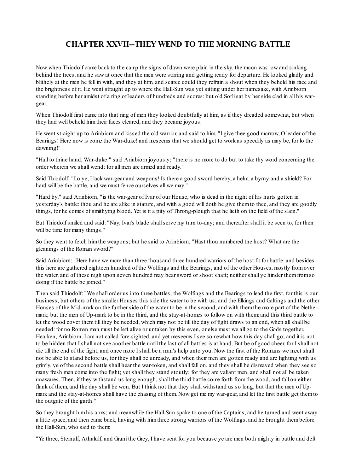# **CHAPTER XXVII--THEY WEND TO THE MORNING BATTLE**

Now when Thiodolf came back to the camp the signs of dawn were plain in the sky, the moon was low and sinking behind the trees, and he saw at once that the men were stirring and getting ready for departure. He looked gladly and blithely at the men he fell in with, and they at him, and scarce could they refrain a shout when they beheld his face and the brightness of it. He went straight up to where the Hall-Sun was yet sitting under her namesake, with Arinbiorn standing before her amidst of a ring of leaders of hundreds and scores: but old Sorlisat by her side clad in all his wargear.

When Thiodolf first came into that ring of men they looked doubtfully at him, as if they dreaded somewhat, but when they had well beheld himtheir faces cleared, and they became joyous.

He went straight up to Arinbiorn and kissed the old warrior, and said to him, "I give thee good morrow, O leader of the Bearings! Here now is come the War-duke! and meseems that we should get to work as speedily as may be, for lo the dawning!"

"Hail to thine hand, War-duke!" said Arinbiorn joyously; "there is no more to do but to take thy word concerning the order wherein we shall wend; for all men are armed and ready."

Said Thiodolf; "Lo ye, I lack war-gear and weapons! Is there a good sword hereby, a helm, a byrny and a shield? For hard will be the battle, and we must fence ourselves all we may."

"Hard by," said Arinbiorn, "is the war-gear of Ivar of our House, who is dead in the night of his hurts gotten in yesterday's battle: thou and he are alike in stature, and with a good will doth he give themto thee, and they are goodly things, for he comes of smithying blood. Yet is it a pity of Throng-plough that he lieth on the field of the slain."

But Thiodolf smiled and said: "Nay, Ivar's blade shallserve my turn to-day; and thereafter shall it be seen to, for then will be time for many things."

So they went to fetch himthe weapons; but he said to Arinbiorn, "Hast thou numbered the host? What are the gleanings of the Roman sword?"

Said Arinbiorn: "Here have we more than three thousand three hundred warriors of the host fit for battle: and besides this here are gathered eighteen hundred of the Wolfings and the Bearings, and of the other Houses, mostly fromover the water, and of these nigh upon seven hundred may bear sword or shoot shaft; neither shall ye hinder themfromso doing if the battle be joined."

Then said Thiodolf: "We shall order us into three battles; the Wolfings and the Bearings to lead the first, for this is our business; but others of the smaller Houses this side the water to be with us; and the Elkings and Galtings and the other Houses of the Mid-mark on the further side of the water to be in the second, and with themthe more part of the Nethermark; but the men of Up-mark to be in the third, and the stay-at-homes to follow on with them: and this third battle to let the wood cover themtill they be needed, which may not be till the day of fight draws to an end, when allshall be needed: for no Roman man must be left alive or untaken by this even, or else must we all go to the Gods together. Hearken, Arinbiorn. I amnot called fore-sighted, and yet meseems I see somewhat how this day shall go; and it is not to be hidden that I shall not see another battle until the last of all battles is at hand. But be of good cheer, for I shall not die till the end of the fight, and once more I shall be a man's help unto you. Now the first of the Romans we meet shall not be able to stand before us, for they shall be unready, and when their men are gotten ready and are fighting with us grimly, ye of the second battle shall hear the war-token, and shall fall on, and they shall be dismayed when they see so many fresh men come into the fight; yet shall they stand stoutly; for they are valiant men, and shall not all be taken unawares. Then, if they withstand us long enough, shall the third battle come forth fromthe wood, and fall on either flank of them, and the day shall be won. But I think not that they shall withstand us so long, but that the men of Upmark and the stay-at-homes shall have the chasing of them. Now get me my war-gear, and let the first battle get themto the outgate of the garth."

So they brought himhis arms; and meanwhile the Hall-Sun spake to one of the Captains, and he turned and went away a little space, and then came back, having with himthree strong warriors of the Wolfings, and he brought thembefore the Hall-Sun, who said to them:

"Ye three, Steinulf, Athalulf, and Grani the Grey, I have sent for you because ye are men both mighty in battle and deft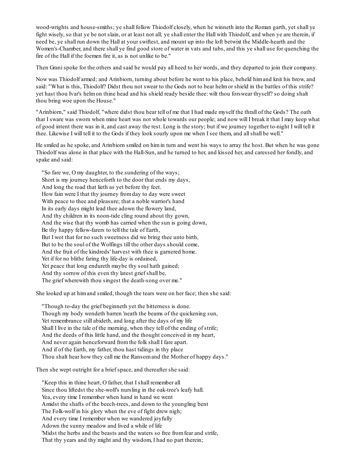wood-wrights and house-smiths; ye shall follow Thiodolf closely, when he winneth into the Roman garth, yet shall ye fight wisely, so that ye be not slain, or at least not all; ye shall enter the Hall with Thiodolf, and when ye are therein, if need be, ye shall run down the Hall at your swiftest, and mount up into the loft betwixt the Middle-hearth and the Women's-Chamber, and there shall ye find good store of water in vats and tubs, and this ye shall use for quenching the fire of the Hall if the foemen fire it, as is not unlike to be."

Then Granispoke for the others and said he would pay all heed to her words, and they departed to join their company.

Now was Thiodolf armed; and Arinbiorn, turning about before he went to his place, beheld himand knit his brow, and said: "What is this, Thiodolf? Didst thou not swear to the Gods not to bear helmor shield in the battles of this strife? yet hast thou Ivar's helmon thine head and his shield ready beside thee: wilt thou forswear thyself? so doing shalt thou bring woe upon the House."

"Arinbiorn," said Thiodolf, "where didst thou hear tell of me that I had made myself the thrall of the Gods? The oath that I sware was sworn when mine heart was not whole towards our people; and now will I break it that I may keep what of good intent there was in it, and cast away the rest. Long is the story; but if we journey together to-night I will tell it thee. Likewise I will tell it to the Gods if they look sourly upon me when I see them, and allshall be well."

He smiled as he spoke, and Arinbiorn smiled on himin turn and went his ways to array the host. But when he was gone Thiodolf was alone in that place with the Hall-Sun, and he turned to her, and kissed her, and caressed her fondly, and spake and said:

"So fare we, O my daughter, to the sundering of the ways; Short is my journey henceforth to the door that ends my days, And long the road that lieth as yet before thy feet. How fain were I that thy journey fromday to day were sweet With peace to thee and pleasure; that a noble warrior's hand In its early days might lead thee adown the flowery land, And thy children in its noon-tide cling round about thy gown, And the wise that thy womb has carried when the sun is going down, Be thy happy fellow-farers to tell the tale of Earth, But I wot that for no such sweetness did we bring thee unto birth, But to be the soul of the Wolfings till the other days should come, And the fruit of the kindreds' harvest with thee is garnered home. Yet if for no blithe faring thy life-day is ordained, Yet peace that long endureth maybe thy soul hath gained; And thy sorrow of this even thy latest grief shall be, The grief wherewith thou singest the death-song over me."

She looked up at himand smiled, though the tears were on her face; then she said:

"Though to-day the grief beginneth yet the bitterness is done. Though my body wendeth barren 'neath the beams of the quickening sun, Yet remembrance still abideth, and long after the days of my life Shall I live in the tale of the morning, when they tell of the ending of strife; And the deeds of this little hand, and the thought conceived in my heart, And never again henceforward fromthe folk shall I fare apart. And if of the Earth, my father, thou hast tidings in thy place Thou shalt hear how they call me the Ransomand the Mother of happy days."

Then she wept outright for a brief space, and thereafter she said:

"Keep this in thine heart, O father, that I shall remember all Since thou liftedst the she-wolf's nursling in the oak-tree's leafy hall. Yea, every time I remember when hand in hand we went Amidst the shafts of the beech-trees, and down to the youngling bent The Folk-wolf in his glory when the eve of fight drew nigh; And every time I remember when we wandered joyfully Adown the sunny meadow and lived a while of life 'Midst the herbs and the beasts and the waters so free fromfear and strife, That thy years and thy might and thy wisdom, I had no part therein;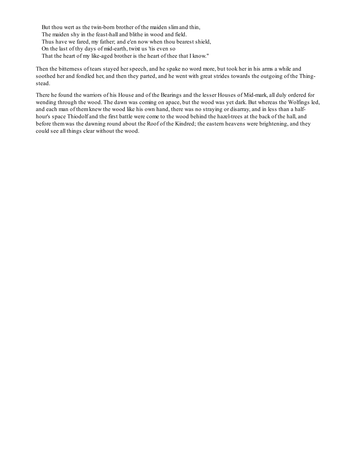But thou wert as the twin-born brother of the maiden slimand thin, The maiden shy in the feast-hall and blithe in wood and field. Thus have we fared, my father; and e'en now when thou bearest shield, On the last of thy days of mid-earth, twixt us 'tis even so That the heart of my like-aged brother is the heart of thee that I know."

Then the bitterness of tears stayed her speech, and he spake no word more, but took her in his arms a while and soothed her and fondled her, and then they parted, and he went with great strides towards the outgoing of the Thingstead.

There he found the warriors of his House and of the Bearings and the lesser Houses of Mid-mark, all duly ordered for wending through the wood. The dawn was coming on apace, but the wood was yet dark. But whereas the Wolfings led, and each man of themknew the wood like his own hand, there was no straying or disarray, and in less than a halfhour's space Thiodolf and the first battle were come to the wood behind the hazel-trees at the back of the hall, and before themwas the dawning round about the Roof of the Kindred; the eastern heavens were brightening, and they could see all things clear without the wood.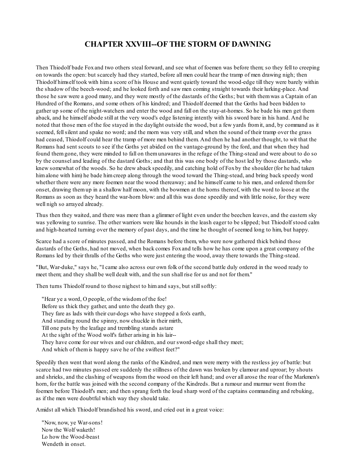### **CHAPTER XXVIII--OF THE STORM OF DAWNING**

Then Thiodolf bade Foxand two others steal forward, and see what of foemen was before them; so they fell to creeping on towards the open: but scarcely had they started, before all men could hear the tramp of men drawing nigh; then Thiodolf himself took with hima score of his House and went quietly toward the wood-edge till they were barely within the shadow of the beech-wood; and he looked forth and saw men coming straight towards their lurking-place. And those he saw were a good many, and they were mostly of the dastards of the Goths; but with themwas a Captain of an Hundred of the Romans, and some others of his kindred; and Thiodolf deemed that the Goths had been bidden to gather up some of the night-watchers and enter the wood and fall on the stay-at-homes. So he bade his men get them aback, and he himself abode still at the very wood's edge listening intently with his sword bare in his hand. And he noted that those men of the foe stayed in the daylight outside the wood, but a few yards fromit, and, by command as it seemed, fellsilent and spake no word; and the morn was very still, and when the sound of their tramp over the grass had ceased, Thiodolf could hear the tramp of more men behind them. And then he had another thought, to wit that the Romans had sent scouts to see if the Goths yet abided on the vantage-ground by the ford, and that when they had found themgone, they were minded to fall on themunawares in the refuge of the Thing-stead and were about to do so by the counsel and leading of the dastard Goths; and that this was one body of the host led by those dastards, who knew somewhat of the woods. So he drew aback speedily, and catching hold of Foxby the shoulder (for he had taken himalone with him) he bade himcreep along through the wood toward the Thing-stead, and bring back speedy word whether there were any more foemen near the wood thereaway; and he himself came to his men, and ordered them for onset, drawing themup in a shallow half moon, with the bowmen at the horns thereof, with the word to loose at the Romans as soon as they heard the war-horn blow: and all this was done speedily and with little noise, for they were well nigh so arrayed already.

Thus then they waited, and there was more than a glimmer of light even under the beechen leaves, and the eastern sky was yellowing to sunrise. The other warriors were like hounds in the leash eager to be slipped; but Thiodolf stood calm and high-hearted turning over the memory of past days, and the time he thought of seemed long to him, but happy.

Scarce had a score of minutes passed, and the Romans before them, who were now gathered thick behind those dastards of the Goths, had not moved, when back comes Foxand tells how he has come upon a great company of the Romans led by their thralls of the Goths who were just entering the wood, away there towards the Thing-stead.

"But, War-duke," says he, "I came also across our own folk of the second battle duly ordered in the wood ready to meet them; and they shall be well dealt with, and the sun shall rise for us and not for them."

Then turns Thiodolf round to those nighest to him and says, but still softly:

"Hear ye a word, O people, of the wisdomof the foe! Before us thick they gather, and unto the death they go. They fare as lads with their cur-dogs who have stopped a fox's earth, And standing round the spinny, now chuckle in their mirth, Till one puts by the leafage and trembling stands astare At the sight of the Wood wolf's father arising in his lair-- They have come for our wives and our children, and our sword-edge shall they meet; And which of themis happy save he of the swiftest feet?"

Speedily then went that word along the ranks of the Kindred, and men were merry with the restless joy of battle: but scarce had two minutes passed ere suddenly the stillness of the dawn was broken by clamour and uproar; by shouts and shrieks, and the clashing of weapons fromthe wood on their left hand; and over all arose the roar of the Markmen's horn, for the battle was joined with the second company of the Kindreds. But a rumour and murmur went fromthe foemen before Thiodolf's men; and then sprang forth the loud sharp word of the captains commanding and rebuking, as if the men were doubtful which way they should take.

Amidst all which Thiodolf brandished his sword, and cried out in a great voice:

"Now, now, ye War-sons! Now the Wolf waketh! Lo how the Wood-beast Wendeth in onset.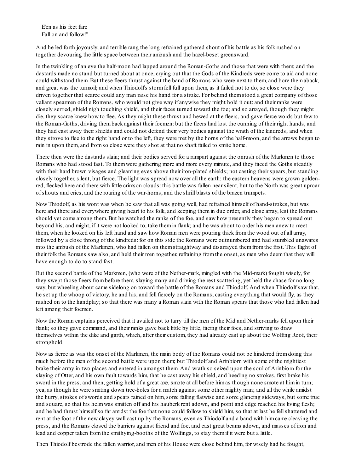E'en as his feet fare Fall on and follow!"

And he led forth joyously, and terrible rang the long refrained gathered shout of his battle as his folk rushed on together devouring the little space between their ambush and the hazel-beset greensward.

In the twinkling of an eye the half-moon had lapped around the Roman-Goths and those that were with them; and the dastards made no stand but turned about at once, crying out that the Gods of the Kindreds were come to aid and none could withstand them. But these fleers thrust against the band of Romans who were next to them, and bore themaback, and great was the turmoil; and when Thiodolf's stormfell full upon them, as it failed not to do, so close were they driven together that scarce could any man raise his hand for a stroke. For behind themstood a great company of those valiant spearmen of the Romans, who would not give way if anywise they might hold it out: and their ranks were closely serried, shield nigh touching shield, and their faces turned toward the foe; and so arrayed, though they might die, they scarce knew how to flee. As they might these thrust and hewed at the fleers, and gave fierce words but few to the Roman-Goths, driving themback against their foemen: but the fleers had lost the cunning of their right hands, and they had cast away their shields and could not defend their very bodies against the wrath of the kindreds; and when they strove to flee to the right hand or to the left, they were met by the horns of the half-moon, and the arrows began to rain in upon them, and fromso close were they shot at that no shaft failed to smite home.

There then were the dastards slain; and their bodies served for a rampart against the onrush of the Markmen to those Romans who had stood fast. To themwere gathering more and more every minute, and they faced the Goths steadily with their hard brown visages and gleaming eyes above their iron-plated shields; not casting their spears, but standing closely together, silent, but fierce. The light was spread now over all the earth; the eastern heavens were grown goldenred, flecked here and there with little crimson clouds: this battle was fallen near silent, but to the North was great uproar of shouts and cries, and the roaring of the war-horns, and the shrill blasts of the brazen trumpets.

Now Thiodolf, as his wont was when he saw that all was going well, had refrained himself of hand-strokes, but was here and there and everywhere giving heart to his folk, and keeping themin due order, and close array, lest the Romans should yet come among them. But he watched the ranks of the foe, and saw how presently they began to spread out beyond his, and might, if it were not looked to, take themin flank; and he was about to order his men anew to meet them, when he looked on his left hand and saw how Roman men were pouring thick fromthe wood out of all array, followed by a close throng of the kindreds: for on this side the Romans were outnumbered and had stumbled unawares into the ambush of the Markmen, who had fallen on themstraightway and disarrayed themfromthe first. This flight of their folk the Romans saw also, and held their men together, refraining fromthe onset, as men who deemthat they will have enough to do to stand fast.

But the second battle of the Markmen, (who were of the Nether-mark, mingled with the Mid-mark) fought wisely, for they swept those fleers frombefore them, slaying many and driving the rest scattering, yet held the chase for no long way, but wheeling about came sidelong on toward the battle of the Romans and Thiodolf. And when Thiodolf saw that, he set up the whoop of victory, he and his, and fell fiercely on the Romans, casting everything that would fly, as they rushed on to the handplay; so that there was many a Roman slain with the Roman spears that those who had fallen had left among their foemen.

Now the Roman captains perceived that it availed not to tarry till the men of the Mid and Nether-marks fell upon their flank; so they gave command, and their ranks gave back little by little, facing their foes, and striving to draw themselves within the dike and garth, which, after their custom, they had already cast up about the Wolfing Roof, their stronghold.

Now as fierce as was the onset of the Markmen, the main body of the Romans could not be hindered fromdoing this much before the men of the second battle were upon them; but Thiodolf and Arinbiorn with some of the mightiest brake their array in two places and entered in amongst them. And wrath so seized upon the soul of Arinbiorn for the slaying of Otter, and his own fault towards him, that he cast away his shield, and heeding no strokes, first brake his sword in the press, and then, getting hold of a great axe, smote at all before him as though none smote at him in turn; yea, as though he were smiting down tree-boles for a match against some other mighty man; and all the while amidst the hurry, strokes of swords and spears rained on him, some falling flatwise and some glancing sideways, but some true and square, so that his helmwas smitten off and his hauberk rent adown, and point and edge reached his living flesh; and he had thrust himself so far amidst the foe that none could follow to shield him, so that at last he fellshattered and rent at the foot of the new clayey wall cast up by the Romans, even as Thiodolf and a band with himcame cleaving the press, and the Romans closed the barriers against friend and foe, and cast great beams adown, and masses of iron and lead and copper taken fromthe smithying-booths of the Wolfings, to stay themif it were but a little.

Then Thiodolf bestrode the fallen warrior, and men of his House were close behind him, for wisely had he fought,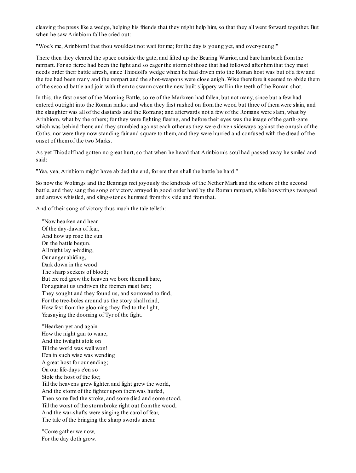cleaving the press like a wedge, helping his friends that they might help him, so that they all went forward together. But when he saw Arinbiorn fall he cried out:

"Woe's me, Arinbiorn! that thou wouldest not wait for me; for the day is young yet, and over-young!"

There then they cleared the space outside the gate, and lifted up the Bearing Warrior, and bare himback fromthe rampart. For so fierce had been the fight and so eager the stormof those that had followed after himthat they must needs order their battle afresh, since Thiodolf's wedge which he had driven into the Roman host was but of a few and the foe had been many and the rampart and the shot-weapons were close anigh. Wise therefore it seemed to abide them of the second battle and join with themto swarmover the new-built slippery wall in the teeth of the Roman shot.

In this, the first onset of the Morning Battle, some of the Markmen had fallen, but not many, since but a few had entered outright into the Roman ranks; and when they first rushed on fromthe wood but three of themwere slain, and the slaughter was all of the dastards and the Romans; and afterwards not a few of the Romans were slain, what by Arinbiorn, what by the others; for they were fighting fleeing, and before their eyes was the image of the garth-gate which was behind them; and they stumbled against each other as they were driven sideways against the onrush of the Goths, nor were they now standing fair and square to them, and they were hurried and confused with the dread of the onset of themof the two Marks.

As yet Thiodolf had gotten no great hurt, so that when he heard that Arinbiorn's soul had passed away he smiled and said:

"Yea, yea, Arinbiorn might have abided the end, for ere then shall the battle be hard."

So now the Wolfings and the Bearings met joyously the kindreds of the Nether Mark and the others of the second battle, and they sang the song of victory arrayed in good order hard by the Roman rampart, while bowstrings twanged and arrows whistled, and sling-stones hummed fromthis side and fromthat.

And of their song of victory thus much the tale telleth:

"Now hearken and hear Of the day-dawn of fear, And how up rose the sun On the battle begun. All night lay a-hiding, Our anger abiding, Dark down in the wood The sharp seekers of blood; But ere red grew the heaven we bore themall bare, For against us undriven the foemen must fare; They sought and they found us, and sorrowed to find, For the tree-boles around us the story shall mind, How fast fromthe glooming they fled to the light, Yeasaying the dooming of Tyr of the fight.

"Hearken yet and again How the night gan to wane, And the twilight stole on Till the world was well won! E'en in such wise was wending A great host for our ending; On our life-days e'en so Stole the host of the foe; Till the heavens grew lighter, and light grew the world, And the stormof the fighter upon themwas hurled, Then some fled the stroke, and some died and some stood, Till the worst of the stormbroke right out fromthe wood, And the war-shafts were singing the carol of fear, The tale of the bringing the sharp swords anear.

"Come gather we now, For the day doth grow.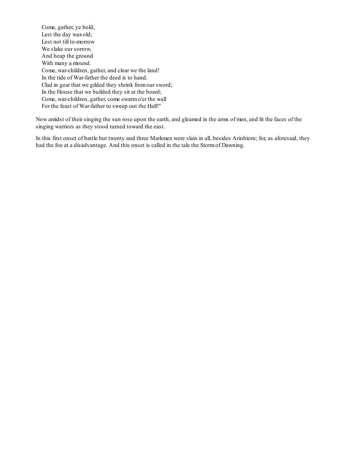Come, gather, ye bold, Lest the day wax old; Lest not till to-morrow We slake our sorrow, And heap the ground With many a mound. Come, war-children, gather, and clear we the land! In the tide of War-father the deed is to hand. Clad in gear that we gilded they shrink fromour sword; In the House that we builded they sit at the board; Come, war-children, gather, come swarmo'er the wall For the feast of War-father to sweep out the Hall!"

Now amidst of their singing the sun rose upon the earth, and gleamed in the arms of men, and lit the faces of the singing warriors as they stood turned toward the east.

In this first onset of battle but twenty and three Markmen were slain in all, besides Arinbiorn; for, as aforesaid, they had the foe at a disadvantage. And this onset is called in the tale the Stormof Dawning.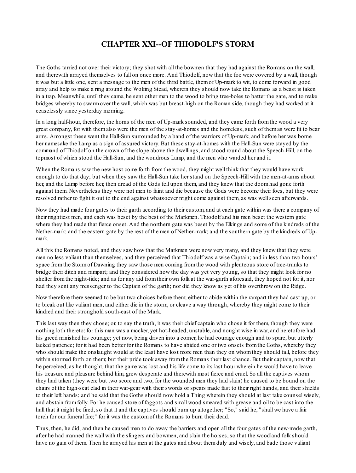## **CHAPTER XXI--OF THIODOLF'S STORM**

The Goths tarried not over their victory; they shot with all the bowmen that they had against the Romans on the wall, and therewith arrayed themselves to fall on once more. And Thiodolf, now that the foe were covered by a wall, though it was but a little one, sent a message to the men of the third battle, themof Up-mark to wit, to come forward in good array and help to make a ring around the Wolfing Stead, wherein they should now take the Romans as a beast is taken in a trap. Meanwhile, until they came, he sent other men to the wood to bring tree-boles to batter the gate, and to make bridges whereby to swarmover the wall, which was but breast-high on the Roman side, though they had worked at it ceaselessly since yesterday morning.

In a long half-hour, therefore, the horns of the men of Up-mark sounded, and they came forth fromthe wood a very great company, for with themalso were the men of the stay-at-homes and the homeless, such of themas were fit to bear arms. Amongst these went the Hall-Sun surrounded by a band of the warriors of Up-mark; and before her was borne her namesake the Lamp as a sign of assured victory. But these stay-at-homes with the Hall-Sun were stayed by the command of Thiodolf on the crown of the slope above the dwellings, and stood round about the Speech-Hill, on the topmost of which stood the Hall-Sun, and the wondrous Lamp, and the men who warded her and it.

When the Romans saw the new host come forth fromthe wood, they might well think that they would have work enough to do that day; but when they saw the Hall-Sun take her stand on the Speech-Hill with the men-at-arms about her, and the Lamp before her, then dread of the Gods fell upon them, and they knew that the doomhad gone forth against them. Nevertheless they were not men to faint and die because the Gods were become their foes, but they were resolved rather to fight it out to the end against whatsoever might come against them, as was wellseen afterwards.

Now they had made four gates to their garth according to their custom, and at each gate within was there a company of their mightiest men, and each was beset by the best of the Markmen. Thiodolf and his men beset the western gate where they had made that fierce onset. And the northern gate was beset by the Elkings and some of the kindreds of the Nether-mark; and the eastern gate by the rest of the men of Nether-mark; and the southern gate by the kindreds of Upmark.

All this the Romans noted, and they saw how that the Markmen were now very many, and they knew that they were men no less valiant than themselves, and they perceived that Thiodolf was a wise Captain; and in less than two hours' space fromthe Stormof Dawning they saw those men coming fromthe wood with plenteous store of tree-trunks to bridge their ditch and rampart; and they considered how the day was yet very young, so that they might look for no shelter fromthe night-tide; and as for any aid fromtheir own folk at the war-garth aforesaid, they hoped not for it, nor had they sent any messenger to the Captain of the garth; nor did they know as yet of his overthrow on the Ridge.

Now therefore there seemed to be but two choices before them; either to abide within the rampart they had cast up, or to break out like valiant men, and either die in the storm, or cleave a way through, whereby they might come to their kindred and their stronghold south-east of the Mark.

This last way then they chose; or, to say the truth, it was their chief captain who chose it for them, though they were nothing loth thereto: for this man was a mocker, yet hot-headed, unstable, and nought wise in war, and heretofore had his greed minished his courage; yet now, being driven into a corner, he had courage enough and to spare, but utterly lacked patience; for it had been better for the Romans to have abided one or two onsets fromthe Goths, whereby they who should make the onslaught would at the least have lost more men than they on whomthey should fall, before they within stormed forth on them; but their pride took away from the Romans their last chance. But their captain, now that he perceived, as he thought, that the game was lost and his life come to its last hour wherein he would have to leave his treasure and pleasure behind him, grew desperate and therewith most fierce and cruel. So all the captives whom they had taken (they were but two score and two, for the wounded men they had slain) he caused to be bound on the chairs of the high-seat clad in their war-gear with their swords or spears made fast to their right hands, and their shields to their left hands; and he said that the Goths should now hold a Thing wherein they should at last take counsel wisely, and abstain fromfolly. For he caused store of faggots and small wood smeared with grease and oil to be cast into the hall that it might be fired, so that it and the captives should burn up altogether; "So," said he, "shall we have a fair torch for our funeral fire;" for it was the customof the Romans to burn their dead.

Thus, then, he did; and then he caused men to do away the barriers and open all the four gates of the new-made garth, after he had manned the wall with the slingers and bowmen, and slain the horses, so that the woodland folk should have no gain of them. Then he arrayed his men at the gates and about themduly and wisely, and bade those valiant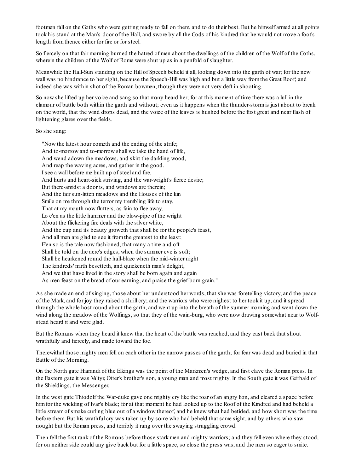footmen fall on the Goths who were getting ready to fall on them, and to do their best. But he himself armed at all points took his stand at the Man's-door of the Hall, and swore by all the Gods of his kindred that he would not move a foot's length fromthence either for fire or for steel.

So fiercely on that fair morning burned the hatred of men about the dwellings of the children of the Wolf of the Goths, wherein the children of the Wolf of Rome were shut up as in a penfold of slaughter.

Meanwhile the Hall-Sun standing on the Hill of Speech beheld it all, looking down into the garth of war; for the new wall was no hindrance to her sight, because the Speech-Hill was high and but a little way fromthe Great Roof; and indeed she was within shot of the Roman bowmen, though they were not very deft in shooting.

So now she lifted up her voice and sang so that many heard her; for at this moment of time there was a lull in the clamour of battle both within the garth and without; even as it happens when the thunder-stormis just about to break on the world, that the wind drops dead, and the voice of the leaves is hushed before the first great and near flash of lightening glares over the fields.

So she sang:

"Now the latest hour cometh and the ending of the strife; And to-morrow and to-morrow shall we take the hand of life, And wend adown the meadows, and skirt the darkling wood, And reap the waving acres, and gather in the good. I see a wall before me built up of steel and fire, And hurts and heart-sick striving, and the war-wright's fierce desire; But there-amidst a door is, and windows are therein; And the fair sun-litten meadows and the Houses of the kin Smile on me through the terror my trembling life to stay, That at my mouth now flutters, as fain to flee away. Lo e'en as the little hammer and the blow-pipe of the wright About the flickering fire deals with the silver white, And the cup and its beauty groweth that shall be for the people's feast, And all men are glad to see it fromthe greatest to the least; E'en so is the tale now fashioned, that many a time and oft Shall be told on the acre's edges, when the summer eve is soft; Shall be hearkened round the hall-blaze when the mid-winter night The kindreds' mirth besetteth, and quickeneth man's delight, And we that have lived in the story shall be born again and again As men feast on the bread of our earning, and praise the grief-born grain."

As she made an end of singing, those about her understood her words, that she was foretelling victory, and the peace of the Mark, and for joy they raised a shrill cry; and the warriors who were nighest to her took it up, and it spread through the whole host round about the garth, and went up into the breath of the summer morning and went down the wind along the meadow of the Wolfings, so that they of the wain-burg, who were now drawing somewhat near to Wolfstead heard it and were glad.

But the Romans when they heard it knew that the heart of the battle was reached, and they cast back that shout wrathfully and fiercely, and made toward the foe.

Therewithal those mighty men fell on each other in the narrow passes of the garth; for fear was dead and buried in that Battle of the Morning.

On the North gate Hiarandi of the Elkings was the point of the Markmen's wedge, and first clave the Roman press. In the Eastern gate it was Valtyr, Otter's brother's son, a young man and most mighty. In the South gate it was Geirbald of the Shieldings, the Messenger.

In the west gate Thiodolf the War-duke gave one mighty cry like the roar of an angry lion, and cleared a space before himfor the wielding of Ivar's blade; for at that moment he had looked up to the Roof of the Kindred and had beheld a little streamof smoke curling blue out of a window thereof, and he knew what had betided, and how short was the time before them. But his wrathful cry was taken up by some who had beheld that same sight, and by others who saw nought but the Roman press, and terribly it rang over the swaying struggling crowd.

Then fell the first rank of the Romans before those stark men and mighty warriors; and they fell even where they stood, for on neither side could any give back but for a little space, so close the press was, and the men so eager to smite.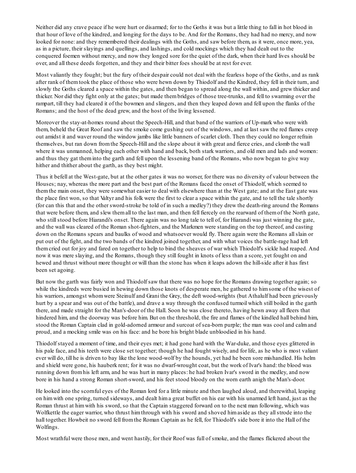Neither did any crave peace if he were hurt or disarmed; for to the Goths it was but a little thing to fall in hot blood in that hour of love of the kindred, and longing for the days to be. And for the Romans, they had had no mercy, and now looked for none: and they remembered their dealings with the Goths, and saw before them, as it were, once more, yea, as in a picture, their slayings and quellings, and lashings, and cold mockings which they had dealt out to the conquered foemen without mercy, and now they longed sore for the quiet of the dark, when their hard lives should be over, and all these deeds forgotten, and they and their bitter foes should be at rest for ever.

Most valiantly they fought; but the fury of their despair could not deal with the fearless hope of the Goths, and as rank after rank of themtook the place of those who were hewn down by Thiodolf and the Kindred, they fell in their turn, and slowly the Goths cleared a space within the gates, and then began to spread along the wall within, and grew thicker and thicker. Nor did they fight only at the gates; but made thembridges of those tree-trunks, and fell to swarming over the rampart, till they had cleared it of the bowmen and slingers, and then they leaped down and fell upon the flanks of the Romans; and the host of the dead grew, and the host of the living lessened.

Moreover the stay-at-homes round about the Speech-Hill, and that band of the warriors of Up-mark who were with them, beheld the Great Roof and saw the smoke come gushing out of the windows, and at last saw the red flames creep out amidst it and waver round the window jambs like little banners of scarlet cloth. Then they could no longer refrain themselves, but ran down fromthe Speech-Hill and the slope about it with great and fierce cries, and clomb the wall where it was unmanned, helping each other with hand and back, both stark warriors, and old men and lads and women: and thus they gat theminto the garth and fell upon the lessening band of the Romans, who now began to give way hither and thither about the garth, as they best might.

Thus it befell at the West-gate, but at the other gates it was no worser, for there was no diversity of valour between the Houses; nay, whereas the more part and the best part of the Romans faced the onset of Thiodolf, which seemed to themthe main onset, they were somewhat easier to deal with elsewhere than at the West gate; and at the East gate was the place first won, so that Valtyr and his folk were the first to clear a space within the gate, and to tell the tale shortly (for can this that and the other sword-stroke be told of in such a medley?) they drew the death-ring around the Romans that were before them, and slew themall to the last man, and then fell fiercely on the rearward of themof the North gate, who still stood before Hiarandi's onset. There again was no long tale to tell of, for Hiarandi was just winning the gate, and the wall was cleared of the Roman shot-fighters, and the Markmen were standing on the top thereof, and casting down on the Romans spears and baulks of wood and whatsoever would fly. There again were the Romans allslain or put out of the fight, and the two bands of the kindred joined together, and with what voices the battle-rage had left themcried out for joy and fared on together to help to bind the sheaves of war which Thiodolf's sickle had reaped. And now it was mere slaying, and the Romans, though they still fought in knots of less than a score, yet fought on and hewed and thrust without more thought or will than the stone has when it leaps adown the hill-side after it has first been set agoing.

But now the garth was fairly won and Thiodolf saw that there was no hope for the Romans drawing together again; so while the kindreds were busied in hewing down those knots of desperate men, he gathered to himsome of the wisest of his warriors, amongst whomwere Steinulf and Grani the Grey, the deft wood-wrights (but Athalulf had been grievously hurt by a spear and was out of the battle), and drave a way through the confused turmoil which still boiled in the garth there, and made straight for the Man's-door of the Hall. Soon he was close thereto, having hewn away all fleers that hindered him, and the doorway was before him. But on the threshold, the fire and flames of the kindled hall behind him, stood the Roman Captain clad in gold-adorned armour and surcoat of sea-born purple; the man was cool and calmand proud, and a mocking smile was on his face: and he bore his bright blade unbloodied in his hand.

Thiodolf stayed a moment of time, and their eyes met; it had gone hard with the War-duke, and those eyes glittered in his pale face, and his teeth were close set together; though he had fought wisely, and for life, as he who is most valiant ever will do, till he is driven to bay like the lone wood-wolf by the hounds, yet had he been sore mishandled. His helm and shield were gone, his hauberk rent; for it was no dwarf-wrought coat, but the work of Ivar's hand: the blood was running down fromhis left arm, and he was hurt in many places: he had broken Ivar's sword in the medley, and now bore in his hand a strong Roman short-sword, and his feet stood bloody on the worn earth anigh the Man's-door.

He looked into the scornful eyes of the Roman lord for a little minute and then laughed aloud, and therewithal, leaping on himwith one spring, turned sideways, and dealt hima great buffet on his ear with his unarmed left hand, just as the Roman thrust at himwith his sword, so that the Captain staggered forward on to the next man following, which was Wolfkettle the eager warrior, who thrust himthrough with his sword and shoved himaside as they allstrode into the hall together. Howbeit no sword fell fromthe Roman Captain as he fell, for Thiodolf's side bore it into the Hall of the Wolfings.

Most wrathful were those men, and went hastily, for their Roof was full of smoke, and the flames flickered about the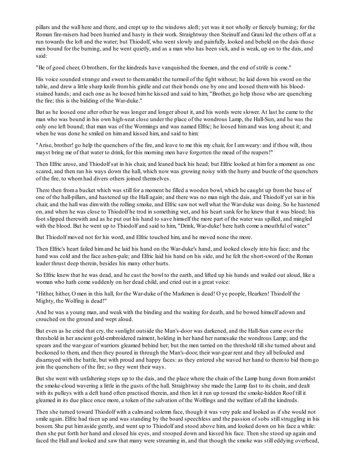pillars and the wall here and there, and crept up to the windows aloft; yet was it not wholly or fiercely burning; for the Roman fire-raisers had been hurried and hasty in their work. Straightway then Steinulf and Grani led the others off at a run towards the loft and the water; but Thiodolf, who went slowly and painfully, looked and beheld on the dais those men bound for the burning, and he went quietly, and as a man who has been sick, and is weak, up on to the dais, and said:

"Be of good cheer, O brothers, for the kindreds have vanquished the foemen, and the end of strife is come."

His voice sounded strange and sweet to themamidst the turmoil of the fight without; he laid down his sword on the table, and drew a little sharp knife fromhis girdle and cut their bonds one by one and loosed themwith his bloodstained hands; and each one as he loosed himhe kissed and said to him, "Brother, go help those who are quenching the fire; this is the bidding of the War-duke."

But as he loosed one after other he was longer and longer about it, and his words were slower. At last he came to the man who was bound in his own high-seat close under the place of the wondrous Lamp, the Hall-Sun, and he was the only one left bound; that man was of the Wormings and was named Elfric; he loosed himand was long about it; and when he was done he smiled on himand kissed him, and said to him:

"Arise, brother! go help the quenchers of the fire, and leave to me this my chair, for I amweary: and if thou wilt, thou mayst bring me of that water to drink, for this morning men have forgotten the mead of the reapers!"

Then Elfric arose, and Thiodolf sat in his chair, and leaned back his head; but Elfric looked at himfor a moment as one scared, and then ran his ways down the hall, which now was growing noisy with the hurry and bustle of the quenchers of the fire, to whomhad divers others joined themselves.

There then froma bucket which was still for a moment he filled a wooden bowl, which he caught up fromthe base of one of the hall-pillars, and hastened up the Hall again; and there was no man nigh the dais, and Thiodolf yet sat in his chair, and the hall was dimwith the rolling smoke, and Elfric saw not well what the War-duke was doing. So he hastened on, and when he was close to Thiodolf he trod in something wet, and his heart sank for he knew that it was blood; his foot slipped therewith and as he put out his hand to save himself the more part of the water was spilled, and mingled with the blood. But he went up to Thiodolf and said to him, "Drink, War-duke! here hath come a mouthful of water."

But Thiodolf moved not for his word, and Elfric touched him, and he moved none the more.

Then Elfric's heart failed himand he laid his hand on the War-duke's hand, and looked closely into his face; and the hand was cold and the face ashen-pale; and Elfric laid his hand on his side, and he felt the short-sword of the Roman leader thrust deep therein, besides his many other hurts.

So Elfric knew that he was dead, and he cast the bowl to the earth, and lifted up his hands and wailed out aloud, like a woman who hath come suddenly on her dead child, and cried out in a great voice:

"Hither, hither, O men in this hall, for the War-duke of the Markmen is dead! O ye people, Hearken! Thiodolf the Mighty, the Wolfing is dead!"

And he was a young man, and weak with the binding and the waiting for death, and he bowed himself adown and crouched on the ground and wept aloud.

But even as he cried that cry, the sunlight outside the Man's-door was darkened, and the Hall-Sun came over the threshold in her ancient gold-embroidered raiment, holding in her hand her namesake the wondrous Lamp; and the spears and the war-gear of warriors gleamed behind her; but the men tarried on the threshold tillshe turned about and beckoned to them, and then they poured in through the Man's-door, their war-gear rent and they all befouled and disarrayed with the battle, but with proud and happy faces: as they entered she waved her hand to themto bid themgo join the quenchers of the fire; so they went their ways.

But she went with unfaltering steps up to the dais, and the place where the chain of the Lamp hung down fromamidst the smoke-cloud wavering a little in the gusts of the hall. Straightway she made the Lamp fast to its chain, and dealt with its pulleys with a deft hand often practised therein, and then let it run up toward the smoke-hidden Roof till it gleamed in its due place once more, a token of the salvation of the Wolfings and the welfare of all the kindreds.

Then she turned toward Thiodolf with a calmand solemn face, though it was very pale and looked as if she would not smile again. Elfric had risen up and was standing by the board speechless and the passion of sobs stillstruggling in his bosom. She put himaside gently, and went up to Thiodolf and stood above him, and looked down on his face a while: then she put forth her hand and closed his eyes, and stooped down and kissed his face. Then she stood up again and faced the Hall and looked and saw that many were streaming in, and that though the smoke was still eddying overhead,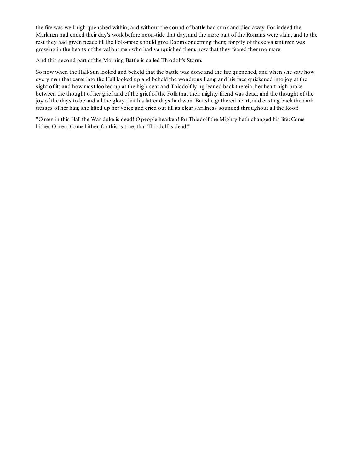the fire was well nigh quenched within; and without the sound of battle had sunk and died away. For indeed the Markmen had ended their day's work before noon-tide that day, and the more part of the Romans were slain, and to the rest they had given peace till the Folk-mote should give Doomconcerning them; for pity of these valiant men was growing in the hearts of the valiant men who had vanquished them, now that they feared themno more.

And this second part of the Morning Battle is called Thiodolf's Storm.

So now when the Hall-Sun looked and beheld that the battle was done and the fire quenched, and when she saw how every man that came into the Hall looked up and beheld the wondrous Lamp and his face quickened into joy at the sight of it; and how most looked up at the high-seat and Thiodolf lying leaned back therein, her heart nigh broke between the thought of her grief and of the grief of the Folk that their mighty friend was dead, and the thought of the joy of the days to be and all the glory that his latter days had won. But she gathered heart, and casting back the dark tresses of her hair, she lifted up her voice and cried out till its clear shrillness sounded throughout all the Roof:

"O men in this Hall the War-duke is dead! O people hearken! for Thiodolf the Mighty hath changed his life: Come hither, O men, Come hither, for this is true, that Thiodolf is dead!"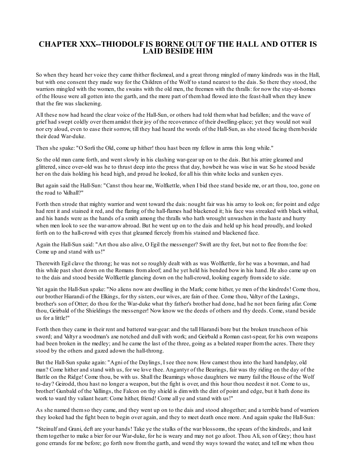### **CHAPTER XXX--THIODOLF IS BORNE OUT OF THE HALL AND OTTER IS LAID BESIDE HIM**

So when they heard her voice they came thither flockmeal, and a great throng mingled of many kindreds was in the Hall, but with one consent they made way for the Children of the Wolf to stand nearest to the dais. So there they stood, the warriors mingled with the women, the swains with the old men, the freemen with the thralls: for now the stay-at-homes of the House were all gotten into the garth, and the more part of themhad flowed into the feast-hall when they knew that the fire was slackening.

All these now had heard the clear voice of the Hall-Sun, or others had told themwhat had befallen; and the wave of grief had swept coldly over themamidst their joy of the recoverance of their dwelling-place; yet they would not wail nor cry aloud, even to ease their sorrow, till they had heard the words of the Hall-Sun, as she stood facing thembeside their dead War-duke.

Then she spake: "O Sorli the Old, come up hither! thou hast been my fellow in arms this long while."

So the old man came forth, and went slowly in his clashing war-gear up on to the dais. But his attire gleamed and glittered, since over-old was he to thrust deep into the press that day, howbeit he was wise in war. So he stood beside her on the dais holding his head high, and proud he looked, for all his thin white locks and sunken eyes.

But again said the Hall-Sun: "Canst thou hear me, Wolfkettle, when I bid thee stand beside me, or art thou, too, gone on the road to Valhall?"

Forth then strode that mighty warrior and went toward the dais: nought fair was his array to look on; for point and edge had rent it and stained it red, and the flaring of the hall-flames had blackened it; his face was streaked with black withal, and his hands were as the hands of a smith among the thralls who hath wrought unwashen in the haste and hurry when men look to see the war-arrow abroad. But he went up on to the dais and held up his head proudly, and looked forth on to the hall-crowd with eyes that gleamed fiercely fromhis stained and blackened face.

Again the Hall-Sun said: "Art thou also alive, O Egil the messenger? Swift are thy feet, but not to flee fromthe foe: Come up and stand with us!"

Therewith Egil clave the throng; he was not so roughly dealt with as was Wolfkettle, for he was a bowman, and had this while past shot down on the Romans fromaloof; and he yet held his bended bow in his hand. He also came up on to the dais and stood beside Wolfkettle glancing down on the hall-crowd, looking eagerly fromside to side.

Yet again the Hall-Sun spake: "No aliens now are dwelling in the Mark; come hither, ye men of the kindreds! Come thou, our brother Hiarandi of the Elkings, for thy sisters, our wives, are fain of thee. Come thou, Valtyr of the Laxings, brother's son of Otter; do thou for the War-duke what thy father's brother had done, had he not been faring afar. Come thou, Geirbald of the Shieldings the messenger! Now know we the deeds of others and thy deeds. Come, stand beside us for a little!"

Forth then they came in their rent and battered war-gear: and the tall Hiarandi bore but the broken truncheon of his sword; and Valtyr a woodman's axe notched and dull with work; and Geirbald a Roman cast-spear, for his own weapons had been broken in the medley; and he came the last of the three, going as a belated reaper fromthe acres. There they stood by the others and gazed adown the hall-throng.

But the Hall-Sun spake again: "Agni of the Daylings, I see thee now. How camest thou into the hard handplay, old man? Come hither and stand with us, for we love thee. Angantyr of the Bearings, fair was thy riding on the day of the Battle on the Ridge! Come thou, be with us. Shall the Beamings whose daughters we marry fail the House of the Wolf to-day? Geirodd, thou hast no longer a weapon, but the fight is over, and this hour thou needest it not. Come to us, brother! Gunbald of the Vallings, the Falcon on thy shield is dimwith the dint of point and edge, but it hath done its work to ward thy valiant heart: Come hither, friend! Come all ye and stand with us!"

As she named themso they came, and they went up on to the dais and stood altogether; and a terrible band of warriors they looked had the fight been to begin over again, and they to meet death once more. And again spake the Hall-Sun:

"Steinulf and Grani, deft are your hands! Take ye the stalks of the war blossoms, the spears of the kindreds, and knit themtogether to make a bier for our War-duke, for he is weary and may not go afoot. Thou Ali, son of Grey; thou hast gone errands for me before; go forth now fromthe garth, and wend thy ways toward the water, and tell me when thou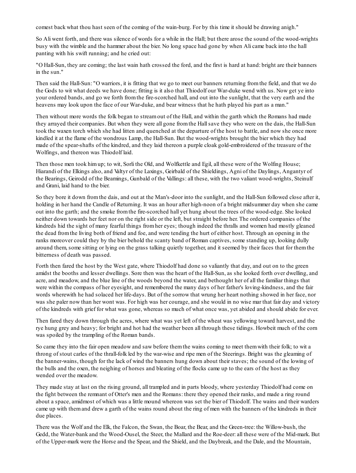comest back what thou hast seen of the coming of the wain-burg. For by this time it should be drawing anigh."

So Ali went forth, and there was silence of words for a while in the Hall; but there arose the sound of the wood-wrights busy with the wimble and the hammer about the bier. No long space had gone by when Ali came back into the hall panting with his swift running; and he cried out:

"O Hall-Sun, they are coming; the last wain hath crossed the ford, and the first is hard at hand: bright are their banners in the sun."

Then said the Hall-Sun: "O warriors, it is fitting that we go to meet our banners returning fromthe field, and that we do the Gods to wit what deeds we have done; fitting is it also that Thiodolf our War-duke wend with us. Now get ye into your ordered bands, and go we forth fromthe fire-scorched hall, and out into the sunlight, that the very earth and the heavens may look upon the face of our War-duke, and bear witness that he hath played his part as a man."

Then without more words the folk began to streamout of the Hall, and within the garth which the Romans had made they arrayed their companies. But when they were all gone fromthe Hallsave they who were on the dais, the Hall-Sun took the waxen torch which she had litten and quenched at the departure of the host to battle, and now she once more kindled it at the flame of the wondrous Lamp, the Hall-Sun. But the wood-wrights brought the bier which they had made of the spear-shafts of the kindred, and they laid thereon a purple cloak gold-embroidered of the treasure of the Wolfings, and thereon was Thiodolf laid.

Then those men took himup; to wit, Sorli the Old, and Wolfkettle and Egil, all these were of the Wolfing House; Hiarandi of the Elkings also, and Valtyr of the Laxings, Geirbald of the Shieldings, Agni of the Daylings, Angantyr of the Bearings, Geirodd of the Beamings, Gunbald of the Vallings: all these, with the two valiant wood-wrights, Steinulf and Grani, laid hand to the bier.

So they bore it down fromthe dais, and out at the Man's-door into the sunlight, and the Hall-Sun followed close after it, holding in her hand the Candle of Returning. It was an hour after high-noon of a bright midsummer day when she came out into the garth; and the smoke fromthe fire-scorched hall yet hung about the trees of the wood-edge. She looked neither down towards her feet nor on the right side or the left, but straight before her. The ordered companies of the kindreds hid the sight of many fearful things fromher eyes; though indeed the thralls and women had mostly gleaned the dead fromthe living both of friend and foe, and were tending the hurt of either host. Through an opening in the ranks moreover could they by the bier behold the scanty band of Roman captives, some standing up, looking dully around them, some sitting or lying on the grass talking quietly together, and it seemed by their faces that for themthe bitterness of death was passed.

Forth then fared the host by the West gate, where Thiodolf had done so valiantly that day, and out on to the green amidst the booths and lesser dwellings. Sore then was the heart of the Hall-Sun, as she looked forth over dwelling, and acre, and meadow, and the blue line of the woods beyond the water, and bethought her of all the familiar things that were within the compass of her eyesight, and remembered the many days of her father's loving-kindness, and the fair words wherewith he had solaced her life-days. But of the sorrow that wrung her heart nothing showed in her face, nor was she paler now than her wont was. For high was her courage, and she would in no wise mar that fair day and victory of the kindreds with grief for what was gone, whereas so much of what once was, yet abided and should abide for ever.

Then fared they down through the acres, where what was yet left of the wheat was yellowing toward harvest, and the rye hung grey and heavy; for bright and hot had the weather been all through these tidings. Howbeit much of the corn was spoiled by the trampling of the Roman bands.

So came they into the fair open meadow and saw before themthe wains coming to meet themwith their folk; to wit a throng of stout carles of the thrall-folk led by the war-wise and ripe men of the Steerings. Bright was the gleaming of the banner-wains, though for the lack of wind the banners hung down about their staves; the sound of the lowing of the bulls and the oxen, the neighing of horses and bleating of the flocks came up to the ears of the host as they wended over the meadow.

They made stay at last on the rising ground, all trampled and in parts bloody, where yesterday Thiodolf had come on the fight between the remnant of Otter's men and the Romans: there they opened their ranks, and made a ring round about a space, amidmost of which was a little mound whereon was set the bier of Thiodolf. The wains and their warders came up with themand drew a garth of the wains round about the ring of men with the banners of the kindreds in their due places.

There was the Wolf and the Elk, the Falcon, the Swan, the Boar, the Bear, and the Green-tree: the Willow-bush, the Gedd, the Water-bank and the Wood-Ousel, the Steer, the Mallard and the Roe-deer: all these were of the Mid-mark. But of the Upper-mark were the Horse and the Spear, and the Shield, and the Daybreak, and the Dale, and the Mountain,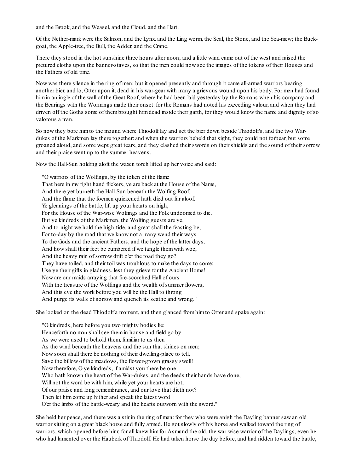and the Brook, and the Weasel, and the Cloud, and the Hart.

Of the Nether-mark were the Salmon, and the Lynx, and the Ling worm, the Seal, the Stone, and the Sea-mew; the Buckgoat, the Apple-tree, the Bull, the Adder, and the Crane.

There they stood in the hot sunshine three hours after noon; and a little wind came out of the west and raised the pictured cloths upon the banner-staves, so that the men could now see the images of the tokens of their Houses and the Fathers of old time.

Now was there silence in the ring of men; but it opened presently and through it came all-armed warriors bearing another bier, and lo, Otter upon it, dead in his war-gear with many a grievous wound upon his body. For men had found himin an ingle of the wall of the Great Roof, where he had been laid yesterday by the Romans when his company and the Bearings with the Wormings made their onset: for the Romans had noted his exceeding valour, and when they had driven off the Goths some of thembrought himdead inside their garth, for they would know the name and dignity of so valorous a man.

So now they bore himto the mound where Thiodolf lay and set the bier down beside Thiodolf's, and the two Wardukes of the Markmen lay there together: and when the warriors beheld that sight, they could not forbear, but some groaned aloud, and some wept great tears, and they clashed their swords on their shields and the sound of their sorrow and their praise went up to the summer heavens.

Now the Hall-Sun holding aloft the waxen torch lifted up her voice and said:

"O warriors of the Wolfings, by the token of the flame That here in my right hand flickers, ye are back at the House of the Name, And there yet burneth the Hall-Sun beneath the Wolfing Roof, And the flame that the foemen quickened hath died out far aloof. Ye gleanings of the battle, lift up your hearts on high, For the House of the War-wise Wolfings and the Folk undoomed to die. But ye kindreds of the Markmen, the Wolfing guests are ye, And to-night we hold the high-tide, and great shall the feasting be, For to-day by the road that we know not a many wend their ways To the Gods and the ancient Fathers, and the hope of the latter days. And how shall their feet be cumbered if we tangle themwith woe, And the heavy rain of sorrow drift o'er the road they go? They have toiled, and their toil was troublous to make the days to come; Use ye their gifts in gladness, lest they grieve for the Ancient Home! Now are our maids arraying that fire-scorched Hall of ours With the treasure of the Wolfings and the wealth of summer flowers, And this eve the work before you will be the Hall to throng And purge its walls of sorrow and quench its scathe and wrong."

She looked on the dead Thiodolf a moment, and then glanced fromhimto Otter and spake again:

"O kindreds, here before you two mighty bodies lie; Henceforth no man shall see them in house and field go by As we were used to behold them, familiar to us then As the wind beneath the heavens and the sun that shines on men; Now soon shall there be nothing of their dwelling-place to tell, Save the billow of the meadows, the flower-grown grassy swell! Now therefore, O ye kindreds, if amidst you there be one Who hath known the heart of the War-dukes, and the deeds their hands have done, Will not the word be with him, while yet your hearts are hot, Of our praise and long remembrance, and our love that dieth not? Then let himcome up hither and speak the latest word O'er the limbs of the battle-weary and the hearts outworn with the sword."

She held her peace, and there was a stir in the ring of men: for they who were anigh the Dayling banner saw an old warrior sitting on a great black horse and fully armed. He got slowly off his horse and walked toward the ring of warriors, which opened before him; for all knew himfor Asmund the old, the war-wise warrior of the Daylings, even he who had lamented over the Hauberk of Thiodolf. He had taken horse the day before, and had ridden toward the battle,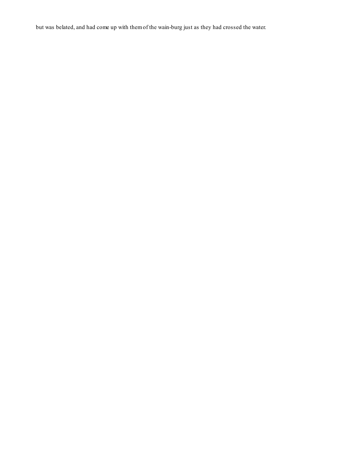but was belated, and had come up with themof the wain-burg just as they had crossed the water.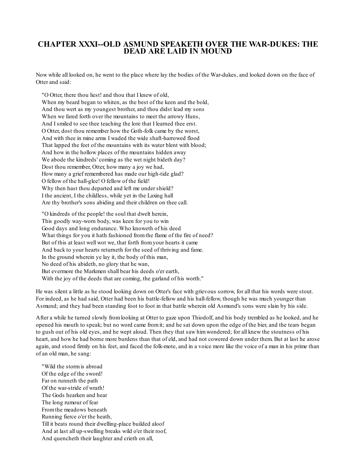## **CHAPTER XXXI--OLD ASMUND SPEAKETH OVER THE WAR-DUKES: THE DEAD ARE LAID IN MOUND**

Now while all looked on, he went to the place where lay the bodies of the War-dukes, and looked down on the face of Otter and said:

"O Otter, there thou liest! and thou that I knew of old, When my beard began to whiten, as the best of the keen and the bold, And thou wert as my youngest brother, and thou didst lead my sons When we fared forth over the mountains to meet the arrowy Huns, And I smiled to see thee teaching the lore that I learned thee erst. O Otter, dost thou remember how the Goth-folk came by the worst, And with thee in mine arms I waded the wide shaft-harrowed flood That lapped the feet of the mountains with its water blent with blood; And how in the hollow places of the mountains hidden away We abode the kindreds' coming as the wet night bideth day? Dost thou remember, Otter, how many a joy we had, How many a grief remembered has made our high-tide glad? O fellow of the hall-glee! O fellow of the field! Why then hast thou departed and left me under shield? I the ancient, I the childless, while yet in the Laxing hall Are thy brother's sons abiding and their children on thee call.

"O kindreds of the people! the soul that dwelt herein, This goodly way-worn body, was keen for you to win Good days and long endurance. Who knoweth of his deed What things for you it hath fashioned fromthe flame of the fire of need? But of this at least well wot we, that forth fromyour hearts it came And back to your hearts returneth for the seed of thriving and fame. In the ground wherein ye lay it, the body of this man, No deed of his abideth, no glory that he wan, But evermore the Markmen shall bear his deeds o'er earth, With the joy of the deeds that are coming, the garland of his worth."

He was silent a little as he stood looking down on Otter's face with grievous sorrow, for all that his words were stout. For indeed, as he had said, Otter had been his battle-fellow and his hall-fellow, though he was much younger than Asmund; and they had been standing foot to foot in that battle wherein old Asmund's sons were slain by his side.

After a while he turned slowly fromlooking at Otter to gaze upon Thiodolf, and his body trembled as he looked, and he opened his mouth to speak; but no word came fromit; and he sat down upon the edge of the bier, and the tears began to gush out of his old eyes, and he wept aloud. Then they that saw himwondered; for all knew the stoutness of his heart, and how he had borne more burdens than that of eld, and had not cowered down under them. But at last he arose again, and stood firmly on his feet, and faced the folk-mote, and in a voice more like the voice of a man in his prime than of an old man, he sang:

"Wild the stormis abroad Of the edge of the sword! Far on runneth the path Of the war-stride of wrath! The Gods hearken and hear The long rumour of fear Fromthe meadows beneath Running fierce o'er the heath, Till it beats round their dwelling-place builded aloof And at last all up-swelling breaks wild o'er their roof, And quencheth their laughter and crieth on all,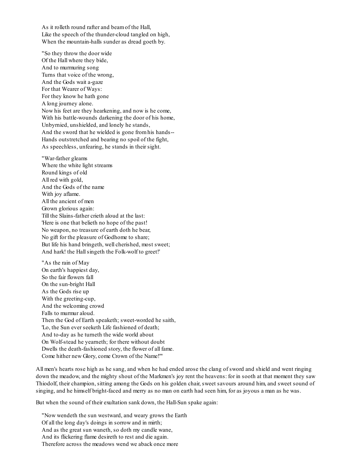As it rolleth round rafter and beamof the Hall, Like the speech of the thunder-cloud tangled on high, When the mountain-halls sunder as dread goeth by.

"So they throw the door wide Of the Hall where they bide, And to murmuring song Turns that voice of the wrong, And the Gods wait a-gaze For that Wearer of Ways: For they know he hath gone A long journey alone. Now his feet are they hearkening, and now is he come, With his battle-wounds darkening the door of his home, Unbyrnied, unshielded, and lonely he stands, And the sword that he wielded is gone fromhis hands-- Hands outstretched and bearing no spoil of the fight, As speechless, unfearing, he stands in their sight.

"War-father gleams Where the white light streams Round kings of old All red with gold, And the Gods of the name With joy aflame. All the ancient of men Grown glorious again: Till the Slains-father crieth aloud at the last: 'Here is one that belieth no hope of the past! No weapon, no treasure of earth doth he bear, No gift for the pleasure of Godhome to share; But life his hand bringeth, well cherished, most sweet; And hark! the Hallsingeth the Folk-wolf to greet!'

"As the rain of May On earth's happiest day, So the fair flowers fall On the sun-bright Hall As the Gods rise up With the greeting-cup, And the welcoming crowd Falls to murmur aloud. Then the God of Earth speaketh; sweet-worded he saith, 'Lo, the Sun ever seeketh Life fashioned of death; And to-day as he turneth the wide world about On Wolf-stead he yearneth; for there without doubt Dwells the death-fashioned story, the flower of all fame. Come hither new Glory, come Crown of the Name!'"

All men's hearts rose high as he sang, and when he had ended arose the clang of sword and shield and went ringing down the meadow, and the mighty shout of the Markmen's joy rent the heavens: for in sooth at that moment they saw Thiodolf, their champion, sitting among the Gods on his golden chair, sweet savours around him, and sweet sound of singing, and he himself bright-faced and merry as no man on earth had seen him, for as joyous a man as he was.

But when the sound of their exultation sank down, the Hall-Sun spake again:

"Now wendeth the sun westward, and weary grows the Earth Of all the long day's doings in sorrow and in mirth; And as the great sun waneth, so doth my candle wane, And its flickering flame desireth to rest and die again. Therefore across the meadows wend we aback once more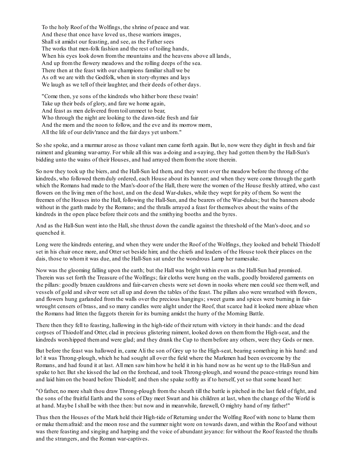To the holy Roof of the Wolfings, the shrine of peace and war. And these that once have loved us, these warriors images, Shallsit amidst our feasting, and see, as the Father sees The works that men-folk fashion and the rest of toiling hands, When his eyes look down from the mountains and the heavens above all lands, And up fromthe flowery meadows and the rolling deeps of the sea. There then at the feast with our champions familiar shall we be As oft we are with the Godfolk, when in story-rhymes and lays We laugh as we tell of their laughter, and their deeds of other days.

"Come then, ye sons of the kindreds who hither bore these twain! Take up their beds of glory, and fare we home again, And feast as men delivered fromtoil unmeet to bear, Who through the night are looking to the dawn-tide fresh and fair And the morn and the noon to follow, and the eve and its morrow morn, All the life of our deliv'rance and the fair days yet unborn."

So she spoke, and a murmur arose as those valiant men came forth again. But lo, now were they dight in fresh and fair raiment and gleaming war-array. For while all this was a-doing and a-saying, they had gotten themby the Hall-Sun's bidding unto the wains of their Houses, and had arrayed themfromthe store therein.

So now they took up the biers, and the Hall-Sun led them, and they went over the meadow before the throng of the kindreds, who followed themduly ordered, each House about its banner; and when they were come through the garth which the Romans had made to the Man's-door of the Hall, there were the women of the House freshly attired, who cast flowers on the living men of the host, and on the dead War-dukes, while they wept for pity of them. So went the freemen of the Houses into the Hall, following the Hall-Sun, and the bearers of the War-dukes; but the banners abode without in the garth made by the Romans; and the thralls arrayed a feast for themselves about the wains of the kindreds in the open place before their cots and the smithying booths and the byres.

And as the Hall-Sun went into the Hall, she thrust down the candle against the threshold of the Man's-door, and so quenched it.

Long were the kindreds entering, and when they were under the Roof of the Wolfings, they looked and beheld Thiodolf set in his chair once more, and Otter set beside him; and the chiefs and leaders of the House took their places on the dais, those to whomit was due, and the Hall-Sun sat under the wondrous Lamp her namesake.

Now was the glooming falling upon the earth; but the Hall was bright within even as the Hall-Sun had promised. Therein was set forth the Treasure of the Wolfings; fair cloths were hung on the walls, goodly broidered garments on the pillars: goodly brazen cauldrons and fair-carven chests were set down in nooks where men could see themwell, and vessels of gold and silver were set all up and down the tables of the feast. The pillars also were wreathed with flowers, and flowers hung garlanded fromthe walls over the precious hangings; sweet gums and spices were burning in fairwrought censers of brass, and so many candles were alight under the Roof, that scarce had it looked more ablaze when the Romans had litten the faggots therein for its burning amidst the hurry of the Morning Battle.

There then they fell to feasting, hallowing in the high-tide of their return with victory in their hands: and the dead corpses of Thiodolf and Otter, clad in precious glistering raiment, looked down on themfromthe High-seat, and the kindreds worshipped themand were glad; and they drank the Cup to thembefore any others, were they Gods or men.

But before the feast was hallowed in, came Ali the son of Grey up to the High-seat, bearing something in his hand: and lo! it was Throng-plough, which he had sought all over the field where the Markmen had been overcome by the Romans, and had found it at last. All men saw himhow he held it in his hand now as he went up to the Hall-Sun and spake to her. But she kissed the lad on the forehead, and took Throng-plough, and wound the peace-strings round him and laid himon the board before Thiodolf; and then she spake softly as if to herself, yet so that some heard her:

"O father, no more shalt thou draw Throng-plough fromthe sheath till the battle is pitched in the last field of fight, and the sons of the fruitful Earth and the sons of Day meet Swart and his children at last, when the change of the World is at hand. Maybe I shall be with thee then: but now and in meanwhile, farewell, O mighty hand of my father!"

Thus then the Houses of the Mark held their High-tide of Returning under the Wolfing Roof with none to blame them or make themafraid: and the moon rose and the summer night wore on towards dawn, and within the Roof and without was there feasting and singing and harping and the voice of abundant joyance: for without the Roof feasted the thralls and the strangers, and the Roman war-captives.